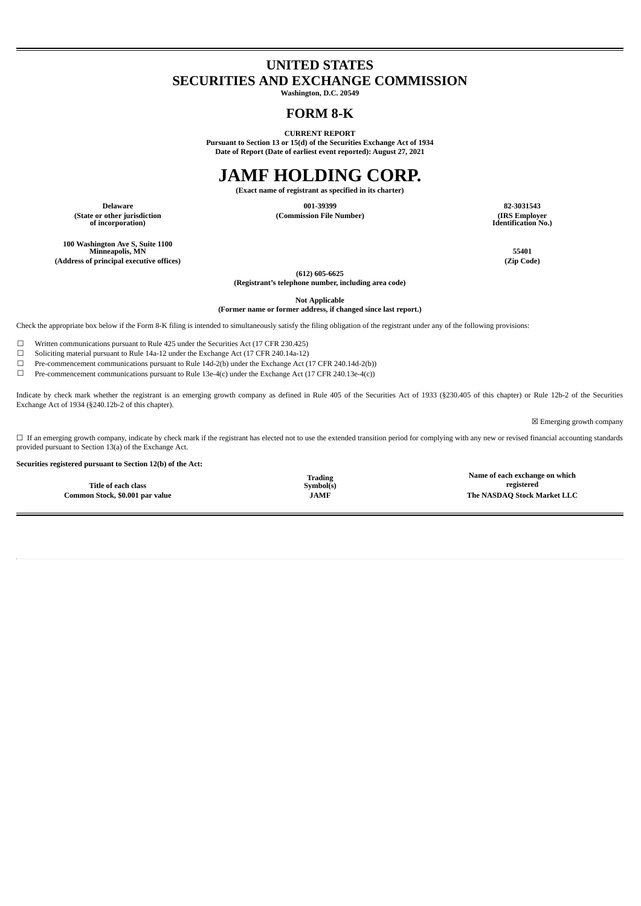# **UNITED STATES SECURITIES AND EXCHANGE COMMISSION**

**Washington, D.C. 20549**

# **FORM 8-K**

**CURRENT REPORT Pursuant to Section 13 or 15(d) of the Securities Exchange Act of 1934 Date of Report (Date of earliest event reported): August 27, 2021**

# **JAMF HOLDING CORP.**

**(Exact name of registrant as specified in its charter)**

**(State or other jurisdiction of incorporation)**

**Delaware 001-39399 82-3031543 (Commission File Number) (IRS Employer**

**Identification No.)**

**100 Washington Ave S, Suite 1100 Minneapolis, MN 55401 (Address of principal executive offices) (Zip Code)**

**(612) 605-6625**

**(Registrant's telephone number, including area code)**

**Not Applicable**

**(Former name or former address, if changed since last report.)**

Check the appropriate box below if the Form 8-K filing is intended to simultaneously satisfy the filing obligation of the registrant under any of the following provisions:

☐ Written communications pursuant to Rule 425 under the Securities Act (17 CFR 230.425)

☐ Soliciting material pursuant to Rule 14a-12 under the Exchange Act (17 CFR 240.14a-12)

☐ Pre-commencement communications pursuant to Rule 14d-2(b) under the Exchange Act (17 CFR 240.14d-2(b))

 $\Box$  Pre-commencement communications pursuant to Rule 13e-4(c) under the Exchange Act (17 CFR 240.13e-4(c))

Indicate by check mark whether the registrant is an emerging growth company as defined in Rule 405 of the Securities Act of 1933 (§230.405 of this chapter) or Rule 12b-2 of the Securities Exchange Act of 1934 (§240.12b-2 of this chapter).

☒ Emerging growth company

□ If an emerging growth company, indicate by check mark if the registrant has elected not to use the extended transition period for complying with any new or revised financial accounting standards provided pursuant to Section 13(a) of the Exchange Act.

**Securities registered pursuant to Section 12(b) of the Act:**

**Title of each class Trading Symbol(s) registered Common Stock, \$0.001 par value JAMF The NASDAQ Stock Market LLC**

**Name of each exchange on which**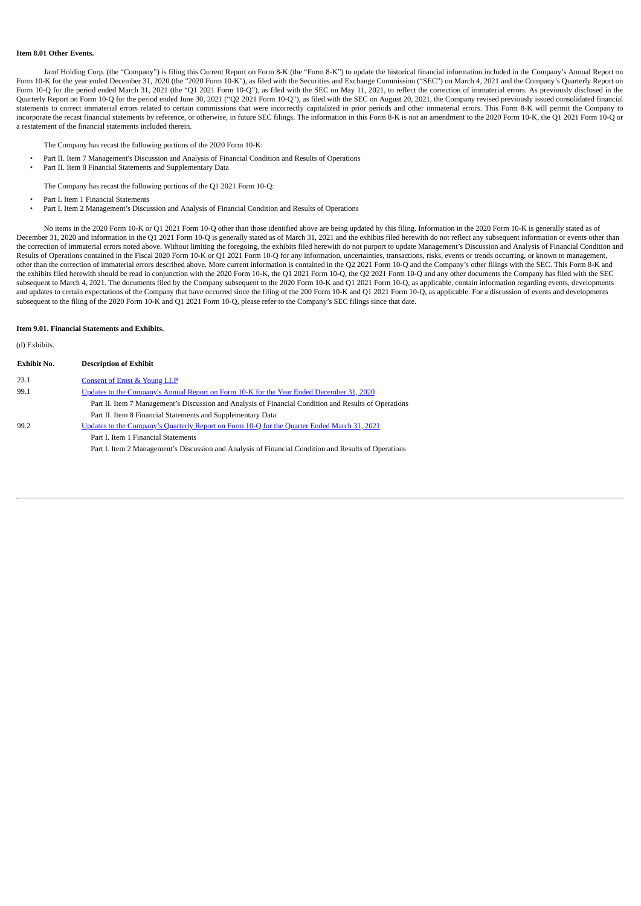### **Item 8.01 Other Events.**

Jamf Holding Corp. (the "Company") is filing this Current Report on Form 8-K (the "Form 8-K") to update the historical financial information included in the Company's Annual Report on Form 10-K for the year ended December 31, 2020 (the "2020 Form 10-K"), as filed with the Securities and Exchange Commission ("SEC") on March 4, 2021 and the Company's Quarterly Report on Form 10-Q for the period ended March 31, 2021 (the "Q1 2021 Form 10-Q"), as filed with the SEC on May 11, 2021, to reflect the correction of immaterial errors. As previously disclosed in the Quarterly Report on Form 10-Q for the period ended June 30, 2021 ("Q2 2021 Form 10-Q"), as filed with the SEC on August 20, 2021, the Company revised previously issued consolidated financial statements to correct immaterial errors related to certain commissions that were incorrectly capitalized in prior periods and other immaterial errors. This Form 8-K will permit the Company to incorporate the recast financial statements by reference, or otherwise, in future SEC filings. The information in this Form 8-K is not an amendment to the 2020 Form 10-K, the Q1 2021 Form 10-Q or a restatement of the financial statements included therein.

The Company has recast the following portions of the 2020 Form 10-K:

- Part II. Item 7 Management's Discussion and Analysis of Financial Condition and Results of Operations Part II. Item 8 Financial Statements and Supplementary Data
- The Company has recast the following portions of the Q1 2021 Form 10-Q:
- Part I. Item 1 Financial Statements
- Part I. Item 2 Management's Discussion and Analysis of Financial Condition and Results of Operations

No items in the 2020 Form 10-K or Q1 2021 Form 10-Q other than those identified above are being updated by this filing. Information in the 2020 Form 10-K is generally stated as of December 31, 2020 and information in the Q1 2021 Form 10-Q is generally stated as of March 31, 2021 and the exhibits filed herewith do not reflect any subsequent information or events other than the correction of immaterial errors noted above. Without limiting the foregoing, the exhibits filed herewith do not purport to update Management's Discussion and Analysis of Financial Condition and Results of Operations contained in the Fiscal 2020 Form 10-K or Q1 2021 Form 10-Q for any information, uncertainties, transactions, risks, events or trends occurring, or known to management, other than the correction of immaterial errors described above. More current information is contained in the Q2 2021 Form 10-Q and the Company's other filings with the SEC. This Form 8-K and the exhibits filed herewith should be read in conjunction with the 2020 Form 10-K, the Q1 2021 Form 10-Q, the Q2 2021 Form 10-Q and any other documents the Company has filed with the SEC subsequent to March 4, 2021. The documents filed by the Company subsequent to the 2020 Form 10-K and Q1 2021 Form 10-Q, as applicable, contain information regarding events, developments and updates to certain expectations of the Company that have occurred since the filing of the 200 Form 10-K and Q1 2021 Form 10-Q, as applicable. For a discussion of events and developments subsequent to the filing of the 2020 Form 10-K and Q1 2021 Form 10-Q, please refer to the Company's SEC filings since that date.

#### **Item 9.01. Financial Statements and Exhibits.**

(d) Exhibits.

| Exhibit No. | <b>Description of Exhibit</b>                                                                         |
|-------------|-------------------------------------------------------------------------------------------------------|
| 23.1        | Consent of Ernst & Young LLP                                                                          |
| 99.1        | Updates to the Company's Annual Report on Form 10-K for the Year Ended December 31, 2020              |
|             | Part II. Item 7 Management's Discussion and Analysis of Financial Condition and Results of Operations |
|             | Part II. Item 8 Financial Statements and Supplementary Data                                           |
| 99.2        | <u>Updates to the Company's Quarterly Report on Form 10-Q for the Quarter Ended March 31, 2021</u>    |
|             | Part I. Item 1 Financial Statements                                                                   |
|             | Part I. Item 2 Management's Discussion and Analysis of Financial Condition and Results of Operations  |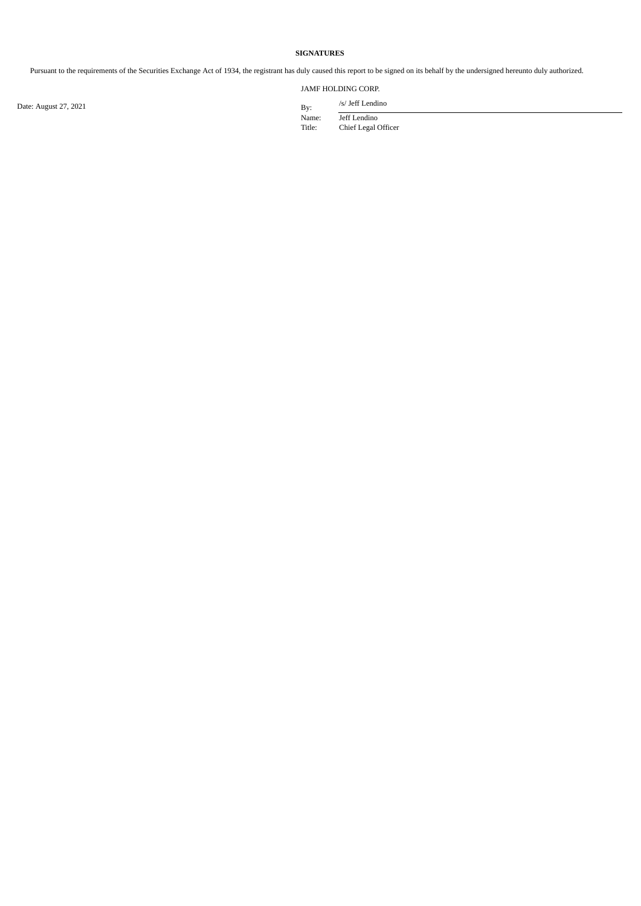# **SIGNATURES**

Pursuant to the requirements of the Securities Exchange Act of 1934, the registrant has duly caused this report to be signed on its behalf by the undersigned hereunto duly authorized.

JAMF HOLDING CORP.

Date: August 27, 2021 By:

/s/ Jeff Lendino

Name: Jeff Lendino Title: Chief Legal Officer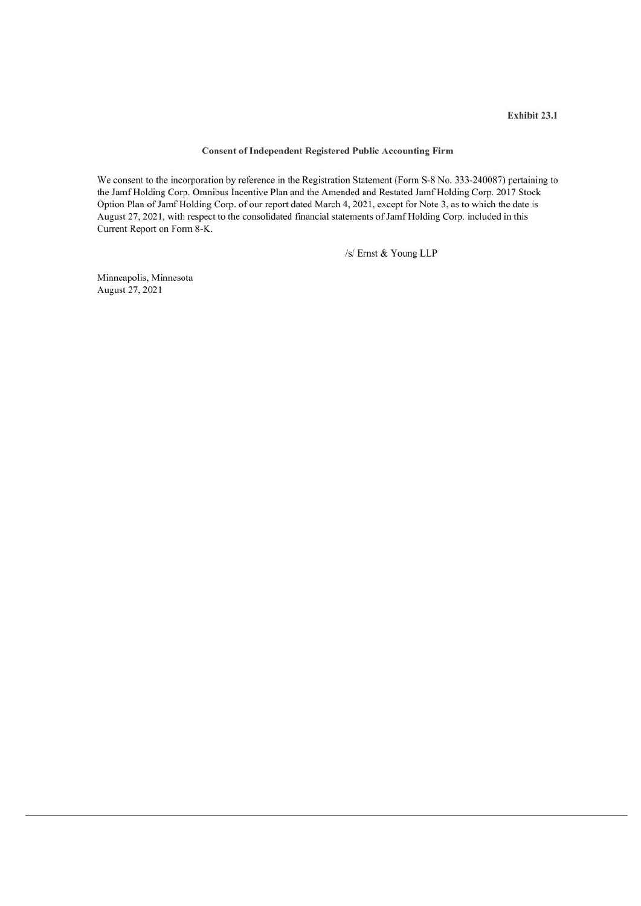# **Consent of Independent Registered Public Accounting Firm**

<span id="page-3-0"></span>We consent to the incorporation by reference in the Registration Statement (Form S-8 No. 333-240087) pertaining to the Jamf Holding Corp. Omnibus Incentive Plan and the Amended and Restated Jamf Holding Corp. 2017 Stock Option Plan of Jamf Holding Corp. of our report dated March 4, 2021, except for Note 3, as to which the date is August 27, 2021, with respect to the consolidated financial statements of Jamf Holding Corp. included in this Current Report on Form 8-K.

/s/ Ernst & Young LLP

Minneapolis, Minnesota August 27, 2021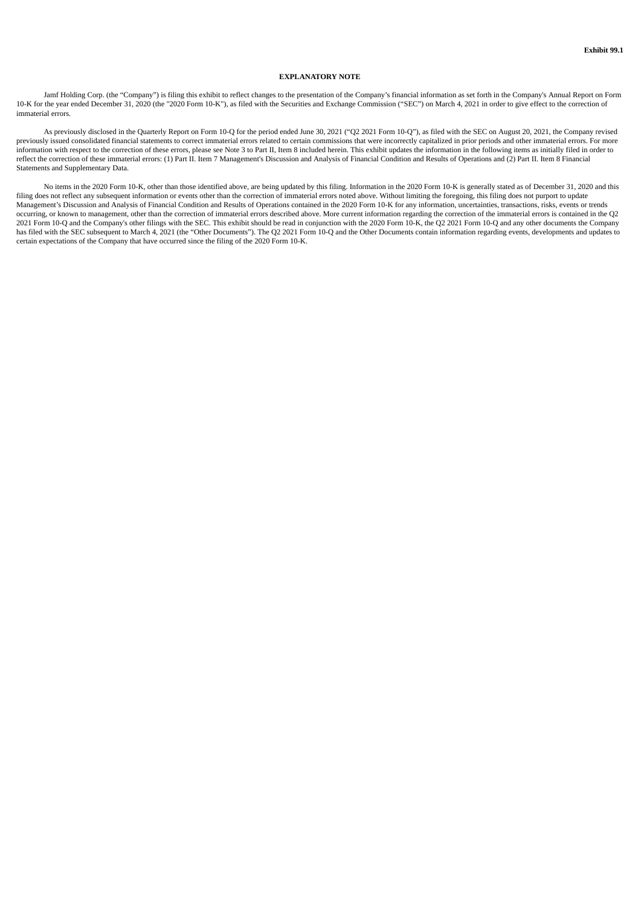# **EXPLANATORY NOTE**

<span id="page-5-0"></span>Jamf Holding Corp. (the "Company") is filing this exhibit to reflect changes to the presentation of the Company's financial information as set forth in the Company's Annual Report on Form 10-K for the year ended December 31, 2020 (the "2020 Form 10-K"), as filed with the Securities and Exchange Commission ("SEC") on March 4, 2021 in order to give effect to the correction of immaterial errors.

As previously disclosed in the Quarterly Report on Form 10-Q for the period ended June 30, 2021 ("Q2 2021 Form 10-Q"), as filed with the SEC on August 20, 2021, the Company revised previously issued consolidated financial statements to correct immaterial errors related to certain commissions that were incorrectly capitalized in prior periods and other immaterial errors. For more information with respect to the correction of these errors, please see Note 3 to Part II, Item 8 included herein. This exhibit updates the information in the following items as initially filed in order to reflect the correction of these immaterial errors: (1) Part II. Item 7 Management's Discussion and Analysis of Financial Condition and Results of Operations and (2) Part II. Item 8 Financial Statements and Supplementary Data.

<span id="page-5-1"></span>No items in the 2020 Form 10-K, other than those identified above, are being updated by this filing. Information in the 2020 Form 10-K is generally stated as of December 31, 2020 and this filing does not reflect any subsequent information or events other than the correction of immaterial errors noted above. Without limiting the foregoing, this filing does not purport to update Management's Discussion and Analysis of Financial Condition and Results of Operations contained in the 2020 Form 10-K for any information, uncertainties, transactions, risks, events or trends occurring, or known to management, other than the correction of immaterial errors described above. More current information regarding the correction of the immaterial errors is contained in the Q2 2021 Form 10-Q and the Company's other filings with the SEC. This exhibit should be read in conjunction with the 2020 Form 10-K, the Q2 2021 Form 10-Q and any other documents the Company has filed with the SEC subsequent to March 4, 2021 (the "Other Documents"). The Q2 2021 Form 10-Q and the Other Documents contain information regarding events, developments and updates to certain expectations of the Company that have occurred since the filing of the 2020 Form 10-K.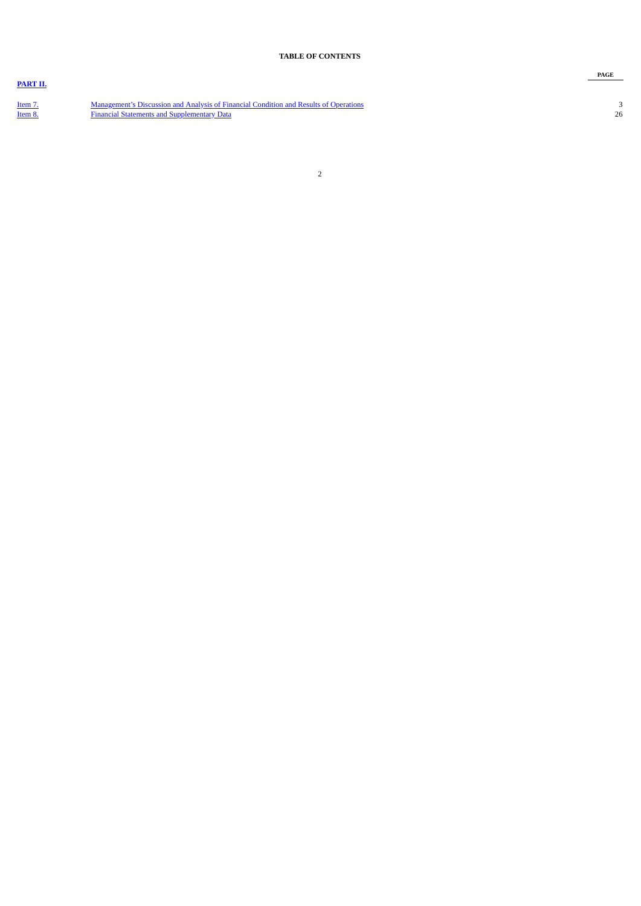# **TABLE OF CONTENTS**

<span id="page-6-0"></span>

[Item](#page-7-0) 7. [Management's](#page-7-0) Discussion and Analysis of Financial Condition and Results of Operations [3](#page-7-0) [Item](#page-29-0) 8. Financial Statements and [Supplementary](#page-29-0) Data [26](#page-29-0) Australian Control of the Statements and Supplementary Data 26

**PAGE**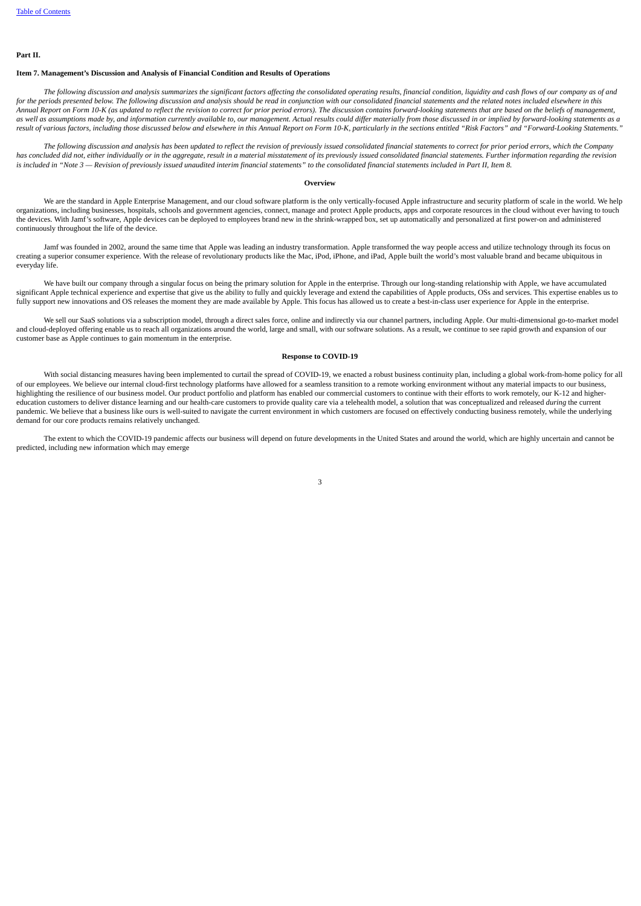# **Part II.**

#### <span id="page-7-0"></span>**Item 7. Management's Discussion and Analysis of Financial Condition and Results of Operations**

The following discussion and analysis summarizes the significant factors affecting the consolidated operating results, financial condition, liquidity and cash flows of our company as of and for the periods presented below. The following discussion and analysis should be read in conjunction with our consolidated financial statements and the related notes included elsewhere in this Annual Report on Form 10-K (as updated to reflect the revision to correct for prior period errors). The discussion contains forward-looking statements that are based on the beliefs of management, as well as assumptions made by, and information currently available to, our management. Actual results could differ materially from those discussed in or implied by forward-looking statements as a result of various factors, including those discussed below and elsewhere in this Annual Report on Form 10-K, particularly in the sections entitled "Risk Factors" and "Forward-Looking Statements."

The following discussion and analysis has been updated to reflect the revision of previously issued consolidated financial statements to correct for prior period errors, which the Company has concluded did not, either individually or in the aggregate, result in a material misstatement of its previously issued consolidated financial statements. Further information regarding the revision is included in "Note 3 — Revision of previously issued unquidited interim financial statements" to the consolidated financial statements included in Part II. Item 8.

#### **Overview**

We are the standard in Apple Enterprise Management, and our cloud software platform is the only vertically-focused Apple infrastructure and security platform of scale in the world. We help organizations, including businesses, hospitals, schools and government agencies, connect, manage and protect Apple products, apps and corporate resources in the cloud without ever having to touch the devices. With Jamf's software, Apple devices can be deployed to employees brand new in the shrink-wrapped box, set up automatically and personalized at first power-on and administered continuously throughout the life of the device.

Jamf was founded in 2002, around the same time that Apple was leading an industry transformation. Apple transformed the way people access and utilize technology through its focus on creating a superior consumer experience. With the release of revolutionary products like the Mac, iPod, iPhone, and iPad, Apple built the world's most valuable brand and became ubiquitous in everyday life.

We have built our company through a singular focus on being the primary solution for Apple in the enterprise. Through our long-standing relationship with Apple, we have accumulated significant Apple technical experience and expertise that give us the ability to fully and quickly leverage and extend the capabilities of Apple products, OSs and services. This expertise enables us to fully support new innovations and OS releases the moment they are made available by Apple. This focus has allowed us to create a best-in-class user experience for Apple in the enterprise.

We sell our SaaS solutions via a subscription model, through a direct sales force, online and indirectly via our channel partners, including Apple. Our multi-dimensional go-to-market model and cloud-deployed offering enable us to reach all organizations around the world, large and small, with our software solutions. As a result, we continue to see rapid growth and expansion of our customer base as Apple continues to gain momentum in the enterprise.

#### **Response to COVID-19**

With social distancing measures having been implemented to curtail the spread of COVID-19, we enacted a robust business continuity plan, including a global work-from-home policy for all of our employees. We believe our internal cloud-first technology platforms have allowed for a seamless transition to a remote working environment without any material impacts to our business, highlighting the resilience of our business model. Our product portfolio and platform has enabled our commercial customers to continue with their efforts to work remotely, our K-12 and highereducation customers to deliver distance learning and our health-care customers to provide quality care via a telehealth model, a solution that was conceptualized and released *during* the current pandemic. We believe that a business like ours is well-suited to navigate the current environment in which customers are focused on effectively conducting business remotely, while the underlying demand for our core products remains relatively unchanged.

The extent to which the COVID-19 pandemic affects our business will depend on future developments in the United States and around the world, which are highly uncertain and cannot be predicted, including new information which may emerge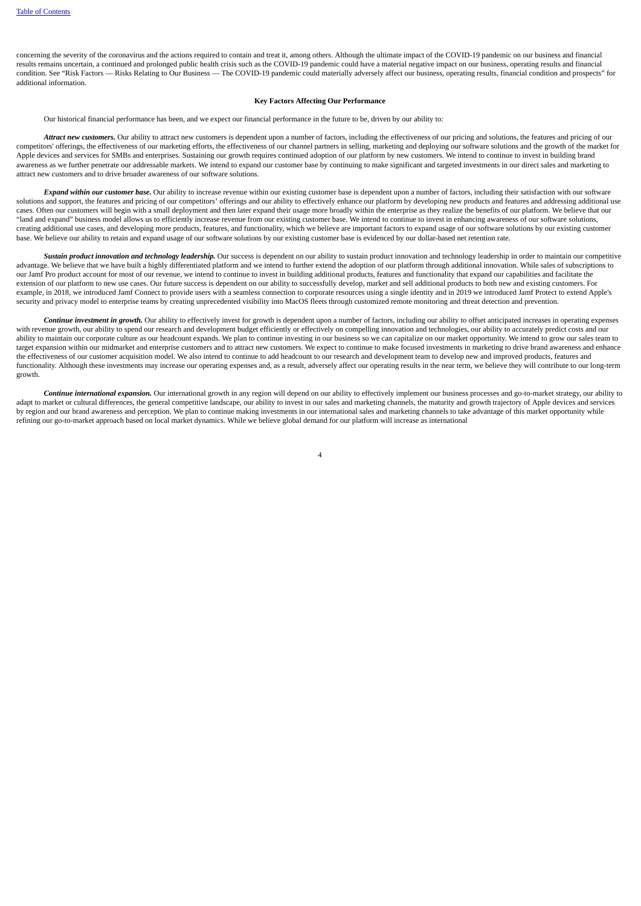concerning the severity of the coronavirus and the actions required to contain and treat it, among others. Although the ultimate impact of the COVID-19 pandemic on our business and financial results remains uncertain, a continued and prolonged public health crisis such as the COVID-19 pandemic could have a material negative impact on our business, operating results and financial condition. See "Risk Factors — Risks Relating to Our Business — The COVID-19 pandemic could materially adversely affect our business, operating results, financial condition and prospects" for additional information.

# **Key Factors Affecting Our Performance**

Our historical financial performance has been, and we expect our financial performance in the future to be, driven by our ability to:

Attract new customers. Our ability to attract new customers is dependent upon a number of factors, including the effectiveness of our pricing and solutions, the features and pricing of our competitors' offerings, the effectiveness of our marketing efforts, the effectiveness of our channel partners in selling, marketing and deploying our software solutions and the growth of the market for Apple devices and services for SMBs and enterprises. Sustaining our growth requires continued adoption of our platform by new customers. We intend to continue to invest in building brand awareness as we further penetrate our addressable markets. We intend to expand our customer base by continuing to make significant and targeted investments in our direct sales and marketing to attract new customers and to drive broader awareness of our software solutions.

*Expand within our customer base.* Our ability to increase revenue within our existing customer base is dependent upon a number of factors, including their satisfaction with our software solutions and support, the features and pricing of our competitors' offerings and our ability to effectively enhance our platform by developing new products and features and addressing additional use cases. Often our customers will begin with a small deployment and then later expand their usage more broadly within the enterprise as they realize the benefits of our platform. We believe that our "land and expand" business model allows us to efficiently increase revenue from our existing customer base. We intend to continue to invest in enhancing awareness of our software solutions, creating additional use cases, and developing more products, features, and functionality, which we believe are important factors to expand usage of our software solutions by our existing customer base. We believe our ability to retain and expand usage of our software solutions by our existing customer base is evidenced by our dollar-based net retention rate.

Sustain product innovation and technology leadership. Our success is dependent on our ability to sustain product innovation and technology leadership in order to maintain our competitive advantage. We believe that we have built a highly differentiated platform and we intend to further extend the adoption of our platform through additional innovation. While sales of subscriptions to our Jamf Pro product account for most of our revenue, we intend to continue to invest in building additional products, features and functionality that expand our capabilities and facilitate the extension of our platform to new use cases. Our future success is dependent on our ability to successfully develop, market and sell additional products to both new and existing customers. For example, in 2018, we introduced Jamf Connect to provide users with a seamless connection to corporate resources using a single identity and in 2019 we introduced Jamf Protect to extend Apple's security and privacy model to enterprise teams by creating unprecedented visibility into MacOS fleets through customized remote monitoring and threat detection and prevention.

*Continue investment in growth.* Our ability to effectively invest for growth is dependent upon a number of factors, including our ability to offset anticipated increases in operating expenses with revenue growth, our ability to spend our research and development budget efficiently or effectively on compelling innovation and technologies, our ability to accurately predict costs and our ability to maintain our corporate culture as our headcount expands. We plan to continue investing in our business so we can capitalize on our market opportunity. We intend to grow our sales team to target expansion within our midmarket and enterprise customers and to attract new customers. We expect to continue to make focused investments in marketing to drive brand awareness and enhance the effectiveness of our customer acquisition model. We also intend to continue to add headcount to our research and development team to develop new and improved products, features and functionality. Although these investments may increase our operating expenses and, as a result, adversely affect our operating results in the near term, we believe they will contribute to our long-term growth.

*Continue international expansion.* Our international growth in any region will depend on our ability to effectively implement our business processes and go-to-market strategy, our ability to adapt to market or cultural differences, the general competitive landscape, our ability to invest in our sales and marketing channels, the maturity and growth trajectory of Apple devices and services by region and our brand awareness and perception. We plan to continue making investments in our international sales and marketing channels to take advantage of this market opportunity while refining our go-to-market approach based on local market dynamics. While we believe global demand for our platform will increase as international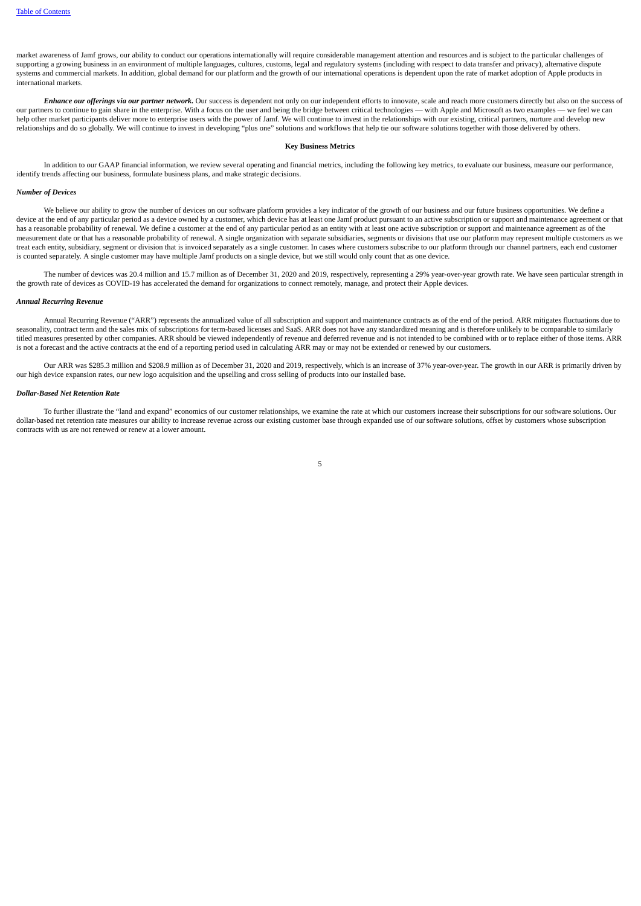market awareness of Jamf grows, our ability to conduct our operations internationally will require considerable management attention and resources and is subject to the particular challenges of supporting a growing business in an environment of multiple languages, cultures, customs, legal and regulatory systems (including with respect to data transfer and privacy), alternative dispute systems and commercial markets. In addition, global demand for our platform and the growth of our international operations is dependent upon the rate of market adoption of Apple products in international markets.

Enhance our offerings via our partner network. Our success is dependent not only on our independent efforts to innovate, scale and reach more customers directly but also on the success of our partners to continue to gain share in the enterprise. With a focus on the user and being the bridge between critical technologies — with Apple and Microsoft as two examples — we feel we can help other market participants deliver more to enterprise users with the power of Jamf. We will continue to invest in the relationships with our existing, critical partners, nurture and develop new relationships and do so globally. We will continue to invest in developing "plus one" solutions and workflows that help tie our software solutions together with those delivered by others.

#### **Key Business Metrics**

In addition to our GAAP financial information, we review several operating and financial metrics, including the following key metrics, to evaluate our business, measure our performance identify trends affecting our business, formulate business plans, and make strategic decisions.

#### *Number of Devices*

We believe our ability to grow the number of devices on our software platform provides a key indicator of the growth of our business and our future business opportunities. We define a device at the end of any particular period as a device owned by a customer, which device has at least one Jamf product pursuant to an active subscription or support and maintenance agreement or that has a reasonable probability of renewal. We define a customer at the end of any particular period as an entity with at least one active subscription or support and maintenance agreement as of the measurement date or that has a reasonable probability of renewal. A single organization with separate subsidiaries, segments or divisions that use our platform may represent multiple customers as we treat each entity, subsidiary, segment or division that is invoiced separately as a single customer. In cases where customers subscribe to our platform through our channel partners, each end customer is counted separately. A single customer may have multiple Jamf products on a single device, but we still would only count that as one device.

The number of devices was 20.4 million and 15.7 million as of December 31, 2020 and 2019, respectively, representing a 29% year-over-year growth rate. We have seen particular strength in the growth rate of devices as COVID-19 has accelerated the demand for organizations to connect remotely, manage, and protect their Apple devices.

#### *Annual Recurring Revenue*

Annual Recurring Revenue ("ARR") represents the annualized value of all subscription and support and maintenance contracts as of the end of the period. ARR mitigates fluctuations due to seasonality, contract term and the sales mix of subscriptions for term-based licenses and SaaS. ARR does not have any standardized meaning and is therefore unlikely to be comparable to similarly titled measures presented by other companies. ARR should be viewed independently of revenue and deferred revenue and is not intended to be combined with or to replace either of those items. ARR is not a forecast and the active contracts at the end of a reporting period used in calculating ARR may or may not be extended or renewed by our customers.

Our ARR was \$285.3 million and \$208.9 million as of December 31, 2020 and 2019, respectively, which is an increase of 37% year-over-year. The growth in our ARR is primarily driven by our high device expansion rates, our new logo acquisition and the upselling and cross selling of products into our installed base.

#### *Dollar-Based Net Retention Rate*

To further illustrate the "land and expand" economics of our customer relationships, we examine the rate at which our customers increase their subscriptions for our software solutions. Our dollar-based net retention rate measures our ability to increase revenue across our existing customer base through expanded use of our software solutions, offset by customers whose subscription contracts with us are not renewed or renew at a lower amount.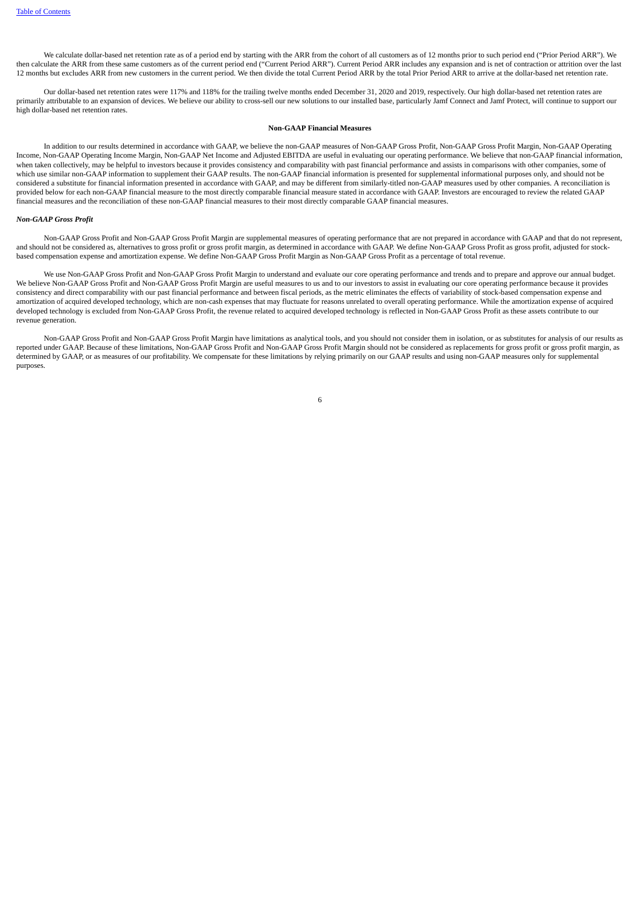We calculate dollar-based net retention rate as of a period end by starting with the ARR from the cohort of all customers as of 12 months prior to such period end ("Prior Period ARR"). We then calculate the ARR from these same customers as of the current period end ("Current Period ARR"). Current Period ARR includes any expansion and is net of contraction or attrition over the last 12 months but excludes ARR from new customers in the current period. We then divide the total Current Period ARR by the total Prior Period ARR to arrive at the dollar-based net retention rate.

Our dollar-based net retention rates were 117% and 118% for the trailing twelve months ended December 31, 2020 and 2019, respectively. Our high dollar-based net retention rates are primarily attributable to an expansion of devices. We believe our ability to cross-sell our new solutions to our installed base, particularly Jamf Connect and Jamf Protect, will continue to support our high dollar-based net retention rates.

### **Non-GAAP Financial Measures**

In addition to our results determined in accordance with GAAP, we believe the non-GAAP measures of Non-GAAP Gross Profit, Non-GAAP Gross Profit Margin, Non-GAAP Operating Income, Non-GAAP Operating Income Margin, Non-GAAP Net Income and Adjusted EBITDA are useful in evaluating our operating performance. We believe that non-GAAP financial information, when taken collectively, may be helpful to investors because it provides consistency and comparability with past financial performance and assists in comparisons with other companies, some of which use similar non-GAAP information to supplement their GAAP results. The non-GAAP financial information is presented for supplemental informational purposes only, and should not be considered a substitute for financial information presented in accordance with GAAP, and may be different from similarly-titled non-GAAP measures used by other companies. A reconciliation is provided below for each non-GAAP financial measure to the most directly comparable financial measure stated in accordance with GAAP. Investors are encouraged to review the related GAAP financial measures and the reconciliation of these non-GAAP financial measures to their most directly comparable GAAP financial measures.

#### *Non-GAAP Gross Profit*

Non-GAAP Gross Profit and Non-GAAP Gross Profit Margin are supplemental measures of operating performance that are not prepared in accordance with GAAP and that do not represent, and should not be considered as, alternatives to gross profit or gross profit margin, as determined in accordance with GAAP. We define Non-GAAP Gross Profit as gross profit, adjusted for stockbased compensation expense and amortization expense. We define Non-GAAP Gross Profit Margin as Non-GAAP Gross Profit as a percentage of total revenue.

We use Non-GAAP Gross Profit and Non-GAAP Gross Profit Margin to understand and evaluate our core operating performance and trends and to prepare and approve our annual budget. We believe Non-GAAP Gross Profit and Non-GAAP Gross Profit Margin are useful measures to us and to our investors to assist in evaluating our core operating performance because it provides consistency and direct comparability with our past financial performance and between fiscal periods, as the metric eliminates the effects of variability of stock-based compensation expense and amortization of acquired developed technology, which are non-cash expenses that may fluctuate for reasons unrelated to overall operating performance. While the amortization expense of acquired developed technology is excluded from Non-GAAP Gross Profit, the revenue related to acquired developed technology is reflected in Non-GAAP Gross Profit as these assets contribute to our revenue generation.

Non-GAAP Gross Profit and Non-GAAP Gross Profit Margin have limitations as analytical tools, and you should not consider them in isolation, or as substitutes for analysis of our results as reported under GAAP. Because of these limitations, Non-GAAP Gross Profit and Non-GAAP Gross Profit Margin should not be considered as replacements for gross profit or gross profit margin, as determined by GAAP, or as measures of our profitability. We compensate for these limitations by relying primarily on our GAAP results and using non-GAAP measures only for supplemental purposes.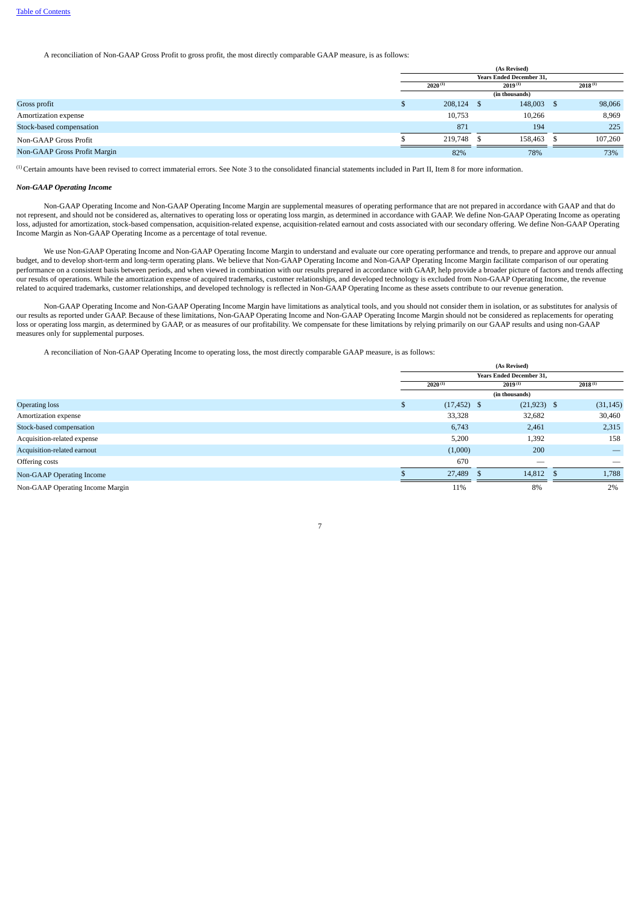A reconciliation of Non-GAAP Gross Profit to gross profit, the most directly comparable GAAP measure, is as follows:

|                              | (As Revised)                    |   |                |      |              |  |  |
|------------------------------|---------------------------------|---|----------------|------|--------------|--|--|
|                              | <b>Years Ended December 31.</b> |   |                |      |              |  |  |
|                              | $2020^{(1)}$                    |   | $2019^{(1)}$   |      | $2018^{(1)}$ |  |  |
|                              |                                 |   | (in thousands) |      |              |  |  |
| Gross profit                 | 208,124                         | S | 148,003        | - \$ | 98,066       |  |  |
| Amortization expense         | 10,753                          |   | 10,266         |      | 8,969        |  |  |
| Stock-based compensation     | 871                             |   | 194            |      | 225          |  |  |
| Non-GAAP Gross Profit        | 219,748                         |   | 158,463        |      | 107,260      |  |  |
| Non-GAAP Gross Profit Margin | 82%                             |   | 78%            |      | 73%          |  |  |

 $\left( \text{a} \right)$  Certain amounts have been revised to correct immaterial errors. See Note 3 to the consolidated financial statements included in Part II, Item 8 for more information.

# *Non-GAAP Operating Income*

Non-GAAP Operating Income and Non-GAAP Operating Income Margin are supplemental measures of operating performance that are not prepared in accordance with GAAP and that do not represent, and should not be considered as, alternatives to operating loss or operating loss margin, as determined in accordance with GAAP. We define Non-GAAP Operating Income as operating loss, adjusted for amortization, stock-based compensation, acquisition-related expense, acquisition-related earnout and costs associated with our secondary offering. We define Non-GAAP Operating Income Margin as Non-GAAP Operating Income as a percentage of total revenue.

We use Non-GAAP Operating Income and Non-GAAP Operating Income Margin to understand and evaluate our core operating performance and trends, to prepare and approve our annual budget, and to develop short-term and long-term operating plans. We believe that Non-GAAP Operating Income and Non-GAAP Operating Income Margin facilitate comparison of our operating performance on a consistent basis between periods, and when viewed in combination with our results prepared in accordance with GAAP, help provide a broader picture of factors and trends affecting our results of operations. While the amortization expense of acquired trademarks, customer relationships, and developed technology is excluded from Non-GAAP Operating Income, the revenue related to acquired trademarks, customer relationships, and developed technology is reflected in Non-GAAP Operating Income as these assets contribute to our revenue generation.

Non-GAAP Operating Income and Non-GAAP Operating Income Margin have limitations as analytical tools, and you should not consider them in isolation, or as substitutes for analysis of our results as reported under GAAP. Because of these limitations, Non-GAAP Operating Income and Non-GAAP Operating Income Margin should not be considered as replacements for operating loss or operating loss margin, as determined by GAAP, or as measures of our profitability. We compensate for these limitations by relying primarily on our GAAP results and using non-GAAP measures only for supplemental purposes.

A reconciliation of Non-GAAP Operating Income to operating loss, the most directly comparable GAAP measure, is as follows:

|                                  |     |                                 | (As Revised)                    |  |                                 |  |  |  |
|----------------------------------|-----|---------------------------------|---------------------------------|--|---------------------------------|--|--|--|
|                                  |     | <b>Years Ended December 31,</b> |                                 |  |                                 |  |  |  |
|                                  |     | $2020^{(1)}$                    | $2019^{(1)}$                    |  | $2018^{(1)}$                    |  |  |  |
|                                  |     |                                 | (in thousands)                  |  |                                 |  |  |  |
| <b>Operating loss</b>            | \$. | $(17, 452)$ \$                  | $(21,923)$ \$                   |  | (31, 145)                       |  |  |  |
| Amortization expense             |     | 33,328                          | 32,682                          |  | 30,460                          |  |  |  |
| Stock-based compensation         |     | 6,743                           | 2,461                           |  | 2,315                           |  |  |  |
| Acquisition-related expense      |     | 5,200                           | 1,392                           |  | 158                             |  |  |  |
| Acquisition-related earnout      |     | (1,000)                         | 200                             |  | $\hspace{0.1mm}-\hspace{0.1mm}$ |  |  |  |
| Offering costs                   |     | 670                             | $\hspace{0.1mm}-\hspace{0.1mm}$ |  | $\hspace{0.1mm}-\hspace{0.1mm}$ |  |  |  |
| Non-GAAP Operating Income        |     | 27,489 \$                       | 14,812                          |  | 1,788                           |  |  |  |
| Non-GAAP Operating Income Margin |     | 11%                             | 8%                              |  | 2%                              |  |  |  |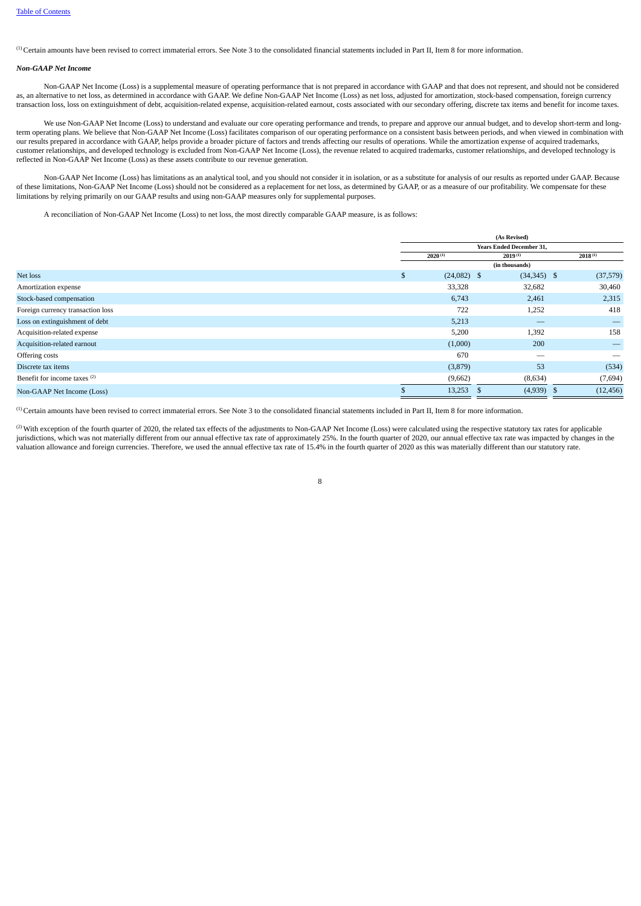$\left( \text{a} \right)$  Certain amounts have been revised to correct immaterial errors. See Note 3 to the consolidated financial statements included in Part II, Item 8 for more information.

#### *Non-GAAP Net Income*

Non-GAAP Net Income (Loss) is a supplemental measure of operating performance that is not prepared in accordance with GAAP and that does not represent, and should not be considered as, an alternative to net loss, as determined in accordance with GAAP. We define Non-GAAP Net Income (Loss) as net loss, adjusted for amortization, stock-based compensation, foreign currency transaction loss, loss on extinguishment of debt, acquisition-related expense, acquisition-related earnout, costs associated with our secondary offering, discrete tax items and benefit for income taxes.

We use Non-GAAP Net Income (Loss) to understand and evaluate our core operating performance and trends, to prepare and approve our annual budget, and to develop short-term and longterm operating plans. We believe that Non-GAAP Net Income (Loss) facilitates comparison of our operating performance on a consistent basis between periods, and when viewed in combination with our results prepared in accordance with GAAP, helps provide a broader picture of factors and trends affecting our results of operations. While the amortization expense of acquired trademarks, customer relationships, and developed technology is excluded from Non-GAAP Net Income (Loss), the revenue related to acquired trademarks, customer relationships, and developed technology is reflected in Non-GAAP Net Income (Loss) as these assets contribute to our revenue generation.

Non-GAAP Net Income (Loss) has limitations as an analytical tool, and you should not consider it in isolation, or as a substitute for analysis of our results as reported under GAAP. Because of these limitations, Non-GAAP Net Income (Loss) should not be considered as a replacement for net loss, as determined by GAAP, or as a measure of our profitability. We compensate for these limitations by relying primarily on our GAAP results and using non-GAAP measures only for supplemental purposes.

A reconciliation of Non-GAAP Net Income (Loss) to net loss, the most directly comparable GAAP measure, is as follows:

|                                   |                                 | (As Revised)  |                          |  |                                 |  |  |  |
|-----------------------------------|---------------------------------|---------------|--------------------------|--|---------------------------------|--|--|--|
|                                   | <b>Years Ended December 31,</b> |               |                          |  |                                 |  |  |  |
|                                   |                                 | 2020(1)       | $2019^{(1)}$             |  | 2018(1)                         |  |  |  |
|                                   |                                 |               | (in thousands)           |  |                                 |  |  |  |
| Net loss                          | \$                              | $(24,082)$ \$ | $(34,345)$ \$            |  | (37,579)                        |  |  |  |
| Amortization expense              |                                 | 33,328        | 32,682                   |  | 30,460                          |  |  |  |
| Stock-based compensation          |                                 | 6,743         | 2,461                    |  | 2,315                           |  |  |  |
| Foreign currency transaction loss |                                 | 722           | 1,252                    |  | 418                             |  |  |  |
| Loss on extinguishment of debt    |                                 | 5,213         | $\overline{\phantom{a}}$ |  | $\hspace{0.1mm}-\hspace{0.1mm}$ |  |  |  |
| Acquisition-related expense       |                                 | 5,200         | 1,392                    |  | 158                             |  |  |  |
| Acquisition-related earnout       |                                 | (1,000)       | 200                      |  | $\longrightarrow$               |  |  |  |
| Offering costs                    |                                 | 670           |                          |  |                                 |  |  |  |
| Discrete tax items                |                                 | (3,879)       | 53                       |  | (534)                           |  |  |  |
| Benefit for income taxes (2)      |                                 | (9,662)       | (8,634)                  |  | (7,694)                         |  |  |  |
| Non-GAAP Net Income (Loss)        |                                 | $13,253$ \$   | $(4,939)$ \$             |  | (12, 456)                       |  |  |  |

 $^{(1)}$  Certain amounts have been revised to correct immaterial errors. See Note 3 to the consolidated financial statements included in Part II, Item 8 for more information.

(2) With exception of the fourth quarter of 2020, the related tax effects of the adjustments to Non-GAAP Net Income (Loss) were calculated using the respective statutory tax rates for applicable jurisdictions, which was not materially different from our annual effective tax rate of approximately 25%. In the fourth quarter of 2020, our annual effective tax rate was impacted by changes in the valuation allowance and foreign currencies. Therefore, we used the annual effective tax rate of 15.4% in the fourth quarter of 2020 as this was materially different than our statutory rate.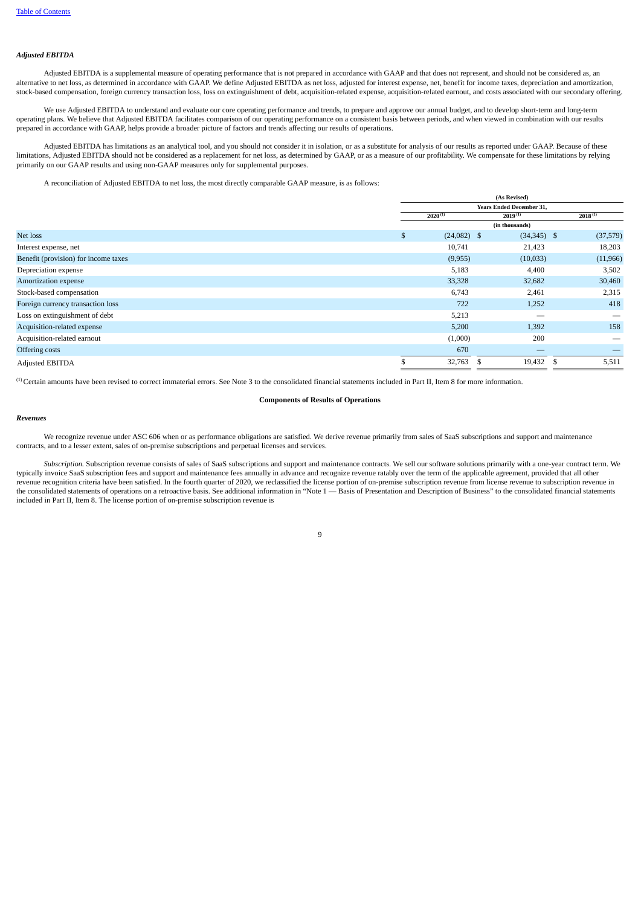# *Adjusted EBITDA*

Adjusted EBITDA is a supplemental measure of operating performance that is not prepared in accordance with GAAP and that does not represent, and should not be considered as, an alternative to net loss, as determined in accordance with GAAP. We define Adjusted EBITDA as net loss, adjusted for interest expense, net, benefit for income taxes, depreciation and amortization, stock-based compensation, foreign currency transaction loss, loss on extinguishment of debt, acquisition-related expense, acquisition-related earnout, and costs associated with our secondary offering.

We use Adjusted EBITDA to understand and evaluate our core operating performance and trends, to prepare and approve our annual budget, and to develop short-term and long-term operating plans. We believe that Adjusted EBITDA facilitates comparison of our operating performance on a consistent basis between periods, and when viewed in combination with our results prepared in accordance with GAAP, helps provide a broader picture of factors and trends affecting our results of operations.

Adjusted EBITDA has limitations as an analytical tool, and you should not consider it in isolation, or as a substitute for analysis of our results as reported under GAAP. Because of these limitations, Adjusted EBITDA should not be considered as a replacement for net loss, as determined by GAAP, or as a measure of our profitability. We compensate for these limitations by relying primarily on our GAAP results and using non-GAAP measures only for supplemental purposes.

A reconciliation of Adjusted EBITDA to net loss, the most directly comparable GAAP measure, is as follows:

|                                      | (As Revised)                    |                |   |              |  |  |  |  |
|--------------------------------------|---------------------------------|----------------|---|--------------|--|--|--|--|
|                                      | <b>Years Ended December 31,</b> |                |   |              |  |  |  |  |
|                                      | $2020^{(1)}$                    | $2019^{(1)}$   |   | $2018^{(1)}$ |  |  |  |  |
|                                      |                                 | (in thousands) |   |              |  |  |  |  |
| Net loss                             | \$<br>$(24,082)$ \$             | $(34,345)$ \$  |   | (37, 579)    |  |  |  |  |
| Interest expense, net                | 10,741                          | 21,423         |   | 18,203       |  |  |  |  |
| Benefit (provision) for income taxes | (9,955)                         | (10,033)       |   | (11,966)     |  |  |  |  |
| Depreciation expense                 | 5,183                           | 4,400          |   | 3,502        |  |  |  |  |
| Amortization expense                 | 33,328                          | 32,682         |   | 30,460       |  |  |  |  |
| Stock-based compensation             | 6,743                           | 2,461          |   | 2,315        |  |  |  |  |
| Foreign currency transaction loss    | 722                             | 1,252          |   | 418          |  |  |  |  |
| Loss on extinguishment of debt       | 5,213                           | --             |   |              |  |  |  |  |
| Acquisition-related expense          | 5,200                           | 1,392          |   | 158          |  |  |  |  |
| Acquisition-related earnout          | (1,000)                         | 200            |   |              |  |  |  |  |
| Offering costs                       | 670                             | _              |   | --           |  |  |  |  |
| Adjusted EBITDA                      | 32,763                          | 19,432<br>-S   | S | 5,511        |  |  |  |  |

 $^{(1)}$  Certain amounts have been revised to correct immaterial errors. See Note 3 to the consolidated financial statements included in Part II, Item 8 for more information.

#### **Components of Results of Operations**

#### *Revenues*

We recognize revenue under ASC 606 when or as performance obligations are satisfied. We derive revenue primarily from sales of SaaS subscriptions and support and maintenance contracts, and to a lesser extent, sales of on-premise subscriptions and perpetual licenses and services.

*Subscription.* Subscription revenue consists of sales of SaaS subscriptions and support and maintenance contracts. We sell our software solutions primarily with a one-year contract term. We typically invoice SaaS subscription fees and support and maintenance fees annually in advance and recognize revenue ratably over the term of the applicable agreement, provided that all other revenue recognition criteria have been satisfied. In the fourth quarter of 2020, we reclassified the license portion of on-premise subscription revenue from license revenue to subscription revenue in the consolidated statements of operations on a retroactive basis. See additional information in "Note 1 — Basis of Presentation and Description of Business" to the consolidated financial statements included in Part II, Item 8. The license portion of on-premise subscription revenue is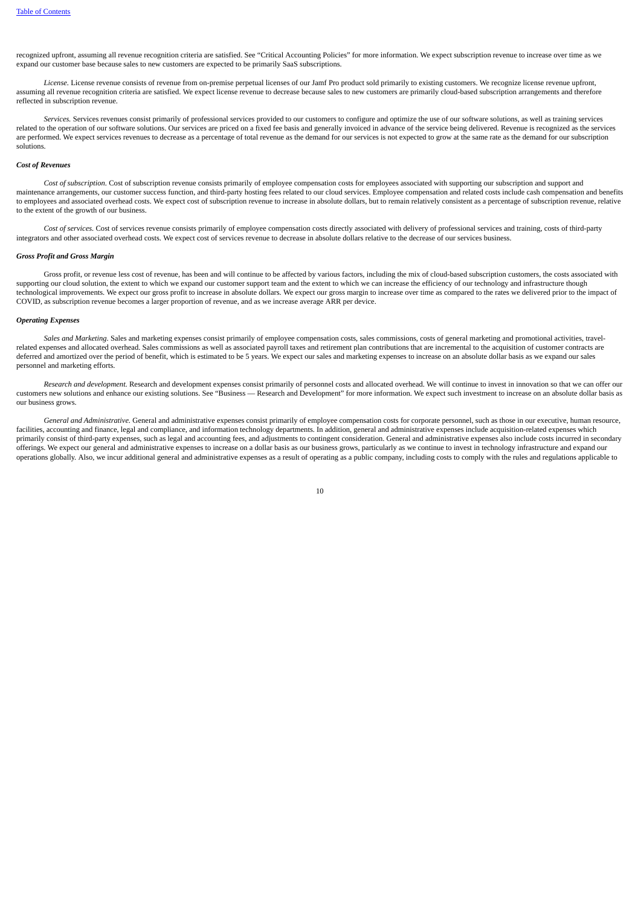recognized upfront, assuming all revenue recognition criteria are satisfied. See "Critical Accounting Policies" for more information. We expect subscription revenue to increase over time as we expand our customer base because sales to new customers are expected to be primarily SaaS subscriptions.

*License.* License revenue consists of revenue from on-premise perpetual licenses of our Jamf Pro product sold primarily to existing customers. We recognize license revenue upfront, assuming all revenue recognition criteria are satisfied. We expect license revenue to decrease because sales to new customers are primarily cloud-based subscription arrangements and therefore reflected in subscription revenue.

*Services.* Services revenues consist primarily of professional services provided to our customers to configure and optimize the use of our software solutions, as well as training services related to the operation of our software solutions. Our services are priced on a fixed fee basis and generally invoiced in advance of the service being delivered. Revenue is recognized as the services are performed. We expect services revenues to decrease as a percentage of total revenue as the demand for our services is not expected to grow at the same rate as the demand for our subscription solutions.

# *Cost of Revenues*

*Cost of subscription.* Cost of subscription revenue consists primarily of employee compensation costs for employees associated with supporting our subscription and support and maintenance arrangements, our customer success function, and third-party hosting fees related to our cloud services. Employee compensation and related costs include cash compensation and benefits to employees and associated overhead costs. We expect cost of subscription revenue to increase in absolute dollars, but to remain relatively consistent as a percentage of subscription revenue, relative to the extent of the growth of our business.

*Cost of services.* Cost of services revenue consists primarily of employee compensation costs directly associated with delivery of professional services and training, costs of third-party integrators and other associated overhead costs. We expect cost of services revenue to decrease in absolute dollars relative to the decrease of our services business.

#### *Gross Profit and Gross Margin*

Gross profit, or revenue less cost of revenue, has been and will continue to be affected by various factors, including the mix of cloud-based subscription customers, the costs associated with supporting our cloud solution, the extent to which we expand our customer support team and the extent to which we can increase the efficiency of our technology and infrastructure though technological improvements. We expect our gross profit to increase in absolute dollars. We expect our gross margin to increase over time as compared to the rates we delivered prior to the impact of COVID, as subscription revenue becomes a larger proportion of revenue, and as we increase average ARR per device.

#### *Operating Expenses*

*Sales and Marketing.* Sales and marketing expenses consist primarily of employee compensation costs, sales commissions, costs of general marketing and promotional activities, travelrelated expenses and allocated overhead. Sales commissions as well as associated payroll taxes and retirement plan contributions that are incremental to the acquisition of customer contracts are deferred and amortized over the period of benefit, which is estimated to be 5 years. We expect our sales and marketing expenses to increase on an absolute dollar basis as we expand our sales personnel and marketing efforts.

*Research and development.* Research and development expenses consist primarily of personnel costs and allocated overhead. We will continue to invest in innovation so that we can offer our customers new solutions and enhance our existing solutions. See "Business — Research and Development" for more information. We expect such investment to increase on an absolute dollar basis as our business grows.

*General and Administrative.* General and administrative expenses consist primarily of employee compensation costs for corporate personnel, such as those in our executive, human resource, facilities, accounting and finance, legal and compliance, and information technology departments. In addition, general and administrative expenses include acquisition-related expenses which primarily consist of third-party expenses, such as legal and accounting fees, and adjustments to contingent consideration. General and administrative expenses also include costs incurred in secondary offerings. We expect our general and administrative expenses to increase on a dollar basis as our business grows, particularly as we continue to invest in technology infrastructure and expand our operations globally. Also, we incur additional general and administrative expenses as a result of operating as a public company, including costs to comply with the rules and regulations applicable to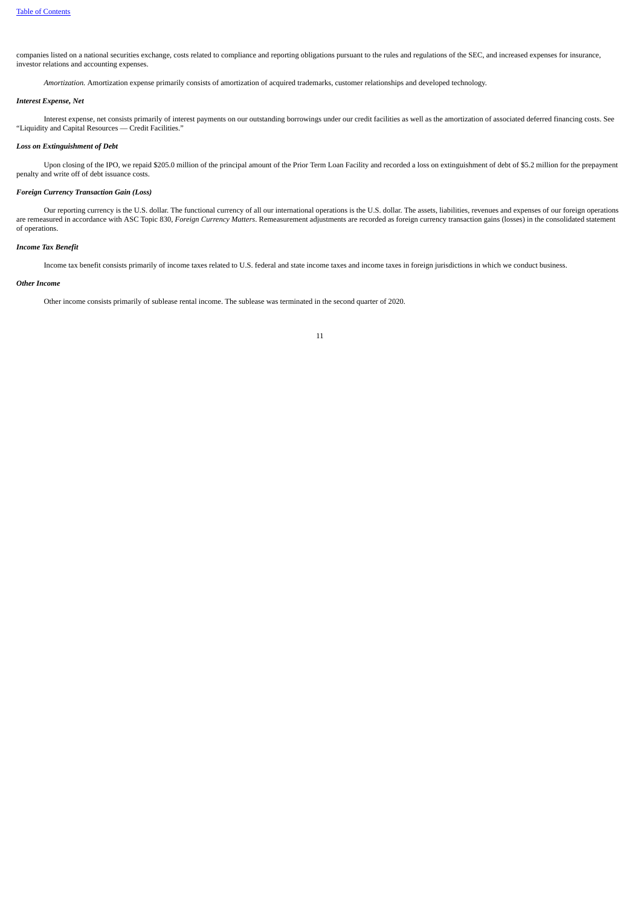companies listed on a national securities exchange, costs related to compliance and reporting obligations pursuant to the rules and regulations of the SEC, and increased expenses for insurance, investor relations and accounting expenses.

*Amortization.* Amortization expense primarily consists of amortization of acquired trademarks, customer relationships and developed technology.

# *Interest Expense, Net*

Interest expense, net consists primarily of interest payments on our outstanding borrowings under our credit facilities as well as the amortization of associated deferred financing costs. See "Liquidity and Capital Resources — Credit Facilities."

# *Loss on Extinguishment of Debt*

Upon closing of the IPO, we repaid \$205.0 million of the principal amount of the Prior Term Loan Facility and recorded a loss on extinguishment of debt of \$5.2 million for the prepayment penalty and write off of debt issuance costs.

#### *Foreign Currency Transaction Gain (Loss)*

Our reporting currency is the U.S. dollar. The functional currency of all our international operations is the U.S. dollar. The assets, liabilities, revenues and expenses of our foreign operations are remeasured in accordance with ASC Topic 830, *Foreign Currency Matters*. Remeasurement adjustments are recorded as foreign currency transaction gains (losses) in the consolidated statement of operations.

#### *Income Tax Benefit*

Income tax benefit consists primarily of income taxes related to U.S. federal and state income taxes and income taxes in foreign jurisdictions in which we conduct business.

# *Other Income*

Other income consists primarily of sublease rental income. The sublease was terminated in the second quarter of 2020.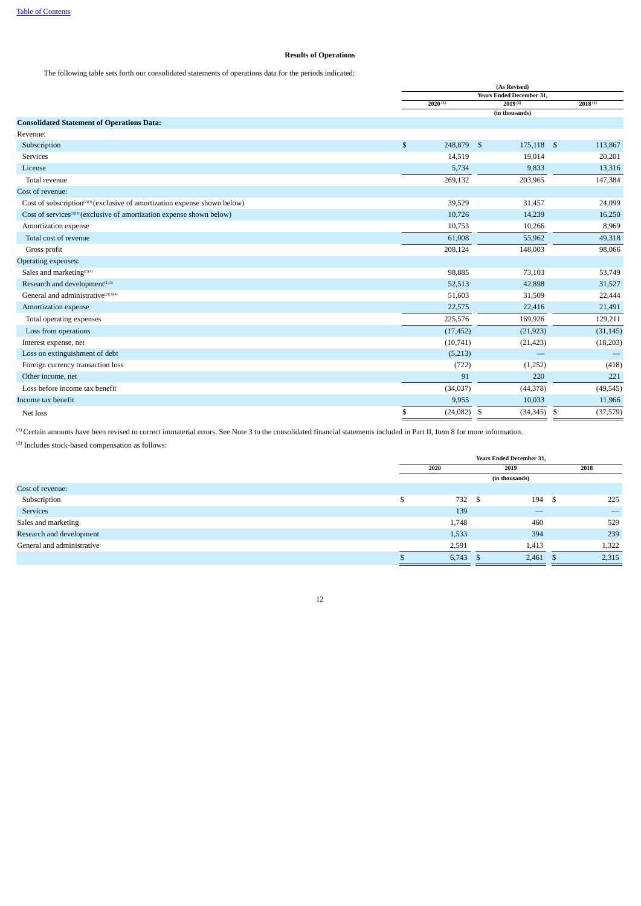# **Results of Operations**

The following table sets forth our consolidated statements of operations data for the periods indicated:

|                                                                                        |              | (As Revised)  |                                 |              |  |  |  |  |
|----------------------------------------------------------------------------------------|--------------|---------------|---------------------------------|--------------|--|--|--|--|
|                                                                                        |              |               | <b>Years Ended December 31.</b> |              |  |  |  |  |
|                                                                                        |              | $2020^{(1)}$  | $2019^{(1)}$                    | $2018^{(1)}$ |  |  |  |  |
| <b>Consolidated Statement of Operations Data:</b>                                      |              |               | (in thousands)                  |              |  |  |  |  |
|                                                                                        |              |               |                                 |              |  |  |  |  |
| Revenue:                                                                               |              |               |                                 |              |  |  |  |  |
| Subscription                                                                           | $\mathbb{S}$ | 248,879 \$    | 175,118 \$                      | 113,867      |  |  |  |  |
| <b>Services</b>                                                                        |              | 14,519        | 19,014                          | 20,201       |  |  |  |  |
| License                                                                                |              | 5,734         | 9,833                           | 13,316       |  |  |  |  |
| Total revenue                                                                          |              | 269,132       | 203,965                         | 147,384      |  |  |  |  |
| Cost of revenue:                                                                       |              |               |                                 |              |  |  |  |  |
| Cost of subscription <sup>(2)(3)</sup> (exclusive of amortization expense shown below) |              | 39,529        | 31,457                          | 24,099       |  |  |  |  |
| Cost of services <sup>(2)(3)</sup> (exclusive of amortization expense shown below)     |              | 10,726        | 14,239                          | 16,250       |  |  |  |  |
| Amortization expense                                                                   |              | 10,753        | 10,266                          | 8,969        |  |  |  |  |
| Total cost of revenue                                                                  |              | 61,008        | 55,962                          | 49,318       |  |  |  |  |
| Gross profit                                                                           |              | 208,124       | 148,003                         | 98,066       |  |  |  |  |
| Operating expenses:                                                                    |              |               |                                 |              |  |  |  |  |
| Sales and marketing <sup>(2)(3)</sup>                                                  |              | 98,885        | 73,103                          | 53,749       |  |  |  |  |
| Research and development <sup>(2)(3)</sup>                                             |              | 52,513        | 42,898                          | 31,527       |  |  |  |  |
| General and administrative <sup>(2)(3)(4)</sup>                                        |              | 51,603        | 31,509                          | 22,444       |  |  |  |  |
| Amortization expense                                                                   |              | 22,575        | 22,416                          | 21,491       |  |  |  |  |
| Total operating expenses                                                               |              | 225,576       | 169,926                         | 129,211      |  |  |  |  |
| Loss from operations                                                                   |              | (17, 452)     | (21, 923)                       | (31, 145)    |  |  |  |  |
| Interest expense, net                                                                  |              | (10,741)      | (21, 423)                       | (18, 203)    |  |  |  |  |
| Loss on extinguishment of debt                                                         |              | (5,213)       |                                 |              |  |  |  |  |
| Foreign currency transaction loss                                                      |              | (722)         | (1,252)                         | (418)        |  |  |  |  |
| Other income, net                                                                      |              | 91            | 220                             | 221          |  |  |  |  |
| Loss before income tax benefit                                                         |              | (34,037)      | (44, 378)                       | (49, 545)    |  |  |  |  |
| Income tax benefit                                                                     |              | 9,955         | 10,033                          | 11,966       |  |  |  |  |
| Net loss                                                                               | \$           | $(24,082)$ \$ | $(34,345)$ \$                   | (37, 579)    |  |  |  |  |

 $\left( \text{a} \right)$  Certain amounts have been revised to correct immaterial errors. See Note 3 to the consolidated financial statements included in Part II, Item 8 for more information.

 $(2)$  Includes stock-based compensation as follows:

|                            |         | <b>Years Ended December 31,</b> |                |       |  |  |  |  |
|----------------------------|---------|---------------------------------|----------------|-------|--|--|--|--|
|                            |         | 2020                            | 2019           | 2018  |  |  |  |  |
|                            |         |                                 | (in thousands) |       |  |  |  |  |
| Cost of revenue:           |         |                                 |                |       |  |  |  |  |
| Subscription               | œ<br>J. | 732 \$                          | 194 \$         | 225   |  |  |  |  |
| Services                   |         | 139                             | --             | --    |  |  |  |  |
| Sales and marketing        |         | 1,748                           | 460            | 529   |  |  |  |  |
| Research and development   |         | 1,533                           | 394            | 239   |  |  |  |  |
| General and administrative |         | 2,591                           | 1,413          | 1,322 |  |  |  |  |
|                            |         | 6,743                           | 2,461          | 2,315 |  |  |  |  |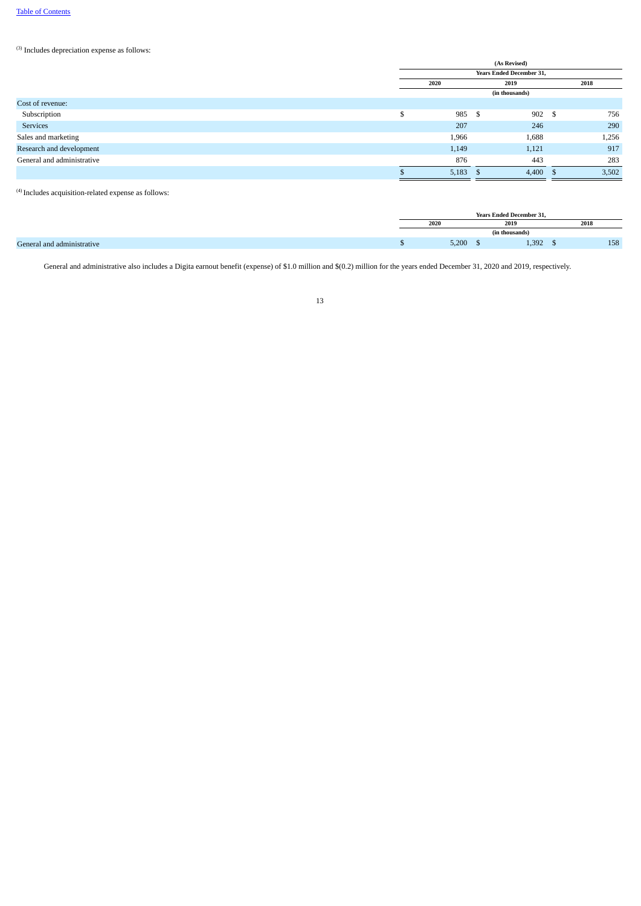# $^{(3)}$  Includes depreciation expense as follows:

|                            | (As Revised)                    |    |       |      |       |  |  |  |
|----------------------------|---------------------------------|----|-------|------|-------|--|--|--|
|                            | <b>Years Ended December 31,</b> |    |       |      |       |  |  |  |
|                            | 2020                            |    | 2018  |      |       |  |  |  |
|                            |                                 |    |       |      |       |  |  |  |
| Cost of revenue:           |                                 |    |       |      |       |  |  |  |
| Subscription               | \$<br>985 \$                    |    | 902   | \$   | 756   |  |  |  |
| Services                   | 207                             |    | 246   |      | 290   |  |  |  |
| Sales and marketing        | 1,966                           |    | 1,688 |      | 1,256 |  |  |  |
| Research and development   | 1,149                           |    | 1,121 |      | 917   |  |  |  |
| General and administrative | 876                             |    | 443   |      | 283   |  |  |  |
|                            | 5,183                           | J. | 4,400 | - 55 | 3,502 |  |  |  |
|                            |                                 |    |       |      |       |  |  |  |

 $(4)$  Includes acquisition-related expense as follows:

|           | <b>Years Ended December 31.</b> |                |   |      |  |  |  |
|-----------|---------------------------------|----------------|---|------|--|--|--|
|           | 2020<br>2019                    |                |   | 2018 |  |  |  |
|           |                                 | (in thousands) |   |      |  |  |  |
| <b>AL</b> | 5,200                           | 1,392          | w | 158  |  |  |  |

General and administrative also includes a Digita earnout benefit (expense) of \$1.0 million and \$(0.2) million for the years ended December 31, 2020 and 2019, respectively.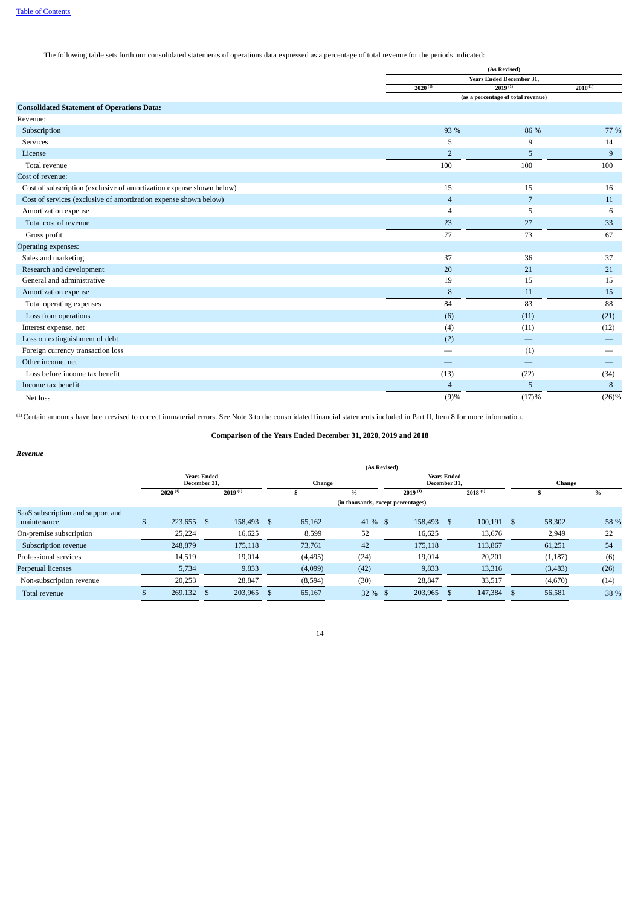The following table sets forth our consolidated statements of operations data expressed as a percentage of total revenue for the periods indicated:

|                                                                      |                | (As Revised)                       |                  |  |  |  |  |
|----------------------------------------------------------------------|----------------|------------------------------------|------------------|--|--|--|--|
|                                                                      |                | <b>Years Ended December 31,</b>    |                  |  |  |  |  |
|                                                                      | $2020^{(1)}$   | $2019^{(1)}$                       | $2018^{(1)}$     |  |  |  |  |
|                                                                      |                | (as a percentage of total revenue) |                  |  |  |  |  |
| <b>Consolidated Statement of Operations Data:</b>                    |                |                                    |                  |  |  |  |  |
| Revenue:                                                             |                |                                    |                  |  |  |  |  |
| Subscription                                                         | 93 %           | 86 %                               | 77 %             |  |  |  |  |
| Services                                                             | 5              | 9                                  | 14               |  |  |  |  |
| License                                                              | 2              | 5                                  | $\boldsymbol{9}$ |  |  |  |  |
| Total revenue                                                        | 100            | 100                                | 100              |  |  |  |  |
| Cost of revenue:                                                     |                |                                    |                  |  |  |  |  |
| Cost of subscription (exclusive of amortization expense shown below) | 15             | 15                                 | 16               |  |  |  |  |
| Cost of services (exclusive of amortization expense shown below)     | $\overline{4}$ | $\overline{7}$                     | 11               |  |  |  |  |
| Amortization expense                                                 | $\overline{4}$ | 5                                  | 6                |  |  |  |  |
| Total cost of revenue                                                | 23             | 27                                 | 33               |  |  |  |  |
| Gross profit                                                         | 77             | 73                                 | 67               |  |  |  |  |
| Operating expenses:                                                  |                |                                    |                  |  |  |  |  |
| Sales and marketing                                                  | 37             | 36                                 | 37               |  |  |  |  |
| Research and development                                             | 20             | 21                                 | 21               |  |  |  |  |
| General and administrative                                           | 19             | 15                                 | 15               |  |  |  |  |
| Amortization expense                                                 | $\, 8$         | 11                                 | 15               |  |  |  |  |
| Total operating expenses                                             | 84             | 83                                 | 88               |  |  |  |  |
| Loss from operations                                                 | (6)            | (11)                               | (21)             |  |  |  |  |
| Interest expense, net                                                | (4)            | (11)                               | (12)             |  |  |  |  |
| Loss on extinguishment of debt                                       | (2)            | $\overline{\phantom{a}}$           |                  |  |  |  |  |
| Foreign currency transaction loss                                    |                | (1)                                |                  |  |  |  |  |
| Other income, net                                                    |                | $\overline{\phantom{a}}$           |                  |  |  |  |  |
| Loss before income tax benefit                                       | (13)           | (22)                               | (34)             |  |  |  |  |
| Income tax benefit                                                   | $\overline{4}$ | 5                                  | $\boldsymbol{8}$ |  |  |  |  |
| Net loss                                                             | (9)%           | (17)%                              | $(26)\%$         |  |  |  |  |

 $^{(1)}$  Certain amounts have been revised to correct immaterial errors. See Note 3 to the consolidated financial statements included in Part II, Item 8 for more information.

# **Comparison of the Years Ended December 31, 2020, 2019 and 2018**

*Revenue*

|                                   | (As Revised) |              |                    |         |    |              |                                    |  |               |    |              |  |              |      |  |      |  |
|-----------------------------------|--------------|--------------|--------------------|---------|----|--------------|------------------------------------|--|---------------|----|--------------|--|--------------|------|--|------|--|
|                                   |              | December 31. | <b>Years Ended</b> |         |    | Change       | <b>Years Ended</b><br>December 31. |  |               |    | Change       |  |              |      |  |      |  |
|                                   |              | $2020^{(1)}$ |                    |         |    | $2019^{(1)}$ |                                    |  | $\frac{0}{0}$ |    | $2019^{(1)}$ |  | $2018^{(1)}$ |      |  | $\%$ |  |
|                                   |              |              |                    |         |    |              | (in thousands, except percentages) |  |               |    |              |  |              |      |  |      |  |
| SaaS subscription and support and |              |              |                    |         |    |              |                                    |  |               |    |              |  |              |      |  |      |  |
| maintenance                       | \$           | 223,655      | \$                 | 158,493 | \$ | 65,162       | $41\%$ \$                          |  | 158,493       | \$ | 100,191 \$   |  | 58,302       | 58 % |  |      |  |
| On-premise subscription           |              | 25,224       |                    | 16,625  |    | 8,599        | 52                                 |  | 16,625        |    | 13,676       |  | 2,949        | 22   |  |      |  |
| Subscription revenue              |              | 248,879      |                    | 175,118 |    | 73,761       | 42                                 |  | 175,118       |    | 113,867      |  | 61,251       | 54   |  |      |  |
| Professional services             |              | 14,519       |                    | 19,014  |    | (4, 495)     | (24)                               |  | 19,014        |    | 20,201       |  | (1, 187)     | (6)  |  |      |  |
| Perpetual licenses                |              | 5,734        |                    | 9,833   |    | (4,099)      | (42)                               |  | 9,833         |    | 13,316       |  | (3,483)      | (26) |  |      |  |
| Non-subscription revenue          |              | 20,253       |                    | 28,847  |    | (8,594)      | (30)                               |  | 28,847        |    | 33,517       |  | (4,670)      | (14) |  |      |  |
| Total revenue                     |              | 269,132      |                    | 203,965 |    | 65,167       | 32 %                               |  | 203,965       |    | 147,384      |  | 56,581       | 38 % |  |      |  |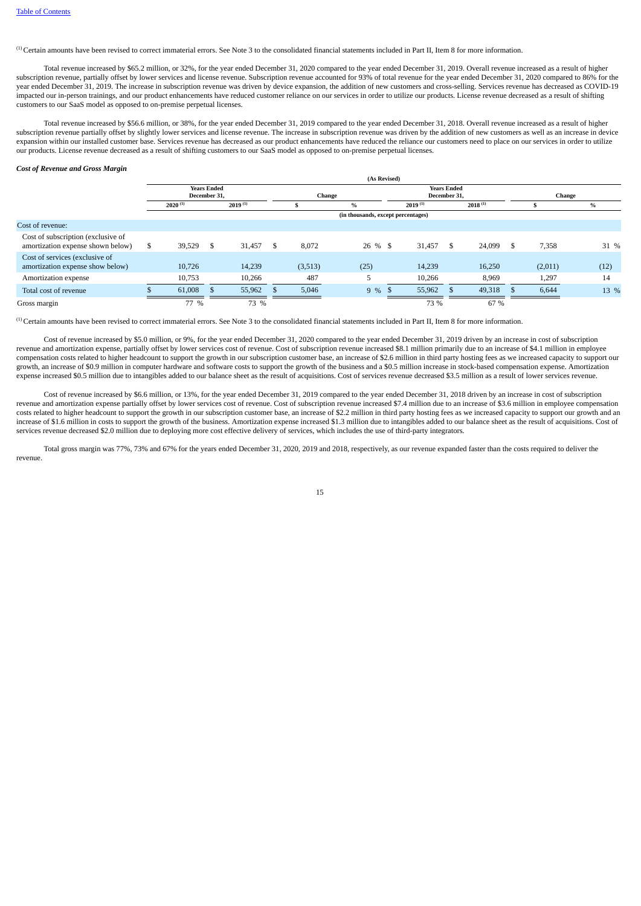$^{(1)}$  Certain amounts have been revised to correct immaterial errors. See Note 3 to the consolidated financial statements included in Part II, Item 8 for more information.

Total revenue increased by \$65.2 million, or 32%, for the year ended December 31, 2020 compared to the year ended December 31, 2019. Overall revenue increased as a result of higher subscription revenue, partially offset by lower services and license revenue. Subscription revenue accounted for 93% of total revenue for the year ended December 31, 2020 compared to 86% for the year ended December 31, 2019. The increase in subscription revenue was driven by device expansion, the addition of new customers and cross-selling. Services revenue has decreased as COVID-19 impacted our in-person trainings, and our product enhancements have reduced customer reliance on our services in order to utilize our products. License revenue decreased as a result of shifting customers to our SaaS model as opposed to on-premise perpetual licenses.

Total revenue increased by \$56.6 million, or 38%, for the year ended December 31, 2019 compared to the year ended December 31, 2018. Overall revenue increased as a result of higher subscription revenue partially offset by slightly lower services and license revenue. The increase in subscription revenue was driven by the addition of new customers as well as an increase in device expansion within our installed customer base. Services revenue has decreased as our product enhancements have reduced the reliance our customers need to place on our services in order to utilize our products. License revenue decreased as a result of shifting customers to our SaaS model as opposed to on-premise perpetual licenses.

#### *Cost of Revenue and Gross Margin*

|                                                                         |                                    | (As Revised) |   |              |    |                                                     |                                    |  |              |   |              |  |         |      |
|-------------------------------------------------------------------------|------------------------------------|--------------|---|--------------|----|-----------------------------------------------------|------------------------------------|--|--------------|---|--------------|--|---------|------|
|                                                                         | <b>Years Ended</b><br>December 31, |              |   |              |    | <b>Years Ended</b><br><b>Change</b><br>December 31, |                                    |  |              |   |              |  | Change  |      |
|                                                                         |                                    | $2020^{(1)}$ |   | $2019^{(1)}$ |    |                                                     | %                                  |  | $2019^{(1)}$ |   | $2018^{(1)}$ |  |         | %    |
|                                                                         |                                    |              |   |              |    |                                                     | (in thousands, except percentages) |  |              |   |              |  |         |      |
| Cost of revenue:                                                        |                                    |              |   |              |    |                                                     |                                    |  |              |   |              |  |         |      |
| Cost of subscription (exclusive of<br>amortization expense shown below) | \$                                 | 39,529       | S | 31,457       | \$ | 8,072                                               | $26 \%$ \$                         |  | 31,457       | S | 24,099       |  | 7,358   | 31 % |
| Cost of services (exclusive of<br>amortization expense show below)      |                                    | 10,726       |   | 14,239       |    | (3,513)                                             | (25)                               |  | 14,239       |   | 16,250       |  | (2,011) | (12) |
| Amortization expense                                                    |                                    | 10,753       |   | 10,266       |    | 487                                                 | C.                                 |  | 10,266       |   | 8,969        |  | 1,297   | 14   |
| Total cost of revenue                                                   |                                    | 61,008       |   | 55,962       |    | 5,046                                               | $9\%$                              |  | 55,962       |   | 49,318       |  | 6,644   | 13 % |
| Gross margin                                                            |                                    | 77 %         |   | 73 %         |    |                                                     |                                    |  | 73 %         |   | 67 %         |  |         |      |

 $^{(1)}$  Certain amounts have been revised to correct immaterial errors. See Note 3 to the consolidated financial statements included in Part II, Item 8 for more information.

Cost of revenue increased by \$5.0 million, or 9%, for the year ended December 31, 2020 compared to the year ended December 31, 2019 driven by an increase in cost of subscription revenue and amortization expense, partially offset by lower services cost of revenue. Cost of subscription revenue increased \$8.1 million primarily due to an increase of \$4.1 million in employee compensation costs related to higher headcount to support the growth in our subscription customer base, an increase of \$2.6 million in third party hosting fees as we increased capacity to support our growth, an increase of \$0.9 million in computer hardware and software costs to support the growth of the business and a \$0.5 million increase in stock-based compensation expense. Amortization expense increased \$0.5 million due to intangibles added to our balance sheet as the result of acquisitions. Cost of services revenue decreased \$3.5 million as a result of lower services revenue.

Cost of revenue increased by \$6.6 million, or 13%, for the year ended December 31, 2019 compared to the year ended December 31, 2018 driven by an increase in cost of subscription revenue and amortization expense partially offset by lower services cost of revenue. Cost of subscription revenue increased \$7.4 million due to an increase of \$3.6 million in employee compensation costs related to higher headcount to support the growth in our subscription customer base, an increase of \$2.2 million in third party hosting fees as we increased capacity to support our growth and an increase of \$1.6 million in costs to support the growth of the business. Amortization expense increased \$1.3 million due to intangibles added to our balance sheet as the result of acquisitions. Cost of services revenue decreased \$2.0 million due to deploying more cost effective delivery of services, which includes the use of third-party integrators.

Total gross margin was 77%, 73% and 67% for the years ended December 31, 2020, 2019 and 2018, respectively, as our revenue expanded faster than the costs required to deliver the revenue.

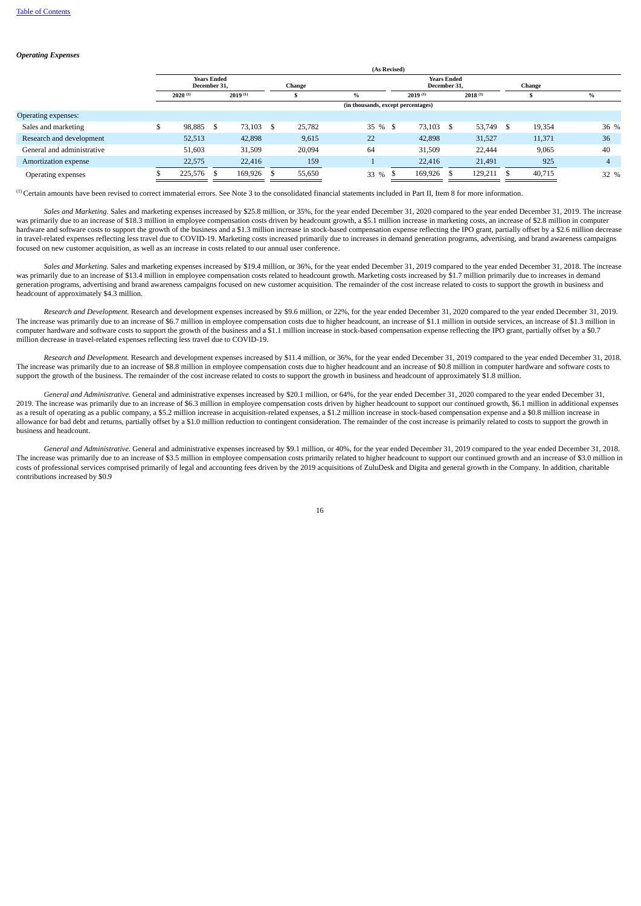#### *Operating Expenses*

|                            | (As Revised)                                 |      |              |      |                                              |               |            |  |                                    |    |              |     |        |                |
|----------------------------|----------------------------------------------|------|--------------|------|----------------------------------------------|---------------|------------|--|------------------------------------|----|--------------|-----|--------|----------------|
|                            | <b>Years Ended</b><br>Change<br>December 31. |      |              |      | <b>Years Ended</b><br>December 31.<br>Change |               |            |  |                                    |    |              |     |        |                |
|                            | $2020^{(1)}$                                 |      | $2019^{(1)}$ |      |                                              | $\frac{0}{0}$ |            |  | $2019^{(1)}$                       |    | $2018^{(1)}$ |     |        | $\frac{0}{n}$  |
|                            |                                              |      |              |      |                                              |               |            |  | (in thousands, except percentages) |    |              |     |        |                |
| Operating expenses:        |                                              |      |              |      |                                              |               |            |  |                                    |    |              |     |        |                |
| Sales and marketing        | \$<br>98,885                                 | -\$  | 73,103       | -\$  | 25,782                                       |               | $35 \%$ \$ |  | 73,103                             | \$ | 53,749       | -\$ | 19,354 | 36 %           |
| Research and development   | 52,513                                       |      | 42,898       |      | 9,615                                        |               | 22         |  | 42,898                             |    | 31,527       |     | 11,371 | 36             |
| General and administrative | 51,603                                       |      | 31,509       |      | 20,094                                       |               | 64         |  | 31.509                             |    | 22,444       |     | 9,065  | 40             |
| Amortization expense       | 22,575                                       |      | 22,416       |      | 159                                          |               |            |  | 22,416                             |    | 21,491       |     | 925    | $\overline{4}$ |
| Operating expenses         | 225,576                                      | - \$ | 169,926      | - \$ | 55,650                                       |               | 33 %       |  | 169,926                            |    | 129,211      |     | 40,715 | 32 %           |

 $^{(1)}$  Certain amounts have been revised to correct immaterial errors. See Note 3 to the consolidated financial statements included in Part II, Item 8 for more information.

Sales and Marketing. Sales and marketing expenses increased by \$25.8 million, or 35%, for the year ended December 31, 2020 compared to the year ended December 31, 2019. The increase was primarily due to an increase of \$18.3 million in employee compensation costs driven by headcount growth, a \$5.1 million increase in marketing costs, an increase of \$2.8 million in computer hardware and software costs to support the growth of the business and a \$1.3 million increase in stock-based compensation expense reflecting the IPO grant, partially offset by a \$2.6 million decrease in travel-related expenses reflecting less travel due to COVID-19. Marketing costs increased primarily due to increases in demand generation programs, advertising, and brand awareness campaigns focused on new customer acquisition, as well as an increase in costs related to our annual user conference.

Sales and Marketing. Sales and marketing expenses increased by \$19.4 million, or 36%, for the year ended December 31, 2019 compared to the year ended December 31, 2018. The increase was primarily due to an increase of \$13.4 million in employee compensation costs related to headcount growth. Marketing costs increased by \$1.7 million primarily due to increases in demand generation programs, advertising and brand awareness campaigns focused on new customer acquisition. The remainder of the cost increase related to costs to support the growth in business and headcount of approximately \$4.3 million.

*Research and Development.* Research and development expenses increased by \$9.6 million, or 22%, for the year ended December 31, 2020 compared to the year ended December 31, 2019. The increase was primarily due to an increase of \$6.7 million in employee compensation costs due to higher headcount, an increase of \$1.1 million in outside services, an increase of \$1.3 million in computer hardware and software costs to support the growth of the business and a \$1.1 million increase in stock-based compensation expense reflecting the IPO grant, partially offset by a \$0.7 million decrease in travel-related expenses reflecting less travel due to COVID-19.

*Research and Development.* Research and development expenses increased by \$11.4 million, or 36%, for the year ended December 31, 2019 compared to the year ended December 31, 2018. The increase was primarily due to an increase of \$8.8 million in employee compensation costs due to higher headcount and an increase of \$0.8 million in computer hardware and software costs to support the growth of the business. The remainder of the cost increase related to costs to support the growth in business and headcount of approximately \$1.8 million.

*General and Administrative.* General and administrative expenses increased by \$20.1 million, or 64%, for the year ended December 31, 2020 compared to the year ended December 31, 2019. The increase was primarily due to an increase of \$6.3 million in employee compensation costs driven by higher headcount to support our continued growth, \$6.1 million in additional expenses as a result of operating as a public company, a \$5.2 million increase in acquisition-related expenses, a \$1.2 million increase in stock-based compensation expense and a \$0.8 million increase in allowance for bad debt and returns, partially offset by a \$1.0 million reduction to contingent consideration. The remainder of the cost increase is primarily related to costs to support the growth in business and headcount.

*General and Administrative.* General and administrative expenses increased by \$9.1 million, or 40%, for the year ended December 31, 2019 compared to the year ended December 31, 2018. The increase was primarily due to an increase of \$3.5 million in employee compensation costs primarily related to higher headcount to support our continued growth and an increase of \$3.0 million in costs of professional services comprised primarily of legal and accounting fees driven by the 2019 acquisitions of ZuluDesk and Digita and general growth in the Company. In addition, charitable contributions increased by \$0.9

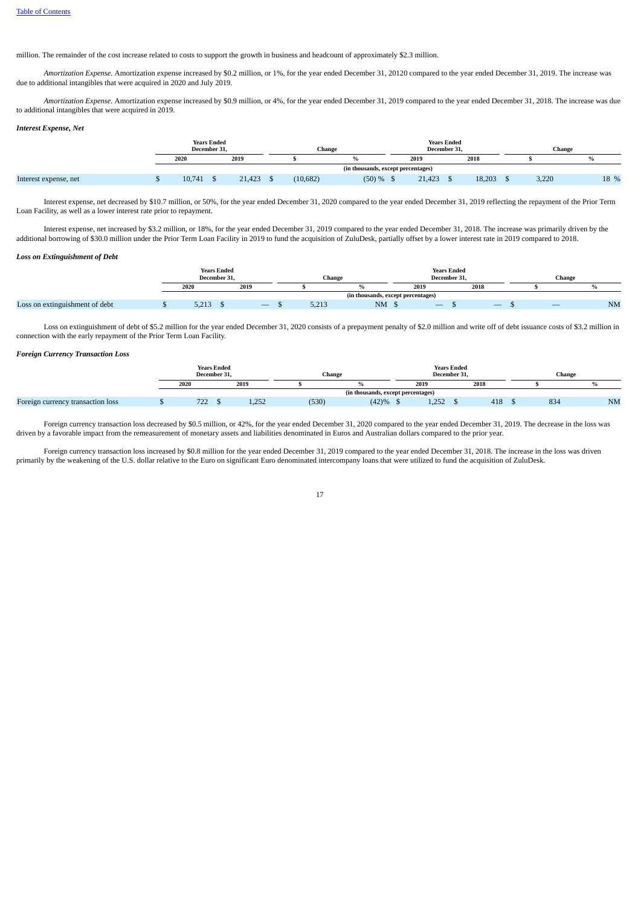million. The remainder of the cost increase related to costs to support the growth in business and headcount of approximately \$2.3 million.

*Amortization Expense.* Amortization expense increased by \$0.2 million, or 1%, for the year ended December 31, 20120 compared to the year ended December 31, 2019. The increase was due to additional intangibles that were acquired in 2020 and July 2019.

*Amortization Expense.* Amortization expense increased by \$0.9 million, or 4%, for the year ended December 31, 2019 compared to the year ended December 31, 2018. The increase was due to additional intangibles that were acquired in 2019.

#### *Interest Expense, Net*

|                       |              | <b>Years Ended</b><br>December 31. |  |        |  | Change    | Years Ended<br>December 31.        |      |        |      |        | Change |       |  |      |
|-----------------------|--------------|------------------------------------|--|--------|--|-----------|------------------------------------|------|--------|------|--------|--------|-------|--|------|
|                       | 2020<br>2019 |                                    |  |        |  |           |                                    | 2019 |        | 2018 |        |        |       |  |      |
|                       |              |                                    |  |        |  |           | (in thousands, except percentages) |      |        |      |        |        |       |  |      |
| Interest expense, net |              | 10.741                             |  | 21,423 |  | (10, 682) | $(50) \%$                          |      | 21,423 |      | 18,203 |        | 3,220 |  | 18 % |

Interest expense, net decreased by \$10.7 million, or 50%, for the year ended December 31, 2020 compared to the year ended December 31, 2019 reflecting the repayment of the Prior Term Loan Facility, as well as a lower interest rate prior to repayment.

Interest expense, net increased by \$3.2 million, or 18%, for the year ended December 31, 2019 compared to the year ended December 31, 2018. The increase was primarily driven by the additional borrowing of \$30.0 million under the Prior Term Loan Facility in 2019 to fund the acquisition of ZuluDesk, partially offset by a lower interest rate in 2019 compared to 2018.

# *Loss on Extinguishment of Debt*

|                                | <b>Years Ended</b><br>December 31.<br>Change |                                |                    |           | December 31.                                                                                                                                                                                                                                                                                                                                                                       | <b>Years Ended</b>       | Change                   |    |  |  |
|--------------------------------|----------------------------------------------|--------------------------------|--------------------|-----------|------------------------------------------------------------------------------------------------------------------------------------------------------------------------------------------------------------------------------------------------------------------------------------------------------------------------------------------------------------------------------------|--------------------------|--------------------------|----|--|--|
|                                | 2020                                         | 2019                           |                    |           | 2019                                                                                                                                                                                                                                                                                                                                                                               | <b>2018</b>              |                          |    |  |  |
|                                |                                              |                                |                    |           | (in thousands, except percentages)                                                                                                                                                                                                                                                                                                                                                 |                          |                          |    |  |  |
| Loss on extinguishment of debt | $-245$<br>ل 1,4 س                            | $\qquad \qquad \longleftarrow$ | $-0.41$<br>ل 1 ک.د | <b>NM</b> | $\hspace{1.0cm} \hspace{1.0cm} \hspace{1.0cm} \hspace{1.0cm} \hspace{1.0cm} \hspace{1.0cm} \hspace{1.0cm} \hspace{1.0cm} \hspace{1.0cm} \hspace{1.0cm} \hspace{1.0cm} \hspace{1.0cm} \hspace{1.0cm} \hspace{1.0cm} \hspace{1.0cm} \hspace{1.0cm} \hspace{1.0cm} \hspace{1.0cm} \hspace{1.0cm} \hspace{1.0cm} \hspace{1.0cm} \hspace{1.0cm} \hspace{1.0cm} \hspace{1.0cm} \hspace{$ | $\overline{\phantom{a}}$ | $\overline{\phantom{a}}$ | NM |  |  |

Loss on extinguishment of debt of \$5.2 million for the year ended December 31, 2020 consists of a prepayment penalty of \$2.0 million and write off of debt issuance costs of \$3.2 million in connection with the early repayment of the Prior Term Loan Facility.

#### *Foreign Currency Transaction Loss*

|                                   | <b>Years Ended</b><br>December 31,<br>Change |  |       |       |                                    |      | <b>Years Ended</b><br>December 31. | Change |     |  |     |    |
|-----------------------------------|----------------------------------------------|--|-------|-------|------------------------------------|------|------------------------------------|--------|-----|--|-----|----|
|                                   | 2020                                         |  | 2019  |       | %                                  | 2019 |                                    | 2018   |     |  |     |    |
|                                   |                                              |  |       |       | (in thousands, except percentages) |      |                                    |        |     |  |     |    |
| Foreign currency transaction loss | 722                                          |  | 1,252 | (530) | (42)%                              |      | 1,252                              |        | 418 |  | 834 | NM |

Foreign currency transaction loss decreased by \$0.5 million, or 42%, for the year ended December 31, 2020 compared to the year ended December 31, 2019. The decrease in the loss was driven by a favorable impact from the remeasurement of monetary assets and liabilities denominated in Euros and Australian dollars compared to the prior year.

Foreign currency transaction loss increased by \$0.8 million for the year ended December 31, 2019 compared to the year ended December 31, 2018. The increase in the loss was driven primarily by the weakening of the U.S. dollar relative to the Euro on significant Euro denominated intercompany loans that were utilized to fund the acquisition of ZuluDesk.

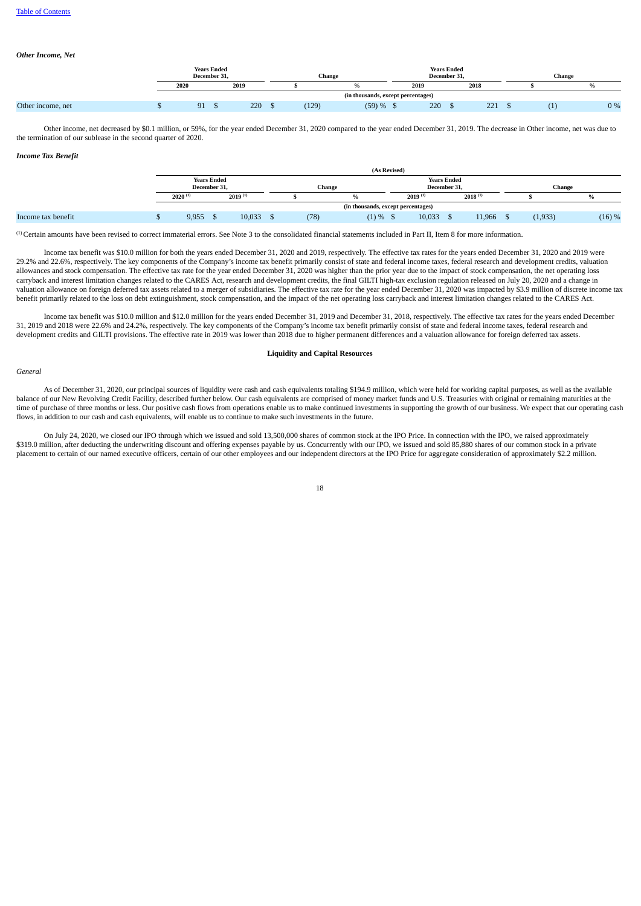#### *Other Income, Net*

|                   | <b>Years Ended</b><br>December 31,<br>Change |  |      |    |       |                                    | <b>Years Ended</b><br>December 31. | Change |  |  |       |
|-------------------|----------------------------------------------|--|------|----|-------|------------------------------------|------------------------------------|--------|--|--|-------|
|                   | 2020                                         |  | 2019 |    |       | 0/2                                | 2019                               | 2018   |  |  |       |
|                   |                                              |  |      |    |       | (in thousands, except percentages) |                                    |        |  |  |       |
| Other income, net | 91                                           |  | 220  | ٦U | (129) | $(59) \%$ \$                       | 220                                | 221    |  |  | $0\%$ |

Other income, net decreased by \$0.1 million, or 59%, for the year ended December 31, 2020 compared to the year ended December 31, 2019. The decrease in Other income, net was due to the termination of our sublease in the second quarter of 2020.

#### *Income Tax Benefit*

|                    |                                    | (As Revised)                 |    |        |  |        |                                    |                                    |        |  |        |  |          |        |  |  |
|--------------------|------------------------------------|------------------------------|----|--------|--|--------|------------------------------------|------------------------------------|--------|--|--------|--|----------|--------|--|--|
|                    | <b>Years Ended</b><br>December 31, |                              |    |        |  | Change |                                    | <b>Years Ended</b><br>December 31. |        |  |        |  | Change   |        |  |  |
|                    |                                    | $2020^{(1)}$<br>$2019^{(1)}$ |    |        |  |        |                                    | $2019^{(1)}$<br>$2018^{(1)}$       |        |  |        |  |          |        |  |  |
|                    |                                    |                              |    |        |  |        | (in thousands, except percentages) |                                    |        |  |        |  |          |        |  |  |
| Income tax benefit |                                    | 9,955                        | мB | 10,033 |  | (78)   | $(1) \%$                           |                                    | 10,033 |  | 11,966 |  | (1, 933) | (16) % |  |  |

 $\alpha^{(1)}$  Certain amounts have been revised to correct immaterial errors. See Note 3 to the consolidated financial statements included in Part II, Item 8 for more information.

Income tax benefit was \$10.0 million for both the years ended December 31, 2020 and 2019, respectively. The effective tax rates for the years ended December 31, 2020 and 2019 were 29.2% and 22.6%, respectively. The key components of the Company's income tax benefit primarily consist of state and federal income taxes, federal research and development credits, valuation allowances and stock compensation. The effective tax rate for the year ended December 31, 2020 was higher than the prior year due to the impact of stock compensation, the net operating loss carryback and interest limitation changes related to the CARES Act, research and development credits, the final GILTI high-tax exclusion regulation released on July 20, 2020 and a change in valuation allowance on foreign deferred tax assets related to a merger of subsidiaries. The effective tax rate for the year ended December 31, 2020 was impacted by \$3.9 million of discrete income tax benefit primarily related to the loss on debt extinguishment, stock compensation, and the impact of the net operating loss carryback and interest limitation changes related to the CARES Act.

Income tax benefit was \$10.0 million and \$12.0 million for the years ended December 31, 2019 and December 31, 2018, respectively. The effective tax rates for the years ended December 31, 2019 and 2018 were 22.6% and 24.2%, respectively. The key components of the Company's income tax benefit primarily consist of state and federal income taxes, federal research and development credits and GILTI provisions. The effective rate in 2019 was lower than 2018 due to higher permanent differences and a valuation allowance for foreign deferred tax assets.

#### **Liquidity and Capital Resources**

### *General*

As of December 31, 2020, our principal sources of liquidity were cash and cash equivalents totaling \$194.9 million, which were held for working capital purposes, as well as the available balance of our New Revolving Credit Facility, described further below. Our cash equivalents are comprised of money market funds and U.S. Treasuries with original or remaining maturities at the time of purchase of three months or less. Our positive cash flows from operations enable us to make continued investments in supporting the growth of our business. We expect that our operating cash flows, in addition to our cash and cash equivalents, will enable us to continue to make such investments in the future.

On July 24, 2020, we closed our IPO through which we issued and sold 13,500,000 shares of common stock at the IPO Price. In connection with the IPO, we raised approximately \$319.0 million, after deducting the underwriting discount and offering expenses payable by us. Concurrently with our IPO, we issued and sold 85,880 shares of our common stock in a private placement to certain of our named executive officers, certain of our other employees and our independent directors at the IPO Price for aggregate consideration of approximately \$2.2 million.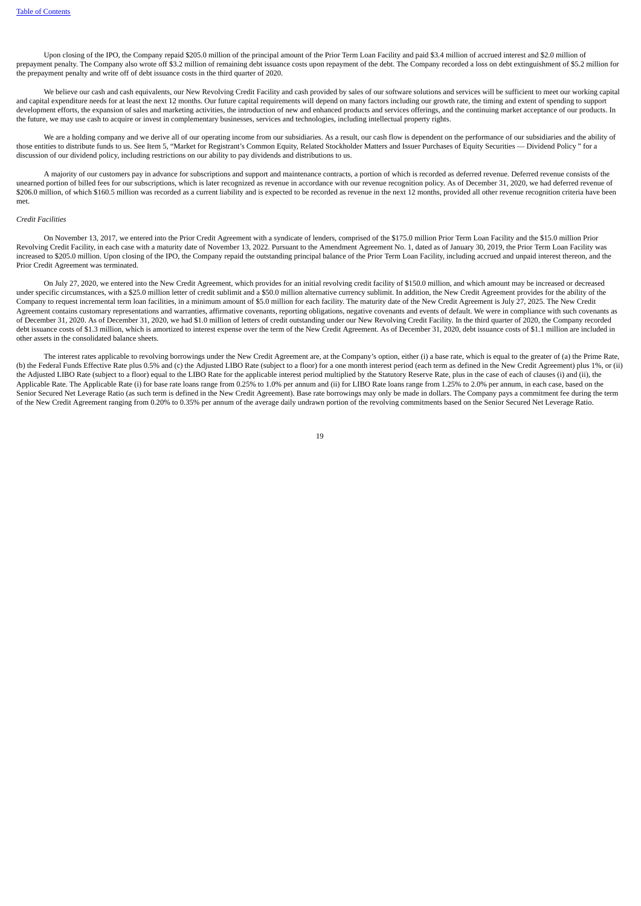Upon closing of the IPO, the Company repaid \$205.0 million of the principal amount of the Prior Term Loan Facility and paid \$3.4 million of accrued interest and \$2.0 million of prepayment penalty. The Company also wrote off \$3.2 million of remaining debt issuance costs upon repayment of the debt. The Company recorded a loss on debt extinguishment of \$5.2 million for the prepayment penalty and write off of debt issuance costs in the third quarter of 2020.

We believe our cash and cash equivalents, our New Revolving Credit Facility and cash provided by sales of our software solutions and services will be sufficient to meet our working capital and capital expenditure needs for at least the next 12 months. Our future capital requirements will depend on many factors including our growth rate, the timing and extent of spending to support development efforts, the expansion of sales and marketing activities, the introduction of new and enhanced products and services offerings, and the continuing market acceptance of our products. In the future, we may use cash to acquire or invest in complementary businesses, services and technologies, including intellectual property rights.

We are a holding company and we derive all of our operating income from our subsidiaries. As a result, our cash flow is dependent on the performance of our subsidiaries and the ability of those entities to distribute funds to us. See Item 5, "Market for Registrant's Common Equity, Related Stockholder Matters and Issuer Purchases of Equity Securities — Dividend Policy " for a discussion of our dividend policy, including restrictions on our ability to pay dividends and distributions to us.

A majority of our customers pay in advance for subscriptions and support and maintenance contracts, a portion of which is recorded as deferred revenue. Deferred revenue consists of the unearned portion of billed fees for our subscriptions, which is later recognized as revenue in accordance with our revenue recognition policy. As of December 31, 2020, we had deferred revenue of \$206.0 million, of which \$160.5 million was recorded as a current liability and is expected to be recorded as revenue in the next 12 months, provided all other revenue recognition criteria have been met.

#### *Credit Facilities*

On November 13, 2017, we entered into the Prior Credit Agreement with a syndicate of lenders, comprised of the \$175.0 million Prior Term Loan Facility and the \$15.0 million Prior Revolving Credit Facility, in each case with a maturity date of November 13, 2022. Pursuant to the Amendment Agreement No. 1, dated as of January 30, 2019, the Prior Term Loan Facility was increased to \$205.0 million. Upon closing of the IPO, the Company repaid the outstanding principal balance of the Prior Term Loan Facility, including accrued and unpaid interest thereon, and the Prior Credit Agreement was terminated.

On July 27, 2020, we entered into the New Credit Agreement, which provides for an initial revolving credit facility of \$150.0 million, and which amount may be increased or decreased under specific circumstances, with a \$25.0 million letter of credit sublimit and a \$50.0 million alternative currency sublimit. In addition, the New Credit Agreement provides for the ability of the Company to request incremental term loan facilities, in a minimum amount of \$5.0 million for each facility. The maturity date of the New Credit Agreement is July 27, 2025. The New Credit Agreement contains customary representations and warranties, affirmative covenants, reporting obligations, negative covenants and events of default. We were in compliance with such covenants as of December 31, 2020. As of December 31, 2020, we had \$1.0 million of letters of credit outstanding under our New Revolving Credit Facility. In the third quarter of 2020, the Company recorded debt issuance costs of \$1.3 million, which is amortized to interest expense over the term of the New Credit Agreement. As of December 31, 2020, debt issuance costs of \$1.1 million are included in other assets in the consolidated balance sheets.

The interest rates applicable to revolving borrowings under the New Credit Agreement are, at the Company's option, either (i) a base rate, which is equal to the greater of (a) the Prime Rate, (b) the Federal Funds Effective Rate plus 0.5% and (c) the Adjusted LIBO Rate (subject to a floor) for a one month interest period (each term as defined in the New Credit Agreement) plus 1%, or (ii) the Adjusted LIBO Rate (subject to a floor) equal to the LIBO Rate for the applicable interest period multiplied by the Statutory Reserve Rate, plus in the case of each of clauses (i) and (ii), the Applicable Rate. The Applicable Rate (i) for base rate loans range from 0.25% to 1.0% per annum and (ii) for LIBO Rate loans range from 1.25% to 2.0% per annum, in each case, based on the Senior Secured Net Leverage Ratio (as such term is defined in the New Credit Agreement). Base rate borrowings may only be made in dollars. The Company pays a commitment fee during the term of the New Credit Agreement ranging from 0.20% to 0.35% per annum of the average daily undrawn portion of the revolving commitments based on the Senior Secured Net Leverage Ratio.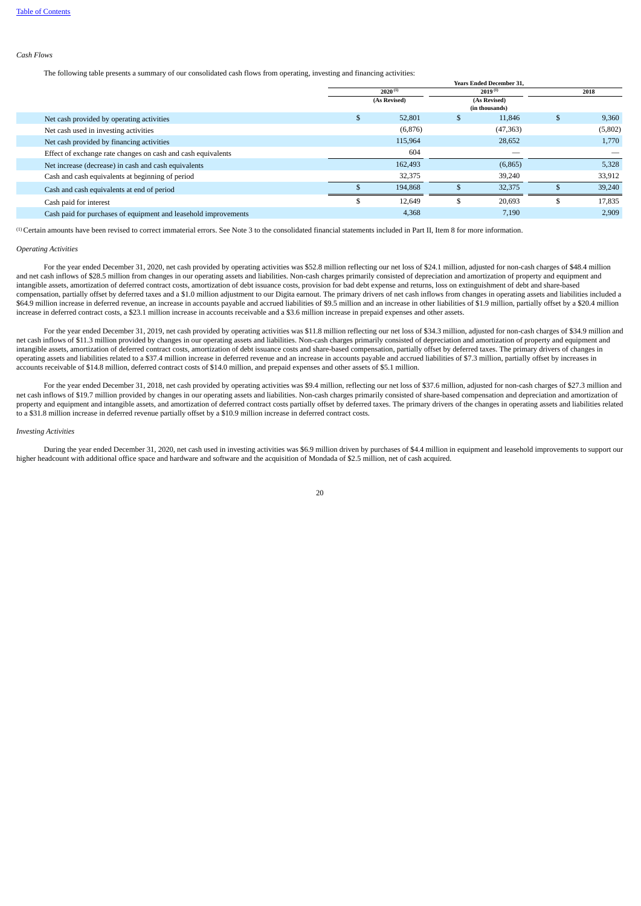*Cash Flows*

The following table presents a summary of our consolidated cash flows from operating, investing and financing activities:

|                                                                 | <b>Years Ended December 31.</b><br>$2020^{(1)}$<br>$2019^{(1)}$ |              |      |                                |    |         |  |  |  |
|-----------------------------------------------------------------|-----------------------------------------------------------------|--------------|------|--------------------------------|----|---------|--|--|--|
|                                                                 |                                                                 |              | 2018 |                                |    |         |  |  |  |
|                                                                 |                                                                 | (As Revised) |      | (As Revised)<br>(in thousands) |    |         |  |  |  |
| Net cash provided by operating activities                       | ۰.                                                              | 52,801       | \$   | 11,846                         | \$ | 9,360   |  |  |  |
| Net cash used in investing activities                           |                                                                 | (6, 876)     |      | (47, 363)                      |    | (5,802) |  |  |  |
| Net cash provided by financing activities                       |                                                                 | 115,964      |      | 28,652                         |    | 1,770   |  |  |  |
| Effect of exchange rate changes on cash and cash equivalents    |                                                                 | 604          |      |                                |    |         |  |  |  |
| Net increase (decrease) in cash and cash equivalents            |                                                                 | 162,493      |      | (6,865)                        |    | 5,328   |  |  |  |
| Cash and cash equivalents at beginning of period                |                                                                 | 32,375       |      | 39,240                         |    | 33,912  |  |  |  |
| Cash and cash equivalents at end of period                      |                                                                 | 194.868      |      | 32,375                         |    | 39,240  |  |  |  |
| Cash paid for interest                                          | J.                                                              | 12,649       | ъ    | 20,693                         | J. | 17,835  |  |  |  |
| Cash paid for purchases of equipment and leasehold improvements |                                                                 | 4,368        |      | 7,190                          |    | 2,909   |  |  |  |

 $\alpha^{(1)}$  Certain amounts have been revised to correct immaterial errors. See Note 3 to the consolidated financial statements included in Part II, Item 8 for more information.

#### *Operating Activities*

For the year ended December 31, 2020, net cash provided by operating activities was \$52.8 million reflecting our net loss of \$24.1 million, adjusted for non-cash charges of \$48.4 million and net cash inflows of \$28.5 million from changes in our operating assets and liabilities. Non-cash charges primarily consisted of depreciation and amortization of property and equipment and intangible assets, amortization of deferred contract costs, amortization of debt issuance costs, provision for bad debt expense and returns, loss on extinguishment of debt and share-based compensation, partially offset by deferred taxes and a \$1.0 million adjustment to our Digita earnout. The primary drivers of net cash inflows from changes in operating assets and liabilities included a \$64.9 million increase in deferred revenue, an increase in accounts payable and accrued liabilities of \$9.5 million and an increase in other liabilities of \$1.9 million, partially offset by a \$20.4 million increase in deferred contract costs, a \$23.1 million increase in accounts receivable and a \$3.6 million increase in prepaid expenses and other assets.

For the year ended December 31, 2019, net cash provided by operating activities was \$11.8 million reflecting our net loss of \$34.3 million, adjusted for non-cash charges of \$34.9 million and net cash inflows of \$11.3 million provided by changes in our operating assets and liabilities. Non-cash charges primarily consisted of depreciation and amortization of property and equipment and intangible assets, amortization of deferred contract costs, amortization of debt issuance costs and share-based compensation, partially offset by deferred taxes. The primary drivers of changes in operating assets and liabilities related to a \$37.4 million increase in deferred revenue and an increase in accounts payable and accrued liabilities of \$7.3 million, partially offset by increases in accounts receivable of \$14.8 million, deferred contract costs of \$14.0 million, and prepaid expenses and other assets of \$5.1 million.

For the year ended December 31, 2018, net cash provided by operating activities was \$9.4 million, reflecting our net loss of \$37.6 million, adjusted for non-cash charges of \$27.3 million and net cash inflows of \$19.7 million provided by changes in our operating assets and liabilities. Non-cash charges primarily consisted of share-based compensation and depreciation and amortization of property and equipment and intangible assets, and amortization of deferred contract costs partially offset by deferred taxes. The primary drivers of the changes in operating assets and liabilities related to a \$31.8 million increase in deferred revenue partially offset by a \$10.9 million increase in deferred contract costs.

# *Investing Activities*

During the year ended December 31, 2020, net cash used in investing activities was \$6.9 million driven by purchases of \$4.4 million in equipment and leasehold improvements to support our higher headcount with additional office space and hardware and software and the acquisition of Mondada of \$2.5 million, net of cash acquired.

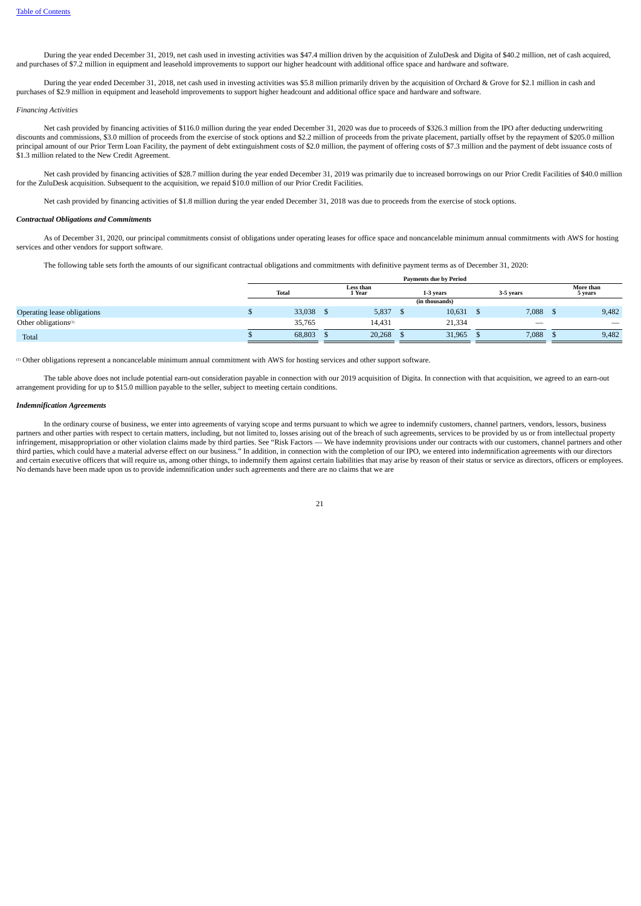During the year ended December 31, 2019, net cash used in investing activities was \$47.4 million driven by the acquisition of ZuluDesk and Digita of \$40.2 million, net of cash acquired, and purchases of \$7.2 million in equipment and leasehold improvements to support our higher headcount with additional office space and hardware and software.

During the year ended December 31, 2018, net cash used in investing activities was \$5.8 million primarily driven by the acquisition of Orchard & Grove for \$2.1 million in cash and purchases of \$2.9 million in equipment and leasehold improvements to support higher headcount and additional office space and hardware and software.

#### *Financing Activities*

Net cash provided by financing activities of \$116.0 million during the year ended December 31, 2020 was due to proceeds of \$326.3 million from the IPO after deducting underwriting discounts and commissions, \$3.0 million of proceeds from the exercise of stock options and \$2.2 million of proceeds from the private placement, partially offset by the repayment of \$205.0 million principal amount of our Prior Term Loan Facility, the payment of debt extinguishment costs of \$2.0 million, the payment of offering costs of \$7.3 million and the payment of debt issuance costs of \$1.3 million related to the New Credit Agreement.

Net cash provided by financing activities of \$28.7 million during the year ended December 31, 2019 was primarily due to increased borrowings on our Prior Credit Facilities of \$40.0 million for the ZuluDesk acquisition. Subsequent to the acquisition, we repaid \$10.0 million of our Prior Credit Facilities.

Net cash provided by financing activities of \$1.8 million during the year ended December 31, 2018 was due to proceeds from the exercise of stock options.

#### *Contractual Obligations and Commitments*

As of December 31, 2020, our principal commitments consist of obligations under operating leases for office space and noncancelable minimum annual commitments with AWS for hosting services and other vendors for support software.

The following table sets forth the amounts of our significant contractual obligations and commitments with definitive payment terms as of December 31, 2020:

|                                  | <b>Payments due by Period</b> |  |                     |  |                |  |                          |  |                          |
|----------------------------------|-------------------------------|--|---------------------|--|----------------|--|--------------------------|--|--------------------------|
|                                  | <b>Total</b>                  |  | Less than<br>1 Year |  | 1-3 years      |  | 3-5 years                |  | More than<br>5 years     |
|                                  |                               |  |                     |  | (in thousands) |  |                          |  |                          |
| Operating lease obligations      | 33,038                        |  | 5,837               |  | 10,631         |  | 7,088                    |  | 9,482                    |
| Other obligations <sup>(1)</sup> | 35,765                        |  | 14,431              |  | 21,334         |  | $\overline{\phantom{0}}$ |  | $\overline{\phantom{m}}$ |
| Total                            | 68,803                        |  | 20,268              |  | 31,965         |  | 7,088                    |  | 9,482                    |

Other obligations represent a noncancelable minimum annual commitment with AWS for hosting services and other support software. (1)

The table above does not include potential earn-out consideration payable in connection with our 2019 acquisition of Digita. In connection with that acquisition, we agreed to an earn-out arrangement providing for up to \$15.0 million payable to the seller, subject to meeting certain conditions.

#### *Indemnification Agreements*

In the ordinary course of business, we enter into agreements of varying scope and terms pursuant to which we agree to indemnify customers, channel partners, vendors, lessors, business partners and other parties with respect to certain matters, including, but not limited to, losses arising out of the breach of such agreements, services to be provided by us or from intellectual property infringement, misappropriation or other violation claims made by third parties. See "Risk Factors — We have indemnity provisions under our contracts with our customers, channel partners and other infringement, misappropria third parties, which could have a material adverse effect on our business." In addition, in connection with the completion of our IPO, we entered into indemnification agreements with our directors and certain executive officers that will require us, among other things, to indemnify them against certain liabilities that may arise by reason of their status or service as directors, officers or employees. No demands have been made upon us to provide indemnification under such agreements and there are no claims that we are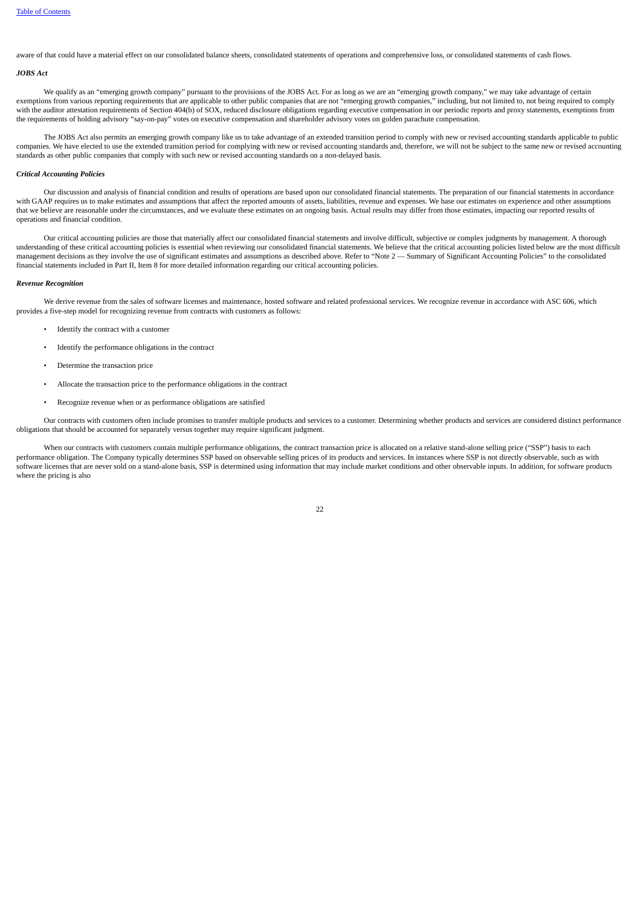aware of that could have a material effect on our consolidated balance sheets, consolidated statements of operations and comprehensive loss, or consolidated statements of cash flows.

# *JOBS Act*

We qualify as an "emerging growth company" pursuant to the provisions of the JOBS Act. For as long as we are an "emerging growth company," we may take advantage of certain exemptions from various reporting requirements that are applicable to other public companies that are not "emerging growth companies," including, but not limited to, not being required to comply with the auditor attestation requirements of Section 404(b) of SOX, reduced disclosure obligations regarding executive compensation in our periodic reports and proxy statements, exemptions from the requirements of holding advisory "say-on-pay" votes on executive compensation and shareholder advisory votes on golden parachute compensation.

The JOBS Act also permits an emerging growth company like us to take advantage of an extended transition period to comply with new or revised accounting standards applicable to public companies. We have elected to use the extended transition period for complying with new or revised accounting standards and, therefore, we will not be subject to the same new or revised accounting standards as other public companies that comply with such new or revised accounting standards on a non-delayed basis.

#### *Critical Accounting Policies*

Our discussion and analysis of financial condition and results of operations are based upon our consolidated financial statements. The preparation of our financial statements in accordance with GAAP requires us to make estimates and assumptions that affect the reported amounts of assets, liabilities, revenue and expenses. We base our estimates on experience and other assumptions that we believe are reasonable under the circumstances, and we evaluate these estimates on an ongoing basis. Actual results may differ from those estimates, impacting our reported results of operations and financial condition.

Our critical accounting policies are those that materially affect our consolidated financial statements and involve difficult, subjective or complex judgments by management. A thorough understanding of these critical accounting policies is essential when reviewing our consolidated financial statements. We believe that the critical accounting policies listed below are the most difficult management decisions as they involve the use of significant estimates and assumptions as described above. Refer to "Note 2 — Summary of Significant Accounting Policies" to the consolidated financial statements included in Part II, Item 8 for more detailed information regarding our critical accounting policies.

#### *Revenue Recognition*

We derive revenue from the sales of software licenses and maintenance, hosted software and related professional services. We recognize revenue in accordance with ASC 606, which provides a five-step model for recognizing revenue from contracts with customers as follows:

- Identify the contract with a customer
- Identify the performance obligations in the contract
- Determine the transaction price
- Allocate the transaction price to the performance obligations in the contract
- Recognize revenue when or as performance obligations are satisfied

Our contracts with customers often include promises to transfer multiple products and services to a customer. Determining whether products and services are considered distinct performance obligations that should be accounted for separately versus together may require significant judgment.

When our contracts with customers contain multiple performance obligations, the contract transaction price is allocated on a relative stand-alone selling price ("SSP") basis to each performance obligation. The Company typically determines SSP based on observable selling prices of its products and services. In instances where SSP is not directly observable, such as with software licenses that are never sold on a stand-alone basis, SSP is determined using information that may include market conditions and other observable inputs. In addition, for software products where the pricing is also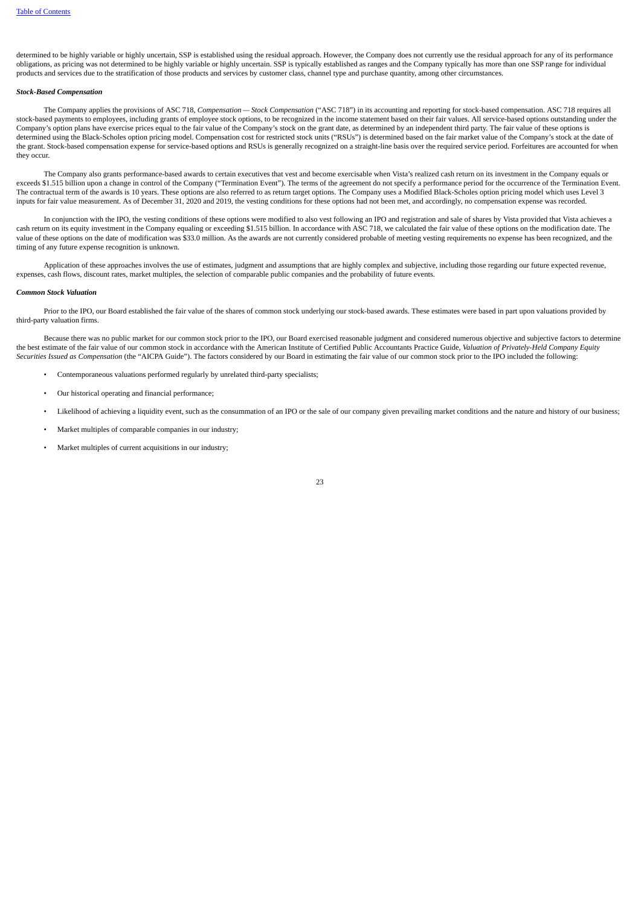determined to be highly variable or highly uncertain, SSP is established using the residual approach. However, the Company does not currently use the residual approach for any of its performance obligations, as pricing was not determined to be highly variable or highly uncertain. SSP is typically established as ranges and the Company typically has more than one SSP range for individual products and services due to the stratification of those products and services by customer class, channel type and purchase quantity, among other circumstances.

#### *Stock-Based Compensation*

The Company applies the provisions of ASC 718, *Compensation — Stock Compensation* ("ASC 718") in its accounting and reporting for stock-based compensation. ASC 718 requires all stock-based payments to employees, including grants of employee stock options, to be recognized in the income statement based on their fair values. All service-based options outstanding under the Company's option plans have exercise prices equal to the fair value of the Company's stock on the grant date, as determined by an independent third party. The fair value of these options is determined using the Black-Scholes option pricing model. Compensation cost for restricted stock units ("RSUs") is determined based on the fair market value of the Company's stock at the date of the grant. Stock-based compensation expense for service-based options and RSUs is generally recognized on a straight-line basis over the required service period. Forfeitures are accounted for when they occur.

The Company also grants performance-based awards to certain executives that vest and become exercisable when Vista's realized cash return on its investment in the Company equals or exceeds \$1.515 billion upon a change in control of the Company ("Termination Event"). The terms of the agreement do not specify a performance period for the occurrence of the Termination Event. The contractual term of the awards is 10 years. These options are also referred to as return target options. The Company uses a Modified Black-Scholes option pricing model which uses Level 3 inputs for fair value measurement. As of December 31, 2020 and 2019, the vesting conditions for these options had not been met, and accordingly, no compensation expense was recorded.

In conjunction with the IPO, the vesting conditions of these options were modified to also vest following an IPO and registration and sale of shares by Vista provided that Vista achieves a cash return on its equity investment in the Company equaling or exceeding \$1.515 billion. In accordance with ASC 718, we calculated the fair value of these options on the modification date. The value of these options on the date of modification was \$33.0 million. As the awards are not currently considered probable of meeting vesting requirements no expense has been recognized, and the timing of any future expense recognition is unknown.

Application of these approaches involves the use of estimates, judgment and assumptions that are highly complex and subjective, including those regarding our future expected revenue, expenses, cash flows, discount rates, market multiples, the selection of comparable public companies and the probability of future events.

#### *Common Stock Valuation*

Prior to the IPO, our Board established the fair value of the shares of common stock underlying our stock-based awards. These estimates were based in part upon valuations provided by third-party valuation firms.

Because there was no public market for our common stock prior to the IPO, our Board exercised reasonable judgment and considered numerous objective and subjective factors to determine the best estimate of the fair value of our common stock in accordance with the American Institute of Certified Public Accountants Practice Guide, *Valuation of Privately-Held Company Equity Securities Issued as Compensation* (the "AICPA Guide"). The factors considered by our Board in estimating the fair value of our common stock prior to the IPO included the following:

- Contemporaneous valuations performed regularly by unrelated third-party specialists;
- Our historical operating and financial performance;
- Likelihood of achieving a liquidity event, such as the consummation of an IPO or the sale of our company given prevailing market conditions and the nature and history of our business;
- Market multiples of comparable companies in our industry;
- Market multiples of current acquisitions in our industry;

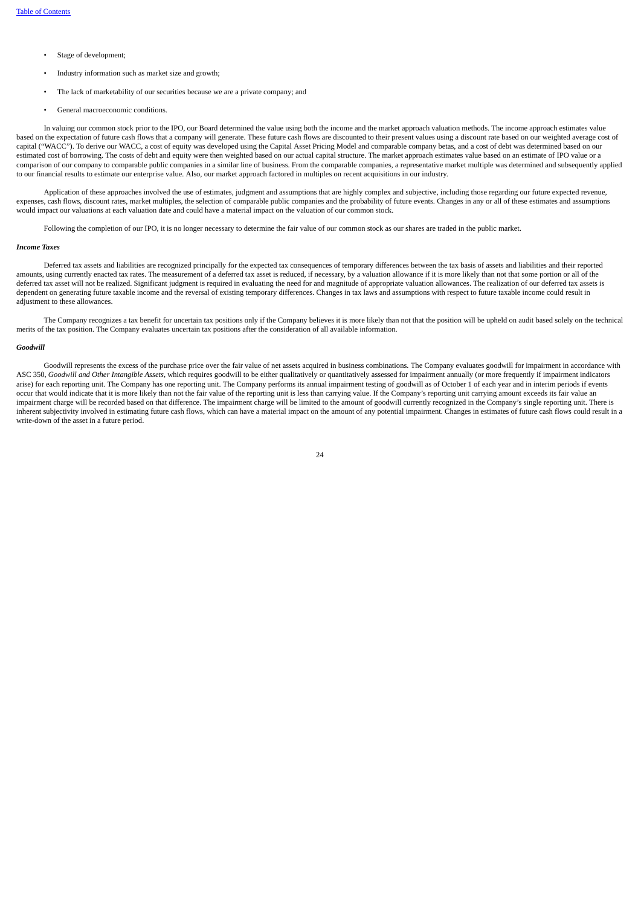- Stage of development;
- Industry information such as market size and growth;
- The lack of marketability of our securities because we are a private company; and
- General macroeconomic conditions.

In valuing our common stock prior to the IPO, our Board determined the value using both the income and the market approach valuation methods. The income approach estimates value based on the expectation of future cash flows that a company will generate. These future cash flows are discounted to their present values using a discount rate based on our weighted average cost of capital ("WACC"). To derive our WACC, a cost of equity was developed using the Capital Asset Pricing Model and comparable company betas, and a cost of debt was determined based on our estimated cost of borrowing. The costs of debt and equity were then weighted based on our actual capital structure. The market approach estimates value based on an estimate of IPO value or a comparison of our company to comparable public companies in a similar line of business. From the comparable companies, a representative market multiple was determined and subsequently applied to our financial results to estimate our enterprise value. Also, our market approach factored in multiples on recent acquisitions in our industry.

Application of these approaches involved the use of estimates, judgment and assumptions that are highly complex and subjective, including those regarding our future expected revenue, expenses, cash flows, discount rates, market multiples, the selection of comparable public companies and the probability of future events. Changes in any or all of these estimates and assumptions would impact our valuations at each valuation date and could have a material impact on the valuation of our common stock.

Following the completion of our IPO, it is no longer necessary to determine the fair value of our common stock as our shares are traded in the public market.

#### *Income Taxes*

Deferred tax assets and liabilities are recognized principally for the expected tax consequences of temporary differences between the tax basis of assets and liabilities and their reported amounts, using currently enacted tax rates. The measurement of a deferred tax asset is reduced, if necessary, by a valuation allowance if it is more likely than not that some portion or all of the deferred tax asset will not be realized. Significant judgment is required in evaluating the need for and magnitude of appropriate valuation allowances. The realization of our deferred tax assets is dependent on generating future taxable income and the reversal of existing temporary differences. Changes in tax laws and assumptions with respect to future taxable income could result in adjustment to these allowances.

The Company recognizes a tax benefit for uncertain tax positions only if the Company believes it is more likely than not that the position will be upheld on audit based solely on the technical merits of the tax position. The Company evaluates uncertain tax positions after the consideration of all available information.

#### *Goodwill*

Goodwill represents the excess of the purchase price over the fair value of net assets acquired in business combinations. The Company evaluates goodwill for impairment in accordance with ASC 350, Goodwill and Other Intangible Assets, which requires goodwill to be either qualitatively or quantitatively assessed for impairment annually (or more frequently if impairment indicators arise) for each reporting unit. The Company has one reporting unit. The Company performs its annual impairment testing of goodwill as of October 1 of each year and in interim periods if events occur that would indicate that it is more likely than not the fair value of the reporting unit is less than carrying value. If the Company's reporting unit carrying amount exceeds its fair value an impairment charge will be recorded based on that difference. The impairment charge will be limited to the amount of goodwill currently recognized in the Company's single reporting unit. There is inherent subjectivity involved in estimating future cash flows, which can have a material impact on the amount of any potential impairment. Changes in estimates of future cash flows could result in a write-down of the asset in a future period.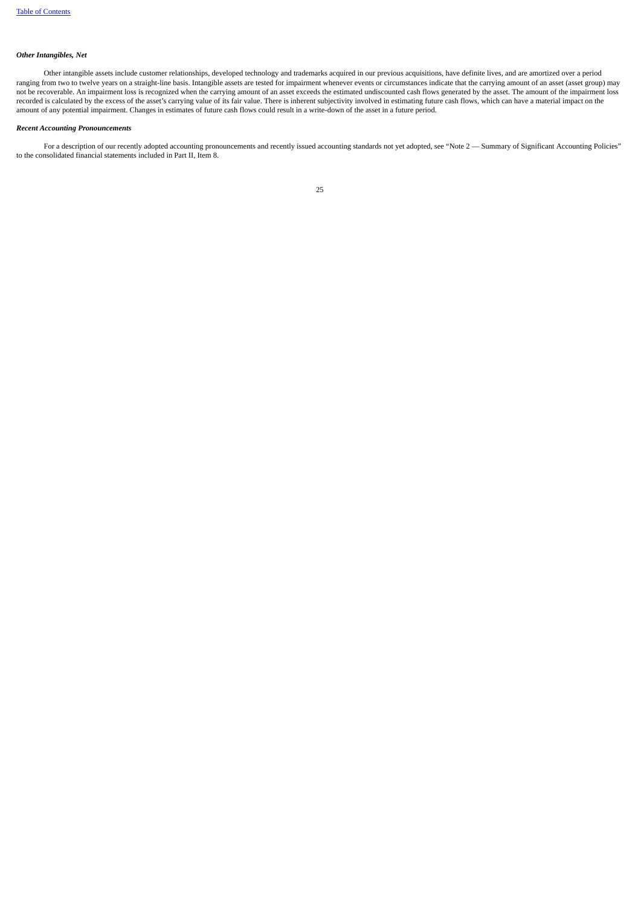# *Other Intangibles, Net*

Other intangible assets include customer relationships, developed technology and trademarks acquired in our previous acquisitions, have definite lives, and are amortized over a period ranging from two to twelve years on a straight-line basis. Intangible assets are tested for impairment whenever events or circumstances indicate that the carrying amount of an asset (asset group) may not be recoverable. An impairment loss is recognized when the carrying amount of an asset exceeds the estimated undiscounted cash flows generated by the asset. The amount of the impairment loss recorded is calculated by the excess of the asset's carrying value of its fair value. There is inherent subjectivity involved in estimating future cash flows, which can have a material impact on the amount of any potential impairment. Changes in estimates of future cash flows could result in a write-down of the asset in a future period.

# *Recent Accounting Pronouncements*

<span id="page-29-0"></span>For a description of our recently adopted accounting pronouncements and recently issued accounting standards not yet adopted, see "Note 2 — Summary of Significant Accounting Policies" to the consolidated financial statements included in Part II, Item 8.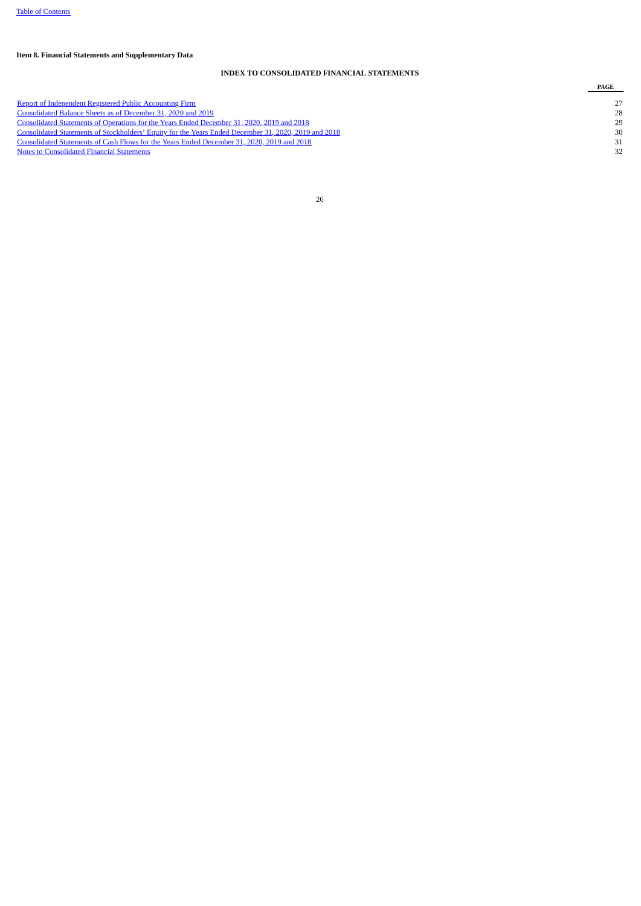**Item 8. Financial Statements and Supplementary Data**

# **INDEX TO CONSOLIDATED FINANCIAL STATEMENTS**

Report of [Independent](#page-30-0) Registered Public Accounting Firm [27](#page-30-0)<br> **Consolidated Balance Sheets as of December 31**, 2020 and 2019

- [Consolidated](#page-31-0) Balance Sheets as of December 31, 2020 and 2019<br> **Consolidated Balance Sheets as of December 31, 2020 and 2019**<br>
29 Consolidated Statements of Operations for the Years Ended December 31, 2020, 2019 and 2018
- [Consolidated](#page-32-0) Statements of Operations for the Years Ended December 31, 2020, 2019 and 2018 [29](#page-32-0) 29 2019 2019 2018
- Consolidated Statements of [Stockholders'](#page-33-0) Equity for the Years Ended December 31, 2020, 2019 and 2018 [30](#page-33-0) Separation 31, 2020, 2019 and 2018 [Consolidated](#page-34-0) Statements of Cash Flows for the Years Ended December [31](#page-34-0), 2020, 2019 and 2018<br>
Notes to Consolidated Financial Statements 32
- <span id="page-30-0"></span>Notes to [Consolidated](#page-35-0) Financial Statements [32](#page-35-0)

**PAGE**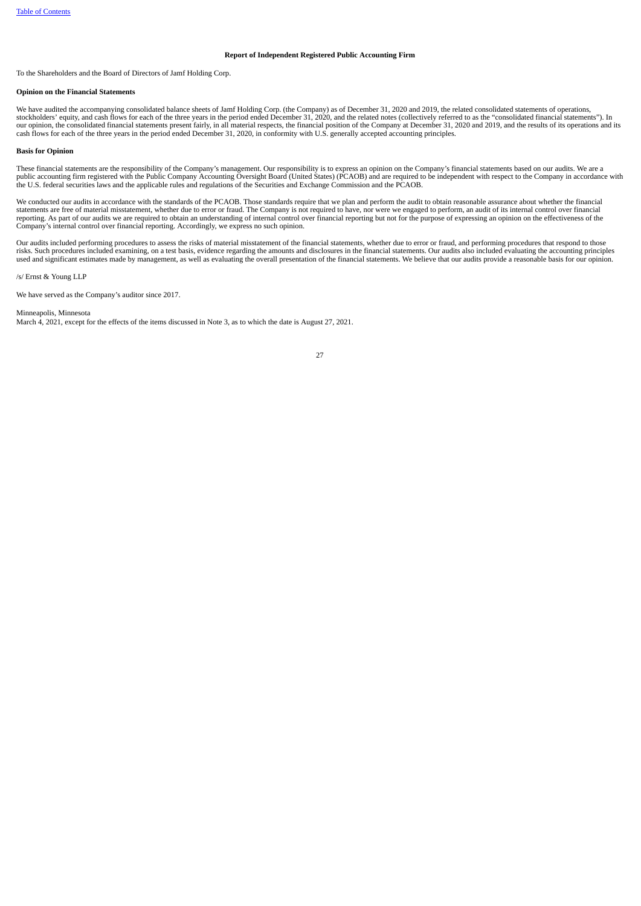#### **Report of Independent Registered Public Accounting Firm**

To the Shareholders and the Board of Directors of Jamf Holding Corp.

#### **Opinion on the Financial Statements**

We have audited the accompanying consolidated balance sheets of Jamf Holding Corp. (the Company) as of December 31, 2020 and 2019, the related consolidated statements of operations, stockholders' equity, and cash flows for each of the three years in the period ended December 31, 2020, and the related notes (collectively referred to as the "consolidated financial statements"). In our opinion, the consolidated financial statements present fairly, in all material respects, the financial position of the Company at December 31, 2020 and 2019, and the results of its operations and its<br>cash flows for eac

### **Basis for Opinion**

These financial statements are the responsibility of the Company's management. Our responsibility is to express an opinion on the Company's financial statements based on our audits. We are a public accounting firm registered with the Public Company Accounting Oversight Board (United States) (PCAOB) and are required to be independent with respect to the Company in accordance with<br>the U.S. federal securities law

We conducted our audits in accordance with the standards of the PCAOB. Those standards require that we plan and perform the audit to obtain reasonable assurance about whether the financial statements are free of material misstatement, whether due to error or fraud. The Company is not required to have, nor were we engaged to perform, an audit of its internal control over financial<br>reporting. As part of our au Company's internal control over financial reporting. Accordingly, we express no such opinion.

Our audits included performing procedures to assess the risks of material misstatement of the financial statements, whether due to error or fraud, and performing procedures that respond to those risks. Such procedures included examining, on a test basis, evidence regarding the amounts and disclosures in the financial statements. Our audits also included evaluating the accounting principles used and significant estimates made by management, as well as evaluating the overall presentation of the financial statements. We believe that our audits provide a reasonable basis for our opinion.

/s/ Ernst & Young LLP

We have served as the Company's auditor since 2017.

Minneapolis, Minnesota

<span id="page-31-0"></span>March 4, 2021, except for the effects of the items discussed in Note 3, as to which the date is August 27, 2021.

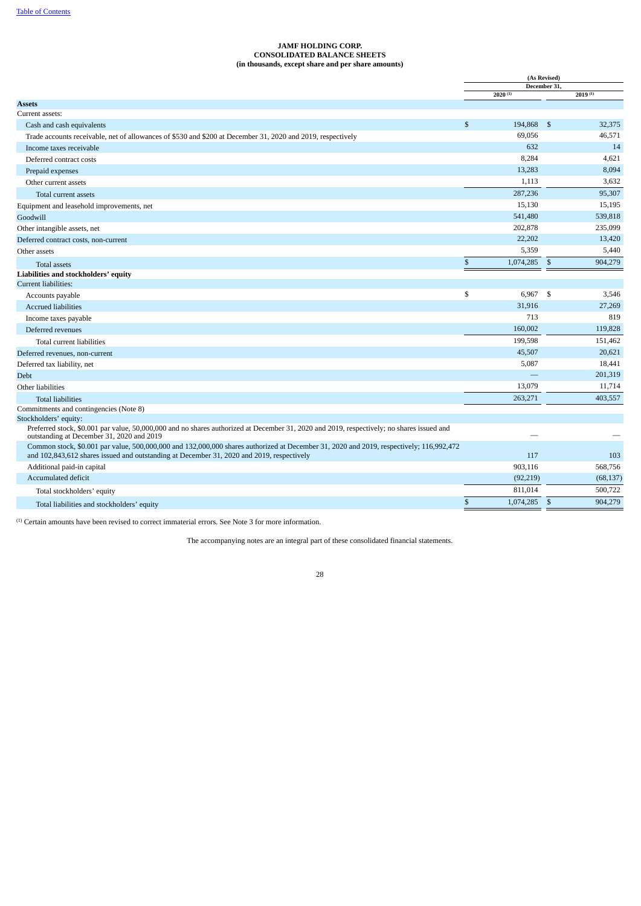# **JAMF HOLDING CORP. CONSOLIDATED BALANCE SHEETS (in thousands, except share and per share amounts)**

|                                                                                                                                                                                                                                      |              | December 31,<br>$2020^{(1)}$ |                | $2019^{(1)}$ |
|--------------------------------------------------------------------------------------------------------------------------------------------------------------------------------------------------------------------------------------|--------------|------------------------------|----------------|--------------|
| Assets                                                                                                                                                                                                                               |              |                              |                |              |
| Current assets:                                                                                                                                                                                                                      |              |                              |                |              |
| Cash and cash equivalents                                                                                                                                                                                                            | $\mathbb{S}$ | 194,868                      | $\mathfrak{S}$ | 32,375       |
| Trade accounts receivable, net of allowances of \$530 and \$200 at December 31, 2020 and 2019, respectively                                                                                                                          |              | 69,056                       |                | 46,571       |
| Income taxes receivable                                                                                                                                                                                                              |              | 632                          |                | 14           |
| Deferred contract costs                                                                                                                                                                                                              |              | 8,284                        |                | 4,621        |
| Prepaid expenses                                                                                                                                                                                                                     |              | 13,283                       |                | 8,094        |
| Other current assets                                                                                                                                                                                                                 |              | 1,113                        |                | 3,632        |
| Total current assets                                                                                                                                                                                                                 |              | 287,236                      |                | 95,307       |
| Equipment and leasehold improvements, net                                                                                                                                                                                            |              | 15,130                       |                | 15,195       |
| Goodwill                                                                                                                                                                                                                             |              | 541,480                      |                | 539,818      |
| Other intangible assets, net                                                                                                                                                                                                         |              | 202,878                      |                | 235,099      |
| Deferred contract costs, non-current                                                                                                                                                                                                 |              | 22,202                       |                | 13,420       |
| Other assets                                                                                                                                                                                                                         |              | 5,359                        |                | 5,440        |
| <b>Total assets</b>                                                                                                                                                                                                                  | $\mathbb{S}$ | 1,074,285                    | $\mathfrak{S}$ | 904,279      |
| Liabilities and stockholders' equity                                                                                                                                                                                                 |              |                              |                |              |
| <b>Current liabilities:</b>                                                                                                                                                                                                          |              |                              |                |              |
| Accounts payable                                                                                                                                                                                                                     | \$           | 6,967                        | \$             | 3,546        |
| <b>Accrued liabilities</b>                                                                                                                                                                                                           |              | 31,916                       |                | 27,269       |
| Income taxes payable                                                                                                                                                                                                                 |              | 713                          |                | 819          |
| Deferred revenues                                                                                                                                                                                                                    |              | 160,002                      |                | 119,828      |
| Total current liabilities                                                                                                                                                                                                            |              | 199,598                      |                | 151,462      |
| Deferred revenues, non-current                                                                                                                                                                                                       |              | 45,507                       |                | 20,621       |
| Deferred tax liability, net                                                                                                                                                                                                          |              | 5,087                        |                | 18,441       |
| Debt                                                                                                                                                                                                                                 |              |                              |                | 201,319      |
| Other liabilities                                                                                                                                                                                                                    |              | 13,079                       |                | 11,714       |
| <b>Total liabilities</b>                                                                                                                                                                                                             |              | 263,271                      |                | 403,557      |
| Commitments and contingencies (Note 8)                                                                                                                                                                                               |              |                              |                |              |
| Stockholders' equity:                                                                                                                                                                                                                |              |                              |                |              |
| Preferred stock, \$0.001 par value, 50,000,000 and no shares authorized at December 31, 2020 and 2019, respectively; no shares issued and<br>outstanding at December 31, 2020 and 2019                                               |              |                              |                |              |
| Common stock, \$0.001 par value, 500,000,000 and 132,000,000 shares authorized at December 31, 2020 and 2019, respectively; 116,992,472<br>and 102,843,612 shares issued and outstanding at December 31, 2020 and 2019, respectively |              | 117                          |                | 103          |
| Additional paid-in capital                                                                                                                                                                                                           |              | 903,116                      |                | 568,756      |
| <b>Accumulated deficit</b>                                                                                                                                                                                                           |              | (92, 219)                    |                | (68, 137)    |
| Total stockholders' equity                                                                                                                                                                                                           |              | 811,014                      |                | 500,722      |
| Total liabilities and stockholders' equity                                                                                                                                                                                           | \$           | 1,074,285                    | $\mathbf{s}$   | 904,279      |

<span id="page-32-0"></span> $<sup>(1)</sup>$  Certain amounts have been revised to correct immaterial errors. See Note 3 for more information.</sup>

The accompanying notes are an integral part of these consolidated financial statements.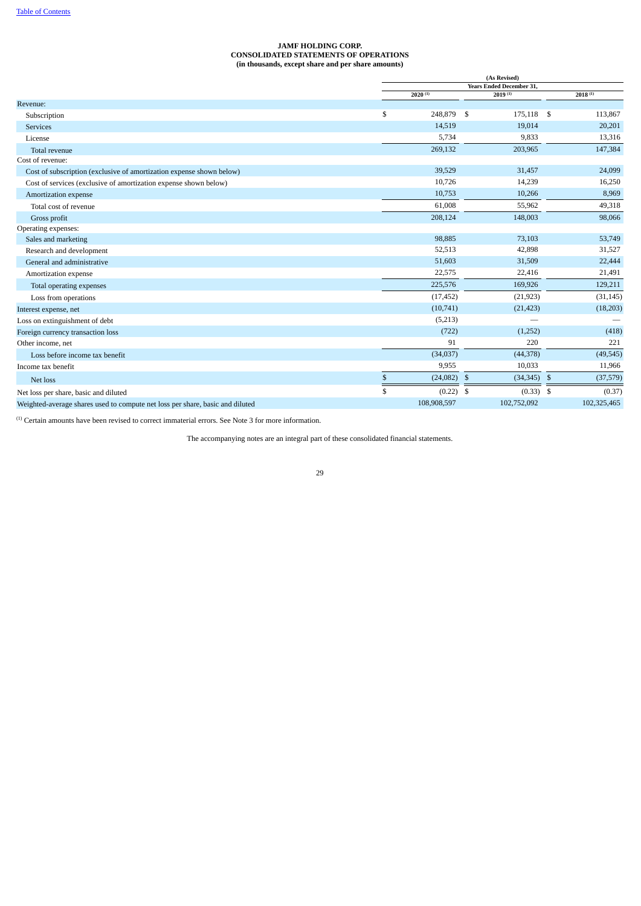# **JAMF HOLDING CORP. CONSOLIDATED STATEMENTS OF OPERATIONS (in thousands, except share and per share amounts)**

|                                                                               | (As Revised) |                                                                                 |                |               |    |             |  |  |  |
|-------------------------------------------------------------------------------|--------------|---------------------------------------------------------------------------------|----------------|---------------|----|-------------|--|--|--|
|                                                                               |              | <b>Years Ended December 31,</b><br>$2019^{(1)}$<br>$2018^{(1)}$<br>$2020^{(1)}$ |                |               |    |             |  |  |  |
|                                                                               |              |                                                                                 |                |               |    |             |  |  |  |
| Revenue:                                                                      |              |                                                                                 |                |               |    |             |  |  |  |
| Subscription                                                                  | \$           | 248,879                                                                         | \$             | 175,118       | \$ | 113,867     |  |  |  |
| <b>Services</b>                                                               |              | 14,519                                                                          |                | 19,014        |    | 20,201      |  |  |  |
| License                                                                       |              | 5,734                                                                           |                | 9,833         |    | 13,316      |  |  |  |
| Total revenue                                                                 |              | 269,132                                                                         |                | 203,965       |    | 147,384     |  |  |  |
| Cost of revenue:                                                              |              |                                                                                 |                |               |    |             |  |  |  |
| Cost of subscription (exclusive of amortization expense shown below)          |              | 39,529                                                                          |                | 31,457        |    | 24,099      |  |  |  |
| Cost of services (exclusive of amortization expense shown below)              |              | 10,726                                                                          |                | 14,239        |    | 16,250      |  |  |  |
| Amortization expense                                                          |              | 10,753                                                                          |                | 10,266        |    | 8,969       |  |  |  |
| Total cost of revenue                                                         |              | 61,008                                                                          |                | 55,962        |    | 49,318      |  |  |  |
| Gross profit                                                                  |              | 208,124                                                                         |                | 148,003       |    | 98,066      |  |  |  |
| Operating expenses:                                                           |              |                                                                                 |                |               |    |             |  |  |  |
| Sales and marketing                                                           |              | 98,885                                                                          |                | 73,103        |    | 53,749      |  |  |  |
| Research and development                                                      |              | 52,513                                                                          |                | 42,898        |    | 31,527      |  |  |  |
| General and administrative                                                    |              | 51,603                                                                          |                | 31,509        |    | 22,444      |  |  |  |
| Amortization expense                                                          |              | 22,575                                                                          |                | 22,416        |    | 21,491      |  |  |  |
| Total operating expenses                                                      |              | 225,576                                                                         |                | 169,926       |    | 129,211     |  |  |  |
| Loss from operations                                                          |              | (17, 452)                                                                       |                | (21, 923)     |    | (31, 145)   |  |  |  |
| Interest expense, net                                                         |              | (10,741)                                                                        |                | (21, 423)     |    | (18, 203)   |  |  |  |
| Loss on extinguishment of debt                                                |              | (5,213)                                                                         |                |               |    |             |  |  |  |
| Foreign currency transaction loss                                             |              | (722)                                                                           |                | (1,252)       |    | (418)       |  |  |  |
| Other income, net                                                             |              | 91                                                                              |                | 220           |    | 221         |  |  |  |
| Loss before income tax benefit                                                |              | (34,037)                                                                        |                | (44, 378)     |    | (49, 545)   |  |  |  |
| Income tax benefit                                                            |              | 9,955                                                                           |                | 10,033        |    | 11,966      |  |  |  |
| Net loss                                                                      | \$           | (24,082)                                                                        | $\mathfrak{s}$ | $(34,345)$ \$ |    | (37,579)    |  |  |  |
| Net loss per share, basic and diluted                                         | \$           | (0.22)                                                                          | \$             | $(0.33)$ \$   |    | (0.37)      |  |  |  |
| Weighted-average shares used to compute net loss per share, basic and diluted |              | 108,908,597                                                                     |                | 102,752,092   |    | 102,325,465 |  |  |  |

<span id="page-33-0"></span> $<sup>(1)</sup>$  Certain amounts have been revised to correct immaterial errors. See Note 3 for more information.</sup>

The accompanying notes are an integral part of these consolidated financial statements.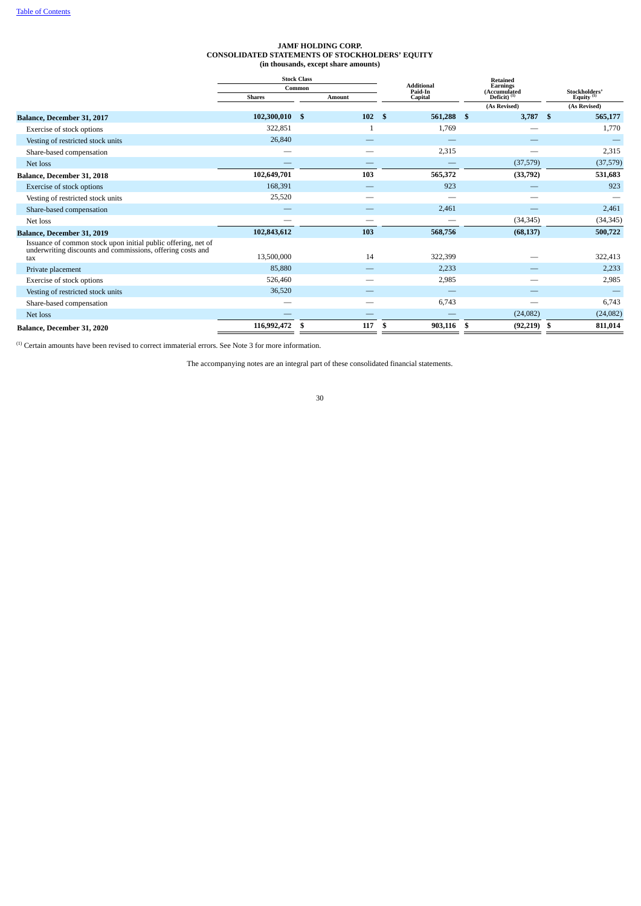### **JAMF HOLDING CORP. CONSOLIDATED STATEMENTS OF STOCKHOLDERS' EQUITY (in thousands, except share amounts)**

|                                                                                                                                    |               | <b>Stock Class</b> |                              | <b>Retained</b>                 |                              |
|------------------------------------------------------------------------------------------------------------------------------------|---------------|--------------------|------------------------------|---------------------------------|------------------------------|
|                                                                                                                                    |               | Common             | <b>Additional</b><br>Paid-In | <b>Earnings</b><br>(Accumulated | Stockholders'                |
|                                                                                                                                    | <b>Shares</b> | <b>Amount</b>      | Capital                      | Deficit) $(1)$<br>(As Revised)  | Equity $(1)$<br>(As Revised) |
| Balance, December 31, 2017                                                                                                         | 102,300,010   | 102<br>\$          | 561,288<br>- \$              | 3,787<br>- \$                   | 565,177<br>- \$              |
| Exercise of stock options                                                                                                          | 322,851       |                    | 1,769                        |                                 | 1,770                        |
| Vesting of restricted stock units                                                                                                  | 26,840        |                    |                              |                                 |                              |
| Share-based compensation                                                                                                           |               |                    | 2,315                        |                                 | 2,315                        |
| Net loss                                                                                                                           |               |                    |                              | (37,579)                        | (37,579)                     |
| Balance, December 31, 2018                                                                                                         | 102,649,701   | 103                | 565,372                      | (33,792)                        | 531,683                      |
| Exercise of stock options                                                                                                          | 168,391       | $\sim$             | 923                          |                                 | 923                          |
| Vesting of restricted stock units                                                                                                  | 25,520        |                    |                              |                                 |                              |
| Share-based compensation                                                                                                           |               |                    | 2,461                        |                                 | 2,461                        |
| Net loss                                                                                                                           |               |                    |                              | (34, 345)                       | (34, 345)                    |
| Balance, December 31, 2019                                                                                                         | 102,843,612   | 103                | 568,756                      | (68, 137)                       | 500,722                      |
| Issuance of common stock upon initial public offering, net of<br>underwriting discounts and commissions, offering costs and<br>tax | 13,500,000    | 14                 | 322,399                      |                                 | 322,413                      |
| Private placement                                                                                                                  | 85,880        |                    | 2,233                        |                                 | 2,233                        |
| Exercise of stock options                                                                                                          | 526,460       |                    | 2,985                        |                                 | 2,985                        |
| Vesting of restricted stock units                                                                                                  | 36,520        |                    |                              |                                 |                              |
| Share-based compensation                                                                                                           |               |                    | 6,743                        |                                 | 6,743                        |
| Net loss                                                                                                                           |               |                    |                              | (24,082)                        | (24,082)                     |
| Balance, December 31, 2020                                                                                                         | 116,992,472   | 117<br>S           | 903,116<br>\$                | (92, 219)<br>S                  | 811,014<br>-\$               |

<span id="page-34-0"></span> $<sup>(1)</sup>$  Certain amounts have been revised to correct immaterial errors. See Note 3 for more information.</sup>

The accompanying notes are an integral part of these consolidated financial statements.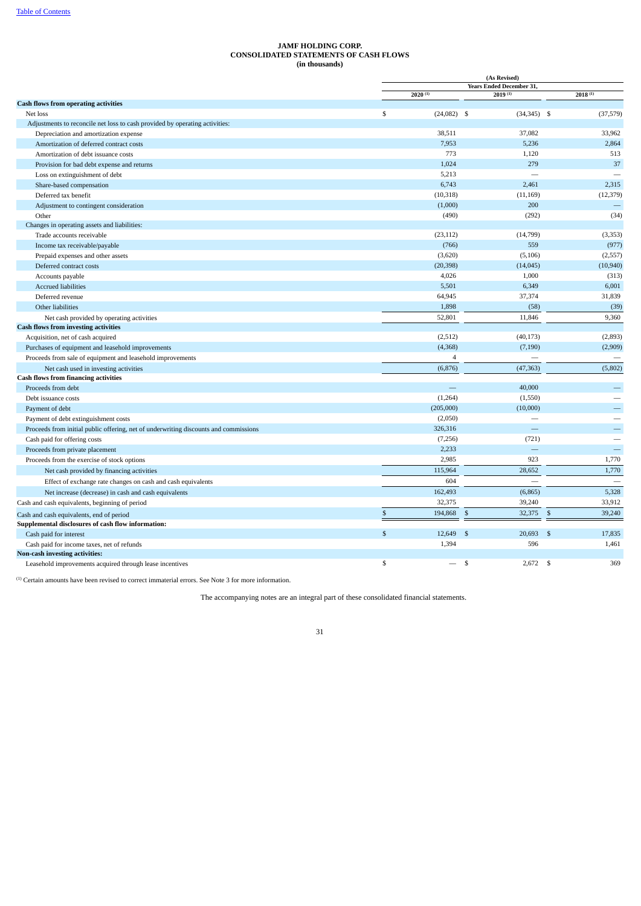#### **JAMF HOLDING CORP. CONSOLIDATED STATEMENTS OF CASH FLOWS (in thousands)**

|                                                                                      | (As Revised)<br><b>Years Ended December 31,</b> |              |                          |              |                          |  |  |
|--------------------------------------------------------------------------------------|-------------------------------------------------|--------------|--------------------------|--------------|--------------------------|--|--|
|                                                                                      |                                                 |              |                          |              |                          |  |  |
|                                                                                      | $2020^{(1)}$                                    |              | $2019^{(1)}$             |              | $2018^{(1)}$             |  |  |
| <b>Cash flows from operating activities</b>                                          |                                                 |              |                          |              |                          |  |  |
| Net loss                                                                             | \$<br>$(24,082)$ \$                             |              | $(34,345)$ \$            |              | (37, 579)                |  |  |
| Adjustments to reconcile net loss to cash provided by operating activities:          | 38,511                                          |              | 37,082                   |              | 33,962                   |  |  |
| Depreciation and amortization expense                                                | 7,953                                           |              |                          |              | 2,864                    |  |  |
| Amortization of deferred contract costs                                              |                                                 |              | 5,236                    |              |                          |  |  |
| Amortization of debt issuance costs                                                  | 773                                             |              | 1,120                    |              | 513<br>37                |  |  |
| Provision for bad debt expense and returns                                           | 1,024                                           |              | 279                      |              |                          |  |  |
| Loss on extinguishment of debt                                                       | 5,213                                           |              |                          |              |                          |  |  |
| Share-based compensation                                                             | 6,743                                           |              | 2,461                    |              | 2,315                    |  |  |
| Deferred tax benefit                                                                 | (10, 318)                                       |              | (11, 169)                |              | (12, 379)                |  |  |
| Adjustment to contingent consideration                                               | (1,000)                                         |              | 200                      |              |                          |  |  |
| Other                                                                                | (490)                                           |              | (292)                    |              | (34)                     |  |  |
| Changes in operating assets and liabilities:                                         |                                                 |              |                          |              |                          |  |  |
| Trade accounts receivable                                                            | (23, 112)                                       |              | (14,799)                 |              | (3, 353)                 |  |  |
| Income tax receivable/payable                                                        | (766)                                           |              | 559                      |              | (977)                    |  |  |
| Prepaid expenses and other assets                                                    | (3,620)                                         |              | (5, 106)                 |              | (2,557)                  |  |  |
| Deferred contract costs                                                              | (20, 398)                                       |              | (14, 045)                |              | (10, 940)                |  |  |
| Accounts payable                                                                     | 4,026                                           |              | 1,000                    |              | (313)                    |  |  |
| <b>Accrued liabilities</b>                                                           | 5,501                                           |              | 6,349                    |              | 6,001                    |  |  |
| Deferred revenue                                                                     | 64,945                                          |              | 37,374                   |              | 31,839                   |  |  |
| Other liabilities                                                                    | 1,898                                           |              | (58)                     |              | (39)                     |  |  |
| Net cash provided by operating activities                                            | 52,801                                          |              | 11,846                   |              | 9,360                    |  |  |
| <b>Cash flows from investing activities</b>                                          |                                                 |              |                          |              |                          |  |  |
| Acquisition, net of cash acquired                                                    | (2,512)                                         |              | (40, 173)                |              | (2,893)                  |  |  |
| Purchases of equipment and leasehold improvements                                    | (4,368)                                         |              | (7, 190)                 |              | (2,909)                  |  |  |
| Proceeds from sale of equipment and leasehold improvements                           | $\overline{4}$                                  |              |                          |              |                          |  |  |
| Net cash used in investing activities                                                | (6, 876)                                        |              | (47, 363)                |              | (5,802)                  |  |  |
| <b>Cash flows from financing activities</b>                                          |                                                 |              |                          |              |                          |  |  |
| Proceeds from debt                                                                   |                                                 |              | 40,000                   |              |                          |  |  |
| Debt issuance costs                                                                  | (1,264)                                         |              | (1,550)                  |              |                          |  |  |
| Payment of debt                                                                      | (205,000)                                       |              | (10,000)                 |              |                          |  |  |
| Payment of debt extinguishment costs                                                 | (2,050)                                         |              |                          |              |                          |  |  |
| Proceeds from initial public offering, net of underwriting discounts and commissions | 326,316                                         |              |                          |              |                          |  |  |
| Cash paid for offering costs                                                         | (7,256)                                         |              | (721)                    |              |                          |  |  |
| Proceeds from private placement                                                      | 2,233                                           |              |                          |              |                          |  |  |
| Proceeds from the exercise of stock options                                          | 2,985                                           |              | 923                      |              | 1,770                    |  |  |
| Net cash provided by financing activities                                            | 115,964                                         |              | 28,652                   |              | 1,770                    |  |  |
| Effect of exchange rate changes on cash and cash equivalents                         | 604                                             |              | $\overline{\phantom{a}}$ |              | $\overline{\phantom{0}}$ |  |  |
| Net increase (decrease) in cash and cash equivalents                                 | 162,493                                         |              | (6,865)                  |              | 5,328                    |  |  |
| Cash and cash equivalents, beginning of period                                       | 32,375                                          |              | 39,240                   |              | 33,912                   |  |  |
| Cash and cash equivalents, end of period                                             | \$<br>194,868                                   | $\mathbf{s}$ | 32,375                   | $\mathbf{s}$ | 39,240                   |  |  |
| Supplemental disclosures of cash flow information:                                   |                                                 |              |                          |              |                          |  |  |
| Cash paid for interest                                                               | \$<br>12,649                                    | $\mathbf{s}$ | 20,693                   | -\$          | 17,835                   |  |  |
| Cash paid for income taxes, net of refunds                                           | 1,394                                           |              | 596                      |              | 1,461                    |  |  |
| Non-cash investing activities:                                                       |                                                 |              |                          |              |                          |  |  |
| Leasehold improvements acquired through lease incentives                             | \$<br>$\overline{\phantom{0}}$                  | \$           | $2,672$ \$               |              | 369                      |  |  |
|                                                                                      |                                                 |              |                          |              |                          |  |  |

<span id="page-35-0"></span> $<sup>(1)</sup>$  Certain amounts have been revised to correct immaterial errors. See Note 3 for more information.</sup>

The accompanying notes are an integral part of these consolidated financial statements.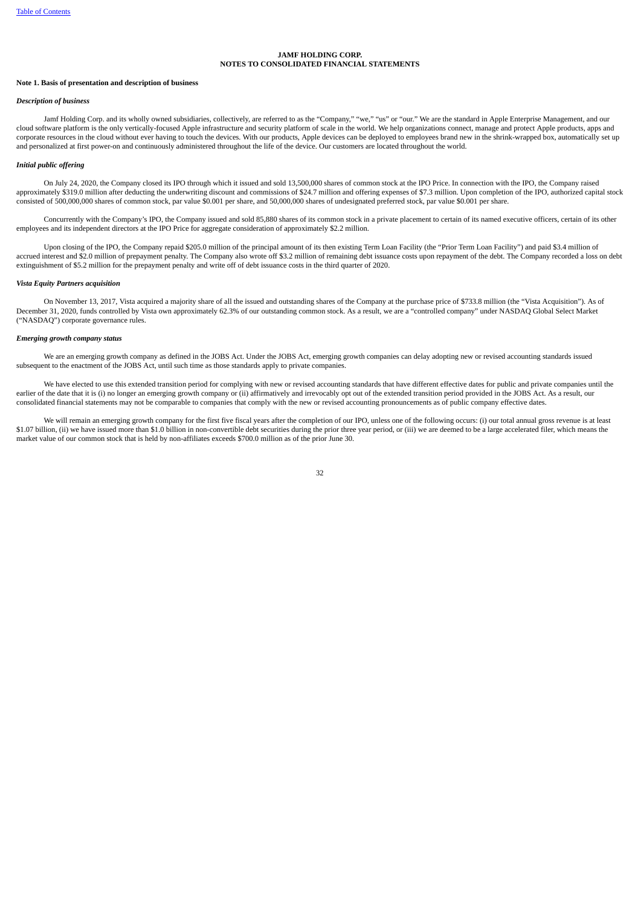# **JAMF HOLDING CORP. NOTES TO CONSOLIDATED FINANCIAL STATEMENTS**

## **Note 1. Basis of presentation and description of business**

## *Description of business*

Jamf Holding Corp. and its wholly owned subsidiaries, collectively, are referred to as the "Company," "we," "us" or "our." We are the standard in Apple Enterprise Management, and our cloud software platform is the only vertically-focused Apple infrastructure and security platform of scale in the world. We help organizations connect, manage and protect Apple products, apps and corporate resources in the cloud without ever having to touch the devices. With our products, Apple devices can be deployed to employees brand new in the shrink-wrapped box, automatically set up and personalized at first power-on and continuously administered throughout the life of the device. Our customers are located throughout the world.

#### *Initial public offering*

On July 24, 2020, the Company closed its IPO through which it issued and sold 13,500,000 shares of common stock at the IPO Price. In connection with the IPO, the Company raised approximately \$319.0 million after deducting the underwriting discount and commissions of \$24.7 million and offering expenses of \$7.3 million. Upon completion of the IPO, authorized capital stock consisted of 500,000,000 shares of common stock, par value \$0.001 per share, and 50,000,000 shares of undesignated preferred stock, par value \$0.001 per share.

Concurrently with the Company's IPO, the Company issued and sold 85,880 shares of its common stock in a private placement to certain of its named executive officers, certain of its other employees and its independent directors at the IPO Price for aggregate consideration of approximately \$2.2 million.

Upon closing of the IPO, the Company repaid \$205.0 million of the principal amount of its then existing Term Loan Facility (the "Prior Term Loan Facility") and paid \$3.4 million of accrued interest and \$2.0 million of prepayment penalty. The Company also wrote off \$3.2 million of remaining debt issuance costs upon repayment of the debt. The Company recorded a loss on debt extinguishment of \$5.2 million for the prepayment penalty and write off of debt issuance costs in the third quarter of 2020.

#### *Vista Equity Partners acquisition*

On November 13, 2017, Vista acquired a majority share of all the issued and outstanding shares of the Company at the purchase price of \$733.8 million (the "Vista Acquisition"). As of December 31, 2020, funds controlled by Vista own approximately 62.3% of our outstanding common stock. As a result, we are a "controlled company" under NASDAQ Global Select Market ("NASDAQ") corporate governance rules.

## *Emerging growth company status*

We are an emerging growth company as defined in the JOBS Act. Under the JOBS Act, emerging growth companies can delay adopting new or revised accounting standards issued subsequent to the enactment of the JOBS Act, until such time as those standards apply to private companies.

We have elected to use this extended transition period for complying with new or revised accounting standards that have different effective dates for public and private companies until the earlier of the date that it is (i) no longer an emerging growth company or (ii) affirmatively and irrevocably opt out of the extended transition period provided in the JOBS Act. As a result, our consolidated financial statements may not be comparable to companies that comply with the new or revised accounting pronouncements as of public company effective dates.

We will remain an emerging growth company for the first five fiscal years after the completion of our IPO, unless one of the following occurs: (i) our total annual gross revenue is at least \$1.07 billion, (ii) we have issued more than \$1.0 billion in non-convertible debt securities during the prior three year period, or (iii) we are deemed to be a large accelerated filer, which means the market value of our common stock that is held by non-affiliates exceeds \$700.0 million as of the prior June 30.

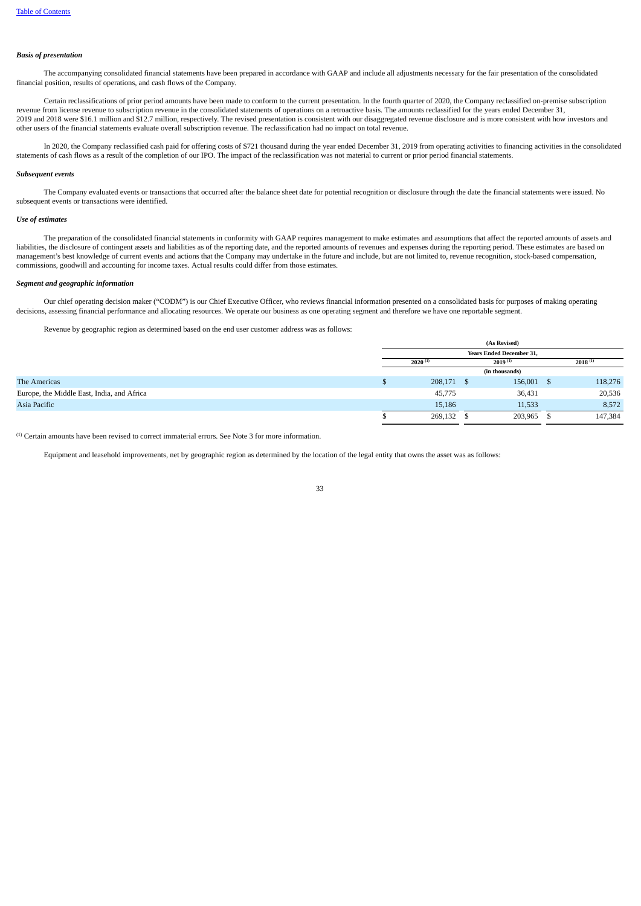## *Basis of presentation*

The accompanying consolidated financial statements have been prepared in accordance with GAAP and include all adjustments necessary for the fair presentation of the consolidated financial position, results of operations, and cash flows of the Company.

Certain reclassifications of prior period amounts have been made to conform to the current presentation. In the fourth quarter of 2020, the Company reclassified on-premise subscription revenue from license revenue to subscription revenue in the consolidated statements of operations on a retroactive basis. The amounts reclassified for the years ended December 31, 2019 and 2018 were \$16.1 million and \$12.7 million, respectively. The revised presentation is consistent with our disaggregated revenue disclosure and is more consistent with how investors and other users of the financial statements evaluate overall subscription revenue. The reclassification had no impact on total revenue.

In 2020, the Company reclassified cash paid for offering costs of \$721 thousand during the year ended December 31, 2019 from operating activities to financing activities in the consolidated statements of cash flows as a result of the completion of our IPO. The impact of the reclassification was not material to current or prior period financial statements.

#### *Subsequent events*

The Company evaluated events or transactions that occurred after the balance sheet date for potential recognition or disclosure through the date the financial statements were issued. No subsequent events or transactions were identified.

#### *Use of estimates*

The preparation of the consolidated financial statements in conformity with GAAP requires management to make estimates and assumptions that affect the reported amounts of assets and liabilities, the disclosure of contingent assets and liabilities as of the reporting date, and the reported amounts of revenues and expenses during the reporting period. These estimates are based on management's best knowledge of current events and actions that the Company may undertake in the future and include, but are not limited to, revenue recognition, stock-based compensation, commissions, goodwill and accounting for income taxes. Actual results could differ from those estimates.

## *Segment and geographic information*

Our chief operating decision maker ("CODM") is our Chief Executive Officer, who reviews financial information presented on a consolidated basis for purposes of making operating decisions, assessing financial performance and allocating resources. We operate our business as one operating segment and therefore we have one reportable segment.

Revenue by geographic region as determined based on the end user customer address was as follows:

|                                            |                                                                                                                                                                       |  | (As Revised) |  |         |
|--------------------------------------------|-----------------------------------------------------------------------------------------------------------------------------------------------------------------------|--|--------------|--|---------|
|                                            | <b>Years Ended December 31,</b><br>$2018^{(1)}$<br>$2020^{(1)}$<br>$2019^{(1)}$<br>(in thousands)<br>156,001 \$<br>208,171 \$<br>45,775<br>36,431<br>15,186<br>11,533 |  |              |  |         |
|                                            |                                                                                                                                                                       |  |              |  |         |
|                                            |                                                                                                                                                                       |  |              |  |         |
| The Americas                               |                                                                                                                                                                       |  |              |  | 118,276 |
| Europe, the Middle East, India, and Africa |                                                                                                                                                                       |  |              |  | 20,536  |
| Asia Pacific                               |                                                                                                                                                                       |  |              |  | 8,572   |
|                                            | 269,132 \$                                                                                                                                                            |  | 203,965      |  | 147,384 |

 $<sup>(1)</sup>$  Certain amounts have been revised to correct immaterial errors. See Note 3 for more information.</sup>

Equipment and leasehold improvements, net by geographic region as determined by the location of the legal entity that owns the asset was as follows: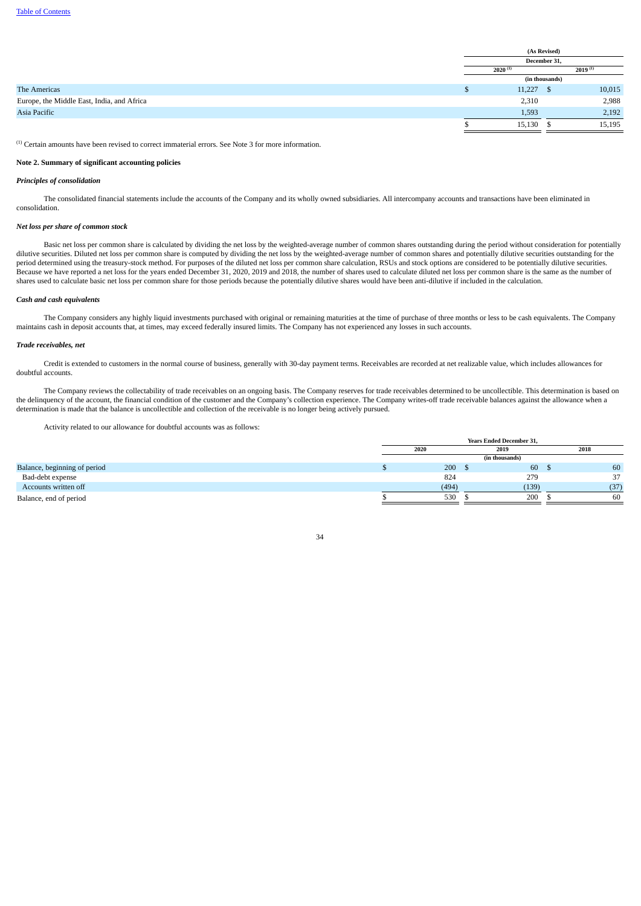|                                            |    | (As Revised)   |              |
|--------------------------------------------|----|----------------|--------------|
|                                            |    | December 31,   |              |
|                                            |    | $2020^{(1)}$   | $2019^{(1)}$ |
|                                            |    | (in thousands) |              |
| The Americas                               | S. | 11,227<br>- \$ | 10,015       |
| Europe, the Middle East, India, and Africa |    | 2,310          | 2,988        |
| Asia Pacific                               |    | 1,593          | 2,192        |
|                                            |    | 15,130<br>- 5  | 15,195       |

 $<sup>(1)</sup>$  Certain amounts have been revised to correct immaterial errors. See Note 3 for more information.</sup>

## **Note 2. Summary of significant accounting policies**

## *Principles of consolidation*

The consolidated financial statements include the accounts of the Company and its wholly owned subsidiaries. All intercompany accounts and transactions have been eliminated in consolidation.

#### *Net loss per share of common stock*

Basic net loss per common share is calculated by dividing the net loss by the weighted-average number of common shares outstanding during the period without consideration for potentially dilutive securities. Diluted net loss per common share is computed by dividing the net loss by the weighted-average number of common shares and potentially dilutive securities outstanding for the period determined using the treasury-stock method. For purposes of the diluted net loss per common share calculation, RSUs and stock options are considered to be potentially dilutive securities. .<br>Because we have reported a net loss for the years ended December 31, 2020, 2019 and 2018, the number of shares used to calculate diluted net loss per common share is the same as the number of shares used to calculate basic net loss per common share for those periods because the potentially dilutive shares would have been anti-dilutive if included in the calculation.

## *Cash and cash equivalents*

The Company considers any highly liquid investments purchased with original or remaining maturities at the time of purchase of three months or less to be cash equivalents. The Company maintains cash in deposit accounts that, at times, may exceed federally insured limits. The Company has not experienced any losses in such accounts.

# *Trade receivables, net*

Credit is extended to customers in the normal course of business, generally with 30-day payment terms. Receivables are recorded at net realizable value, which includes allowances for doubtful accounts.

The Company reviews the collectability of trade receivables on an ongoing basis. The Company reserves for trade receivables determined to be uncollectible. This determination is based on the delinquency of the account, the financial condition of the customer and the Company's collection experience. The Company writes-off trade receivable balances against the allowance when a determination is made that the balance is uncollectible and collection of the receivable is no longer being actively pursued.

Activity related to our allowance for doubtful accounts was as follows:

|                              |       |     | <b>Years Ended December 31,</b> |  |      |
|------------------------------|-------|-----|---------------------------------|--|------|
|                              | 2020  |     | 2019                            |  | 2018 |
|                              |       |     | (in thousands)                  |  |      |
| Balance, beginning of period |       | 200 | 60                              |  | 60   |
| Bad-debt expense             |       | 824 | 279                             |  | 37   |
| Accounts written off         | (494) |     | (139)                           |  | (37) |
| Balance, end of period       |       | 530 | 200                             |  | 60   |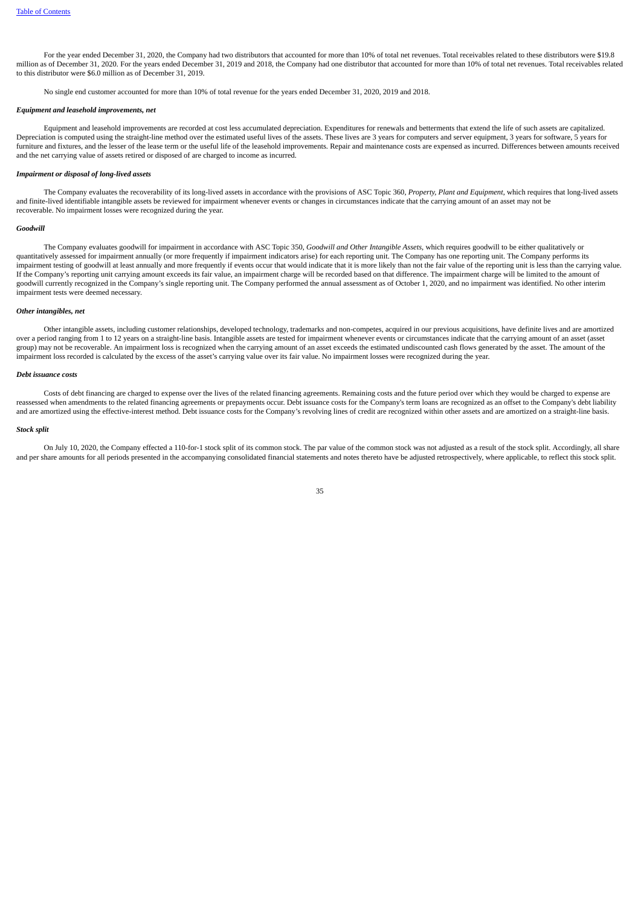For the year ended December 31, 2020, the Company had two distributors that accounted for more than 10% of total net revenues. Total receivables related to these distributors were \$19.8 million as of December 31, 2020. For the years ended December 31, 2019 and 2018, the Company had one distributor that accounted for more than 10% of total net revenues. Total receivables related to this distributor were \$6.0 million as of December 31, 2019.

No single end customer accounted for more than 10% of total revenue for the years ended December 31, 2020, 2019 and 2018.

#### *Equipment and leasehold improvements, net*

Equipment and leasehold improvements are recorded at cost less accumulated depreciation. Expenditures for renewals and betterments that extend the life of such assets are capitalized. Depreciation is computed using the straight-line method over the estimated useful lives of the assets. These lives are 3 years for computers and server equipment, 3 years for software, 5 years for furniture and fixtures, and the lesser of the lease term or the useful life of the leasehold improvements. Repair and maintenance costs are expensed as incurred. Differences between amounts received and the net carrying value of assets retired or disposed of are charged to income as incurred.

## *Impairment or disposal of long-lived assets*

The Company evaluates the recoverability of its long-lived assets in accordance with the provisions of ASC Topic 360, *Property, Plant and Equipment*, which requires that long-lived assets and finite-lived identifiable intangible assets be reviewed for impairment whenever events or changes in circumstances indicate that the carrying amount of an asset may not be recoverable. No impairment losses were recognized during the year.

#### *Goodwill*

The Company evaluates goodwill for impairment in accordance with ASC Topic 350, *Goodwill and Other Intangible Assets*, which requires goodwill to be either qualitatively or quantitatively assessed for impairment annually (or more frequently if impairment indicators arise) for each reporting unit. The Company has one reporting unit. The Company performs its impairment testing of goodwill at least annually and more frequently if events occur that would indicate that it is more likely than not the fair value of the reporting unit is less than the carrying value. If the Company's reporting unit carrying amount exceeds its fair value, an impairment charge will be recorded based on that difference. The impairment charge will be limited to the amount of goodwill currently recognized in the Company's single reporting unit. The Company performed the annual assessment as of October 1, 2020, and no impairment was identified. No other interim impairment tests were deemed necessary.

## *Other intangibles, net*

Other intangible assets, including customer relationships, developed technology, trademarks and non-competes, acquired in our previous acquisitions, have definite lives and are amortized over a period ranging from 1 to 12 years on a straight-line basis. Intangible assets are tested for impairment whenever events or circumstances indicate that the carrying amount of an asset (asset group) may not be recoverable. An impairment loss is recognized when the carrying amount of an asset exceeds the estimated undiscounted cash flows generated by the asset. The amount of the impairment loss recorded is calculated by the excess of the asset's carrying value over its fair value. No impairment losses were recognized during the year.

#### *Debt issuance costs*

Costs of debt financing are charged to expense over the lives of the related financing agreements. Remaining costs and the future period over which they would be charged to expense are reassessed when amendments to the related financing agreements or prepayments occur. Debt issuance costs for the Company's term loans are recognized as an offset to the Company's debt liability and are amortized using the effective-interest method. Debt issuance costs for the Company's revolving lines of credit are recognized within other assets and are amortized on a straight-line basis.

#### *Stock split*

On July 10, 2020, the Company effected a 110-for-1 stock split of its common stock. The par value of the common stock was not adjusted as a result of the stock split. Accordingly, all share and per share amounts for all periods presented in the accompanying consolidated financial statements and notes thereto have be adjusted retrospectively, where applicable, to reflect this stock split.

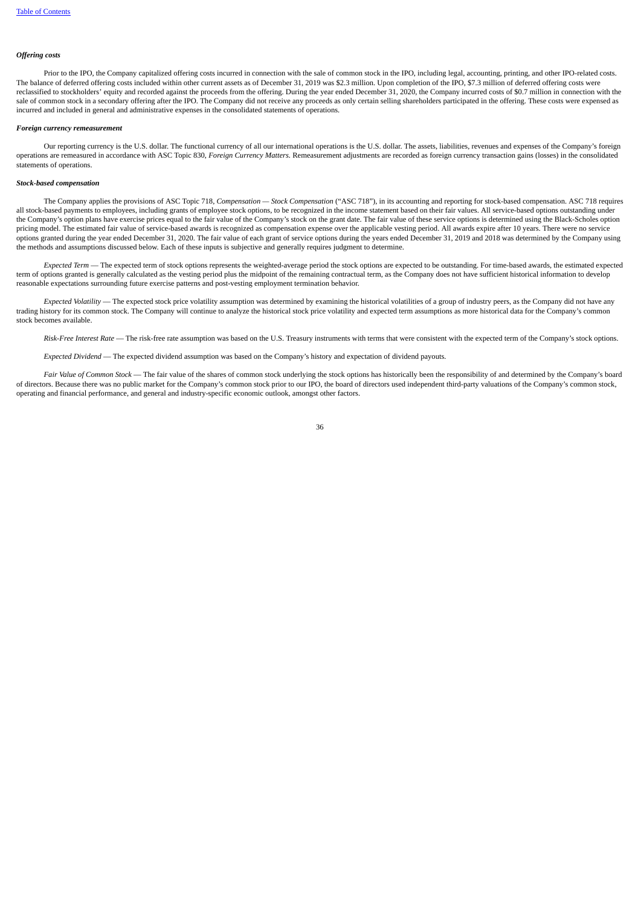## *Offering costs*

Prior to the IPO, the Company capitalized offering costs incurred in connection with the sale of common stock in the IPO, including legal, accounting, printing, and other IPO-related costs. The balance of deferred offering costs included within other current assets as of December 31, 2019 was \$2.3 million. Upon completion of the IPO, \$7.3 million of deferred offering costs were reclassified to stockholders' equity and recorded against the proceeds from the offering. During the year ended December 31, 2020, the Company incurred costs of \$0.7 million in connection with the sale of common stock in a secondary offering after the IPO. The Company did not receive any proceeds as only certain selling shareholders participated in the offering. These costs were expensed as sall common stock in a se incurred and included in general and administrative expenses in the consolidated statements of operations.

#### *Foreign currency remeasurement*

Our reporting currency is the U.S. dollar. The functional currency of all our international operations is the U.S. dollar. The assets, liabilities, revenues and expenses of the Company's foreign operations are remeasured in accordance with ASC Topic 830, *Foreign Currency Matters.* Remeasurement adjustments are recorded as foreign currency transaction gains (losses) in the consolidated statements of operations.

#### *Stock-based compensation*

The Company applies the provisions of ASC Topic 718, *Compensation — Stock Compensation* ("ASC 718"), in its accounting and reporting for stock-based compensation. ASC 718 requires all stock-based payments to employees, including grants of employee stock options, to be recognized in the income statement based on their fair values. All service-based options outstanding under the Company's option plans have exercise prices equal to the fair value of the Company's stock on the grant date. The fair value of these service options is determined using the Black-Scholes option pricing model. The estimated fair value of service-based awards is recognized as compensation expense over the applicable vesting period. All awards expire after 10 years. There were no service options granted during the year ended December 31, 2020. The fair value of each grant of service options during the years ended December 31, 2019 and 2018 was determined by the Company using the methods and assumptions discussed below. Each of these inputs is subjective and generally requires judgment to determine.

*Expected Term* — The expected term of stock options represents the weighted-average period the stock options are expected to be outstanding. For time-based awards, the estimated expected term of options granted is generally calculated as the vesting period plus the midpoint of the remaining contractual term, as the Company does not have sufficient historical information to develop reasonable expectations surrounding future exercise patterns and post-vesting employment termination behavior.

*Expected Volatility* — The expected stock price volatility assumption was determined by examining the historical volatilities of a group of industry peers, as the Company did not have any trading history for its common stock. The Company will continue to analyze the historical stock price volatility and expected term assumptions as more historical data for the Company's common stock becomes available.

*Risk-Free Interest Rate* — The risk-free rate assumption was based on the U.S. Treasury instruments with terms that were consistent with the expected term of the Company's stock options.

*Expected Dividend* — The expected dividend assumption was based on the Company's history and expectation of dividend payouts.

*Fair Value of Common Stock* — The fair value of the shares of common stock underlying the stock options has historically been the responsibility of and determined by the Company's board of directors. Because there was no public market for the Company's common stock prior to our IPO, the board of directors used independent third-party valuations of the Company's common stock, operating and financial performance, and general and industry-specific economic outlook, amongst other factors.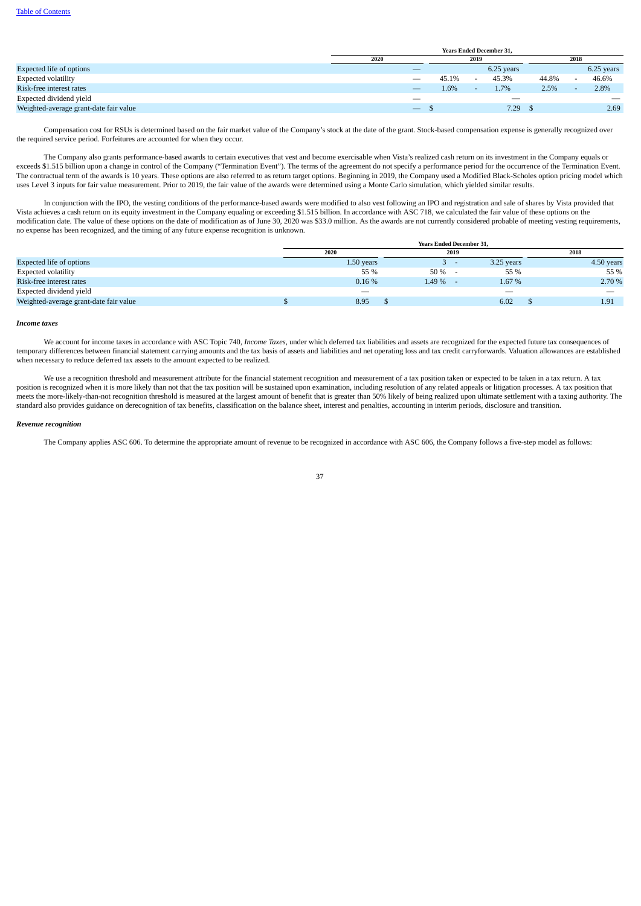|                                        |               |         |                | <b>Years Ended December 31.</b> |       |                          |            |
|----------------------------------------|---------------|---------|----------------|---------------------------------|-------|--------------------------|------------|
|                                        | 2020          |         | 2019           |                                 |       | 2018                     |            |
| Expected life of options               |               |         |                | 6.25 years                      |       |                          | 6.25 years |
| Expected volatility                    |               | 45.1%   | $\overline{a}$ | 45.3%                           | 44.8% | $\overline{\phantom{a}}$ | 46.6%      |
| Risk-free interest rates               |               | $1.6\%$ | $\sim$         | 1.7%                            | 2.5%  | $\overline{a}$           | 2.8%       |
| Expected dividend yield                | $\sim$        |         |                |                                 |       |                          | __         |
| Weighted-average grant-date fair value | $\frac{1}{2}$ |         |                | 7.29                            |       |                          | 2.69       |

Compensation cost for RSUs is determined based on the fair market value of the Company's stock at the date of the grant. Stock-based compensation expense is generally recognized over the required service period. Forfeitures are accounted for when they occur.

The Company also grants performance-based awards to certain executives that vest and become exercisable when Vista's realized cash return on its investment in the Company equals or exceeds \$1.515 billion upon a change in control of the Company ("Termination Event"). The terms of the agreement do not specify a performance period for the occurrence of the Termination Event. The contractual term of the awards is 10 years. These options are also referred to as return target options. Beginning in 2019, the Company used a Modified Black-Scholes option pricing model which uses Level 3 inputs for fair value measurement. Prior to 2019, the fair value of the awards were determined using a Monte Carlo simulation, which yielded similar results.

In conjunction with the IPO, the vesting conditions of the performance-based awards were modified to also vest following an IPO and registration and sale of shares by Vista provided that Vista achieves a cash return on its equity investment in the Company equaling or exceeding \$1.515 billion. In accordance with ASC 718, we calculated the fair value of these options on the modification date. The value of these options on the date of modification as of June 30, 2020 was \$33.0 million. As the awards are not currently considered probable of meeting vesting requirements, no expense has been recognized, and the timing of any future expense recognition is unknown.

|                                        | <b>Years Ended December 31,</b> |              |  |            |      |                          |  |            |  |  |
|----------------------------------------|---------------------------------|--------------|--|------------|------|--------------------------|--|------------|--|--|
|                                        |                                 | 2020         |  |            | 2019 |                          |  | 2018       |  |  |
| <b>Expected life of options</b>        |                                 | $1.50$ years |  | 3.         | . .  | 3.25 years               |  | 4.50 years |  |  |
| <b>Expected volatility</b>             |                                 | 55 %         |  | $50\%$ -   |      | 55 %                     |  | 55 %       |  |  |
| Risk-free interest rates               |                                 | 0.16%        |  | $1.49\%$ - |      | 1.67%                    |  | 2.70 %     |  |  |
| Expected dividend vield                |                                 |              |  |            |      | $\overline{\phantom{m}}$ |  |            |  |  |
| Weighted-average grant-date fair value |                                 | 8.95         |  |            |      | 6.02                     |  | 1.91       |  |  |

## *Income taxes*

We account for income taxes in accordance with ASC Topic 740, *Income Taxes*, under which deferred tax liabilities and assets are recognized for the expected future tax consequences of temporary differences between financial statement carrying amounts and the tax basis of assets and liabilities and net operating loss and tax credit carryforwards. Valuation allowances are established when necessary to reduce deferred tax assets to the amount expected to be realized.

We use a recognition threshold and measurement attribute for the financial statement recognition and measurement of a tax position taken or expected to be taken in a tax return. A tax position is recognized when it is more likely than not that the tax position will be sustained upon examination, including resolution of any related appeals or litigation processes. A tax position that meets the more-likely-than-not recognition threshold is measured at the largest amount of benefit that is greater than 50% likely of being realized upon ultimate settlement with a taxing authority. The standard also provides guidance on derecognition of tax benefits, classification on the balance sheet, interest and penalties, accounting in interim periods, disclosure and transition.

#### *Revenue recognition*

The Company applies ASC 606. To determine the appropriate amount of revenue to be recognized in accordance with ASC 606, the Company follows a five-step model as follows: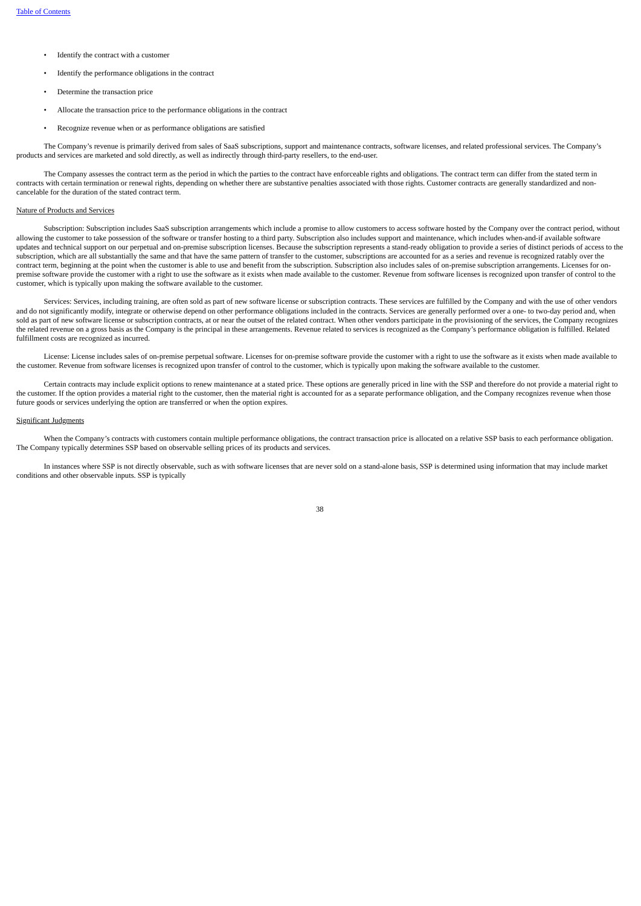- Identify the contract with a customer
- Identify the performance obligations in the contract
- Determine the transaction price
- Allocate the transaction price to the performance obligations in the contract
- Recognize revenue when or as performance obligations are satisfied

The Company's revenue is primarily derived from sales of SaaS subscriptions, support and maintenance contracts, software licenses, and related professional services. The Company's products and services are marketed and sold directly, as well as indirectly through third-party resellers, to the end-user.

The Company assesses the contract term as the period in which the parties to the contract have enforceable rights and obligations. The contract term can differ from the stated term in contracts with certain termination or renewal rights, depending on whether there are substantive penalties associated with those rights. Customer contracts are generally standardized and noncancelable for the duration of the stated contract term.

## Nature of Products and Services

Subscription: Subscription includes SaaS subscription arrangements which include a promise to allow customers to access software hosted by the Company over the contract period, without allowing the customer to take possession of the software or transfer hosting to a third party. Subscription also includes support and maintenance, which includes when-and-if available software updates and technical support on our perpetual and on-premise subscription licenses. Because the subscription represents a stand-ready obligation to provide a series of distinct periods of access to the subscription, which are all substantially the same and that have the same pattern of transfer to the customer, subscriptions are accounted for as a series and revenue is recognized ratably over the contract term, beginning at the point when the customer is able to use and benefit from the subscription. Subscription also includes sales of on-premise subscription arrangements. Licenses for onpremise software provide the customer with a right to use the software as it exists when made available to the customer. Revenue from software licenses is recognized upon transfer of control to the customer, which is typically upon making the software available to the customer.

Services: Services, including training, are often sold as part of new software license or subscription contracts. These services are fulfilled by the Company and with the use of other vendors and do not significantly modify, integrate or otherwise depend on other performance obligations included in the contracts. Services are generally performed over a one- to two-day period and, when sold as part of new software license or subscription contracts, at or near the outset of the related contract. When other vendors participate in the provisioning of the services, the Company recognizes the related revenue on a gross basis as the Company is the principal in these arrangements. Revenue related to services is recognized as the Company's performance obligation is fulfilled. Related fulfillment costs are recognized as incurred.

License: License includes sales of on-premise perpetual software. Licenses for on-premise software provide the customer with a right to use the software as it exists when made available to the customer. Revenue from software licenses is recognized upon transfer of control to the customer, which is typically upon making the software available to the customer.

Certain contracts may include explicit options to renew maintenance at a stated price. These options are generally priced in line with the SSP and therefore do not provide a material right to the customer. If the option provides a material right to the customer, then the material right is accounted for as a separate performance obligation, and the Company recognizes revenue when those future goods or services underlying the option are transferred or when the option expires.

## Significant Judgments

When the Company's contracts with customers contain multiple performance obligations, the contract transaction price is allocated on a relative SSP basis to each performance obligation. The Company typically determines SSP based on observable selling prices of its products and services.

In instances where SSP is not directly observable, such as with software licenses that are never sold on a stand-alone basis, SSP is determined using information that may include market conditions and other observable inputs. SSP is typically

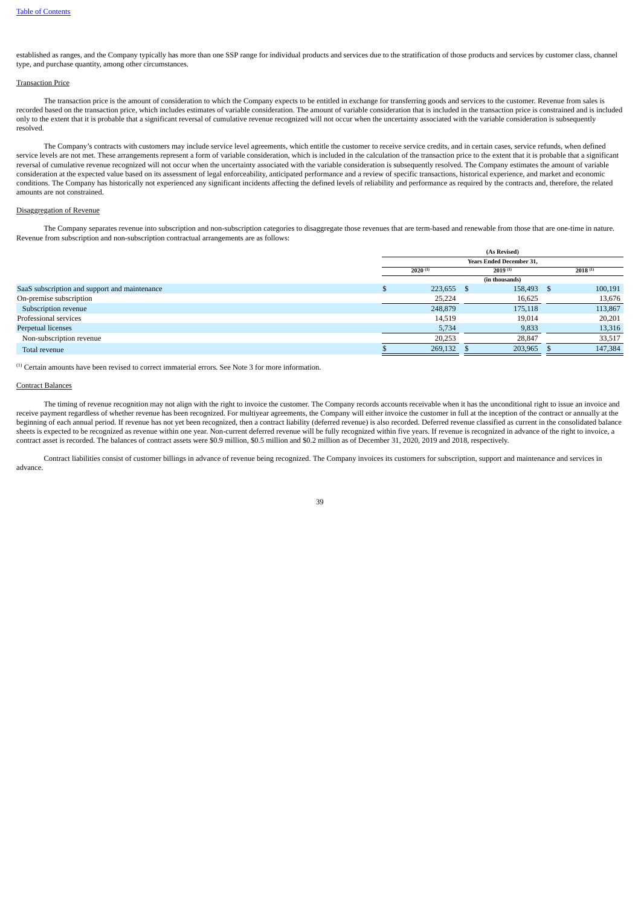established as ranges, and the Company typically has more than one SSP range for individual products and services due to the stratification of those products and services by customer class, channel type, and purchase quantity, among other circumstances.

## Transaction Price

The transaction price is the amount of consideration to which the Company expects to be entitled in exchange for transferring goods and services to the customer. Revenue from sales is recorded based on the transaction price, which includes estimates of variable consideration. The amount of variable consideration that is included in the transaction price is constrained and is included only to the extent that it is probable that a significant reversal of cumulative revenue recognized will not occur when the uncertainty associated with the variable consideration is subsequently resolved.

The Company's contracts with customers may include service level agreements, which entitle the customer to receive service credits, and in certain cases, service refunds, when defined service levels are not met. These arrangements represent a form of variable consideration, which is included in the calculation of the transaction price to the extent that it is probable that a significant reversal of cumulative revenue recognized will not occur when the uncertainty associated with the variable consideration is subsequently resolved. The Company estimates the amount of variable consideration at the expected value based on its assessment of legal enforceability, anticipated performance and a review of specific transactions, historical experience, and market and economic conditions. The Company has historically not experienced any significant incidents affecting the defined levels of reliability and performance as required by the contracts and, therefore, the related amounts are not constrained.

## Disaggregation of Revenue

The Company separates revenue into subscription and non-subscription categories to disaggregate those revenues that are term-based and renewable from those that are one-time in nature. Revenue from subscription and non-subscription contractual arrangements are as follows:

|                                               |              |              | (As Revised)                    |  |              |
|-----------------------------------------------|--------------|--------------|---------------------------------|--|--------------|
|                                               |              |              | <b>Years Ended December 31,</b> |  |              |
|                                               | $2020^{(1)}$ | $2019^{(1)}$ |                                 |  | $2018^{(1)}$ |
|                                               |              |              | (in thousands)                  |  |              |
| SaaS subscription and support and maintenance | 223,655 \$   |              | 158,493 \$                      |  | 100,191      |
| On-premise subscription                       | 25,224       |              | 16,625                          |  | 13,676       |
| Subscription revenue                          | 248,879      |              | 175,118                         |  | 113,867      |
| Professional services                         | 14,519       |              | 19,014                          |  | 20,201       |
| Perpetual licenses                            | 5,734        |              | 9,833                           |  | 13,316       |
| Non-subscription revenue                      | 20,253       |              | 28,847                          |  | 33,517       |
| Total revenue                                 | 269,132      |              | 203,965                         |  | 147,384      |

 $<sup>(1)</sup>$  Certain amounts have been revised to correct immaterial errors. See Note 3 for more information.</sup>

# Contract Balances

The timing of revenue recognition may not align with the right to invoice the customer. The Company records accounts receivable when it has the unconditional right to issue an invoice and receive payment regardless of whether revenue has been recognized. For multiyear agreements, the Company will either invoice the customer in full at the inception of the contract or annually at the beginning of each annual period. If revenue has not yet been recognized, then a contract liability (deferred revenue) is also recorded. Deferred revenue classified as current in the consolidated balance sheets is expected to be recognized as revenue within one year. Non-current deferred revenue will be fully recognized within five years. If revenue is recognized in advance of the right to invoice, a contract asset is recorded. The balances of contract assets were \$0.9 million, \$0.5 million and \$0.2 million as of December 31, 2020, 2019 and 2018, respectively.

Contract liabilities consist of customer billings in advance of revenue being recognized. The Company invoices its customers for subscription, support and maintenance and services in advance.

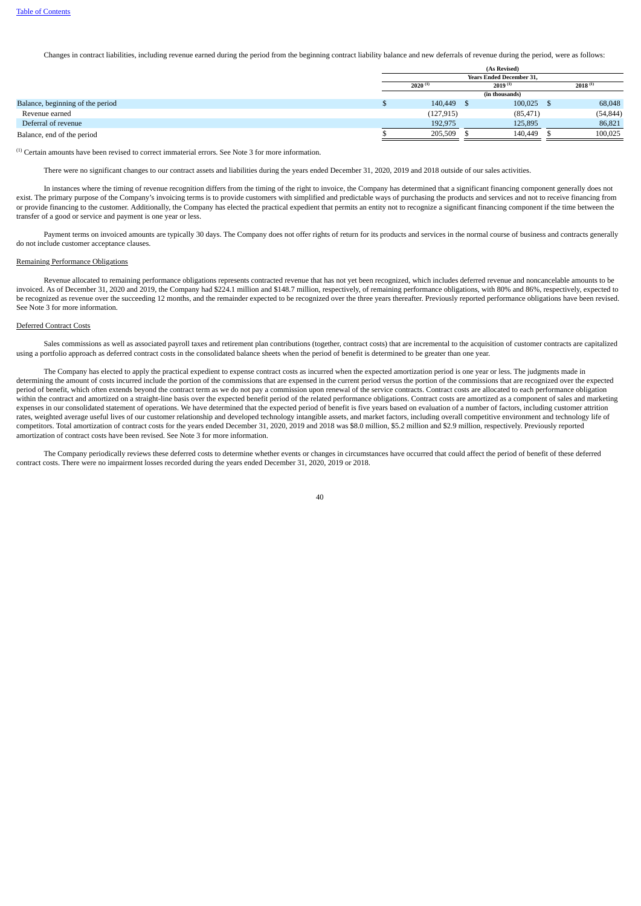Changes in contract liabilities, including revenue earned during the period from the beginning contract liability balance and new deferrals of revenue during the period, were as follows:

|                                  | (As Revised)                                                                                                                                                                            |  |  |  |           |  |  |
|----------------------------------|-----------------------------------------------------------------------------------------------------------------------------------------------------------------------------------------|--|--|--|-----------|--|--|
|                                  | <b>Years Ended December 31,</b><br>$2018^{(1)}$<br>$2020^{(1)}$<br>$2019^{(1)}$<br>(in thousands)<br>100,025<br>140,449<br>- S<br>- \$<br>(127, 915)<br>(85, 471)<br>192.975<br>125.895 |  |  |  |           |  |  |
|                                  | 205,509<br>140,449                                                                                                                                                                      |  |  |  |           |  |  |
|                                  |                                                                                                                                                                                         |  |  |  |           |  |  |
| Balance, beginning of the period |                                                                                                                                                                                         |  |  |  | 68,048    |  |  |
| Revenue earned                   |                                                                                                                                                                                         |  |  |  | (54, 844) |  |  |
| Deferral of revenue              |                                                                                                                                                                                         |  |  |  | 86,821    |  |  |
| Balance, end of the period       |                                                                                                                                                                                         |  |  |  | 100.025   |  |  |

 $<sup>(1)</sup>$  Certain amounts have been revised to correct immaterial errors. See Note 3 for more information.</sup>

There were no significant changes to our contract assets and liabilities during the years ended December 31, 2020, 2019 and 2018 outside of our sales activities.

In instances where the timing of revenue recognition differs from the timing of the right to invoice, the Company has determined that a significant financing component generally does not exist. The primary purpose of the Company's invoicing terms is to provide customers with simplified and predictable ways of purchasing the products and services and not to receive financing from or provide financing to the customer. Additionally, the Company has elected the practical expedient that permits an entity not to recognize a significant financing component if the time between the transfer of a good or service and payment is one year or less.

Payment terms on invoiced amounts are typically 30 days. The Company does not offer rights of return for its products and services in the normal course of business and contracts generally do not include customer acceptance clauses.

#### Remaining Performance Obligations

Revenue allocated to remaining performance obligations represents contracted revenue that has not yet been recognized, which includes deferred revenue and noncancelable amounts to be invoiced. As of December 31, 2020 and 2019, the Company had \$224.1 million and \$148.7 million, respectively, of remaining performance obligations, with 80% and 86%, respectively, expected to be recognized as revenue over the succeeding 12 months, and the remainder expected to be recognized over the three years thereafter. Previously reported performance obligations have been revised. See Note 3 for more information.

#### Deferred Contract Costs

Sales commissions as well as associated payroll taxes and retirement plan contributions (together, contract costs) that are incremental to the acquisition of customer contracts are capitalized using a portfolio approach as deferred contract costs in the consolidated balance sheets when the period of benefit is determined to be greater than one year.

The Company has elected to apply the practical expedient to expense contract costs as incurred when the expected amortization period is one year or less. The judgments made in determining the amount of costs incurred include the portion of the commissions that are expensed in the current period versus the portion of the commissions that are recognized over the expected period of benefit, which often extends beyond the contract term as we do not pay a commission upon renewal of the service contracts. Contract costs are allocated to each performance obligation within the contract and amortized on a straight-line basis over the expected benefit period of the related performance obligations. Contract costs are amortized as a component of sales and marketing expenses in our consolidated statement of operations. We have determined that the expected period of benefit is five years based on evaluation of a number of factors, including customer attrition rates, weighted average useful lives of our customer relationship and developed technology intangible assets, and market factors, including overall competitive environment and technology life of competitors. Total amortization of contract costs for the years ended December 31, 2020, 2019 and 2018 was \$8.0 million, \$5.2 million and \$2.9 million, respectively. Previously reported amortization of contract costs have been revised. See Note 3 for more information.

The Company periodically reviews these deferred costs to determine whether events or changes in circumstances have occurred that could affect the period of benefit of these deferred contract costs. There were no impairment losses recorded during the years ended December 31, 2020, 2019 or 2018.

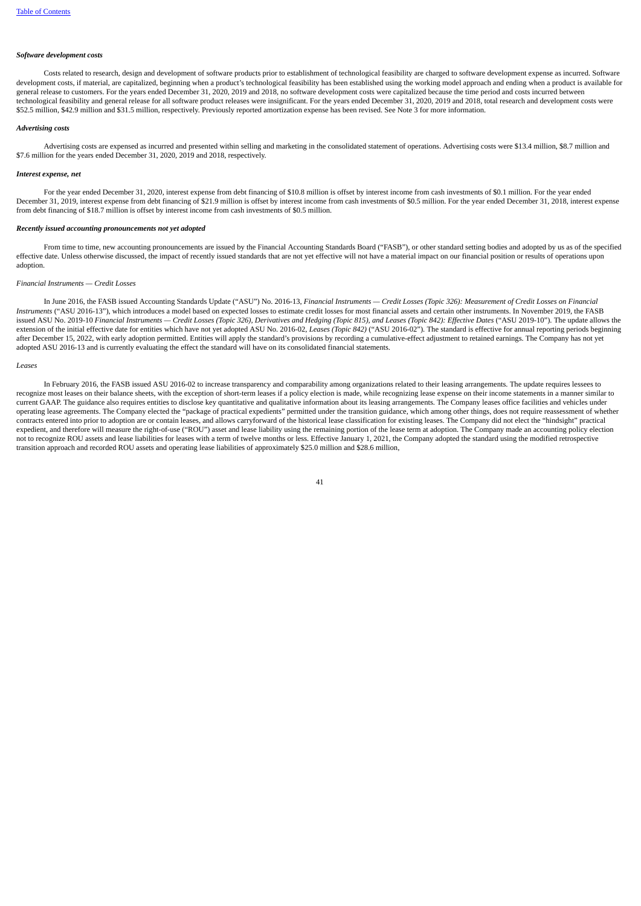## *Software development costs*

Costs related to research, design and development of software products prior to establishment of technological feasibility are charged to software development expense as incurred. Software development costs, if material, are capitalized, beginning when a product's technological feasibility has been established using the working model approach and ending when a product is available for general release to customers. For the years ended December 31, 2020, 2019 and 2018, no software development costs were capitalized because the time period and costs incurred between technological feasibility and general release for all software product releases were insignificant. For the years ended December 31, 2020, 2019 and 2018, total research and development costs were \$52.5 million, \$42.9 million and \$31.5 million, respectively. Previously reported amortization expense has been revised. See Note 3 for more information.

#### *Advertising costs*

Advertising costs are expensed as incurred and presented within selling and marketing in the consolidated statement of operations. Advertising costs were \$13.4 million, \$8.7 million and \$7.6 million for the years ended December 31, 2020, 2019 and 2018, respectively.

#### *Interest expense, net*

For the year ended December 31, 2020, interest expense from debt financing of \$10.8 million is offset by interest income from cash investments of \$0.1 million. For the year ended December 31, 2019, interest expense from debt financing of \$21.9 million is offset by interest income from cash investments of \$0.5 million. For the year ended December 31, 2018, interest expense from debt financing of \$18.7 million is offset by interest income from cash investments of \$0.5 million.

#### *Recently issued accounting pronouncements not yet adopted*

From time to time, new accounting pronouncements are issued by the Financial Accounting Standards Board ("FASB"), or other standard setting bodies and adopted by us as of the specified effective date. Unless otherwise discussed, the impact of recently issued standards that are not yet effective will not have a material impact on our financial position or results of operations upon adoption.

#### *Financial Instruments — Credit Losses*

In June 2016, the FASB issued Accounting Standards Update ("ASU") No. 2016-13, Financial Instruments - Credit Losses (Topic 326): Measurement of Credit Losses on Financial *Instruments* ("ASU 2016-13"), which introduces a model based on expected losses to estimate credit losses for most financial assets and certain other instruments. In November 2019, the FASB issued ASU No. 2019-10 Financial Instruments - Credit Losses (Topic 326), Derivatives and Hedging (Topic 815), and Leases (Topic 842): Effective Dates ("ASU 2019-10"). The update allows the extension of the initial effective date for entities which have not yet adopted ASU No. 2016-02, *Leases (Topic 842)* ("ASU 2016-02"). The standard is effective for annual reporting periods beginning after December 15, 2022, with early adoption permitted. Entities will apply the standard's provisions by recording a cumulative-effect adjustment to retained earnings. The Company has not yet adopted ASU 2016-13 and is currently evaluating the effect the standard will have on its consolidated financial statements.

#### *Leases*

In February 2016, the FASB issued ASU 2016-02 to increase transparency and comparability among organizations related to their leasing arrangements. The update requires lessees to recognize most leases on their balance sheets, with the exception of short-term leases if a policy election is made, while recognizing lease expense on their income statements in a manner similar to current GAAP. The guidance also requires entities to disclose key quantitative and qualitative information about its leasing arrangements. The Company leases office facilities and vehicles under operating lease agreements. The Company elected the "package of practical expedients" permitted under the transition guidance, which among other things, does not require reassessment of whether contracts entered into prior to adoption are or contain leases, and allows carryforward of the historical lease classification for existing leases. The Company did not elect the "hindsight" practical expedient, and therefore will measure the right-of-use ("ROU") asset and lease liability using the remaining portion of the lease term at adoption. The Company made an accounting policy election not to recognize ROU assets and lease liabilities for leases with a term of twelve months or less. Effective January 1, 2021, the Company adopted the standard using the modified retrospective transition approach and recorded ROU assets and operating lease liabilities of approximately \$25.0 million and \$28.6 million,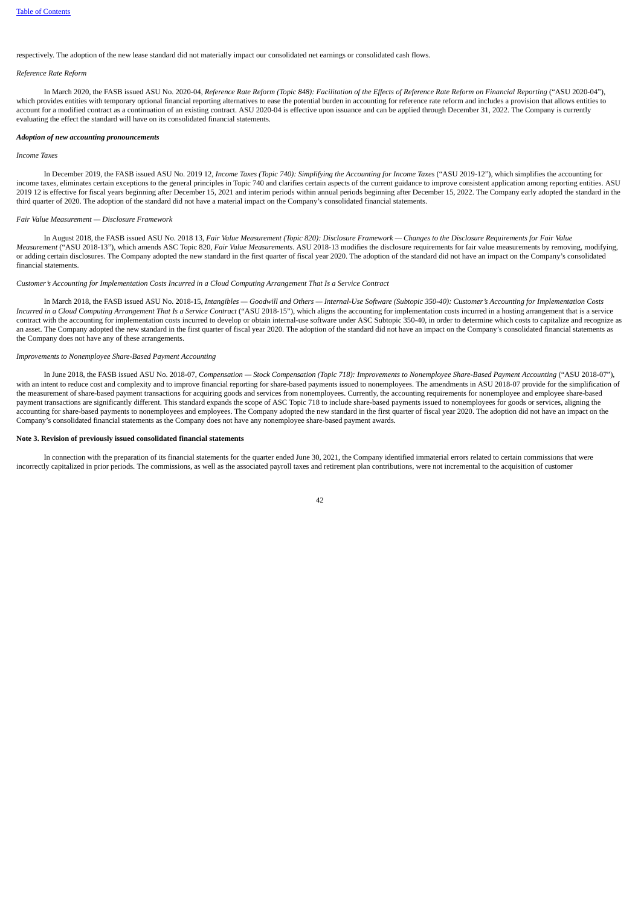respectively. The adoption of the new lease standard did not materially impact our consolidated net earnings or consolidated cash flows.

#### *Reference Rate Reform*

In March 2020, the FASB issued ASU No. 2020-04, Reference Rate Reform (Topic 848): Facilitation of the Effects of Reference Rate Reform on Financial Reporting ("ASU 2020-04"), which provides entities with temporary optional financial reporting alternatives to ease the potential burden in accounting for reference rate reform and includes a provision that allows entities to account for a modified contract as a continuation of an existing contract. ASU 2020-04 is effective upon issuance and can be applied through December 31, 2022. The Company is currently evaluating the effect the standard will have on its consolidated financial statements.

### *Adoption of new accounting pronouncements*

#### *Income Taxes*

In December 2019, the FASB issued ASU No. 2019 12, Income Taxes (Topic 740): Simplifying the Accounting for Income Taxes ("ASU 2019-12"), which simplifies the accounting for income taxes, eliminates certain exceptions to the general principles in Topic 740 and clarifies certain aspects of the current guidance to improve consistent application among reporting entities. ASU 2019 12 is effective for fiscal years beginning after December 15, 2021 and interim periods within annual periods beginning after December 15, 2022. The Company early adopted the standard in the third quarter of 2020. The adoption of the standard did not have a material impact on the Company's consolidated financial statements.

#### *Fair Value Measurement — Disclosure Framework*

In August 2018, the FASB issued ASU No. 2018 13, Fair Value Measurement (Topic 820): Disclosure Framework - Changes to the Disclosure Requirements for Fair Value *Measurement* ("ASU 2018-13"), which amends ASC Topic 820, *Fair Value Measurements*. ASU 2018-13 modifies the disclosure requirements for fair value measurements by removing, modifying, or adding certain disclosures. The Company adopted the new standard in the first quarter of fiscal year 2020. The adoption of the standard did not have an impact on the Company's consolidated financial statements.

#### Customer's Accounting for Implementation Costs Incurred in a Cloud Computing Arrangement That Is a Service Contract

In March 2018, the FASB issued ASU No. 2018-15, Intangibles - Goodwill and Others - Internal-Use Software (Subtopic 350-40): Customer's Accounting for Implementation Costs Incurred in a Cloud Computing Arrangement That Is a Service Contract ("ASU 2018-15"), which aligns the accounting for implementation costs incurred in a hosting arrangement that is a service contract with the accounting for implementation costs incurred to develop or obtain internal-use software under ASC Subtopic 350-40, in order to determine which costs to capitalize and recognize as an asset. The Company adopted the new standard in the first quarter of fiscal year 2020. The adoption of the standard did not have an impact on the Company's consolidated financial statements as the Company does not have any of these arrangements.

#### *Improvements to Nonemployee Share-Based Payment Accounting*

In June 2018, the FASB issued ASU No. 2018-07, Compensation -- Stock Compensation (Topic 718): Improvements to Nonemployee Share-Based Payment Accounting ("ASU 2018-07"), with an intent to reduce cost and complexity and to improve financial reporting for share-based payments issued to nonemployees. The amendments in ASU 2018-07 provide for the simplification of the measurement of share-based payment transactions for acquiring goods and services from nonemployees. Currently, the accounting requirements for nonemployee and employee share-based payment transactions are significantly different. This standard expands the scope of ASC Topic 718 to include share-based payments issued to nonemployees for goods or services, aligning the accounting for share-based payments to nonemployees and employees. The Company adopted the new standard in the first quarter of fiscal year 2020. The adoption did not have an impact on the Company's consolidated financial statements as the Company does not have any nonemployee share-based payment awards.

#### **Note 3. Revision of previously issued consolidated financial statements**

In connection with the preparation of its financial statements for the quarter ended June 30, 2021, the Company identified immaterial errors related to certain commissions that were incorrectly capitalized in prior periods. The commissions, as well as the associated payroll taxes and retirement plan contributions, were not incremental to the acquisition of customer

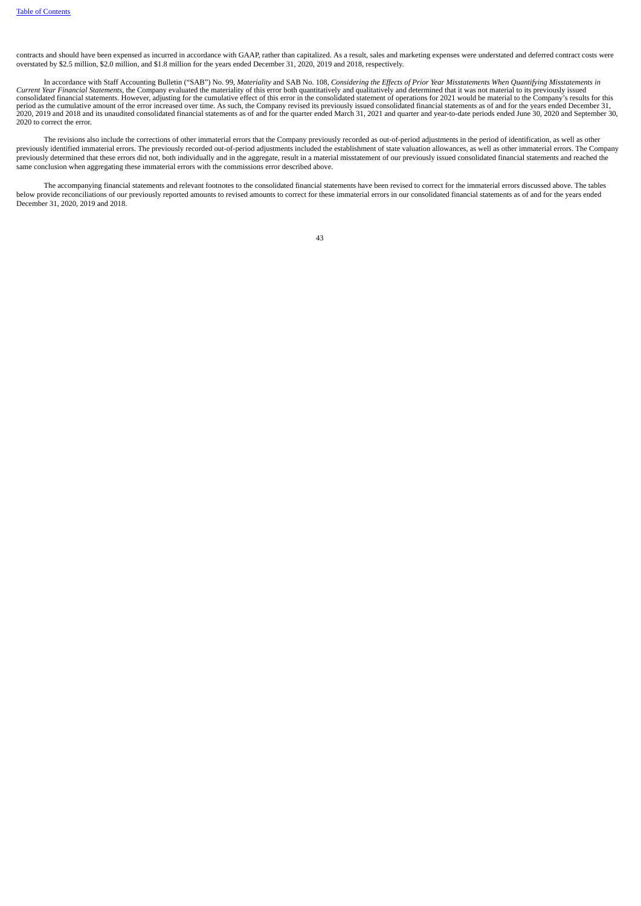contracts and should have been expensed as incurred in accordance with GAAP, rather than capitalized. As a result, sales and marketing expenses were understated and deferred contract costs were overstated by \$2.5 million, \$2.0 million, and \$1.8 million for the years ended December 31, 2020, 2019 and 2018, respectively.

In accordance with Staff Accounting Bulletin ("SAB") No. 99, Materiality and SAB No. 108, Considering the Effects of Prior Year Misstatements When Quantifying Misstatements in Current Year Financial Statements, the Company evaluated the materiality of this error both quanitatively and qualitatively and determined that it was not material to its previously issued financial statements. However, ad 2020 to correct the error.

The revisions also include the corrections of other immaterial errors that the Company previously recorded as out-of-period adjustments in the period of identification, as well as other previously identified immaterial errors. The previously recorded out-of-period adjustments included the establishment of state valuation allowances, as well as other immaterial errors. The Company previously determined that these errors did not, both individually and in the aggregate, result in a material misstatement of our previously issued consolidated financial statements and reached the previously issued consol same conclusion when aggregating these immaterial errors with the commissions error described above.

The accompanying financial statements and relevant footnotes to the consolidated financial statements have been revised to correct for the immaterial errors discussed above. The tables below provide reconciliations of our previously reported amounts to revised amounts to correct for these immaterial errors in our consolidated financial statements as of and for the years ended December 31, 2020, 2019 and 2018.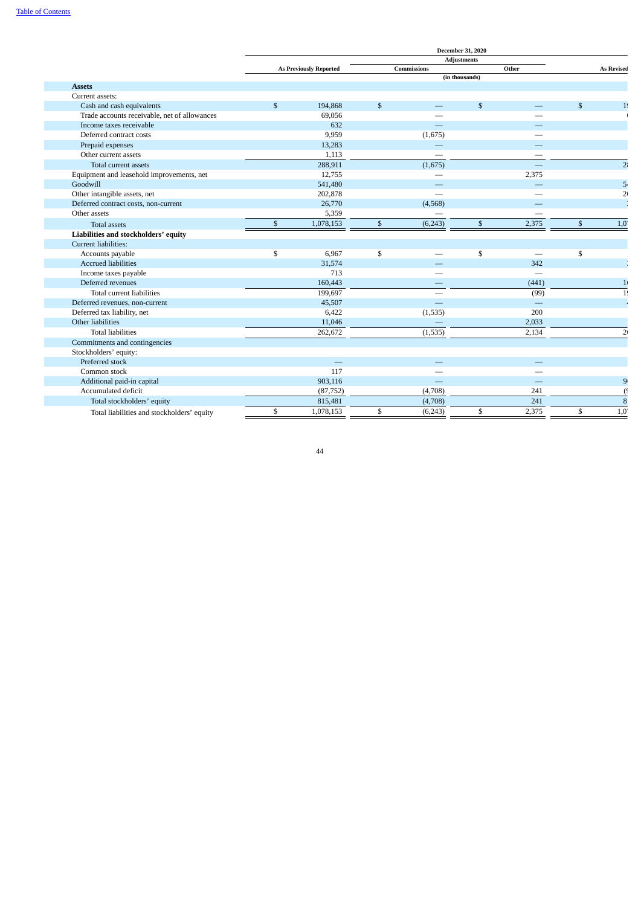|                                              |              |                               |              |                          | <b>December 31, 2020</b> |       |                   |
|----------------------------------------------|--------------|-------------------------------|--------------|--------------------------|--------------------------|-------|-------------------|
|                                              |              | <b>As Previously Reported</b> |              | <b>Commissions</b>       | <b>Adjustments</b>       | Other | <b>As Revised</b> |
|                                              |              |                               |              |                          | (in thousands)           |       |                   |
| <b>Assets</b>                                |              |                               |              |                          |                          |       |                   |
| Current assets:                              |              |                               |              |                          |                          |       |                   |
| Cash and cash equivalents                    | $\mathbb{S}$ | 194,868                       | $\mathbb{S}$ | $\qquad \qquad -$        | $\mathbb{S}$             |       | \$<br>1!          |
| Trade accounts receivable, net of allowances |              | 69,056                        |              |                          |                          |       |                   |
| Income taxes receivable                      |              | 632                           |              |                          |                          |       |                   |
| Deferred contract costs                      |              | 9,959                         |              | (1,675)                  |                          |       |                   |
| Prepaid expenses                             |              | 13,283                        |              |                          |                          |       |                   |
| Other current assets                         |              | 1,113                         |              |                          |                          |       |                   |
| Total current assets                         |              | 288,911                       |              | (1,675)                  |                          |       | 2 <sub>i</sub>    |
| Equipment and leasehold improvements, net    |              | 12,755                        |              |                          |                          | 2,375 |                   |
| Goodwill                                     |              | 541,480                       |              |                          |                          |       | 5.                |
| Other intangible assets, net                 |              | 202,878                       |              |                          |                          |       | 2 <sub>1</sub>    |
| Deferred contract costs, non-current         |              | 26,770                        |              | (4,568)                  |                          |       |                   |
| Other assets                                 |              | 5,359                         |              |                          |                          |       |                   |
| <b>Total assets</b>                          | $\mathbb{S}$ | 1,078,153                     | \$           | (6, 243)                 | \$                       | 2,375 | \$<br>1,0         |
| Liabilities and stockholders' equity         |              |                               |              |                          |                          |       |                   |
| Current liabilities:                         |              |                               |              |                          |                          |       |                   |
| Accounts payable                             | \$           | 6,967                         | \$           |                          | \$                       |       | \$                |
| <b>Accrued liabilities</b>                   |              | 31,574                        |              |                          |                          | 342   |                   |
| Income taxes payable                         |              | 713                           |              |                          |                          |       |                   |
| Deferred revenues                            |              | 160,443                       |              |                          |                          | (441) | $\mathbf{1}$      |
| Total current liabilities                    |              | 199.697                       |              |                          |                          | (99)  | 1!                |
| Deferred revenues, non-current               |              | 45,507                        |              | $\overline{\phantom{0}}$ |                          |       |                   |
| Deferred tax liability, net                  |              | 6,422                         |              | (1,535)                  |                          | 200   |                   |
| Other liabilities                            |              | 11,046                        |              |                          |                          | 2,033 |                   |
| <b>Total liabilities</b>                     |              | 262,672                       |              | (1,535)                  |                          | 2,134 | 2 <sub>0</sub>    |
| Commitments and contingencies                |              |                               |              |                          |                          |       |                   |
| Stockholders' equity:                        |              |                               |              |                          |                          |       |                   |
| Preferred stock                              |              |                               |              |                          |                          |       |                   |
| Common stock                                 |              | 117                           |              |                          |                          |       |                   |
| Additional paid-in capital                   |              | 903,116                       |              |                          |                          |       | 9 <sub>1</sub>    |
| Accumulated deficit                          |              | (87,752)                      |              | (4,708)                  |                          | 241   | (                 |
| Total stockholders' equity                   |              | 815,481                       |              | (4,708)                  |                          | 241   | 8                 |
| Total liabilities and stockholders' equity   | \$           | 1,078,153                     | \$           | (6, 243)                 | \$                       | 2,375 | \$<br>1,0'        |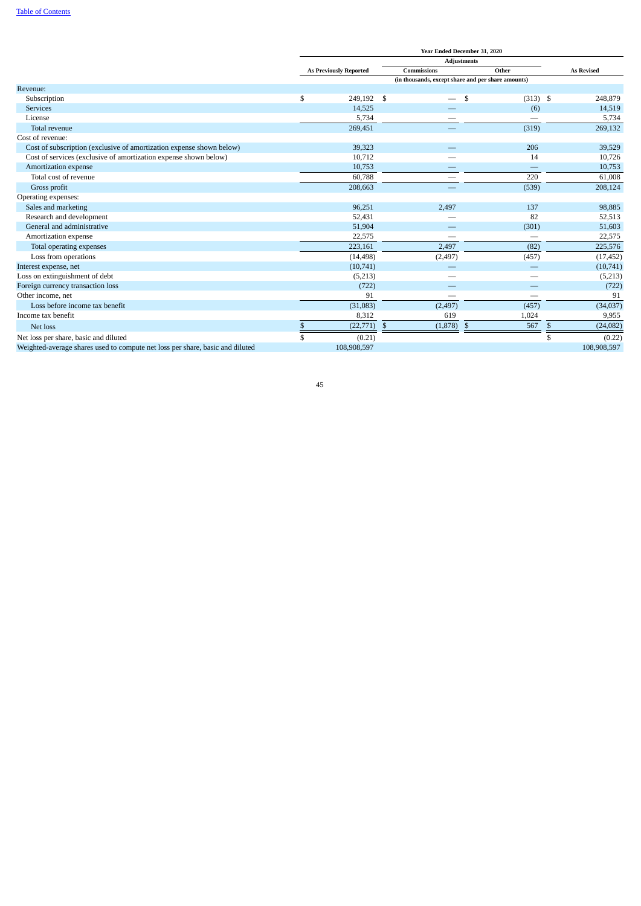|                                                                               |                               |                           | Year Ended December 31, 2020                       |                |                   |
|-------------------------------------------------------------------------------|-------------------------------|---------------------------|----------------------------------------------------|----------------|-------------------|
|                                                                               |                               |                           | <b>Adjustments</b>                                 |                |                   |
|                                                                               | <b>As Previously Reported</b> | <b>Commissions</b>        | Other                                              |                | <b>As Revised</b> |
|                                                                               |                               |                           | (in thousands, except share and per share amounts) |                |                   |
| Revenue:                                                                      |                               |                           |                                                    |                |                   |
| Subscription                                                                  | \$<br>249,192 \$              |                           | \$<br>$(313)$ \$                                   |                | 248,879           |
| <b>Services</b>                                                               | 14,525                        |                           | (6)                                                |                | 14,519            |
| License                                                                       | 5,734                         |                           |                                                    |                | 5,734             |
| Total revenue                                                                 | 269,451                       |                           | (319)                                              |                | 269,132           |
| Cost of revenue:                                                              |                               |                           |                                                    |                |                   |
| Cost of subscription (exclusive of amortization expense shown below)          | 39,323                        |                           | 206                                                |                | 39,529            |
| Cost of services (exclusive of amortization expense shown below)              | 10,712                        |                           | 14                                                 |                | 10,726            |
| Amortization expense                                                          | 10,753                        |                           |                                                    |                | 10,753            |
| Total cost of revenue                                                         | 60,788                        |                           | 220                                                |                | 61,008            |
| Gross profit                                                                  | 208,663                       |                           | (539)                                              |                | 208,124           |
| Operating expenses:                                                           |                               |                           |                                                    |                |                   |
| Sales and marketing                                                           | 96,251                        | 2,497                     | 137                                                |                | 98,885            |
| Research and development                                                      | 52,431                        |                           | 82                                                 |                | 52,513            |
| General and administrative                                                    | 51,904                        |                           | (301)                                              |                | 51,603            |
| Amortization expense                                                          | 22,575                        |                           |                                                    |                | 22,575            |
| Total operating expenses                                                      | 223,161                       | 2,497                     | (82)                                               |                | 225,576           |
| Loss from operations                                                          | (14, 498)                     | (2, 497)                  | (457)                                              |                | (17, 452)         |
| Interest expense, net                                                         | (10,741)                      |                           |                                                    |                | (10,741)          |
| Loss on extinguishment of debt                                                | (5,213)                       |                           |                                                    |                | (5,213)           |
| Foreign currency transaction loss                                             | (722)                         |                           |                                                    |                | (722)             |
| Other income, net                                                             | 91                            |                           |                                                    |                | 91                |
| Loss before income tax benefit                                                | (31,083)                      | (2, 497)                  | (457)                                              |                | (34,037)          |
| Income tax benefit                                                            | 8,312                         | 619                       | 1,024                                              |                | 9,955             |
| Net loss                                                                      | (22, 771)                     | (1,878)<br>$\mathfrak{S}$ | $\mathfrak{S}$<br>567                              | $\mathfrak{s}$ | (24, 082)         |
| Net loss per share, basic and diluted                                         | (0.21)                        |                           |                                                    | \$             | (0.22)            |
| Weighted-average shares used to compute net loss per share, basic and diluted | 108.908.597                   |                           |                                                    |                | 108,908,597       |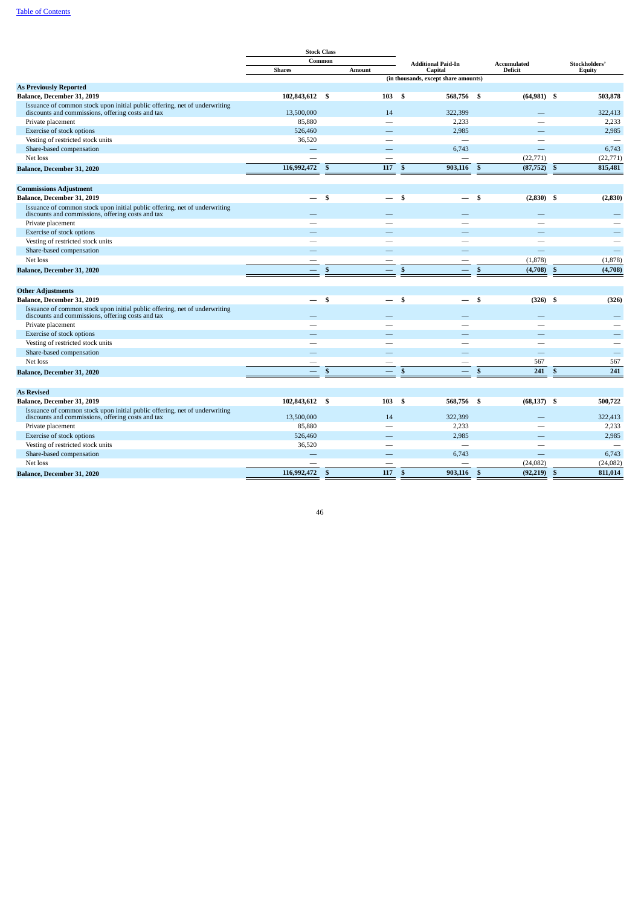|                                                                                                                                 | <b>Stock Class</b>       |     |                          |              |                                      |              |                |              |               |
|---------------------------------------------------------------------------------------------------------------------------------|--------------------------|-----|--------------------------|--------------|--------------------------------------|--------------|----------------|--------------|---------------|
|                                                                                                                                 | Common                   |     |                          |              | <b>Additional Paid-In</b>            |              | Accumulated    |              | Stockholders' |
|                                                                                                                                 | <b>Shares</b>            |     | Amount                   |              | Capital                              |              | Deficit        |              | Equity        |
|                                                                                                                                 |                          |     |                          |              | (in thousands, except share amounts) |              |                |              |               |
| <b>As Previously Reported</b>                                                                                                   |                          |     |                          |              |                                      |              |                |              |               |
| Balance, December 31, 2019                                                                                                      | 102,843,612 \$           |     | 103                      | - \$         | 568,756                              | - \$         | $(64,981)$ \$  |              | 503,878       |
| Issuance of common stock upon initial public offering, net of underwriting<br>discounts and commissions, offering costs and tax | 13,500,000               |     | 14                       |              | 322,399                              |              |                |              | 322,413       |
| Private placement                                                                                                               | 85,880                   |     |                          |              | 2,233                                |              |                |              | 2,233         |
| Exercise of stock options                                                                                                       | 526,460                  |     |                          |              | 2,985                                |              |                |              | 2,985         |
| Vesting of restricted stock units                                                                                               | 36,520                   |     | -                        |              |                                      |              |                |              |               |
| Share-based compensation                                                                                                        |                          |     |                          |              | 6,743                                |              |                |              | 6,743         |
| Net loss                                                                                                                        | $\overline{\phantom{a}}$ |     |                          |              |                                      |              | (22, 771)      |              | (22, 771)     |
| Balance, December 31, 2020                                                                                                      | 116,992,472              | -\$ | 117                      | -\$          | 903,116                              | \$           | (87, 752)      | -\$          | 815,481       |
|                                                                                                                                 |                          |     |                          |              |                                      |              |                |              |               |
| <b>Commissions Adjustment</b><br>Balance, December 31, 2019                                                                     |                          | \$  |                          | \$           |                                      | -\$          | $(2,830)$ \$   |              |               |
| Issuance of common stock upon initial public offering, net of underwriting                                                      | —                        |     | —                        |              | —                                    |              |                |              | (2, 830)      |
| discounts and commissions, offering costs and tax<br>Private placement                                                          |                          |     |                          |              |                                      |              |                |              |               |
| Exercise of stock options                                                                                                       |                          |     |                          |              |                                      |              |                |              |               |
|                                                                                                                                 |                          |     |                          |              |                                      |              |                |              |               |
| Vesting of restricted stock units<br>Share-based compensation                                                                   |                          |     |                          |              |                                      |              |                |              |               |
| Net loss                                                                                                                        |                          |     |                          |              |                                      |              | (1,878)        |              | (1,878)       |
|                                                                                                                                 |                          |     |                          |              |                                      |              |                |              |               |
| Balance, December 31, 2020                                                                                                      |                          | \$  | _                        | Ŝ.           |                                      | \$           | (4,708)        | \$           | (4,708)       |
| <b>Other Adjustments</b>                                                                                                        |                          |     |                          |              |                                      |              |                |              |               |
| Balance, December 31, 2019                                                                                                      |                          | \$  | ▃                        | -S           | $\overline{\phantom{0}}$             | -S           | (326)          | - \$         | (326)         |
| Issuance of common stock upon initial public offering, net of underwriting<br>discounts and commissions, offering costs and tax |                          |     |                          |              |                                      |              |                |              |               |
| Private placement                                                                                                               |                          |     |                          |              |                                      |              |                |              |               |
| Exercise of stock options                                                                                                       |                          |     |                          |              |                                      |              |                |              |               |
| Vesting of restricted stock units                                                                                               |                          |     |                          |              |                                      |              | -              |              |               |
| Share-based compensation                                                                                                        |                          |     |                          |              |                                      |              | ۳              |              |               |
| Net loss                                                                                                                        |                          |     |                          |              |                                      |              | 567            |              | 567           |
| Balance, December 31, 2020                                                                                                      | $\overline{\phantom{0}}$ | \$  | $\overline{\phantom{0}}$ | Ŝ.           |                                      | \$           | 241            | -\$          | 241           |
|                                                                                                                                 |                          |     |                          |              |                                      |              |                |              |               |
| <b>As Revised</b>                                                                                                               |                          |     |                          |              |                                      |              |                |              |               |
| Balance, December 31, 2019                                                                                                      | 102,843,612 \$           |     | 103                      | - \$         | 568,756 \$                           |              | $(68, 137)$ \$ |              | 500,722       |
| Issuance of common stock upon initial public offering, net of underwriting<br>discounts and commissions, offering costs and tax | 13,500,000               |     | 14                       |              | 322,399                              |              |                |              | 322,413       |
| Private placement                                                                                                               | 85,880                   |     |                          |              | 2,233                                |              |                |              | 2,233         |
| Exercise of stock options                                                                                                       | 526,460                  |     |                          |              | 2,985                                |              |                |              | 2,985         |
| Vesting of restricted stock units                                                                                               | 36,520                   |     | -                        |              |                                      |              | -              |              |               |
| Share-based compensation                                                                                                        |                          |     |                          |              | 6,743                                |              |                |              | 6,743         |
| Net loss                                                                                                                        |                          |     |                          |              |                                      |              | (24, 082)      |              | (24, 082)     |
| Balance, December 31, 2020                                                                                                      | 116,992,472              | \$  | 117                      | $\mathbf{s}$ | 903,116                              | $\mathbf{s}$ | (92, 219)      | $\mathbf{s}$ | 811,014       |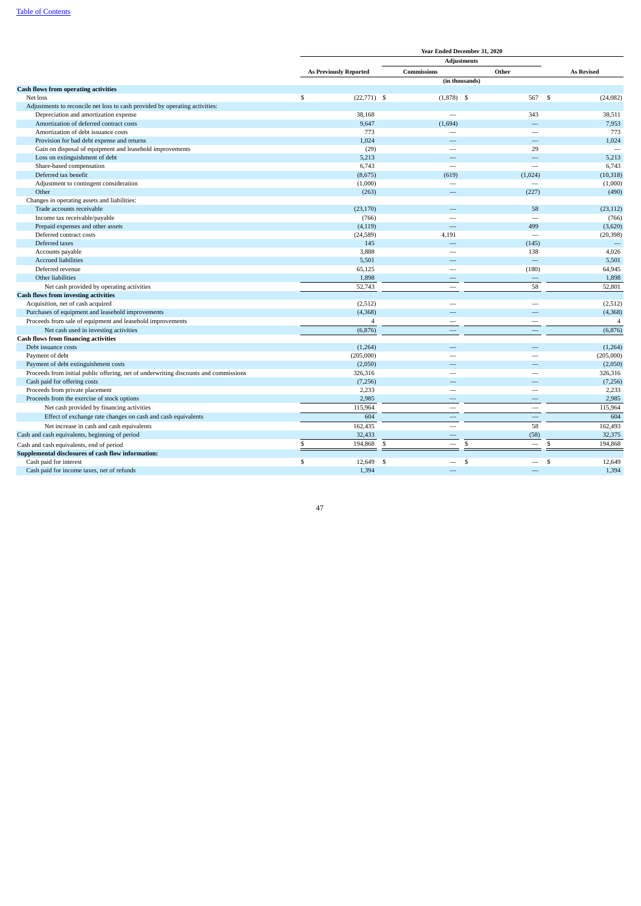|                                                                                      |    |                               |    | Year Ended December 31, 2020              |                          |                          |          |
|--------------------------------------------------------------------------------------|----|-------------------------------|----|-------------------------------------------|--------------------------|--------------------------|----------|
|                                                                                      |    |                               |    | <b>Adjustments</b>                        |                          |                          |          |
|                                                                                      |    | <b>As Previously Reported</b> |    | <b>Commissions</b>                        | Other                    | <b>As Revised</b>        |          |
|                                                                                      |    |                               |    | (in thousands)                            |                          |                          |          |
| <b>Cash flows from operating activities</b>                                          |    |                               |    |                                           |                          |                          |          |
| Net loss                                                                             | \$ | $(22,771)$ \$                 |    | $(1,878)$ \$                              | 567                      | (24,082)<br>-\$          |          |
| Adjustments to reconcile net loss to cash provided by operating activities:          |    |                               |    |                                           |                          |                          |          |
| Depreciation and amortization expense                                                |    | 38,168                        |    | $\overline{\phantom{a}}$                  | 343                      | 38,511                   |          |
| Amortization of deferred contract costs                                              |    | 9,647                         |    | (1,694)                                   |                          | 7,953                    |          |
| Amortization of debt issuance costs                                                  |    | 773                           |    |                                           |                          | 773                      |          |
| Provision for bad debt expense and returns                                           |    | 1,024                         |    |                                           |                          | 1,024                    |          |
| Gain on disposal of equipment and leasehold improvements                             |    | (29)                          |    |                                           | 29                       | $\overline{\phantom{0}}$ |          |
| Loss on extinguishment of debt                                                       |    | 5,213                         |    |                                           |                          | 5,213                    |          |
| Share-based compensation                                                             |    | 6,743                         |    | -                                         | $\sim$                   | 6,743                    |          |
| Deferred tax benefit                                                                 |    | (8,675)                       |    | (619)                                     | (1,024)                  | (10, 318)                |          |
| Adjustment to contingent consideration                                               |    | (1,000)                       |    | $\overline{\phantom{m}}$                  | $\overline{\phantom{a}}$ | (1,000)                  |          |
| Other                                                                                |    | (263)                         |    | -                                         | (227)                    | (490)                    |          |
| Changes in operating assets and liabilities:                                         |    |                               |    |                                           |                          |                          |          |
| Trade accounts receivable                                                            |    | (23, 170)                     |    |                                           | 58                       | (23, 112)                |          |
| Income tax receivable/payable                                                        |    | (766)                         |    |                                           |                          | (766)                    |          |
| Prepaid expenses and other assets                                                    |    | (4, 119)                      |    |                                           | 499                      | (3,620)                  |          |
| Deferred contract costs                                                              |    | (24, 589)                     |    | 4,191                                     | $\sim$                   | (20, 398)                |          |
| Deferred taxes                                                                       |    | 145                           |    |                                           | (145)                    |                          |          |
| Accounts payable                                                                     |    | 3,888                         |    |                                           | 138                      | 4,026                    |          |
| Accrued liabilities                                                                  |    | 5,501                         |    |                                           |                          | 5,501                    |          |
| Deferred revenue                                                                     |    | 65,125                        |    |                                           | (180)                    | 64,945                   |          |
| Other liabilities                                                                    |    | 1,898                         |    | $\overline{\phantom{m}}$                  |                          | 1,898                    |          |
| Net cash provided by operating activities                                            |    | 52,743                        |    | -                                         | 58                       | 52,801                   |          |
| <b>Cash flows from investing activities</b>                                          |    |                               |    |                                           |                          |                          |          |
| Acquisition, net of cash acquired                                                    |    | (2,512)                       |    |                                           |                          | (2,512)                  |          |
| Purchases of equipment and leasehold improvements                                    |    | (4,368)                       |    | -                                         |                          | (4,368)                  |          |
| Proceeds from sale of equipment and leasehold improvements                           |    | $\overline{4}$                |    |                                           |                          |                          | $\Delta$ |
| Net cash used in investing activities                                                |    | (6, 876)                      |    |                                           |                          | (6, 876)                 |          |
| <b>Cash flows from financing activities</b>                                          |    |                               |    |                                           |                          |                          |          |
| Debt issuance costs                                                                  |    | (1,264)                       |    |                                           |                          | (1,264)                  |          |
| Payment of debt                                                                      |    | (205,000)                     |    |                                           |                          | (205,000)                |          |
| Payment of debt extinguishment costs                                                 |    | (2,050)                       |    |                                           |                          | (2,050)                  |          |
| Proceeds from initial public offering, net of underwriting discounts and commissions |    | 326,316                       |    |                                           |                          | 326,316                  |          |
|                                                                                      |    | (7,256)                       |    |                                           |                          | (7,256)                  |          |
| Cash paid for offering costs                                                         |    | 2,233                         |    |                                           |                          | 2,233                    |          |
| Proceeds from private placement                                                      |    |                               |    | -                                         |                          |                          |          |
| Proceeds from the exercise of stock options                                          |    | 2,985                         |    | $\overline{\phantom{0}}$                  |                          | 2,985                    |          |
| Net cash provided by financing activities                                            |    | 115,964                       |    |                                           |                          | 115,964                  |          |
| Effect of exchange rate changes on cash and cash equivalents                         |    | 604                           |    |                                           |                          | 604                      |          |
| Net increase in cash and cash equivalents                                            |    | 162,435                       |    | $\overline{\phantom{0}}$                  | 58                       | 162,493                  |          |
| Cash and cash equivalents, beginning of period                                       |    | 32,433                        |    |                                           | (58)                     | 32,375                   |          |
| Cash and cash equivalents, end of period                                             | S  | 194,868                       | \$ | S<br>-                                    |                          | 194,868<br>\$            |          |
| Supplemental disclosures of cash flow information:                                   |    |                               |    |                                           |                          |                          |          |
| Cash paid for interest                                                               | \$ | 12,649                        | -S | <sup>\$</sup><br>$\overline{\phantom{0}}$ |                          | $\mathbb{S}$<br>12,649   |          |
| Cash paid for income taxes, net of refunds                                           |    | 1,394                         |    |                                           |                          | 1,394                    |          |
|                                                                                      |    |                               |    |                                           |                          |                          |          |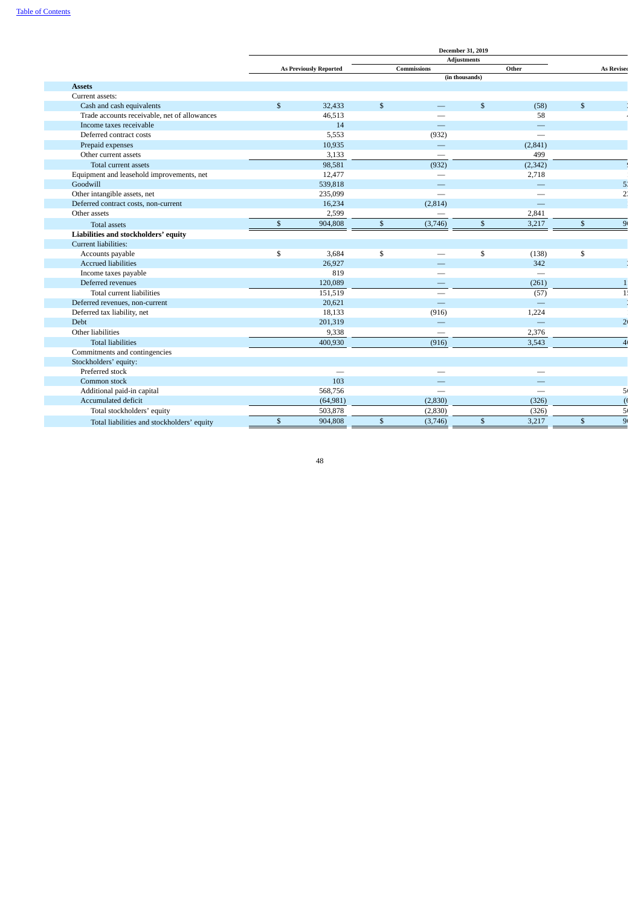|                                              |              |                               |              |                          | <b>December 31, 2019</b><br><b>Adjustments</b> |          |              |                   |
|----------------------------------------------|--------------|-------------------------------|--------------|--------------------------|------------------------------------------------|----------|--------------|-------------------|
|                                              |              | <b>As Previously Reported</b> |              | Commissions              |                                                | Other    |              | <b>As Revised</b> |
|                                              |              |                               |              |                          | (in thousands)                                 |          |              |                   |
| <b>Assets</b>                                |              |                               |              |                          |                                                |          |              |                   |
| Current assets:                              |              |                               |              |                          |                                                |          |              |                   |
| Cash and cash equivalents                    | $\mathbb{S}$ | 32,433                        | $\mathbb{S}$ |                          | $\mathbb{S}$                                   | (58)     | \$           |                   |
| Trade accounts receivable, net of allowances |              | 46,513                        |              |                          |                                                | 58       |              |                   |
| Income taxes receivable                      |              | 14                            |              |                          |                                                |          |              |                   |
| Deferred contract costs                      |              | 5,553                         |              | (932)                    |                                                |          |              |                   |
| Prepaid expenses                             |              | 10,935                        |              |                          |                                                | (2, 841) |              |                   |
| Other current assets                         |              | 3,133                         |              |                          |                                                | 499      |              |                   |
| Total current assets                         |              | 98,581                        |              | (932)                    |                                                | (2, 342) |              |                   |
| Equipment and leasehold improvements, net    |              | 12.477                        |              |                          |                                                | 2,718    |              |                   |
| Goodwill                                     |              | 539,818                       |              |                          |                                                |          |              | 5.                |
| Other intangible assets, net                 |              | 235,099                       |              |                          |                                                |          |              | 2 <sup>′</sup>    |
| Deferred contract costs, non-current         |              | 16,234                        |              | (2,814)                  |                                                |          |              |                   |
| Other assets                                 |              | 2,599                         |              | $\overline{\phantom{0}}$ |                                                | 2,841    |              |                   |
| <b>Total assets</b>                          | $\mathbb{S}$ | 904,808                       | $\mathbb{S}$ | (3,746)                  | $\mathcal{S}$                                  | 3,217    | $\mathbf{s}$ | 9                 |
| Liabilities and stockholders' equity         |              |                               |              |                          |                                                |          |              |                   |
| Current liabilities:                         |              |                               |              |                          |                                                |          |              |                   |
| Accounts payable                             | \$           | 3,684                         | \$           |                          | \$                                             | (138)    | \$           |                   |
| <b>Accrued liabilities</b>                   |              | 26,927                        |              |                          |                                                | 342      |              |                   |
| Income taxes payable                         |              | 819                           |              |                          |                                                |          |              |                   |
| Deferred revenues                            |              | 120,089                       |              |                          |                                                | (261)    |              | $\mathbf{1}$      |
| Total current liabilities                    |              | 151,519                       |              |                          |                                                | (57)     |              | 1!                |
| Deferred revenues, non-current               |              | 20,621                        |              |                          |                                                |          |              |                   |
| Deferred tax liability, net                  |              | 18,133                        |              | (916)                    |                                                | 1,224    |              |                   |
| Debt                                         |              | 201,319                       |              |                          |                                                |          |              | 2 <sub>0</sub>    |
| Other liabilities                            |              | 9,338                         |              |                          |                                                | 2,376    |              |                   |
| <b>Total liabilities</b>                     |              | 400,930                       |              | (916)                    |                                                | 3,543    |              | 4(                |
| Commitments and contingencies                |              |                               |              |                          |                                                |          |              |                   |
| Stockholders' equity:                        |              |                               |              |                          |                                                |          |              |                   |
| Preferred stock                              |              |                               |              |                          |                                                |          |              |                   |
| Common stock                                 |              | 103                           |              |                          |                                                |          |              |                   |
| Additional paid-in capital                   |              | 568,756                       |              |                          |                                                |          |              | 5                 |
| Accumulated deficit                          |              | (64,981)                      |              | (2,830)                  |                                                | (326)    |              | (6)               |
| Total stockholders' equity                   |              | 503,878                       |              | (2,830)                  |                                                | (326)    |              | 5(                |
| Total liabilities and stockholders' equity   | $\mathbb{S}$ | 904,808                       | \$           | (3,746)                  | $\mathbb{S}$                                   | 3,217    | \$           | $\overline{9}$    |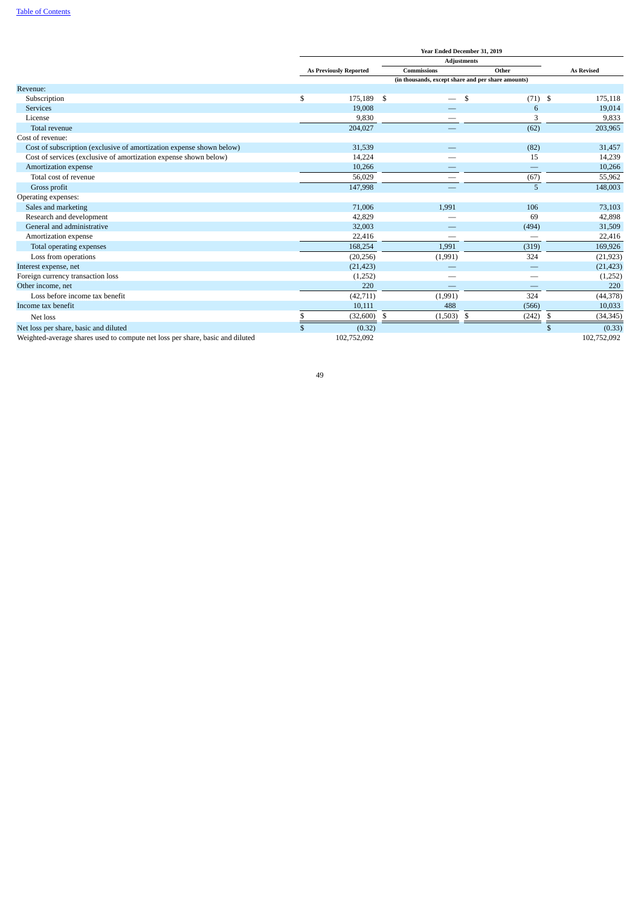|                                                                               |     | Year Ended December 31, 2019  |                    |                                                    |      |                   |  |  |
|-------------------------------------------------------------------------------|-----|-------------------------------|--------------------|----------------------------------------------------|------|-------------------|--|--|
|                                                                               |     |                               |                    | <b>Adjustments</b>                                 |      |                   |  |  |
|                                                                               |     | <b>As Previously Reported</b> | <b>Commissions</b> | Other                                              |      | <b>As Revised</b> |  |  |
|                                                                               |     |                               |                    | (in thousands, except share and per share amounts) |      |                   |  |  |
| Revenue:                                                                      |     |                               |                    |                                                    |      |                   |  |  |
| Subscription                                                                  | \$  | 175,189                       | -\$                | \$<br>(71)                                         | - \$ | 175,118           |  |  |
| <b>Services</b>                                                               |     | 19.008                        |                    | 6                                                  |      | 19,014            |  |  |
| License                                                                       |     | 9,830                         |                    | 3                                                  |      | 9,833             |  |  |
| Total revenue                                                                 |     | 204,027                       |                    | (62)                                               |      | 203,965           |  |  |
| Cost of revenue:                                                              |     |                               |                    |                                                    |      |                   |  |  |
| Cost of subscription (exclusive of amortization expense shown below)          |     | 31,539                        |                    | (82)                                               |      | 31,457            |  |  |
| Cost of services (exclusive of amortization expense shown below)              |     | 14,224                        |                    | 15                                                 |      | 14,239            |  |  |
| Amortization expense                                                          |     | 10,266                        |                    |                                                    |      | 10,266            |  |  |
| Total cost of revenue                                                         |     | 56,029                        |                    | (67)                                               |      | 55,962            |  |  |
| Gross profit                                                                  |     | 147,998                       |                    | 5                                                  |      | 148,003           |  |  |
| Operating expenses:                                                           |     |                               |                    |                                                    |      |                   |  |  |
| Sales and marketing                                                           |     | 71,006                        | 1,991              | 106                                                |      | 73,103            |  |  |
| Research and development                                                      |     | 42,829                        |                    | 69                                                 |      | 42,898            |  |  |
| General and administrative                                                    |     | 32,003                        |                    | (494)                                              |      | 31,509            |  |  |
| Amortization expense                                                          |     | 22,416                        |                    | $\qquad \qquad$                                    |      | 22,416            |  |  |
| Total operating expenses                                                      |     | 168,254                       | 1,991              | (319)                                              |      | 169,926           |  |  |
| Loss from operations                                                          |     | (20, 256)                     | (1,991)            | 324                                                |      | (21, 923)         |  |  |
| Interest expense, net                                                         |     | (21, 423)                     |                    |                                                    |      | (21, 423)         |  |  |
| Foreign currency transaction loss                                             |     | (1,252)                       |                    |                                                    |      | (1,252)           |  |  |
| Other income, net                                                             |     | 220                           |                    |                                                    |      | 220               |  |  |
| Loss before income tax benefit                                                |     | (42, 711)                     | (1,991)            | 324                                                |      | (44, 378)         |  |  |
| Income tax benefit                                                            |     | 10.111                        | 488                | (566)                                              |      | 10,033            |  |  |
| Net loss                                                                      | \$. | (32,600)                      | (1,503)<br>\$      | (242)<br>\$                                        | -S   | (34, 345)         |  |  |
| Net loss per share, basic and diluted                                         |     | (0.32)                        |                    |                                                    | \$   | (0.33)            |  |  |
| Weighted-average shares used to compute net loss per share, basic and diluted |     | 102,752,092                   |                    |                                                    |      | 102,752,092       |  |  |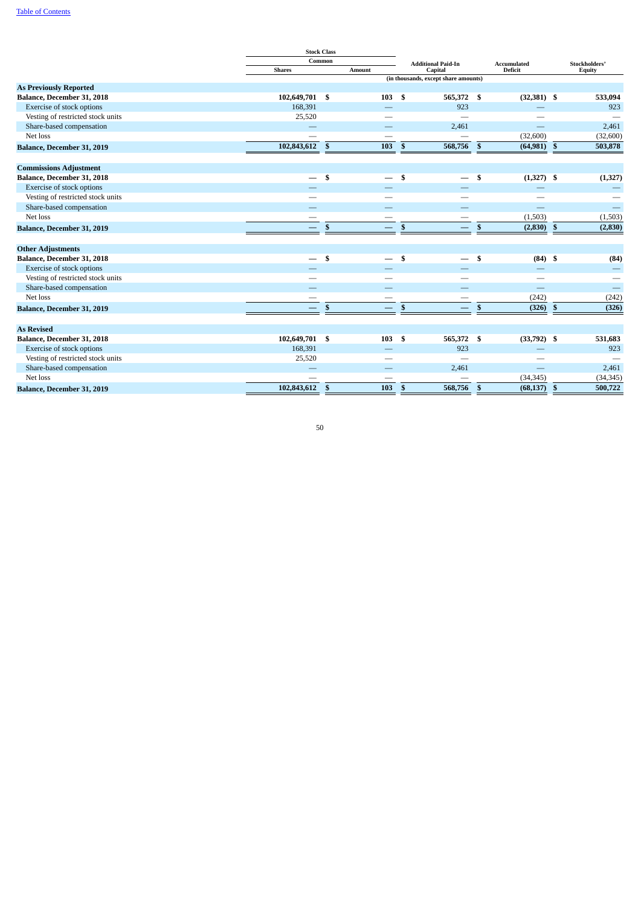# Table of [Contents](#page-5-0)

|                                   | <b>Stock Class</b>       |              |                                |              |                                                 |              |                    |               |
|-----------------------------------|--------------------------|--------------|--------------------------------|--------------|-------------------------------------------------|--------------|--------------------|---------------|
|                                   |                          | Common       |                                |              | <b>Additional Paid-In</b>                       |              | <b>Accumulated</b> | Stockholders' |
|                                   | <b>Shares</b>            |              | <b>Amount</b>                  |              | Capital<br>(in thousands, except share amounts) |              | Deficit            | Equity        |
| <b>As Previously Reported</b>     |                          |              |                                |              |                                                 |              |                    |               |
| Balance, December 31, 2018        | 102,649,701              | \$           | 103                            | \$           | 565,372 \$                                      |              | $(32,381)$ \$      | 533,094       |
| Exercise of stock options         | 168,391                  |              |                                |              | 923                                             |              |                    | 923           |
| Vesting of restricted stock units | 25,520                   |              |                                |              |                                                 |              |                    |               |
| Share-based compensation          |                          |              |                                |              | 2,461                                           |              |                    | 2,461         |
| Net loss                          |                          |              |                                |              |                                                 |              | (32,600)           | (32,600)      |
| Balance, December 31, 2019        | 102,843,612              | $\mathbf{s}$ | 103                            | $\mathbf{s}$ | 568,756                                         | $\mathbf{s}$ | $(64,981)$ \$      | 503,878       |
| <b>Commissions Adjustment</b>     |                          |              |                                |              |                                                 |              |                    |               |
| Balance, December 31, 2018        |                          | \$           |                                | \$           | $\overline{\phantom{0}}$                        | - \$         | $(1,327)$ \$       | (1, 327)      |
| Exercise of stock options         |                          |              |                                |              |                                                 |              |                    |               |
| Vesting of restricted stock units |                          |              |                                |              |                                                 |              |                    |               |
| Share-based compensation          |                          |              |                                |              |                                                 |              |                    |               |
| Net loss                          |                          |              |                                |              |                                                 |              | (1,503)            | (1,503)       |
| Balance, December 31, 2019        |                          | $\mathbf{s}$ |                                | $\mathbf{s}$ |                                                 | $\mathbf{s}$ | $(2,830)$ \$       | (2, 830)      |
| <b>Other Adjustments</b>          |                          |              |                                |              |                                                 |              |                    |               |
| Balance, December 31, 2018        |                          | \$           |                                | \$           |                                                 | \$           | $(84)$ \$          | (84)          |
| Exercise of stock options         |                          |              |                                |              |                                                 |              |                    |               |
| Vesting of restricted stock units |                          |              |                                |              |                                                 |              |                    |               |
| Share-based compensation          |                          |              |                                |              |                                                 |              |                    | $\equiv$      |
| Net loss                          |                          |              |                                |              |                                                 |              | (242)              | (242)         |
| Balance, December 31, 2019        | $\overline{\phantom{0}}$ | \$           | $\qquad \qquad \longleftarrow$ | $\mathbf{s}$ | —                                               | - \$         | $(326)$ \$         | (326)         |
| <b>As Revised</b>                 |                          |              |                                |              |                                                 |              |                    |               |
| Balance, December 31, 2018        | 102,649,701              | \$           | 103                            | \$           | 565,372 \$                                      |              | $(33,792)$ \$      | 531,683       |
| Exercise of stock options         | 168,391                  |              |                                |              | 923                                             |              |                    | 923           |
| Vesting of restricted stock units | 25,520                   |              |                                |              |                                                 |              |                    |               |
| Share-based compensation          |                          |              |                                |              | 2,461                                           |              |                    | 2,461         |
| Net loss                          |                          |              |                                |              |                                                 |              | (34, 345)          | (34, 345)     |
| Balance, December 31, 2019        | 102,843,612              | $\mathbf{s}$ | 103                            | $\mathbf{s}$ | 568,756                                         | \$           | $(68,137)$ \$      | 500,722       |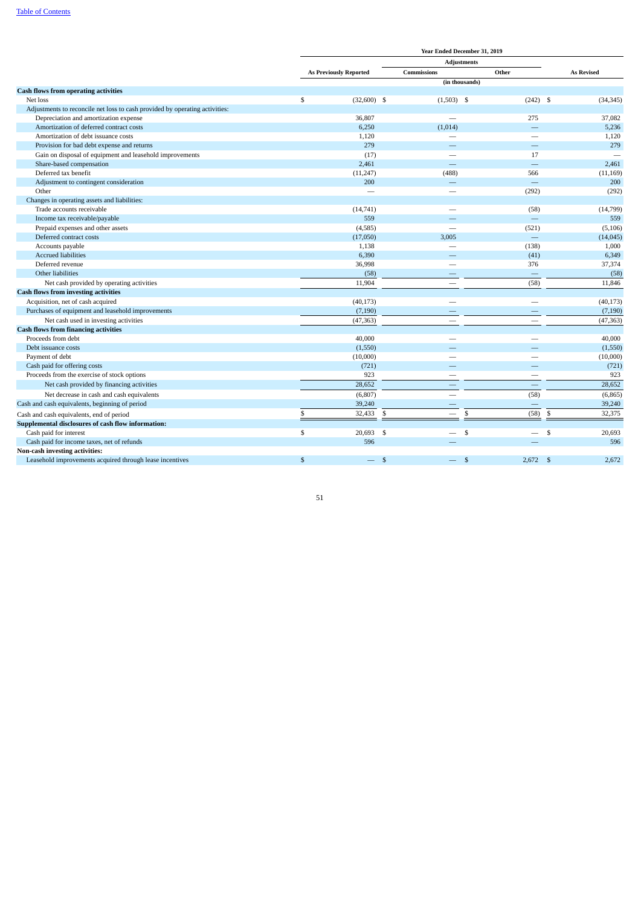|                                                                             |     | Year Ended December 31, 2019  |      |                          |    |            |    |                   |
|-----------------------------------------------------------------------------|-----|-------------------------------|------|--------------------------|----|------------|----|-------------------|
|                                                                             |     |                               |      | <b>Adjustments</b>       |    |            |    |                   |
|                                                                             |     | <b>As Previously Reported</b> |      | Commissions              |    | Other      |    | <b>As Revised</b> |
|                                                                             |     |                               |      | (in thousands)           |    |            |    |                   |
| <b>Cash flows from operating activities</b>                                 |     |                               |      |                          |    |            |    |                   |
| Net loss                                                                    | \$  | $(32,600)$ \$                 |      | $(1,503)$ \$             |    | $(242)$ \$ |    | (34, 345)         |
| Adjustments to reconcile net loss to cash provided by operating activities: |     |                               |      |                          |    |            |    |                   |
| Depreciation and amortization expense                                       |     | 36,807                        |      |                          |    | 275        |    | 37,082            |
| Amortization of deferred contract costs                                     |     | 6,250                         |      | (1,014)                  |    |            |    | 5,236             |
| Amortization of debt issuance costs                                         |     | 1,120                         |      |                          |    |            |    | 1,120             |
| Provision for bad debt expense and returns                                  |     | 279                           |      |                          |    |            |    | 279               |
| Gain on disposal of equipment and leasehold improvements                    |     | (17)                          |      |                          |    | 17         |    |                   |
| Share-based compensation                                                    |     | 2,461                         |      |                          |    |            |    | 2,461             |
| Deferred tax benefit                                                        |     | (11, 247)                     |      | (488)                    |    | 566        |    | (11, 169)         |
| Adjustment to contingent consideration                                      |     | 200                           |      |                          |    |            |    | 200               |
| Other                                                                       |     |                               |      |                          |    | (292)      |    | (292)             |
| Changes in operating assets and liabilities:                                |     |                               |      |                          |    |            |    |                   |
| Trade accounts receivable                                                   |     | (14,741)                      |      |                          |    | (58)       |    | (14,799)          |
| Income tax receivable/payable                                               |     | 559                           |      |                          |    |            |    | 559               |
| Prepaid expenses and other assets                                           |     | (4,585)                       |      |                          |    | (521)      |    | (5, 106)          |
| Deferred contract costs                                                     |     | (17,050)                      |      | 3,005                    |    |            |    | (14, 045)         |
| Accounts payable                                                            |     | 1,138                         |      |                          |    | (138)      |    | 1,000             |
| <b>Accrued liabilities</b>                                                  |     | 6,390                         |      |                          |    | (41)       |    | 6,349             |
| Deferred revenue                                                            |     | 36,998                        |      |                          |    | 376        |    | 37,374            |
| Other liabilities                                                           |     | (58)                          |      |                          |    |            |    | (58)              |
| Net cash provided by operating activities                                   |     | 11,904                        |      | $\overline{\phantom{0}}$ |    | (58)       |    | 11,846            |
| <b>Cash flows from investing activities</b>                                 |     |                               |      |                          |    |            |    |                   |
| Acquisition, net of cash acquired                                           |     | (40, 173)                     |      |                          |    |            |    | (40, 173)         |
| Purchases of equipment and leasehold improvements                           |     | (7, 190)                      |      |                          |    |            |    | (7, 190)          |
| Net cash used in investing activities                                       |     | (47, 363)                     |      |                          |    |            |    | (47, 363)         |
| <b>Cash flows from financing activities</b>                                 |     |                               |      |                          |    |            |    |                   |
| Proceeds from debt                                                          |     | 40,000                        |      |                          |    |            |    | 40,000            |
| Debt issuance costs                                                         |     | (1,550)                       |      |                          |    |            |    | (1,550)           |
| Payment of debt                                                             |     | (10,000)                      |      |                          |    |            |    | (10,000)          |
| Cash paid for offering costs                                                |     | (721)                         |      |                          |    |            |    | (721)             |
| Proceeds from the exercise of stock options                                 |     | 923                           |      |                          |    |            |    | 923               |
| Net cash provided by financing activities                                   |     | 28,652                        |      | -                        |    |            |    | 28,652            |
| Net decrease in cash and cash equivalents                                   |     | (6, 807)                      |      |                          |    | (58)       |    | (6, 865)          |
| Cash and cash equivalents, beginning of period                              |     | 39,240                        |      |                          |    |            |    | 39,240            |
| Cash and cash equivalents, end of period                                    | \$. | 32,433                        | \$   | $\overline{\phantom{m}}$ | \$ | (58)       | \$ | 32,375            |
| Supplemental disclosures of cash flow information:                          |     |                               |      |                          |    |            |    |                   |
| Cash paid for interest                                                      | \$  | 20,693                        | - \$ |                          | \$ |            | \$ | 20,693            |
| Cash paid for income taxes, net of refunds                                  |     | 596                           |      |                          |    |            |    | 596               |
| Non-cash investing activities:                                              |     |                               |      |                          |    |            |    |                   |
| Leasehold improvements acquired through lease incentives                    | \$  | $\overline{\phantom{0}}$      | \$   |                          | \$ | $2,672$ \$ |    | 2,672             |
|                                                                             |     |                               |      |                          |    |            |    |                   |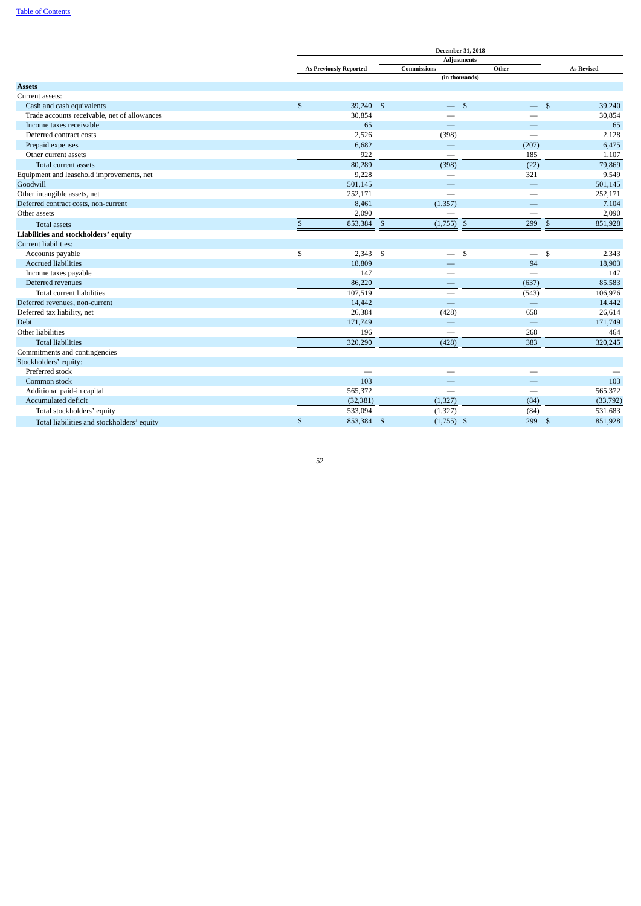|                                              |                               |                              | <b>Adjustments</b>       |                           |
|----------------------------------------------|-------------------------------|------------------------------|--------------------------|---------------------------|
|                                              | <b>As Previously Reported</b> | <b>Commissions</b>           | Other                    | <b>As Revised</b>         |
|                                              |                               |                              | (in thousands)           |                           |
| <b>Assets</b>                                |                               |                              |                          |                           |
| Current assets:                              |                               |                              |                          |                           |
| Cash and cash equivalents                    | \$<br>39,240 \$               | ÷.                           | $\mathbb{S}$             | 39,240<br>-\$             |
| Trade accounts receivable, net of allowances | 30,854                        |                              |                          | 30,854                    |
| Income taxes receivable                      | 65                            |                              |                          | 65                        |
| Deferred contract costs                      | 2,526                         | (398)                        |                          | 2,128                     |
| Prepaid expenses                             | 6,682                         |                              | (207)                    | 6,475                     |
| Other current assets                         | 922                           |                              | 185                      | 1,107                     |
| Total current assets                         | 80,289                        | (398)                        | (22)                     | 79,869                    |
| Equipment and leasehold improvements, net    | 9,228                         |                              | 321                      | 9,549                     |
| Goodwill                                     | 501,145                       |                              |                          | 501,145                   |
| Other intangible assets, net                 | 252,171                       |                              |                          | 252,171                   |
| Deferred contract costs, non-current         | 8,461                         | (1,357)                      |                          | 7,104                     |
| Other assets                                 | 2,090                         |                              |                          | 2,090                     |
| <b>Total assets</b>                          | 853,384 \$<br>$\mathbb{S}$    | $(1,755)$ \$                 | 299                      | $\mathfrak s$<br>851,928  |
| Liabilities and stockholders' equity         |                               |                              |                          |                           |
| Current liabilities:                         |                               |                              |                          |                           |
| Accounts payable                             | \$<br>$2,343$ \$              | $\overline{\phantom{0}}$     | \$<br>$\equiv$           | \$<br>2,343               |
| Accrued liabilities                          | 18,809                        |                              | 94                       | 18,903                    |
| Income taxes payable                         | 147                           |                              |                          | 147                       |
| Deferred revenues                            | 86,220                        |                              | (637)                    | 85,583                    |
| Total current liabilities                    | 107,519                       | $\overline{\phantom{0}}$     | (543)                    | 106,976                   |
| Deferred revenues, non-current               | 14,442                        |                              | $\overline{\phantom{0}}$ | 14,442                    |
| Deferred tax liability, net                  | 26,384                        | (428)                        | 658                      | 26,614                    |
| <b>Debt</b>                                  | 171,749                       |                              |                          | 171,749                   |
| Other liabilities                            | 196                           |                              | 268                      | 464                       |
| <b>Total liabilities</b>                     | 320,290                       | (428)                        | 383                      | 320,245                   |
| Commitments and contingencies                |                               |                              |                          |                           |
| Stockholders' equity:                        |                               |                              |                          |                           |
| Preferred stock                              |                               |                              |                          |                           |
| Common stock                                 | 103                           |                              |                          | 103                       |
| Additional paid-in capital                   | 565,372                       |                              |                          | 565,372                   |
| <b>Accumulated deficit</b>                   | (32, 381)                     | (1,327)                      | (84)                     | (33,792)                  |
| Total stockholders' equity                   | 533,094                       | (1, 327)                     | (84)                     | 531,683                   |
| Total liabilities and stockholders' equity   | 853,384<br>\$                 | $\mathbb{S}$<br>$(1,755)$ \$ | 299                      | $\mathfrak{S}$<br>851,928 |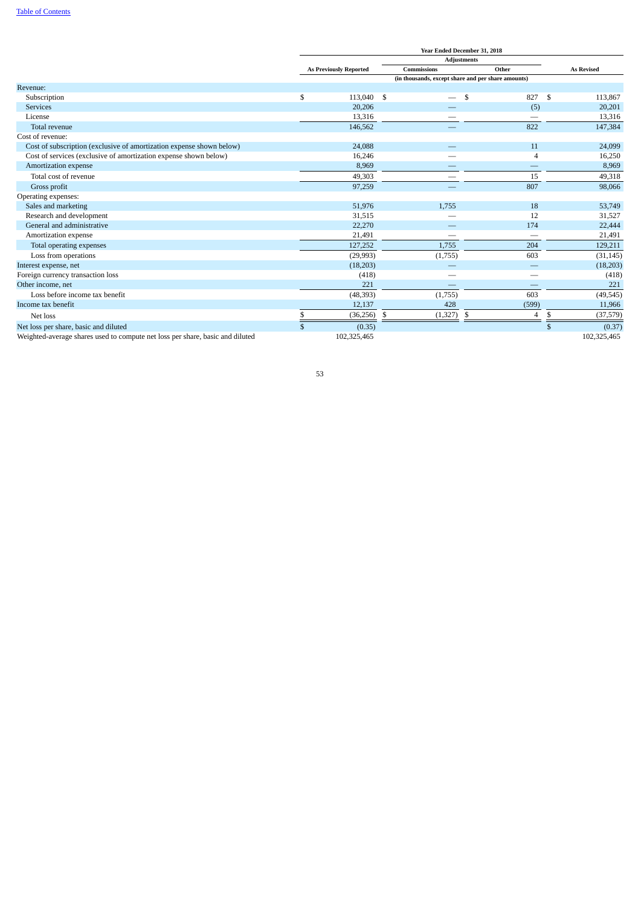|                                                                               |               | Year Ended December 31, 2018  |                           |                                                    |      |                   |  |  |
|-------------------------------------------------------------------------------|---------------|-------------------------------|---------------------------|----------------------------------------------------|------|-------------------|--|--|
|                                                                               |               |                               |                           | <b>Adjustments</b>                                 |      |                   |  |  |
|                                                                               |               | <b>As Previously Reported</b> | <b>Commissions</b>        | Other                                              |      | <b>As Revised</b> |  |  |
|                                                                               |               |                               |                           | (in thousands, except share and per share amounts) |      |                   |  |  |
| Revenue:                                                                      |               |                               |                           |                                                    |      |                   |  |  |
| Subscription                                                                  | \$            | 113,040                       | - \$                      | 827<br>\$                                          | - \$ | 113,867           |  |  |
| <b>Services</b>                                                               |               | 20,206                        |                           | (5)                                                |      | 20,201            |  |  |
| License                                                                       |               | 13,316                        |                           |                                                    |      | 13,316            |  |  |
| Total revenue                                                                 |               | 146,562                       |                           | 822                                                |      | 147,384           |  |  |
| Cost of revenue:                                                              |               |                               |                           |                                                    |      |                   |  |  |
| Cost of subscription (exclusive of amortization expense shown below)          |               | 24,088                        |                           | 11                                                 |      | 24,099            |  |  |
| Cost of services (exclusive of amortization expense shown below)              |               | 16,246                        |                           | 4                                                  |      | 16,250            |  |  |
| Amortization expense                                                          |               | 8,969                         |                           |                                                    |      | 8.969             |  |  |
| Total cost of revenue                                                         |               | 49,303                        |                           | 15                                                 |      | 49,318            |  |  |
| Gross profit                                                                  |               | 97,259                        |                           | 807                                                |      | 98,066            |  |  |
| Operating expenses:                                                           |               |                               |                           |                                                    |      |                   |  |  |
| Sales and marketing                                                           |               | 51,976                        | 1.755                     | 18                                                 |      | 53,749            |  |  |
| Research and development                                                      |               | 31,515                        |                           | 12                                                 |      | 31,527            |  |  |
| General and administrative                                                    |               | 22,270                        |                           | 174                                                |      | 22,444            |  |  |
| Amortization expense                                                          |               | 21,491                        |                           | --                                                 |      | 21,491            |  |  |
| Total operating expenses                                                      |               | 127,252                       | 1,755                     | 204                                                |      | 129,211           |  |  |
| Loss from operations                                                          |               | (29,993)                      | (1,755)                   | 603                                                |      | (31, 145)         |  |  |
| Interest expense, net                                                         |               | (18, 203)                     |                           |                                                    |      | (18, 203)         |  |  |
| Foreign currency transaction loss                                             |               | (418)                         |                           |                                                    |      | (418)             |  |  |
| Other income, net                                                             |               | 221                           |                           |                                                    |      | 221               |  |  |
| Loss before income tax benefit                                                |               | (48, 393)                     | (1,755)                   | 603                                                |      | (49, 545)         |  |  |
| Income tax benefit                                                            |               | 12,137                        | 428                       | (599)                                              |      | 11,966            |  |  |
| Net loss                                                                      | \$            | (36, 256)                     | <sup>\$</sup><br>(1, 327) | S.<br>$\overline{4}$                               | \$   | (37, 579)         |  |  |
| Net loss per share, basic and diluted                                         | $\mathbf{\$}$ | (0.35)                        |                           |                                                    | \$   | (0.37)            |  |  |
| Weighted-average shares used to compute net loss per share, basic and diluted |               | 102,325,465                   |                           |                                                    |      | 102,325,465       |  |  |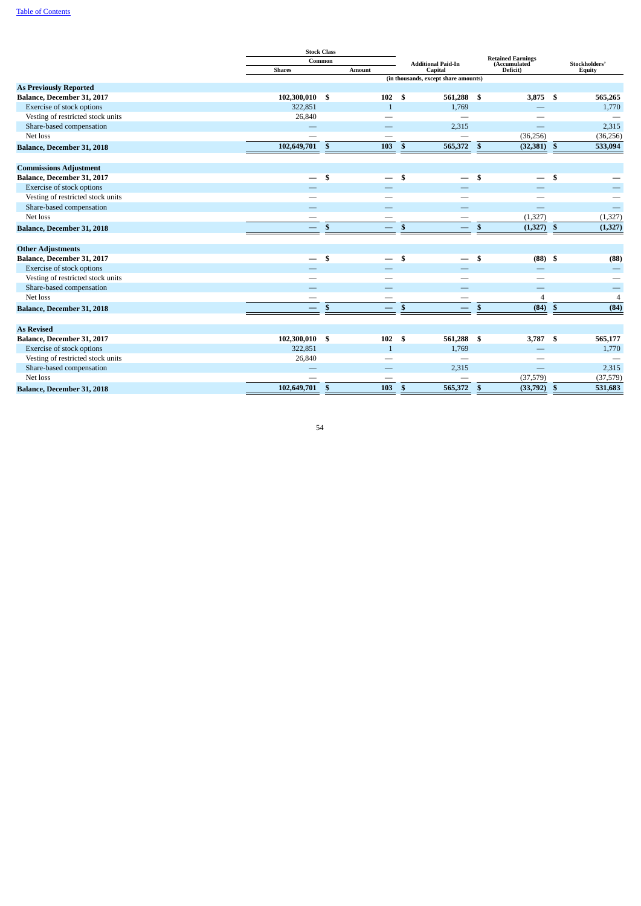# Table of [Contents](#page-5-0)

|                                   | <b>Stock Class</b>       |               |                                |                           |                                                 |               |                                           |              |                |
|-----------------------------------|--------------------------|---------------|--------------------------------|---------------------------|-------------------------------------------------|---------------|-------------------------------------------|--------------|----------------|
|                                   | Common                   |               |                                |                           | <b>Additional Paid-In</b>                       |               | <b>Retained Earnings</b><br>(Accumulated) |              | Stockholders'  |
|                                   | <b>Shares</b>            |               | Amount                         |                           | Capital<br>(in thousands, except share amounts) |               | Deficit)                                  |              | Equity         |
| <b>As Previously Reported</b>     |                          |               |                                |                           |                                                 |               |                                           |              |                |
| Balance, December 31, 2017        | 102,300,010              | \$            | 102                            | $\mathbf{s}$              | 561,288 \$                                      |               | 3,875 \$                                  |              | 565,265        |
| Exercise of stock options         | 322,851                  |               | $\mathbf{1}$                   |                           | 1,769                                           |               |                                           |              | 1,770          |
| Vesting of restricted stock units | 26,840                   |               |                                |                           |                                                 |               |                                           |              |                |
| Share-based compensation          |                          |               |                                |                           | 2,315                                           |               |                                           |              | 2,315          |
| Net loss                          |                          |               |                                |                           |                                                 |               | (36, 256)                                 |              | (36, 256)      |
| Balance, December 31, 2018        | 102,649,701              | $\mathbf{s}$  | 103                            | $\boldsymbol{\mathsf{s}}$ | 565,372                                         | \$            | $(32,381)$ \$                             |              | 533,094        |
|                                   |                          |               |                                |                           |                                                 |               |                                           |              |                |
| <b>Commissions Adjustment</b>     |                          |               |                                |                           |                                                 |               |                                           |              |                |
| Balance, December 31, 2017        |                          | \$            |                                | \$                        |                                                 | <sup>\$</sup> |                                           | \$           |                |
| Exercise of stock options         |                          |               |                                |                           |                                                 |               |                                           |              |                |
| Vesting of restricted stock units |                          |               |                                |                           |                                                 |               |                                           |              |                |
| Share-based compensation          |                          |               |                                |                           |                                                 |               |                                           |              |                |
| Net loss                          | --                       |               |                                |                           |                                                 |               | (1, 327)                                  |              | (1, 327)       |
| Balance, December 31, 2018        | —                        | $\mathbf{s}$  |                                | \$                        |                                                 | $\mathbf{s}$  | $(1,327)$ \$                              |              | (1, 327)       |
| <b>Other Adjustments</b>          |                          |               |                                |                           |                                                 |               |                                           |              |                |
| Balance, December 31, 2017        | $\overline{\phantom{0}}$ | \$            |                                | \$                        |                                                 | \$            | $(88)$ \$                                 |              | (88)           |
| Exercise of stock options         |                          |               |                                |                           |                                                 |               |                                           |              |                |
| Vesting of restricted stock units |                          |               |                                |                           |                                                 |               |                                           |              |                |
| Share-based compensation          |                          |               |                                |                           |                                                 |               |                                           |              |                |
| Net loss                          |                          |               |                                |                           |                                                 |               | $\overline{4}$                            |              | $\overline{4}$ |
| Balance, December 31, 2018        | —                        | <sup>\$</sup> | $\qquad \qquad \longleftarrow$ | $\mathbf{s}$              | $\overline{\phantom{0}}$                        | $\mathbf{s}$  | (84)                                      | $\mathbf{s}$ | (84)           |
| <b>As Revised</b>                 |                          |               |                                |                           |                                                 |               |                                           |              |                |
| Balance, December 31, 2017        | 102,300,010              | \$            | 102                            | \$                        | 561,288 \$                                      |               | 3,787                                     | $\mathbf s$  | 565,177        |
| Exercise of stock options         | 322,851                  |               | $\overline{1}$                 |                           | 1,769                                           |               |                                           |              | 1,770          |
| Vesting of restricted stock units | 26,840                   |               |                                |                           |                                                 |               |                                           |              |                |
| Share-based compensation          |                          |               |                                |                           | 2,315                                           |               |                                           |              | 2,315          |
| Net loss                          |                          |               |                                |                           |                                                 |               | (37,579)                                  |              | (37,579)       |
| Balance, December 31, 2018        | 102,649,701              | $\mathbf{s}$  | 103                            | $\mathbf{s}$              | 565,372                                         | $\mathbf{s}$  | $(33,792)$ \$                             |              | 531,683        |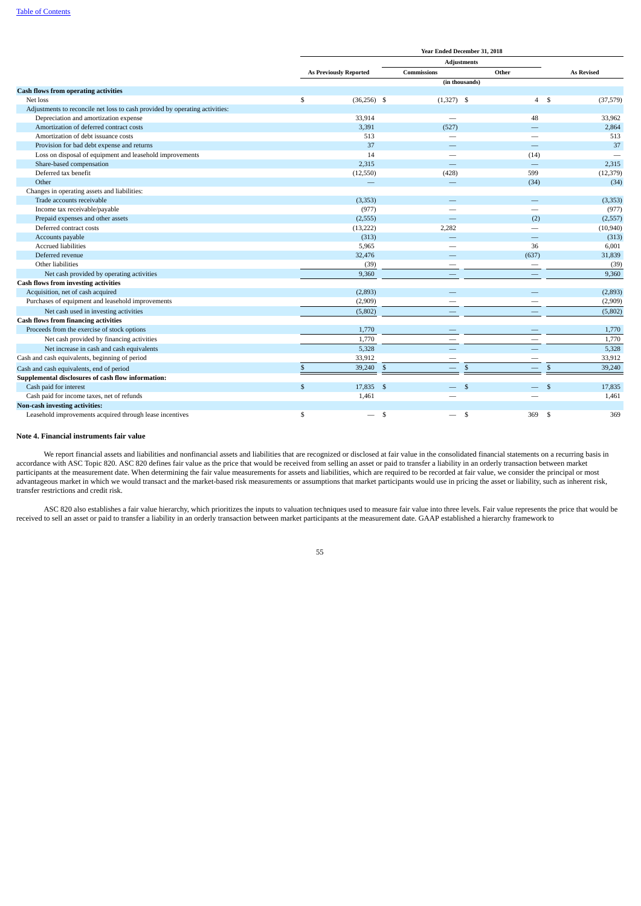|                                                                             | Year Ended December 31, 2018 |                               |                |                    |                    |       |               |                   |
|-----------------------------------------------------------------------------|------------------------------|-------------------------------|----------------|--------------------|--------------------|-------|---------------|-------------------|
|                                                                             |                              |                               |                |                    | <b>Adjustments</b> |       |               |                   |
|                                                                             |                              | <b>As Previously Reported</b> |                | <b>Commissions</b> |                    | Other |               | <b>As Revised</b> |
|                                                                             |                              |                               |                |                    | (in thousands)     |       |               |                   |
| <b>Cash flows from operating activities</b>                                 |                              |                               |                |                    |                    |       |               |                   |
| Net loss                                                                    | \$                           | $(36,256)$ \$                 |                | $(1,327)$ \$       |                    |       | 4S            | (37,579)          |
| Adjustments to reconcile net loss to cash provided by operating activities: |                              |                               |                |                    |                    |       |               |                   |
| Depreciation and amortization expense                                       |                              | 33,914                        |                |                    |                    | 48    |               | 33,962            |
| Amortization of deferred contract costs                                     |                              | 3,391                         |                | (527)              |                    |       |               | 2,864             |
| Amortization of debt issuance costs                                         |                              | 513                           |                |                    |                    |       |               | 513               |
| Provision for bad debt expense and returns                                  |                              | 37                            |                |                    |                    |       |               | 37                |
| Loss on disposal of equipment and leasehold improvements                    |                              | 14                            |                |                    |                    | (14)  |               |                   |
| Share-based compensation                                                    |                              | 2,315                         |                |                    |                    |       |               | 2,315             |
| Deferred tax benefit                                                        |                              | (12, 550)                     |                | (428)              |                    | 599   |               | (12, 379)         |
| Other                                                                       |                              |                               |                |                    |                    | (34)  |               | (34)              |
| Changes in operating assets and liabilities:                                |                              |                               |                |                    |                    |       |               |                   |
| Trade accounts receivable                                                   |                              | (3,353)                       |                |                    |                    |       |               | (3, 353)          |
| Income tax receivable/payable                                               |                              | (977)                         |                |                    |                    |       |               | (977)             |
| Prepaid expenses and other assets                                           |                              | (2, 555)                      |                |                    |                    | (2)   |               | (2,557)           |
| Deferred contract costs                                                     |                              | (13, 222)                     |                | 2,282              |                    |       |               | (10, 940)         |
| Accounts payable                                                            |                              | (313)                         |                |                    |                    |       |               | (313)             |
| <b>Accrued liabilities</b>                                                  |                              | 5,965                         |                |                    |                    | 36    |               | 6,001             |
| Deferred revenue                                                            |                              | 32,476                        |                |                    |                    | (637) |               | 31,839            |
| Other liabilities                                                           |                              | (39)                          |                |                    |                    |       |               | (39)              |
| Net cash provided by operating activities                                   |                              | 9.360                         |                |                    |                    |       |               | 9.360             |
| <b>Cash flows from investing activities</b>                                 |                              |                               |                |                    |                    |       |               |                   |
| Acquisition, net of cash acquired                                           |                              | (2,893)                       |                |                    |                    |       |               | (2,893)           |
| Purchases of equipment and leasehold improvements                           |                              | (2,909)                       |                |                    |                    |       |               | (2,909)           |
| Net cash used in investing activities                                       |                              | (5,802)                       |                |                    |                    |       |               | (5,802)           |
| <b>Cash flows from financing activities</b>                                 |                              |                               |                |                    |                    |       |               |                   |
| Proceeds from the exercise of stock options                                 |                              | 1,770                         |                |                    |                    |       |               | 1,770             |
| Net cash provided by financing activities                                   |                              | 1,770                         |                | -                  |                    |       |               | 1,770             |
| Net increase in cash and cash equivalents                                   |                              | 5,328                         |                |                    |                    |       |               | 5,328             |
| Cash and cash equivalents, beginning of period                              |                              | 33,912                        |                |                    |                    |       |               | 33,912            |
| Cash and cash equivalents, end of period                                    | \$                           | 39,240                        | $\mathfrak{S}$ |                    | $\mathbf{s}$       |       | $\mathcal{S}$ | 39,240            |
| Supplemental disclosures of cash flow information:                          |                              |                               |                |                    |                    |       |               |                   |
| Cash paid for interest                                                      | $\mathbb{S}$                 | 17,835                        | - \$           |                    | <sup>\$</sup>      |       | $\mathbf{s}$  | 17,835            |
| Cash paid for income taxes, net of refunds                                  |                              | 1,461                         |                |                    |                    |       |               | 1,461             |
| Non-cash investing activities:                                              |                              |                               |                |                    |                    |       |               |                   |
| Leasehold improvements acquired through lease incentives                    | \$                           |                               | \$             |                    | \$                 | 369   | - \$          | 369               |

# **Note 4. Financial instruments fair value**

We report financial assets and liabilities and nonfinancial assets and liabilities that are recognized or disclosed at fair value in the consolidated financial statements on a recurring basis in accordance with ASC Topic 820. ASC 820 defines fair value as the price that would be received from selling an asset or paid to transfer a liability in an orderly transaction between market participants at the measurement date. When determining the fair value measurements for assets and liabilities, which are required to be recorded at fair value, we consider the principal or most advantageous market in which we would transact and the market-based risk measurements or assumptions that market participants would use in pricing the asset or liability, such as inherent risk, transfer restrictions and credit risk.

ASC 820 also establishes a fair value hierarchy, which prioritizes the inputs to valuation techniques used to measure fair value into three levels. Fair value represents the price that would be received to sell an asset or paid to transfer a liability in an orderly transaction between market participants at the measurement date. GAAP established a hierarchy framework to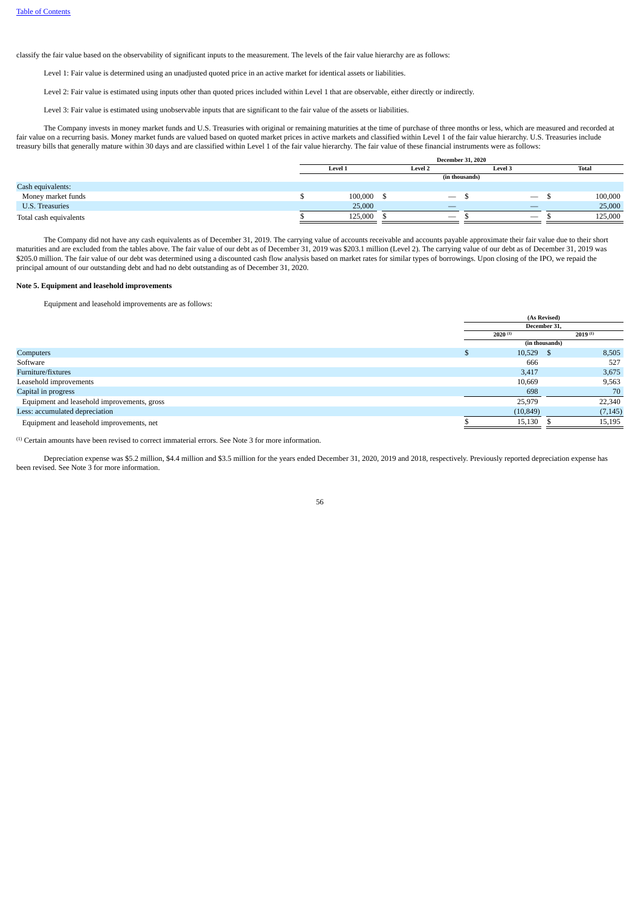classify the fair value based on the observability of significant inputs to the measurement. The levels of the fair value hierarchy are as follows:

Level 1: Fair value is determined using an unadjusted quoted price in an active market for identical assets or liabilities.

Level 2: Fair value is estimated using inputs other than quoted prices included within Level 1 that are observable, either directly or indirectly.

Level 3: Fair value is estimated using unobservable inputs that are significant to the fair value of the assets or liabilities.

The Company invests in money market funds and U.S. Treasuries with original or remaining maturities at the time of purchase of three months or less, which are measured and recorded at fair value on a recurring basis. Money market funds are valued based on quoted market prices in active markets and classified within Level 1 of the fair value hierarchy. U.S. Treasuries include treasury bills that generally mature within 30 days and are classified within Level 1 of the fair value hierarchy. The fair value of these financial instruments were as follows:

|                        | <b>December 31, 2020</b> |                                 |                                 |         |  |  |
|------------------------|--------------------------|---------------------------------|---------------------------------|---------|--|--|
|                        | Level 1                  | <b>Level 2</b>                  | Level 3                         | Total   |  |  |
|                        |                          | (in thousands)                  |                                 |         |  |  |
| Cash equivalents:      |                          |                                 |                                 |         |  |  |
| Money market funds     | 100,000                  | $\overline{\phantom{m}}$        | $\hspace{0.1mm}-\hspace{0.1mm}$ | 100,000 |  |  |
| U.S. Treasuries        | 25,000                   | $\overline{\phantom{a}}$        | __                              | 25,000  |  |  |
| Total cash equivalents | 125,000                  | $\hspace{0.1mm}-\hspace{0.1mm}$ | $\hspace{0.1mm}-\hspace{0.1mm}$ | 125,000 |  |  |

The Company did not have any cash equivalents as of December 31, 2019. The carrying value of accounts receivable and accounts payable approximate their fair value due to their short maturities and are excluded from the tables above. The fair value of our debt as of December 31, 2019 was \$203.1 million (Level 2). The carrying value of our debt as of December 31, 2019 was \$205.0 million. The fair value of our debt was determined using a discounted cash flow analysis based on market rates for similar types of borrowings. Upon closing of the IPO, we repaid the principal amount of our outstanding debt and had no debt outstanding as of December 31, 2020.

## **Note 5. Equipment and leasehold improvements**

Equipment and leasehold improvements are as follows:

|                                             | (As Revised)   |  |              |
|---------------------------------------------|----------------|--|--------------|
|                                             | December 31,   |  |              |
|                                             | $2020^{(1)}$   |  | $2019^{(1)}$ |
|                                             | (in thousands) |  |              |
| Computers                                   | $10,529$ \$    |  | 8,505        |
| Software                                    | 666            |  | 527          |
| Furniture/fixtures                          | 3,417          |  | 3,675        |
| Leasehold improvements                      | 10,669         |  | 9,563        |
| Capital in progress                         | 698            |  | 70           |
| Equipment and leasehold improvements, gross | 25,979         |  | 22,340       |
| Less: accumulated depreciation              | (10, 849)      |  | (7, 145)     |
| Equipment and leasehold improvements, net   | 15,130         |  | 15,195       |

 $<sup>(1)</sup>$  Certain amounts have been revised to correct immaterial errors. See Note 3 for more information.</sup>

Depreciation expense was \$5.2 million, \$4.4 million and \$3.5 million for the years ended December 31, 2020, 2019 and 2018, respectively. Previously reported depreciation expense has been revised. See Note 3 for more information.

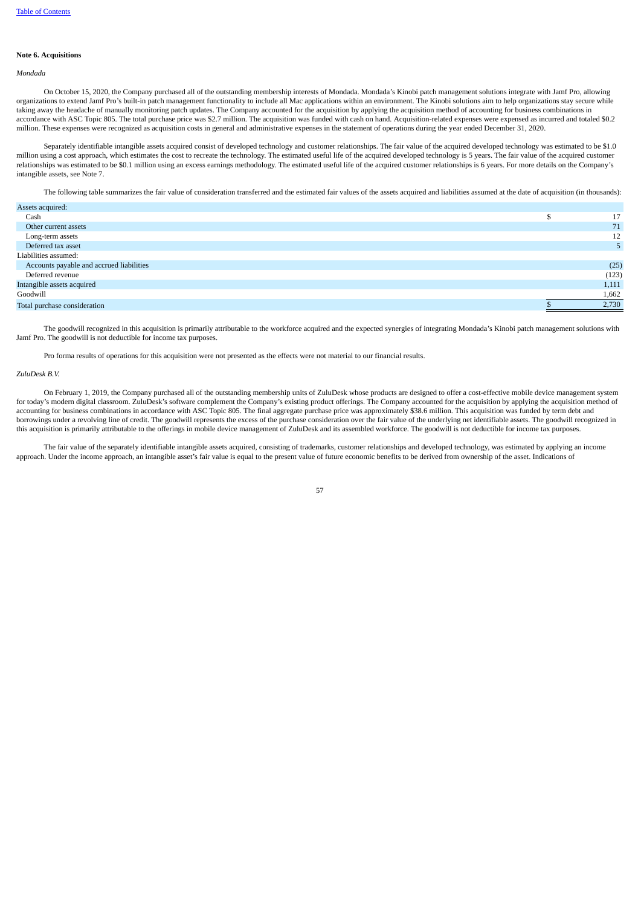#### **Note 6. Acquisitions**

*Mondada*

On October 15, 2020, the Company purchased all of the outstanding membership interests of Mondada. Mondada's Kinobi patch management solutions integrate with Jamf Pro, allowing organizations to extend Jamf Pro's built-in patch management functionality to include all Mac applications within an environment. The Kinobi solutions aim to help organizations stay secure while taking away the headache of manually monitoring patch updates. The Company accounted for the acquisition by applying the acquisition method of accounting for business combinations in accordance with ASC Topic 805. The total purchase price was \$2.7 million. The acquisition was funded with cash on hand. Acquisition-related expenses were expensed as incurred and totaled \$0.2 million. These expenses were recognized as acquisition costs in general and administrative expenses in the statement of operations during the year ended December 31, 2020.

Separately identifiable intangible assets acquired consist of developed technology and customer relationships. The fair value of the acquired developed technology was estimated to be \$1.0 million using a cost approach, which estimates the cost to recreate the technology. The estimated useful life of the acquired developed technology is 5 years. The fair value of the acquired customer relationships was estimated to be \$0.1 million using an excess earnings methodology. The estimated useful life of the acquired customer relationships is 6 years. For more details on the Company's intangible assets, see Note 7.

The following table summarizes the fair value of consideration transferred and the estimated fair values of the assets acquired and liabilities assumed at the date of acquisition (in thousands):

| Assets acquired:                         |       |
|------------------------------------------|-------|
| Cash                                     | 17    |
| Other current assets                     | 71    |
| Long-term assets                         | 12    |
| Deferred tax asset                       |       |
| Liabilities assumed:                     |       |
| Accounts payable and accrued liabilities | (25)  |
| Deferred revenue                         | (123) |
| Intangible assets acquired               | 1,111 |
| Goodwill                                 | 1,662 |
| Total purchase consideration             | 2,730 |

The goodwill recognized in this acquisition is primarily attributable to the workforce acquired and the expected synergies of integrating Mondada's Kinobi patch management solutions with Jamf Pro. The goodwill is not deductible for income tax purposes.

Pro forma results of operations for this acquisition were not presented as the effects were not material to our financial results.

## *ZuluDesk B.V.*

On February 1, 2019, the Company purchased all of the outstanding membership units of ZuluDesk whose products are designed to offer a cost-effective mobile device management system for today's modern digital classroom. ZuluDesk's software complement the Company's existing product offerings. The Company accounted for the acquisition by applying the acquisition method of accounting for business combinations in accordance with ASC Topic 805. The final aggregate purchase price was approximately \$38.6 million. This acquisition was funded by term debt and borrowings under a revolving line of credit. The goodwill represents the excess of the purchase consideration over the fair value of the underlying net identifiable assets. The goodwill recognized in this acquisition is primarily attributable to the offerings in mobile device management of ZuluDesk and its assembled workforce. The goodwill is not deductible for income tax purposes.

The fair value of the separately identifiable intangible assets acquired, consisting of trademarks, customer relationships and developed technology, was estimated by applying an income approach. Under the income approach, an intangible asset's fair value is equal to the present value of future economic benefits to be derived from ownership of the asset. Indications of

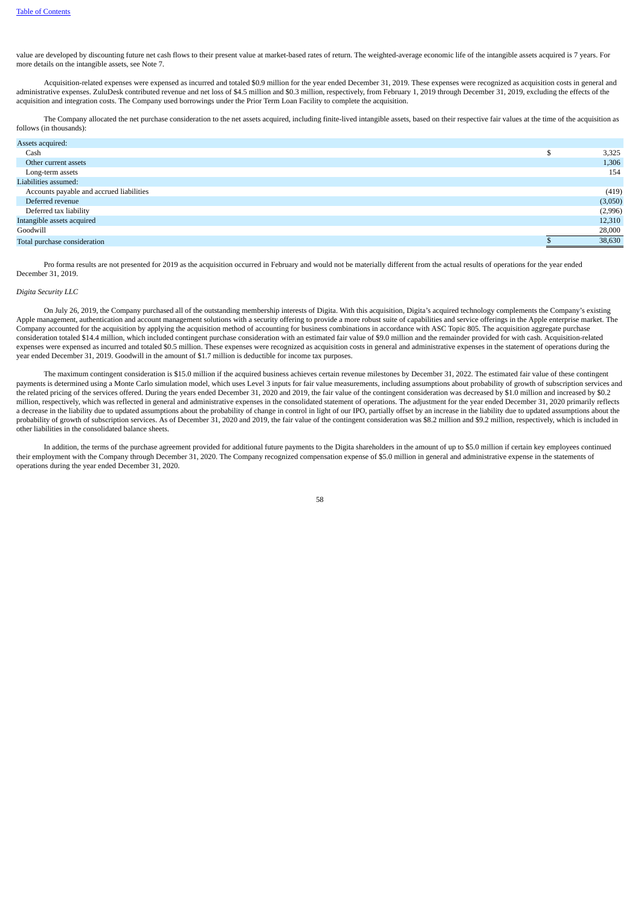value are developed by discounting future net cash flows to their present value at market-based rates of return. The weighted-average economic life of the intangible assets acquired is 7 years. For more details on the intangible assets, see Note 7.

Acquisition-related expenses were expensed as incurred and totaled \$0.9 million for the year ended December 31, 2019. These expenses were recognized as acquisition costs in general and administrative expenses. ZuluDesk contributed revenue and net loss of \$4.5 million and \$0.3 million, respectively, from February 1, 2019 through December 31, 2019, excluding the effects of the acquisition and integration costs. The Company used borrowings under the Prior Term Loan Facility to complete the acquisition.

The Company allocated the net purchase consideration to the net assets acquired, including finite-lived intangible assets, based on their respective fair values at the time of the acquisition as follows (in thousands):

| Assets acquired:                         |         |
|------------------------------------------|---------|
| Cash                                     | 3,325   |
| Other current assets                     | 1,306   |
| Long-term assets                         | 154     |
| Liabilities assumed:                     |         |
| Accounts payable and accrued liabilities | (419)   |
| Deferred revenue                         | (3,050) |
| Deferred tax liability                   | (2,996) |
| Intangible assets acquired               | 12,310  |
| Goodwill                                 | 28,000  |
| Total purchase consideration             | 38,630  |

Pro forma results are not presented for 2019 as the acquisition occurred in February and would not be materially different from the actual results of operations for the year ended December 31, 2019.

### *Digita Security LLC*

On July 26, 2019, the Company purchased all of the outstanding membership interests of Digita. With this acquisition, Digita's acquired technology complements the Company's existing Apple management, authentication and account management solutions with a security offering to provide a more robust suite of capabilities and service offerings in the Apple enterprise market. The Company accounted for the acquisition by applying the acquisition method of accounting for business combinations in accordance with ASC Topic 805. The acquisition aggregate purchase consideration totaled \$14.4 million, which included contingent purchase consideration with an estimated fair value of \$9.0 million and the remainder provided for with cash. Acquisition-related expenses were expensed as incurred and totaled \$0.5 million. These expenses were recognized as acquisition costs in general and administrative expenses in the statement of operations during the year ended December 31, 2019. Goodwill in the amount of \$1.7 million is deductible for income tax purposes.

The maximum contingent consideration is \$15.0 million if the acquired business achieves certain revenue milestones by December 31, 2022. The estimated fair value of these contingent payments is determined using a Monte Carlo simulation model, which uses Level 3 inputs for fair value measurements, including assumptions about probability of growth of subscription services and .<br>the related pricing of the services offered. During the years ended December 31, 2020 and 2019, the fair value of the contingent consideration was decreased by \$1.0 million and increased by \$0.2 million, respectively, which was reflected in general and administrative expenses in the consolidated statement of operations. The adjustment for the year ended December 31, 2020 primarily reflects a decrease in the liability due to updated assumptions about the probability of change in control in light of our IPO, partially offset by an increase in the liability due to updated assumptions about the probability of growth of subscription services. As of December 31, 2020 and 2019, the fair value of the contingent consideration was \$8.2 million and \$9.2 million, respectively, which is included in other liabilities in the consolidated balance sheets.

In addition, the terms of the purchase agreement provided for additional future payments to the Digita shareholders in the amount of up to \$5.0 million if certain key employees continued their employment with the Company through December 31, 2020. The Company recognized compensation expense of \$5.0 million in general and administrative expense in the statements of operations during the year ended December 31, 2020.

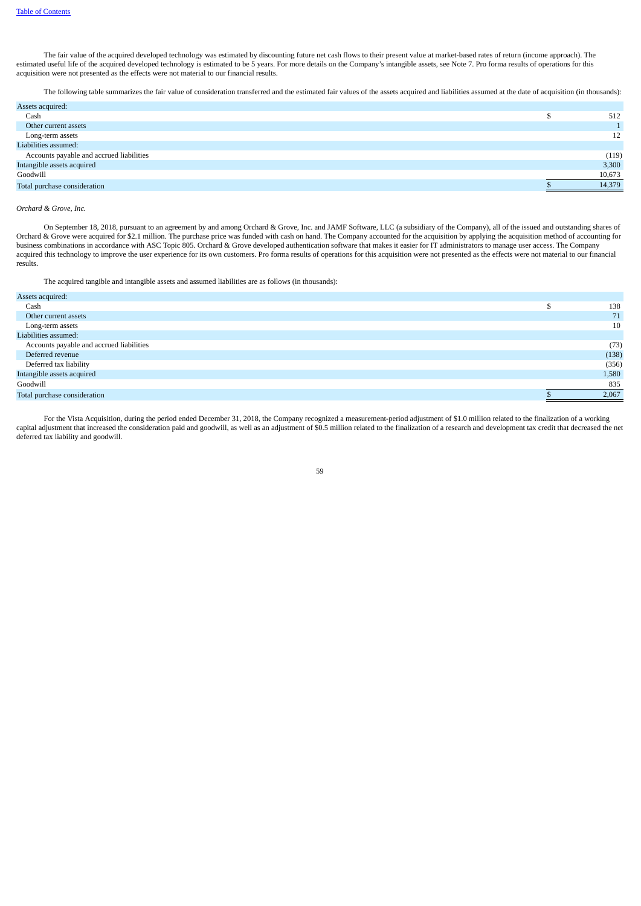The fair value of the acquired developed technology was estimated by discounting future net cash flows to their present value at market-based rates of return (income approach). The estimated useful life of the acquired developed technology is estimated to be 5 years. For more details on the Company's intangible assets, see Note 7. Pro forma results of operations for this acquisition were not presented as the effects were not material to our financial results.

The following table summarizes the fair value of consideration transferred and the estimated fair values of the assets acquired and liabilities assumed at the date of acquisition (in thousands):

| Assets acquired:                         |        |
|------------------------------------------|--------|
| Cash                                     | 512    |
| Other current assets                     |        |
| Long-term assets                         | 12     |
| Liabilities assumed:                     |        |
| Accounts payable and accrued liabilities | (119)  |
| Intangible assets acquired               | 3,300  |
| Goodwill                                 | 10,673 |
| Total purchase consideration             | 14,379 |

# *Orchard & Grove, Inc.*

On September 18, 2018, pursuant to an agreement by and among Orchard & Grove, Inc. and JAMF Software, LLC (a subsidiary of the Company), all of the issued and outstanding shares of Orchard & Grove were acquired for \$2.1 million. The purchase price was funded with cash on hand. The Company accounted for the acquisition by applying the acquisition method of accounting for business combinations in accordance with ASC Topic 805. Orchard & Grove developed authentication software that makes it easier for IT administrators to manage user access. The Company acquired this technology to improve the user experience for its own customers. Pro forma results of operations for this acquisition were not presented as the effects were not material to our financial results.

The acquired tangible and intangible assets and assumed liabilities are as follows (in thousands):

| Assets acquired:                         |       |
|------------------------------------------|-------|
| Cash                                     | 138   |
| Other current assets                     | 71    |
| Long-term assets                         | 10    |
| Liabilities assumed:                     |       |
| Accounts payable and accrued liabilities | (73)  |
| Deferred revenue                         | (138) |
| Deferred tax liability                   | (356) |
| Intangible assets acquired               | 1,580 |
| Goodwill                                 | 835   |
| Total purchase consideration             | 2,067 |

For the Vista Acquisition, during the period ended December 31, 2018, the Company recognized a measurement-period adjustment of \$1.0 million related to the finalization of a working capital adjustment that increased the consideration paid and goodwill, as well as an adjustment of \$0.5 million related to the finalization of a research and development tax credit that decreased the net deferred tax liability and goodwill.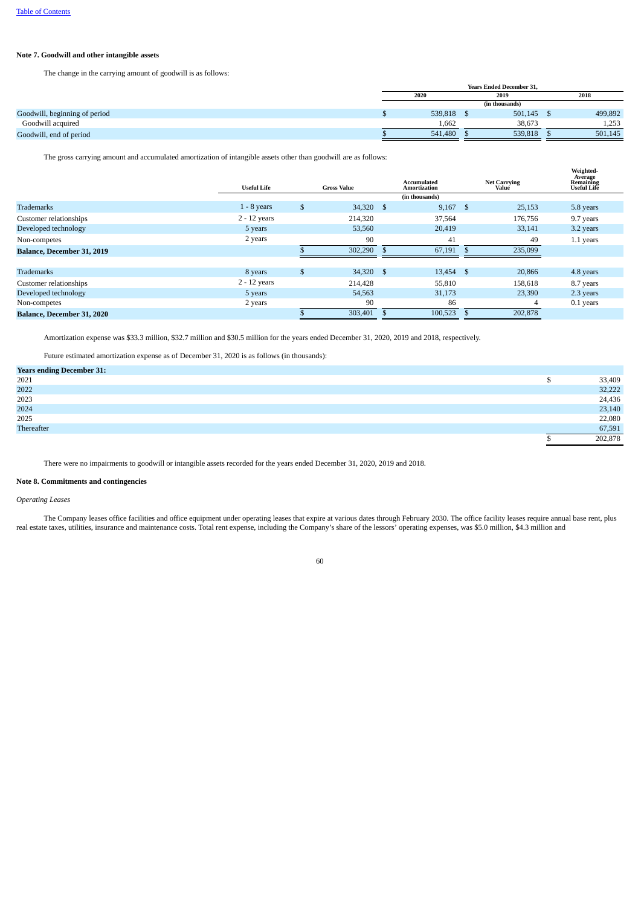# **Note 7. Goodwill and other intangible assets**

The change in the carrying amount of goodwill is as follows:

| <b>Years Ended December 31,</b> |      |                |  |         |  |
|---------------------------------|------|----------------|--|---------|--|
| 2020                            | 2019 |                |  | 2018    |  |
|                                 |      | (in thousands) |  |         |  |
| 539,818                         |      | 501,145        |  | 499,892 |  |
| 1,662                           |      | 38.673         |  | 1,253   |  |
| 541,480                         |      | 539.818        |  | 501,145 |  |
|                                 |      |                |  |         |  |

The gross carrying amount and accumulated amortization of intangible assets other than goodwill are as follows:

|                                   | <b>Useful Life</b> |              | <b>Gross Value</b> | Accumulated<br><b>Amortization</b> |     | <b>Net Carrying</b><br>Value | Weighted-<br>Average<br>Remaining<br><b>Useful Life</b> |
|-----------------------------------|--------------------|--------------|--------------------|------------------------------------|-----|------------------------------|---------------------------------------------------------|
|                                   |                    |              |                    | (in thousands)                     |     |                              |                                                         |
| <b>Trademarks</b>                 | $1 - 8$ years      | \$           | 34,320 \$          | 9,167                              | -\$ | 25,153                       | 5.8 years                                               |
| Customer relationships            | $2 - 12$ years     |              | 214,320            | 37,564                             |     | 176,756                      | 9.7 years                                               |
| Developed technology              | 5 years            |              | 53,560             | 20,419                             |     | 33,141                       | 3.2 years                                               |
| Non-competes                      | 2 years            |              | 90                 | 41                                 |     | 49                           | 1.1 years                                               |
| <b>Balance, December 31, 2019</b> |                    |              | 302,290            | 67,191                             |     | 235,099                      |                                                         |
|                                   |                    |              |                    |                                    |     |                              |                                                         |
| <b>Trademarks</b>                 | 8 years            | $\mathbb{S}$ | 34,320 \$          | 13,454 \$                          |     | 20,866                       | 4.8 years                                               |
| Customer relationships            | $2 - 12$ years     |              | 214,428            | 55,810                             |     | 158,618                      | 8.7 years                                               |
| Developed technology              | 5 years            |              | 54,563             | 31,173                             |     | 23,390                       | 2.3 years                                               |
| Non-competes                      | 2 years            |              | 90                 | 86                                 |     | 4                            | $0.1$ years                                             |
| <b>Balance, December 31, 2020</b> |                    |              | 303,401            | 100,523                            |     | 202,878                      |                                                         |

Amortization expense was \$33.3 million, \$32.7 million and \$30.5 million for the years ended December 31, 2020, 2019 and 2018, respectively.

Future estimated amortization expense as of December 31, 2020 is as follows (in thousands):

| <b>Years ending December 31:</b> |         |
|----------------------------------|---------|
| 2021                             | 33,409  |
| 2022                             | 32,222  |
| 2023                             | 24,436  |
| 2024                             | 23,140  |
| 2025                             | 22,080  |
| Thereafter                       | 67,591  |
|                                  | 202,878 |

There were no impairments to goodwill or intangible assets recorded for the years ended December 31, 2020, 2019 and 2018.

# **Note 8. Commitments and contingencies**

# *Operating Leases*

The Company leases office facilities and office equipment under operating leases that expire at various dates through February 2030. The office facility leases require annual base rent, plus real estate taxes, utilities, insurance and maintenance costs. Total rent expense, including the Company's share of the lessors' operating expenses, was \$5.0 million, \$4.3 million and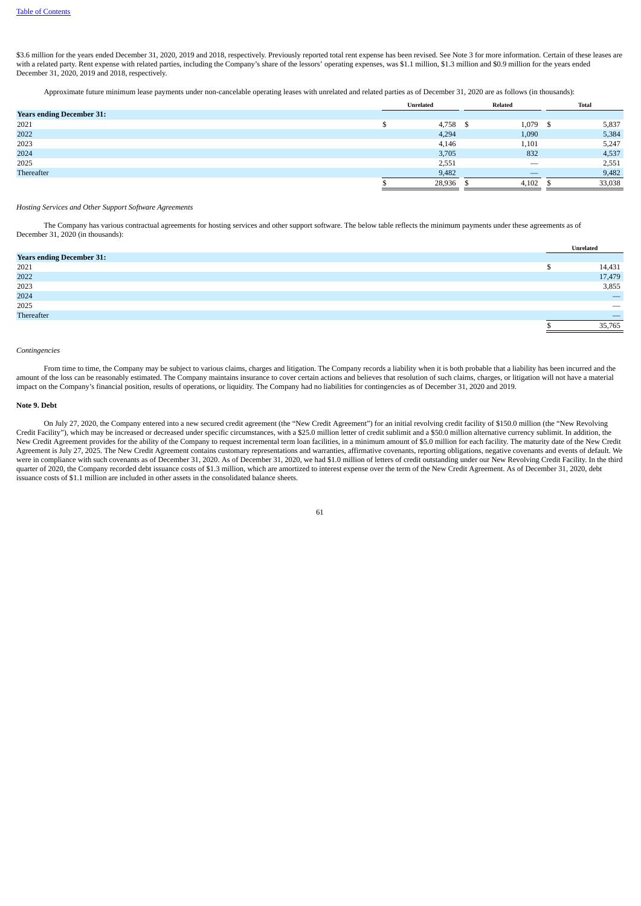\$3.6 million for the years ended December 31, 2020, 2019 and 2018, respectively. Previously reported total rent expense has been revised. See Note 3 for more information. Certain of these leases are with a related party. Rent expense with related parties, including the Company's share of the lessors' operating expenses, was \$1.1 million, \$1.3 million and \$0.9 million for the years ended December 31, 2020, 2019 and 2018, respectively.

Approximate future minimum lease payments under non-cancelable operating leases with unrelated and related parties as of December 31, 2020 are as follows (in thousands):

|                                  | Unrelated | <b>Related</b> | <b>Total</b> |
|----------------------------------|-----------|----------------|--------------|
| <b>Years ending December 31:</b> |           |                |              |
| 2021                             | 4,758 \$  | 1,079 \$       | 5,837        |
| 2022                             | 4,294     | 1,090          | 5,384        |
| 2023                             | 4,146     | 1,101          | 5,247        |
| 2024                             | 3,705     | 832            | 4,537        |
| 2025                             | 2,551     |                | 2,551        |
| Thereafter                       | 9,482     |                | 9,482        |
|                                  | 28,936    | 4,102          | 33,038       |

*Hosting Services and Other Support Software Agreements*

The Company has various contractual agreements for hosting services and other support software. The below table reflects the minimum payments under these agreements as of December 31, 2020 (in thousands):

|                                  | Unrelated                |
|----------------------------------|--------------------------|
| <b>Years ending December 31:</b> |                          |
| 2021                             | 14,431                   |
| 2022                             | 17,479                   |
| 2023                             | 3,855                    |
| 2024                             | $\overline{\phantom{m}}$ |
| 2025                             | __                       |
| Thereafter                       |                          |
|                                  | 35,765                   |

# *Contingencies*

From time to time, the Company may be subject to various claims, charges and litigation. The Company records a liability when it is both probable that a liability has been incurred and the amount of the loss can be reasonably estimated. The Company maintains insurance to cover certain actions and believes that resolution of such claims, charges, or litigation will not have a material impact on the Company's financial position, results of operations, or liquidity. The Company had no liabilities for contingencies as of December 31, 2020 and 2019.

## **Note 9. Debt**

On July 27, 2020, the Company entered into a new secured credit agreement (the "New Credit Agreement") for an initial revolving credit facility of \$150.0 million (the "New Revolving Credit Facility"), which may be increased or decreased under specific circumstances, with a \$25.0 million letter of credit sublimit and a \$50.0 million alternative currency sublimit. In addition, the New Credit Agreement provides for the ability of the Company to request incremental term loan facilities, in a minimum amount of \$5.0 million for each facility. The maturity date of the New Credit Agreement is July 27, 2025. The New Credit Agreement contains customary representations and warranties, affirmative covenants, reporting obligations, negative covenants and events of default. We were in compliance with such covenants as of December 31, 2020. As of December 31, 2020, we had \$1.0 million of letters of credit outstanding under our New Revolving Credit Facility. In the third quarter of 2020, the Company recorded debt issuance costs of \$1.3 million, which are amortized to interest expense over the term of the New Credit Agreement. As of December 31, 2020, debt issuance costs of \$1.1 million are included in other assets in the consolidated balance sheets.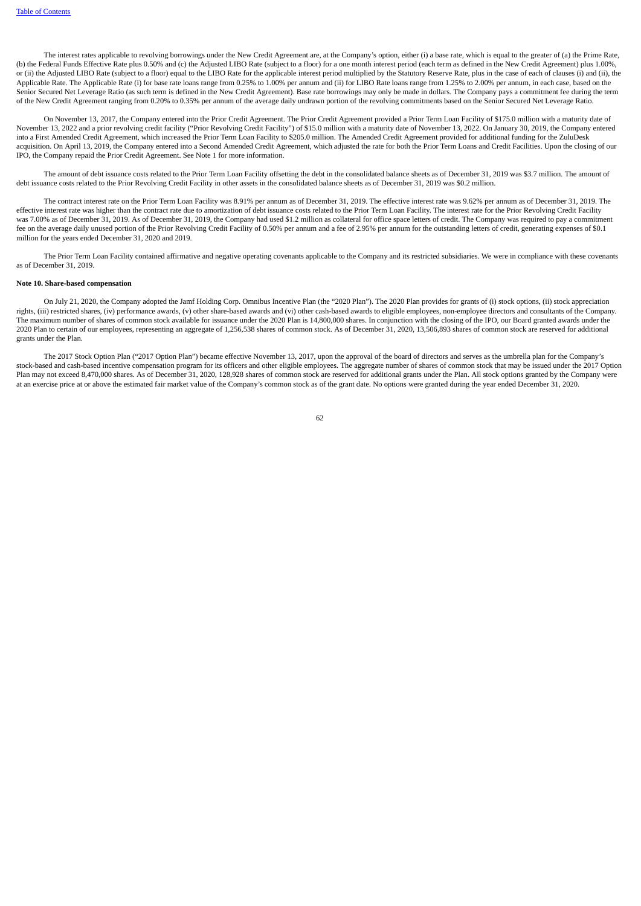The interest rates applicable to revolving borrowings under the New Credit Agreement are, at the Company's option, either (i) a base rate, which is equal to the greater of (a) the Prime Rate, (b) the Federal Funds Effective Rate plus 0.50% and (c) the Adjusted LIBO Rate (subject to a floor) for a one month interest period (each term as defined in the New Credit Agreement) plus 1.00%, or (ii) the Adjusted LIBO Rate (subject to a floor) equal to the LIBO Rate for the applicable interest period multiplied by the Statutory Reserve Rate, plus in the case of each of clauses (i) and (ii), the Applicable Rate. The Applicable Rate (i) for base rate loans range from 0.25% to 1.00% per annum and (ii) for LIBO Rate loans range from 1.25% to 2.00% per annum, in each case, based on the Senior Secured Net Leverage Ratio (as such term is defined in the New Credit Agreement). Base rate borrowings may only be made in dollars. The Company pays a commitment fee during the term of the New Credit Agreement ranging from 0.20% to 0.35% per annum of the average daily undrawn portion of the revolving commitments based on the Senior Secured Net Leverage Ratio.

On November 13, 2017, the Company entered into the Prior Credit Agreement. The Prior Credit Agreement provided a Prior Term Loan Facility of \$175.0 million with a maturity date of November 13, 2022 and a prior revolving credit facility ("Prior Revolving Credit Facility") of \$15.0 million with a maturity date of November 13, 2022. On January 30, 2019, the Company entered into a First Amended Credit Agreement, which increased the Prior Term Loan Facility to \$205.0 million. The Amended Credit Agreement provided for additional funding for the ZuluDesk acquisition. On April 13, 2019, the Company entered into a Second Amended Credit Agreement, which adjusted the rate for both the Prior Term Loans and Credit Facilities. Upon the closing of our IPO, the Company repaid the Prior Credit Agreement. See Note 1 for more information.

The amount of debt issuance costs related to the Prior Term Loan Facility offsetting the debt in the consolidated balance sheets as of December 31, 2019 was \$3.7 million. The amount of debt issuance costs related to the Prior Revolving Credit Facility in other assets in the consolidated balance sheets as of December 31, 2019 was \$0.2 million.

The contract interest rate on the Prior Term Loan Facility was 8.91% per annum as of December 31, 2019. The effective interest rate was 9.62% per annum as of December 31, 2019. The effective interest rate was higher than the contract rate due to amortization of debt issuance costs related to the Prior Term Loan Facility. The interest rate for the Prior Revolving Credit Facility was 7.00% as of December 31, 2019. As of December 31, 2019, the Company had used \$1.2 million as collateral for office space letters of credit. The Company was required to pay a commitment fee on the average daily unused portion of the Prior Revolving Credit Facility of 0.50% per annum and a fee of 2.95% per annum for the outstanding letters of credit, generating expenses of \$0.1 million for the years ended December 31, 2020 and 2019.

The Prior Term Loan Facility contained affirmative and negative operating covenants applicable to the Company and its restricted subsidiaries. We were in compliance with these covenants as of December 31, 2019.

## **Note 10. Share-based compensation**

On July 21, 2020, the Company adopted the Jamf Holding Corp. Omnibus Incentive Plan (the "2020 Plan"). The 2020 Plan provides for grants of (i) stock options, (ii) stock appreciation rights, (iii) restricted shares, (iv) performance awards, (v) other share-based awards and (vi) other cash-based awards to eligible employees, non-employee directors and consultants of the Company. The maximum number of shares of common stock available for issuance under the 2020 Plan is 14,800,000 shares. In conjunction with the closing of the IPO, our Board granted awards under the 2020 Plan to certain of our employees, representing an aggregate of 1,256,538 shares of common stock. As of December 31, 2020, 13,506,893 shares of common stock are reserved for additional grants under the Plan.

The 2017 Stock Option Plan ("2017 Option Plan") became effective November 13, 2017, upon the approval of the board of directors and serves as the umbrella plan for the Company's stock-based and cash-based incentive compensation program for its officers and other eligible employees. The aggregate number of shares of common stock that may be issued under the 2017 Option Plan may not exceed 8,470,000 shares. As of December 31, 2020, 128,928 shares of common stock are reserved for additional grants under the Plan. All stock options granted by the Company were at an exercise price at or above the estimated fair market value of the Company's common stock as of the grant date. No options were granted during the year ended December 31, 2020.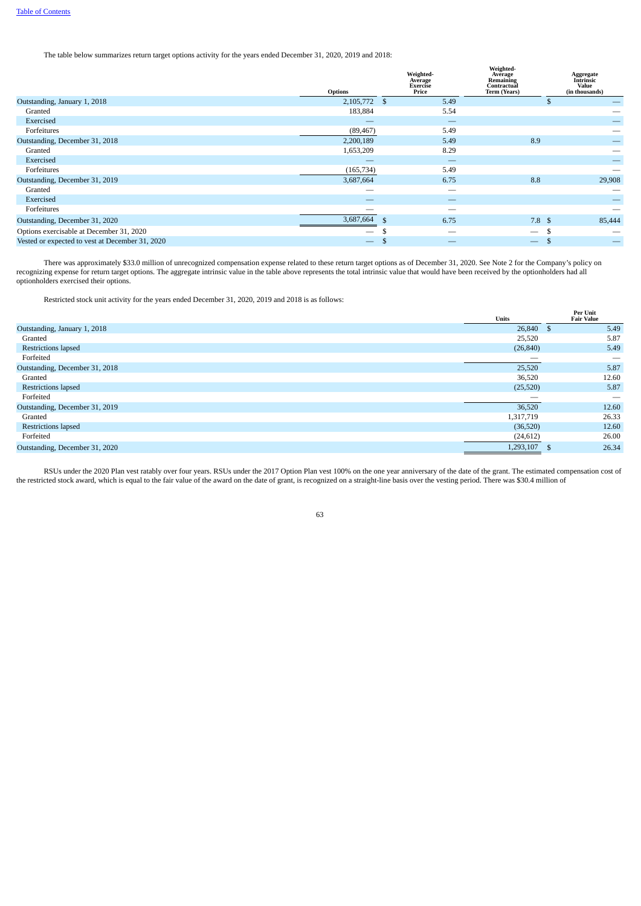The table below summarizes return target options activity for the years ended December 31, 2020, 2019 and 2018:

|                                                 | <b>Options</b>                            | Weighted-<br>Average<br><b>Exercise</b><br>Price | Weighted-<br>Average<br>Remaining<br>Contractual<br><b>Term (Years)</b> | Aggregate<br>Intrinsic<br>Value<br>(in thousands) |
|-------------------------------------------------|-------------------------------------------|--------------------------------------------------|-------------------------------------------------------------------------|---------------------------------------------------|
| Outstanding, January 1, 2018                    | 2,105,772                                 | 5.49<br><sup>\$</sup>                            |                                                                         | S                                                 |
| Granted                                         | 183,884                                   | 5.54                                             |                                                                         |                                                   |
| Exercised                                       |                                           | $\sim$                                           |                                                                         | $\hspace{0.05cm} =$                               |
| Forfeitures                                     | (89, 467)                                 | 5.49                                             |                                                                         |                                                   |
| Outstanding, December 31, 2018                  | 2,200,189                                 | 5.49                                             | 8.9                                                                     | $\overline{\phantom{0}}$                          |
| Granted                                         | 1,653,209                                 | 8.29                                             |                                                                         |                                                   |
| Exercised                                       | $\qquad \qquad \overline{\qquad \qquad }$ | $\sim$                                           |                                                                         |                                                   |
| Forfeitures                                     | (165, 734)                                | 5.49                                             |                                                                         |                                                   |
| Outstanding, December 31, 2019                  | 3,687,664                                 | 6.75                                             | 8.8                                                                     | 29,908                                            |
| Granted                                         |                                           |                                                  |                                                                         |                                                   |
| Exercised                                       |                                           | $\sim$                                           |                                                                         |                                                   |
| Forfeitures                                     |                                           |                                                  |                                                                         |                                                   |
| Outstanding, December 31, 2020                  | 3,687,664                                 | $\mathcal{S}$<br>6.75                            | 7.8 <sup>5</sup>                                                        | 85,444                                            |
| Options exercisable at December 31, 2020        |                                           | э<br>$\sim$                                      |                                                                         | \$                                                |
| Vested or expected to vest at December 31, 2020 | $\hspace{0.05cm}$                         | л                                                | $\overline{\phantom{0}}$                                                | ъ                                                 |

There was approximately \$33.0 million of unrecognized compensation expense related to these return target options as of December 31, 2020. See Note 2 for the Company's policy on recognizing expense for return target options. The aggregate intrinsic value in the table above represents the total intrinsic value that would have been received by the optionholders had all optionholders exercised their options.

Restricted stock unit activity for the years ended December 31, 2020, 2019 and 2018 is as follows:

|                                | Units     | Per Unit<br><b>Fair Value</b> |
|--------------------------------|-----------|-------------------------------|
| Outstanding, January 1, 2018   | 26,840 \$ | 5.49                          |
| Granted                        | 25,520    | 5.87                          |
| Restrictions lapsed            | (26, 840) | 5.49                          |
| Forfeited                      |           | --                            |
| Outstanding, December 31, 2018 | 25,520    | 5.87                          |
| Granted                        | 36,520    | 12.60                         |
| Restrictions lapsed            | (25, 520) | 5.87                          |
| Forfeited                      |           |                               |
| Outstanding, December 31, 2019 | 36,520    | 12.60                         |
| Granted                        | 1,317,719 | 26.33                         |
| Restrictions lapsed            | (36, 520) | 12.60                         |
| Forfeited                      | (24, 612) | 26.00                         |
| Outstanding, December 31, 2020 | 1,293,107 | 26.34<br>\$                   |

RSUs under the 2020 Plan vest ratably over four years. RSUs under the 2017 Option Plan vest 100% on the one year anniversary of the date of the grant. The estimated compensation cost of the restricted stock award, which is equal to the fair value of the award on the date of grant, is recognized on a straight-line basis over the vesting period. There was \$30.4 million of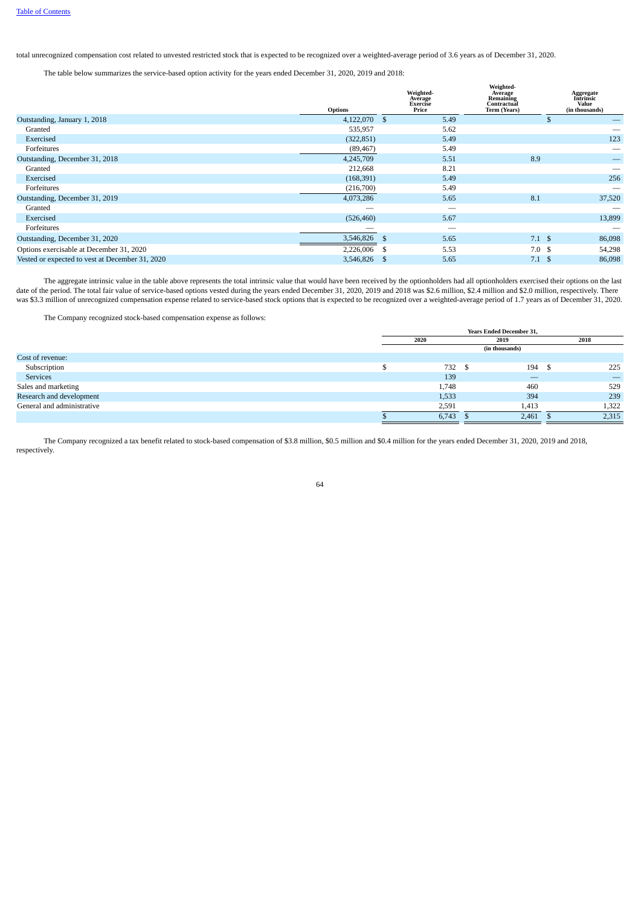total unrecognized compensation cost related to unvested restricted stock that is expected to be recognized over a weighted-average period of 3.6 years as of December 31, 2020.

The table below summarizes the service-based option activity for the years ended December 31, 2020, 2019 and 2018:

|                                                 | <b>Options</b> | Weighted-<br>Average<br>Exercise<br>Price | Weighted-<br>Average<br>Remaining<br>Contractual<br>Term (Years) | Aggregate<br>Intrinsic<br>Value<br>(in thousands) |
|-------------------------------------------------|----------------|-------------------------------------------|------------------------------------------------------------------|---------------------------------------------------|
| Outstanding, January 1, 2018                    | 4,122,070      | 5.49<br>-S                                |                                                                  | ъ                                                 |
| Granted                                         | 535,957        | 5.62                                      |                                                                  |                                                   |
| Exercised                                       | (322, 851)     | 5.49                                      |                                                                  | 123                                               |
| Forfeitures                                     | (89, 467)      | 5.49                                      |                                                                  |                                                   |
| Outstanding, December 31, 2018                  | 4,245,709      | 5.51                                      | 8.9                                                              | $\hspace{0.1mm}-\hspace{0.1mm}$                   |
| Granted                                         | 212,668        | 8.21                                      |                                                                  |                                                   |
| Exercised                                       | (168, 391)     | 5.49                                      |                                                                  | 256                                               |
| Forfeitures                                     | (216,700)      | 5.49                                      |                                                                  |                                                   |
| Outstanding, December 31, 2019                  | 4,073,286      | 5.65                                      | 8.1                                                              | 37,520                                            |
| Granted                                         | --             |                                           |                                                                  |                                                   |
| Exercised                                       | (526, 460)     | 5.67                                      |                                                                  | 13,899                                            |
| Forfeitures                                     |                |                                           |                                                                  |                                                   |
| Outstanding, December 31, 2020                  | 3,546,826      | 5.65<br>$\mathfrak{L}$                    | $7.1 \text{ } $s$                                                | 86,098                                            |
| Options exercisable at December 31, 2020        | 2,226,006      | 5.53<br>Ж,                                | 7.0 <sup>5</sup>                                                 | 54,298                                            |
| Vested or expected to vest at December 31, 2020 | 3,546,826      | 5.65<br>Ъ                                 | $7.1 \text{ } $$                                                 | 86,098                                            |
|                                                 |                |                                           |                                                                  |                                                   |

The aggregate intrinsic value in the table above represents the total intrinsic value that would have been received by the optionholders had all optionholders exercised their options on the last date of the period. The total fair value of service-based options vested during the years ended December 31, 2020, 2019 and 2018 was \$2.6 million, \$2.4 million and \$2.0 million, respectively. There was \$3.3 million of unrecognized compensation expense related to service-based stock options that is expected to be recognized over a weighted-average period of 1.7 years as of December 31, 2020.

The Company recognized stock-based compensation expense as follows:

|                            | <b>Years Ended December 31,</b> |       |    |                |     |       |
|----------------------------|---------------------------------|-------|----|----------------|-----|-------|
|                            | 2020                            |       |    | 2019           |     | 2018  |
|                            |                                 |       |    | (in thousands) |     |       |
| Cost of revenue:           |                                 |       |    |                |     |       |
| Subscription               |                                 | 732   | -S | 194            | - S | 225   |
| Services                   |                                 | 139   |    | --             |     | --    |
| Sales and marketing        |                                 | 1,748 |    | 460            |     | 529   |
| Research and development   |                                 | 1,533 |    | 394            |     | 239   |
| General and administrative |                                 | 2,591 |    | 1,413          |     | 1,322 |
|                            |                                 | 6,743 |    | 2,461          |     | 2,315 |

The Company recognized a tax benefit related to stock-based compensation of \$3.8 million, \$0.5 million and \$0.4 million for the years ended December 31, 2020, 2019 and 2018, respectively.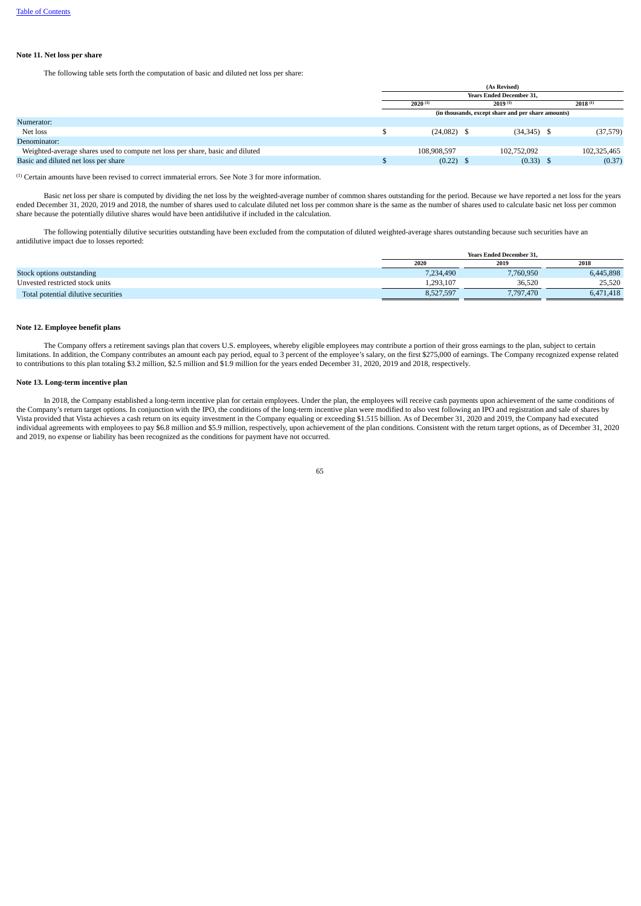#### **Note 11. Net loss per share**

The following table sets forth the computation of basic and diluted net loss per share:

|                                                                               | (As Revised)                                       |               |  |             |  |  |  |
|-------------------------------------------------------------------------------|----------------------------------------------------|---------------|--|-------------|--|--|--|
|                                                                               | <b>Years Ended December 31.</b>                    |               |  |             |  |  |  |
|                                                                               | $2020^{(1)}$                                       | $2019^{(1)}$  |  |             |  |  |  |
|                                                                               | (in thousands, except share and per share amounts) |               |  |             |  |  |  |
| Numerator:                                                                    |                                                    |               |  |             |  |  |  |
| Net loss                                                                      | $(24,082)$ \$                                      | $(34,345)$ \$ |  | (37,579)    |  |  |  |
| Denominator:                                                                  |                                                    |               |  |             |  |  |  |
| Weighted-average shares used to compute net loss per share, basic and diluted | 108,908,597                                        | 102.752.092   |  | 102,325,465 |  |  |  |
| Basic and diluted net loss per share                                          | $(0.22)$ \$                                        | $(0.33)$ \$   |  | (0.37)      |  |  |  |
|                                                                               |                                                    |               |  |             |  |  |  |

 $<sup>(1)</sup>$  Certain amounts have been revised to correct immaterial errors. See Note 3 for more information.</sup>

Basic net loss per share is computed by dividing the net loss by the weighted-average number of common shares outstanding for the period. Because we have reported a net loss for the years ended December 31, 2020, 2019 and 2018, the number of shares used to calculate diluted net loss per common share is the same as the number of shares used to calculate basic net loss per common share because the potentially dilutive shares would have been antidilutive if included in the calculation.

The following potentially dilutive securities outstanding have been excluded from the computation of diluted weighted-average shares outstanding because such securities have an antidilutive impact due to losses reported:

| 2020      | 2019      | 2018                            |  |
|-----------|-----------|---------------------------------|--|
| 7.234.490 | 7,760,950 | 6,445,898                       |  |
| 1.293.107 | 36.520    | 25.520                          |  |
| 8.527.597 | 7.797.470 | 6.471.418                       |  |
|           |           | <b>Years Ended December 31.</b> |  |

#### **Note 12. Employee benefit plans**

The Company offers a retirement savings plan that covers U.S. employees, whereby eligible employees may contribute a portion of their gross earnings to the plan, subject to certain limitations. In addition, the Company contributes an amount each pay period, equal to 3 percent of the employee's salary, on the first \$275,000 of earnings. The Company recognized expense related to contributions to this plan totaling \$3.2 million, \$2.5 million and \$1.9 million for the years ended December 31, 2020, 2019 and 2018, respectively.

#### **Note 13. Long-term incentive plan**

In 2018, the Company established a long-term incentive plan for certain employees. Under the plan, the employees will receive cash payments upon achievement of the same conditions of the Company's return target options. In conjunction with the IPO, the conditions of the long-term incentive plan were modified to also vest following an IPO and registration and sale of shares by Vista provided that Vista achieves a cash return on its equity investment in the Company equaling or exceeding \$1.515 billion. As of December 31, 2020 and 2019, the Company had executed individual agreements with employees to pay \$6.8 million and \$5.9 million, respectively, upon achievement of the plan conditions. Consistent with the return target options, as of December 31, 2020 and 2019, no expense or liability has been recognized as the conditions for payment have not occurred.

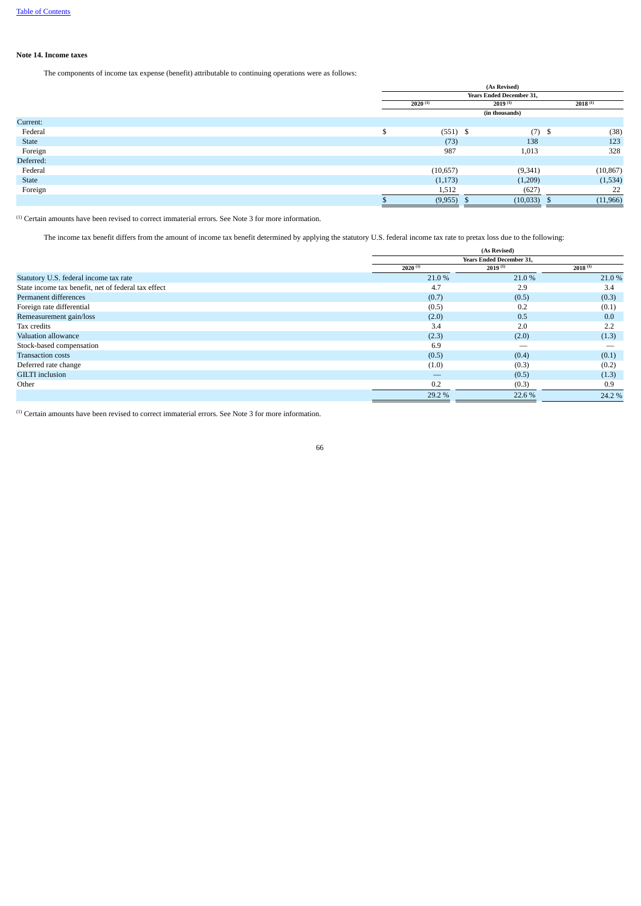# **Note 14. Income taxes**

The components of income tax expense (benefit) attributable to continuing operations were as follows:

|           |                                 | (As Revised)   |                |  |
|-----------|---------------------------------|----------------|----------------|--|
|           | <b>Years Ended December 31,</b> |                |                |  |
|           | $2020^{(1)}$                    | $2019^{(1)}$   | $2018^{(1)}$   |  |
|           |                                 | (in thousands) |                |  |
| Current:  |                                 |                |                |  |
| Federal   | $(551)$ \$                      | $(7)$ \$       | (38)           |  |
| State     | (73)                            | 138            | 123            |  |
| Foreign   | 987                             | 1,013          | 328            |  |
| Deferred: |                                 |                |                |  |
| Federal   | (10, 657)                       | (9, 341)       | (10, 867)      |  |
| State     | (1,173)                         | (1,209)        | (1,534)        |  |
| Foreign   | 1,512                           | (627)          | 22             |  |
|           | (9,955)                         | (10, 033)      | (11,966)<br>-S |  |
|           |                                 |                |                |  |

 $<sup>(1)</sup>$  Certain amounts have been revised to correct immaterial errors. See Note 3 for more information.</sup>

The income tax benefit differs from the amount of income tax benefit determined by applying the statutory U.S. federal income tax rate to pretax loss due to the following:

|                                                     |                   | (As Revised)<br><b>Years Ended December 31,</b> |              |  |
|-----------------------------------------------------|-------------------|-------------------------------------------------|--------------|--|
|                                                     |                   |                                                 |              |  |
|                                                     | $2020^{(1)}$      | $2019^{(1)}$                                    | $2018^{(1)}$ |  |
| Statutory U.S. federal income tax rate              | 21.0%             | 21.0%                                           | 21.0%        |  |
| State income tax benefit, net of federal tax effect | 4.7               | 2.9                                             | 3.4          |  |
| Permanent differences                               | (0.7)             | (0.5)                                           | (0.3)        |  |
| Foreign rate differential                           | (0.5)             | 0.2                                             | (0.1)        |  |
| Remeasurement gain/loss                             | (2.0)             | 0.5                                             | 0.0          |  |
| Tax credits                                         | 3.4               | 2.0                                             | 2.2          |  |
| Valuation allowance                                 | (2.3)             | (2.0)                                           | (1.3)        |  |
| Stock-based compensation                            | 6.9               |                                                 |              |  |
| <b>Transaction costs</b>                            | (0.5)             | (0.4)                                           | (0.1)        |  |
| Deferred rate change                                | (1.0)             | (0.3)                                           | (0.2)        |  |
| <b>GILTI</b> inclusion                              | $\hspace{0.05cm}$ | (0.5)                                           | (1.3)        |  |
| Other                                               | 0.2               | (0.3)                                           | 0.9          |  |
|                                                     | 29.2 %            | 22.6 %                                          | 24.2 %       |  |

 $<sup>(1)</sup>$  Certain amounts have been revised to correct immaterial errors. See Note 3 for more information.</sup>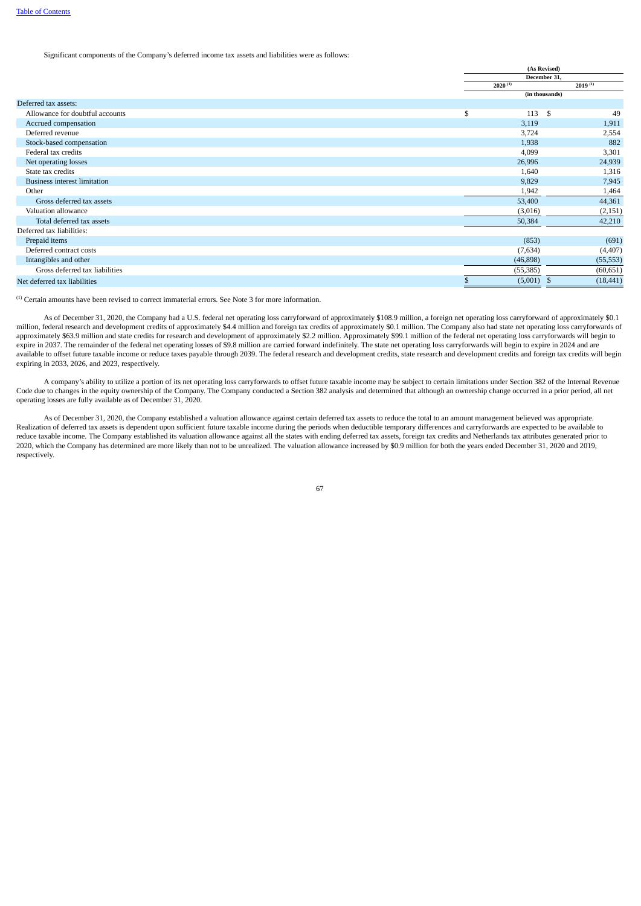Significant components of the Company's deferred income tax assets and liabilities were as follows:

|                                     |               | (As Revised)    |  |
|-------------------------------------|---------------|-----------------|--|
|                                     |               | December 31,    |  |
|                                     | $2020^{(1)}$  | $2019^{(1)}$    |  |
|                                     |               | (in thousands)  |  |
| Deferred tax assets:                |               |                 |  |
| Allowance for doubtful accounts     | \$<br>113     | -S<br>49        |  |
| Accrued compensation                | 3,119         | 1,911           |  |
| Deferred revenue                    | 3,724         | 2,554           |  |
| Stock-based compensation            | 1,938         | 882             |  |
| Federal tax credits                 | 4,099         | 3,301           |  |
| Net operating losses                | 26,996        | 24,939          |  |
| State tax credits                   | 1,640         | 1,316           |  |
| <b>Business interest limitation</b> | 9,829         | 7,945           |  |
| Other                               | 1,942         | 1,464           |  |
| Gross deferred tax assets           | 53,400        | 44,361          |  |
| Valuation allowance                 | (3,016)       | (2, 151)        |  |
| Total deferred tax assets           | 50,384        | 42,210          |  |
| Deferred tax liabilities:           |               |                 |  |
| Prepaid items                       | (853)         | (691)           |  |
| Deferred contract costs             | (7,634)       | (4, 407)        |  |
| Intangibles and other               | (46, 898)     | (55, 553)       |  |
| Gross deferred tax liabilities      | (55, 385)     | (60, 651)       |  |
| Net deferred tax liabilities        | (5,001)<br>\$ | \$<br>(18, 441) |  |

 $<sup>(1)</sup>$  Certain amounts have been revised to correct immaterial errors. See Note 3 for more information.</sup>

As of December 31, 2020, the Company had a U.S. federal net operating loss carryforward of approximately \$108.9 million, a foreign net operating loss carryforward of approximately \$0.1 million, federal research and development credits of approximately \$4.4 million and foreign tax credits of approximately \$0.1 million. The Company also had state net operating loss carryforwards of approximately \$4.4 milli approximately \$63.9 million and state credits for research and development of approximately \$2.2 million. Approximately \$99.1 million of the federal net operating loss carryforwards will begin to expire in 2037. The remainder of the federal net operating losses of \$9.8 million are carried forward indefinitely. The state net operating loss carryforwards will begin to expire in 2024 and are available to offset future taxable income or reduce taxes payable through 2039. The federal research and development credits, state research and development credits and foreign tax credits will begin tax credits will begin expiring in 2033, 2026, and 2023, respectively.

A company's ability to utilize a portion of its net operating loss carryforwards to offset future taxable income may be subject to certain limitations under Section 382 of the Internal Revenue Code due to changes in the equity ownership of the Company. The Company conducted a Section 382 analysis and determined that although an ownership change occurred in a prior period, all net operating losses are fully available as of December 31, 2020.

As of December 31, 2020, the Company established a valuation allowance against certain deferred tax assets to reduce the total to an amount management believed was appropriate. Realization of deferred tax assets is dependent upon sufficient future taxable income during the periods when deductible temporary differences and carryforwards are expected to be available to reduce taxable income. The Company established its valuation allowance against all the states with ending deferred tax assets, foreign tax credits and Netherlands tax attributes generated prior to 2020, which the Company has determined are more likely than not to be unrealized. The valuation allowance increased by \$0.9 million for both the years ended December 31, 2020 and 2019, respectively.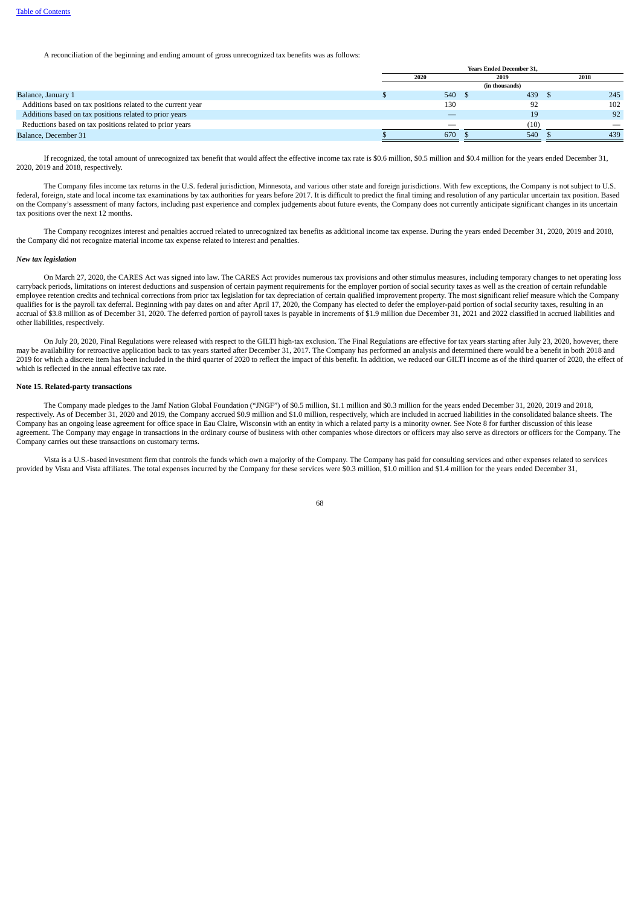A reconciliation of the beginning and ending amount of gross unrecognized tax benefits was as follows:

|                                                              | <b>Years Ended December 31.</b> |      |      |  |  |
|--------------------------------------------------------------|---------------------------------|------|------|--|--|
|                                                              | 2020                            | 2019 | 2018 |  |  |
|                                                              | (in thousands)                  |      |      |  |  |
| Balance, January 1                                           | 540                             | 439  | 245  |  |  |
| Additions based on tax positions related to the current year | 130                             | 92   | 102  |  |  |
| Additions based on tax positions related to prior years      |                                 | 19   | 92   |  |  |
| Reductions based on tax positions related to prior years     |                                 | (10) | --   |  |  |
| Balance, December 31                                         | 670                             | 540  | 439  |  |  |

If recognized, the total amount of unrecognized tax benefit that would affect the effective income tax rate is \$0.6 million, \$0.5 million and \$0.4 million for the years ended December 31, 2020, 2019 and 2018, respectively.

The Company files income tax returns in the U.S. federal jurisdiction, Minnesota, and various other state and foreign jurisdictions. With few exceptions, the Company is not subject to U.S. federal, foreign, state and local income tax examinations by tax authorities for years before 2017. It is difficult to predict the final timing and resolution of any particular uncertain tax position. Based on the Company's assessment of many factors, including past experience and complex judgements about future events, the Company does not currently anticipate significant changes in its uncertain tax positions over the next 12 months.

The Company recognizes interest and penalties accrued related to unrecognized tax benefits as additional income tax expense. During the years ended December 31, 2020, 2019 and 2018, the Company did not recognize material income tax expense related to interest and penalties.

### *New tax legislation*

On March 27, 2020, the CARES Act was signed into law. The CARES Act provides numerous tax provisions and other stimulus measures, including temporary changes to net operating loss carryback periods, limitations on interest deductions and suspension of certain payment requirements for the employer portion of social security taxes as well as the creation of certain refundable employee retention credits and technical corrections from prior tax legislation for tax depreciation of certain qualified improvement property. The most significant relief measure which the Company qualifies for is the payroll tax deferral. Beginning with pay dates on and after April 17, 2020, the Company has elected to defer the employer-paid portion of social security taxes, resulting in an accrual of \$3.8 million as of December 31, 2020. The deferred portion of payroll taxes is payable in increments of \$1.9 million due December 31, 2021 and 2022 classified in accrued liabilities and other liabilities, respectively.

On July 20, 2020, Final Regulations were released with respect to the GILTI high-tax exclusion. The Final Regulations are effective for tax years starting after July 23, 2020, however, there may be availability for retroactive application back to tax years started after December 31, 2017. The Company has performed an analysis and determined there would be a benefit in both 2018 and 2019 for which a discrete item has been included in the third quarter of 2020 to reflect the impact of this benefit. In addition, we reduced our GILTI income as of the third quarter of 2020, the effect of which is reflected in the annual effective tax rate.

## **Note 15. Related-party transactions**

The Company made pledges to the Jamf Nation Global Foundation ("JNGF") of \$0.5 million, \$1.1 million and \$0.3 million for the years ended December 31, 2020, 2019 and 2018, respectively. As of December 31, 2020 and 2019, the Company accrued \$0.9 million and \$1.0 million, respectively, which are included in accrued liabilities in the consolidated balance sheets. The Company has an ongoing lease agreement for office space in Eau Claire, Wisconsin with an entity in which a related party is a minority owner. See Note 8 for further discussion of this lease agreement. The Company may engage in transactions in the ordinary course of business with other companies whose directors or officers may also serve as directors or officers for the Company. The Company carries out these transactions on customary terms.

Vista is a U.S.-based investment firm that controls the funds which own a majority of the Company. The Company has paid for consulting services and other expenses related to services provided by Vista and Vista affiliates. The total expenses incurred by the Company for these services were \$0.3 million, \$1.0 million and \$1.4 million for the years ended December 31,

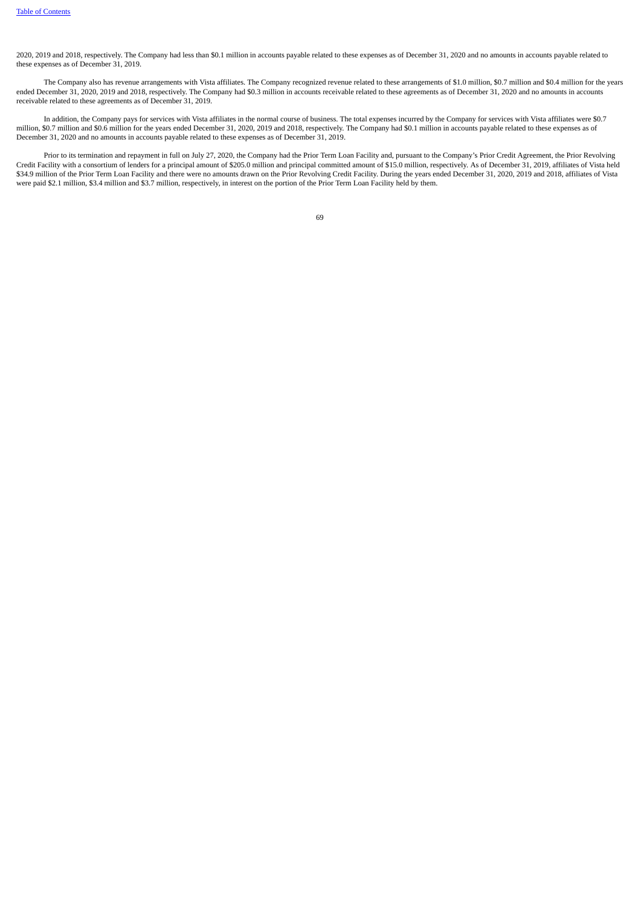2020, 2019 and 2018, respectively. The Company had less than \$0.1 million in accounts payable related to these expenses as of December 31, 2020 and no amounts in accounts payable related to these expenses as of December 31, 2019.

The Company also has revenue arrangements with Vista affiliates. The Company recognized revenue related to these arrangements of \$1.0 million, \$0.7 million and \$0.4 million for the years ended December 31, 2020, 2019 and 2018, respectively. The Company had \$0.3 million in accounts receivable related to these agreements as of December 31, 2020 and no amounts in accounts receivable related to these agreements as of December 31, 2019.

In addition, the Company pays for services with Vista affiliates in the normal course of business. The total expenses incurred by the Company for services with Vista affiliates were \$0.7 million, \$0.7 million and \$0.6 million for the years ended December 31, 2020, 2019 and 2018, respectively. The Company had \$0.1 million in accounts payable related to these expenses as of December 31, 2020 and no amounts in accounts payable related to these expenses as of December 31, 2019.

Prior to its termination and repayment in full on July 27, 2020, the Company had the Prior Term Loan Facility and, pursuant to the Company's Prior Credit Agreement, the Prior Revolving Credit Facility with a consortium of lenders for a principal amount of \$205.0 million and principal committed amount of \$15.0 million, respectively. As of December 31, 2019, affiliates of Vista held \$34.9 million of the Prior Term Loan Facility and there were no amounts drawn on the Prior Revolving Credit Facility. During the years ended December 31, 2020, 2019 and 2018, affiliates of Vista were paid \$2.1 million, \$3.4 million and \$3.7 million, respectively, in interest on the portion of the Prior Term Loan Facility held by them.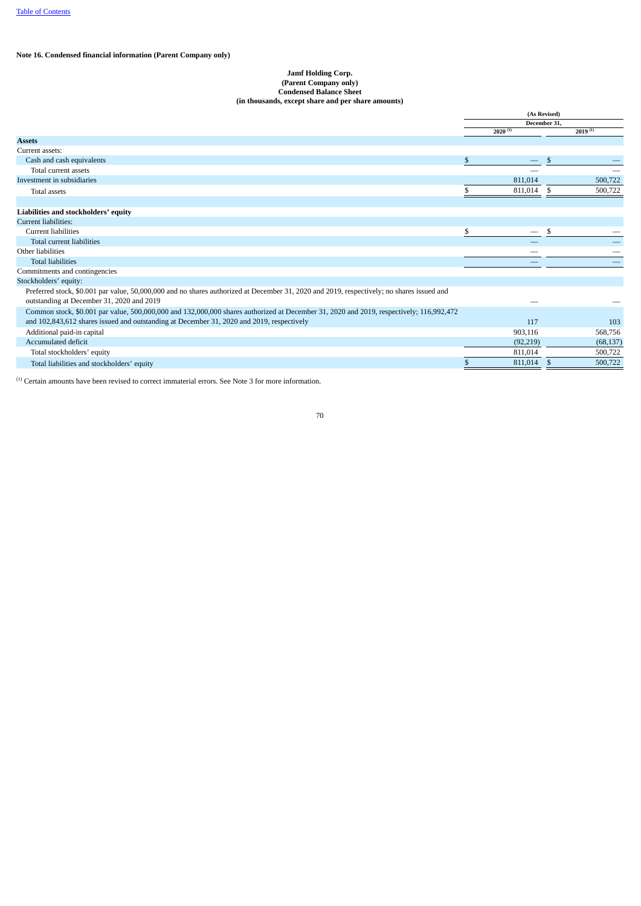# **Note 16. Condensed financial information (Parent Company only)**

## **Jamf Holding Corp. (Parent Company only) Condensed Balance Sheet (in thousands, except share and per share amounts)**

|                                                                                                                                                                                        | (As Revised) |                          |               |              |
|----------------------------------------------------------------------------------------------------------------------------------------------------------------------------------------|--------------|--------------------------|---------------|--------------|
|                                                                                                                                                                                        |              | December 31,             |               |              |
|                                                                                                                                                                                        |              | $2020^{(1)}$             |               | $2019^{(1)}$ |
| <b>Assets</b>                                                                                                                                                                          |              |                          |               |              |
| Current assets:                                                                                                                                                                        |              |                          |               |              |
| Cash and cash equivalents                                                                                                                                                              | \$.          | —                        | \$            |              |
| Total current assets                                                                                                                                                                   |              |                          |               |              |
| Investment in subsidiaries                                                                                                                                                             |              | 811,014                  |               | 500,722      |
| Total assets                                                                                                                                                                           |              | 811,014                  | <sup>\$</sup> | 500,722      |
|                                                                                                                                                                                        |              |                          |               |              |
| Liabilities and stockholders' equity                                                                                                                                                   |              |                          |               |              |
| Current liabilities:                                                                                                                                                                   |              |                          |               |              |
| <b>Current liabilities</b>                                                                                                                                                             | \$           | $\overline{\phantom{0}}$ | <sup>\$</sup> |              |
| Total current liabilities                                                                                                                                                              |              |                          |               |              |
| Other liabilities                                                                                                                                                                      |              |                          |               |              |
| <b>Total liabilities</b>                                                                                                                                                               |              |                          |               |              |
| Commitments and contingencies                                                                                                                                                          |              |                          |               |              |
| Stockholders' equity:                                                                                                                                                                  |              |                          |               |              |
| Preferred stock, \$0.001 par value, 50,000,000 and no shares authorized at December 31, 2020 and 2019, respectively; no shares issued and<br>outstanding at December 31, 2020 and 2019 |              |                          |               |              |
| Common stock, \$0.001 par value, 500,000,000 and 132,000,000 shares authorized at December 31, 2020 and 2019, respectively; 116,992,472                                                |              |                          |               |              |
| and 102,843,612 shares issued and outstanding at December 31, 2020 and 2019, respectively                                                                                              |              | 117                      |               | 103          |
| Additional paid-in capital                                                                                                                                                             |              | 903,116                  |               | 568,756      |
| Accumulated deficit                                                                                                                                                                    |              | (92, 219)                |               | (68, 137)    |
| Total stockholders' equity                                                                                                                                                             |              | 811,014                  |               | 500,722      |
| Total liabilities and stockholders' equity                                                                                                                                             |              | 811,014                  | .Y            | 500,722      |
|                                                                                                                                                                                        |              |                          |               |              |

 $<sup>(1)</sup>$  Certain amounts have been revised to correct immaterial errors. See Note 3 for more information.</sup>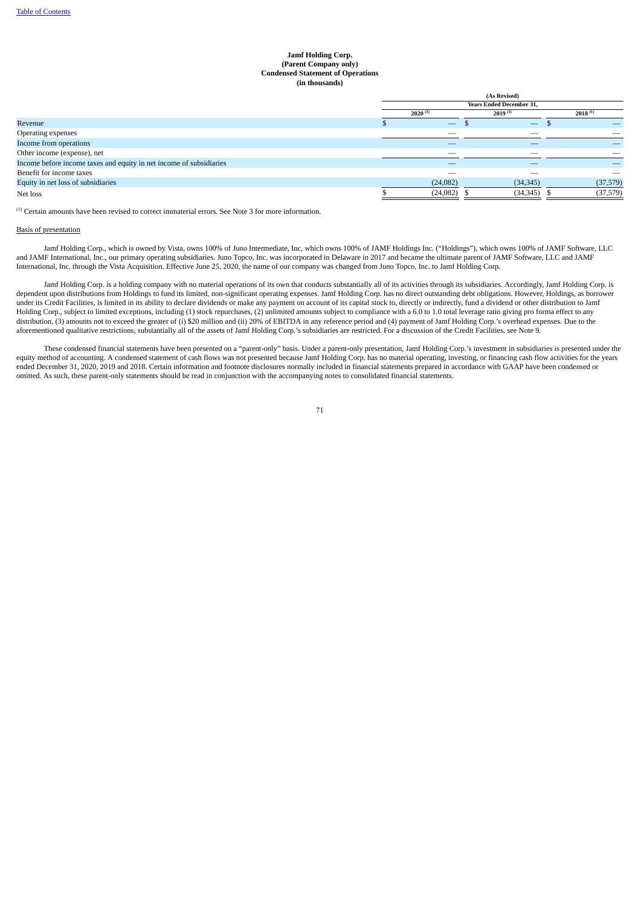## **Jamf Holding Corp. (Parent Company only) Condensed Statement of Operations (in thousands)**

|                                                                     |  | (As Revised)<br><b>Years Ended December 31,</b> |              |              |    |  |  |
|---------------------------------------------------------------------|--|-------------------------------------------------|--------------|--------------|----|--|--|
|                                                                     |  |                                                 |              |              |    |  |  |
|                                                                     |  | $2020^{(1)}$                                    | $2019^{(1)}$ | $2018^{(1)}$ |    |  |  |
| Revenue                                                             |  | $\frac{1}{2}$                                   | --           |              |    |  |  |
| Operating expenses                                                  |  |                                                 |              |              |    |  |  |
| Income from operations                                              |  |                                                 |              |              |    |  |  |
| Other income (expense), net                                         |  | $\overline{\phantom{a}}$                        | $\sim$       |              | -- |  |  |
| Income before income taxes and equity in net income of subsidiaries |  |                                                 |              |              |    |  |  |
| Benefit for income taxes                                            |  |                                                 |              |              |    |  |  |
| Equity in net loss of subsidiaries                                  |  | (24,082)                                        | (34, 345)    | (37, 579)    |    |  |  |
| Net loss                                                            |  | (24,082)                                        | (34, 345)    | (37, 579)    |    |  |  |
|                                                                     |  |                                                 |              |              |    |  |  |

 $<sup>(1)</sup>$  Certain amounts have been revised to correct immaterial errors. See Note 3 for more information.</sup>

## Basis of presentation

Jamf Holding Corp., which is owned by Vista, owns 100% of Juno Intermediate, Inc, which owns 100% of JAMF Holdings Inc. ("Holdings"), which owns 100% of JAMF Software, LLC and JAMF International, Inc., our primary operating subsidiaries. Juno Topco, Inc. was incorporated in Delaware in 2017 and became the ultimate parent of JAMF Software, LLC and JAMF International, Inc. through the Vista Acquisition. Effective June 25, 2020, the name of our company was changed from Juno Topco, Inc. to Jamf Holding Corp.

Jamf Holding Corp. is a holding company with no material operations of its own that conducts substantially all of its activities through its subsidiaries. Accordingly, Jamf Holding Corp. is dependent upon distributions from Holdings to fund its limited, non-significant operating expenses. Jamf Holding Corp. has no direct outstanding debt obligations. However, Holdings, as borrower under its Credit Facilities, is limited in its ability to declare dividends or make any payment on account of its capital stock to, directly or indirectly, fund a dividend or other distribution to Jamf Holding Corp., subject to limited exceptions, including (1) stock repurchases, (2) unlimited amounts subject to compliance with a 6.0 to 1.0 total leverage ratio giving pro forma effect to any distribution, (3) amounts not to exceed the greater of (i) \$20 million and (ii) 20% of EBITDA in any reference period and (4) payment of Jamf Holding Corp.'s overhead expenses. Due to the aforementioned qualitative restrictions, substantially all of the assets of Jamf Holding Corp.'s subsidiaries are restricted. For a discussion of the Credit Facilities, see Note 9*.*

These condensed financial statements have been presented on a "parent-only" basis. Under a parent-only presentation, Jamf Holding Corp.'s investment in subsidiaries is presented under the equity method of accounting. A condensed statement of cash flows was not presented because Jamf Holding Corp. has no material operating, investing, or financing cash flow activities for the years ended December 31, 2020, 2019 and 2018. Certain information and footnote disclosures normally included in financial statements prepared in accordance with GAAP have been condensed or omitted. As such, these parent-only statements should be read in conjunction with the accompanying notes to consolidated financial statements.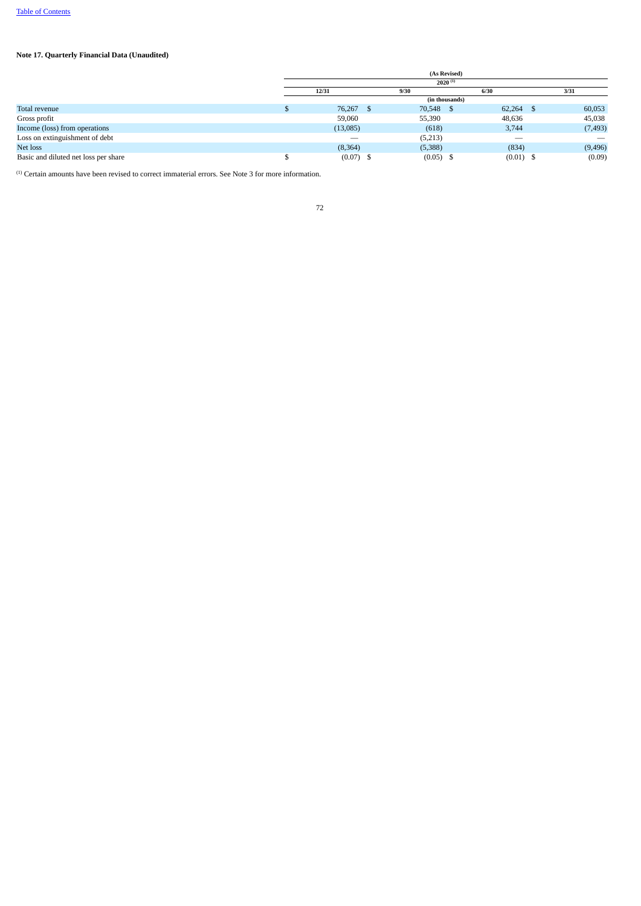# **Note 17. Quarterly Financial Data (Unaudited)**

|                                      |              |  |             | (As Revised)   |             |     |          |
|--------------------------------------|--------------|--|-------------|----------------|-------------|-----|----------|
|                                      | $2020^{(1)}$ |  |             |                |             |     |          |
|                                      | 12/31        |  | 9/30        |                | 6/30        |     | 3/31     |
|                                      |              |  |             | (in thousands) |             |     |          |
| Total revenue                        | 76,267 \$    |  | 70,548 \$   |                | 62,264      | . ა | 60,053   |
| Gross profit                         | 59,060       |  | 55,390      |                | 48,636      |     | 45,038   |
| Income (loss) from operations        | (13,085)     |  | (618)       |                | 3,744       |     | (7, 493) |
| Loss on extinguishment of debt       |              |  | (5,213)     |                |             |     |          |
| Net loss                             | (8,364)      |  | (5,388)     |                | (834)       |     | (9,496)  |
| Basic and diluted net loss per share | $(0.07)$ \$  |  | $(0.05)$ \$ |                | $(0.01)$ \$ |     | (0.09)   |

 $<sup>(1)</sup>$  Certain amounts have been revised to correct immaterial errors. See Note 3 for more information.</sup>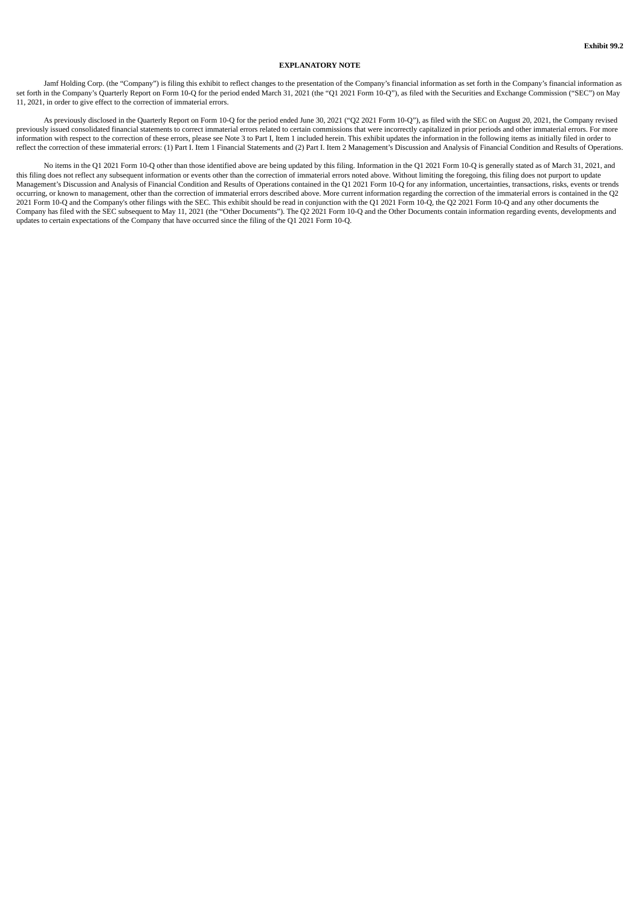## **EXPLANATORY NOTE**

Jamf Holding Corp. (the "Company") is filing this exhibit to reflect changes to the presentation of the Company's financial information as set forth in the Company's financial information as set forth in the Company's Quarterly Report on Form 10-Q for the period ended March 31, 2021 (the "Q1 2021 Form 10-Q"), as filed with the Securities and Exchange Commission ("SEC") on May 11, 2021, in order to give effect to the correction of immaterial errors.

As previously disclosed in the Quarterly Report on Form 10-Q for the period ended June 30, 2021 ("Q2 2021 Form 10-Q"), as filed with the SEC on August 20, 2021, the Company revised previously issued consolidated financial statements to correct immaterial errors related to certain commissions that were incorrectly capitalized in prior periods and other immaterial errors. For more information with respect to the correction of these errors, please see Note 3 to Part I, Item 1 included herein. This exhibit updates the information in the following items as initially filed in order to reflect the correction of these immaterial errors: (1) Part I. Item 1 Financial Statements and (2) Part I. Item 2 Management's Discussion and Analysis of Financial Condition and Results of Operations.

<span id="page-77-0"></span>No items in the Q1 2021 Form 10-Q other than those identified above are being updated by this filing. Information in the Q1 2021 Form 10-Q is generally stated as of March 31, 2021, and this filing does not reflect any subsequent information or events other than the correction of immaterial errors noted above. Without limiting the foregoing, this filing does not purport to update Management's Discussion and Analysis of Financial Condition and Results of Operations contained in the Q1 2021 Form 10-Q for any information, uncertainties, transactions, risks, events or trends occurring, or known to management, other than the correction of immaterial errors described above. More current information regarding the correction of the immaterial errors is contained in the Q2 2021 Form 10-Q and the Company's other filings with the SEC. This exhibit should be read in conjunction with the Q1 2021 Form 10-Q, the Q2 2021 Form 10-Q and any other documents the Company has filed with the SEC subsequent to May 11, 2021 (the "Other Documents"). The Q2 2021 Form 10-Q and the Other Documents contain information regarding events, developments and updates to certain expectations of the Company that have occurred since the filing of the Q1 2021 Form 10-Q.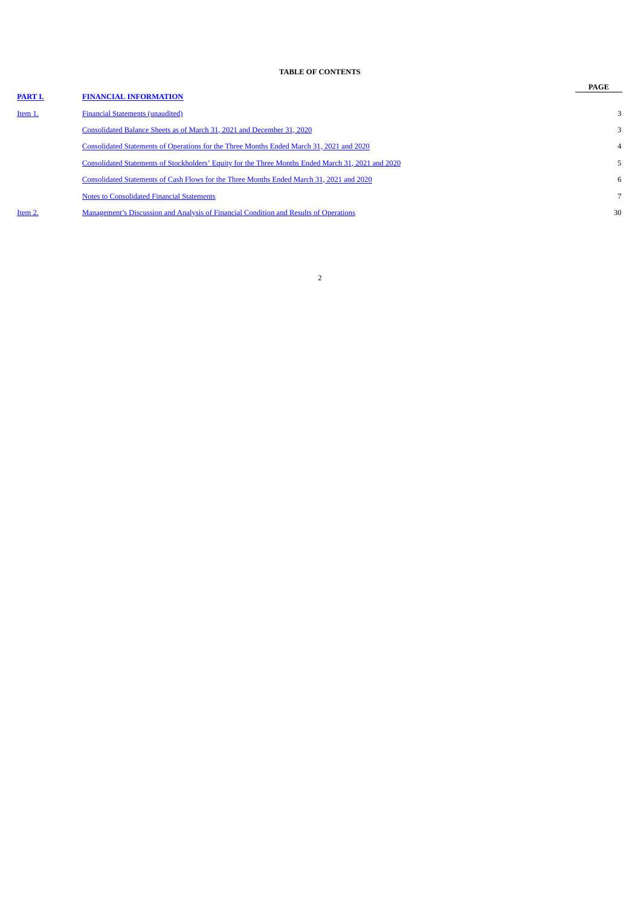# **TABLE OF CONTENTS**

<span id="page-78-0"></span>

| PART I. | <b>FINANCIAL INFORMATION</b>                                                                       | PAGE           |
|---------|----------------------------------------------------------------------------------------------------|----------------|
| Item 1. | <b>Financial Statements (unaudited)</b>                                                            | 3              |
|         | Consolidated Balance Sheets as of March 31, 2021 and December 31, 2020                             | 3              |
|         | Consolidated Statements of Operations for the Three Months Ended March 31, 2021 and 2020           | $\overline{4}$ |
|         | Consolidated Statements of Stockholders' Equity for the Three Months Ended March 31, 2021 and 2020 | 5              |
|         | Consolidated Statements of Cash Flows for the Three Months Ended March 31, 2021 and 2020           | 6              |
|         | <b>Notes to Consolidated Financial Statements</b>                                                  | 7              |
| Item 2. | Management's Discussion and Analysis of Financial Condition and Results of Operations              | 30             |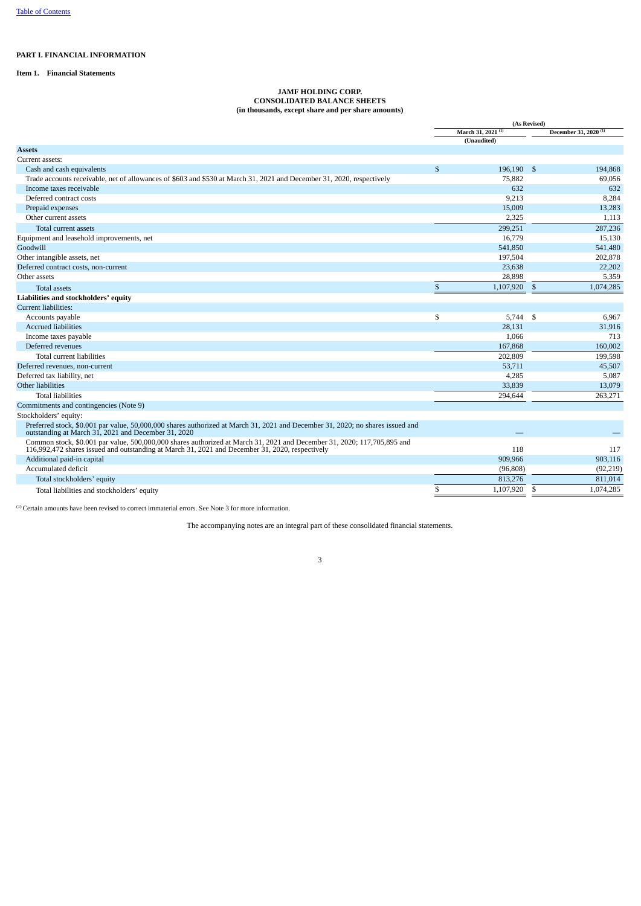# **PART I. FINANCIAL INFORMATION**

# <span id="page-79-1"></span><span id="page-79-0"></span>**Item 1. Financial Statements**

## **JAMF HOLDING CORP. CONSOLIDATED BALANCE SHEETS (in thousands, except share and per share amounts)**

|                                                                                                                                                                                                                            | (As Revised)                  |             |              |                                  |  |
|----------------------------------------------------------------------------------------------------------------------------------------------------------------------------------------------------------------------------|-------------------------------|-------------|--------------|----------------------------------|--|
|                                                                                                                                                                                                                            | March 31, 2021 <sup>(1)</sup> |             |              | December 31, 2020 <sup>(1)</sup> |  |
|                                                                                                                                                                                                                            |                               | (Unaudited) |              |                                  |  |
| Assets                                                                                                                                                                                                                     |                               |             |              |                                  |  |
| Current assets:                                                                                                                                                                                                            |                               |             |              |                                  |  |
| Cash and cash equivalents                                                                                                                                                                                                  | \$                            | 196.190     | $\mathbb{S}$ | 194.868                          |  |
| Trade accounts receivable, net of allowances of \$603 and \$530 at March 31, 2021 and December 31, 2020, respectively                                                                                                      |                               | 75.882      |              | 69,056                           |  |
| Income taxes receivable                                                                                                                                                                                                    |                               | 632         |              | 632                              |  |
| Deferred contract costs                                                                                                                                                                                                    |                               | 9,213       |              | 8,284                            |  |
| Prepaid expenses                                                                                                                                                                                                           |                               | 15,009      |              | 13,283                           |  |
| Other current assets                                                                                                                                                                                                       |                               | 2,325       |              | 1,113                            |  |
| Total current assets                                                                                                                                                                                                       |                               | 299,251     |              | 287,236                          |  |
| Equipment and leasehold improvements, net                                                                                                                                                                                  |                               | 16,779      |              | 15,130                           |  |
| Goodwill                                                                                                                                                                                                                   |                               | 541,850     |              | 541,480                          |  |
| Other intangible assets, net                                                                                                                                                                                               |                               | 197,504     |              | 202,878                          |  |
| Deferred contract costs, non-current                                                                                                                                                                                       |                               | 23,638      |              | 22,202                           |  |
| Other assets                                                                                                                                                                                                               |                               | 28,898      |              | 5,359                            |  |
| <b>Total assets</b>                                                                                                                                                                                                        | \$                            | 1,107,920   | $\mathbb{S}$ | 1,074,285                        |  |
| Liabilities and stockholders' equity                                                                                                                                                                                       |                               |             |              |                                  |  |
| <b>Current liabilities:</b>                                                                                                                                                                                                |                               |             |              |                                  |  |
| Accounts payable                                                                                                                                                                                                           | \$                            | $5,744$ \$  |              | 6,967                            |  |
| <b>Accrued liabilities</b>                                                                                                                                                                                                 |                               | 28,131      |              | 31,916                           |  |
| Income taxes payable                                                                                                                                                                                                       |                               | 1,066       |              | 713                              |  |
| Deferred revenues                                                                                                                                                                                                          |                               | 167,868     |              | 160,002                          |  |
| Total current liabilities                                                                                                                                                                                                  |                               | 202,809     |              | 199,598                          |  |
| Deferred revenues, non-current                                                                                                                                                                                             |                               | 53,711      |              | 45,507                           |  |
| Deferred tax liability, net                                                                                                                                                                                                |                               | 4,285       |              | 5,087                            |  |
| Other liabilities                                                                                                                                                                                                          |                               | 33,839      |              | 13,079                           |  |
| <b>Total liabilities</b>                                                                                                                                                                                                   |                               | 294,644     |              | 263,271                          |  |
| Commitments and contingencies (Note 9)                                                                                                                                                                                     |                               |             |              |                                  |  |
| Stockholders' equity:                                                                                                                                                                                                      |                               |             |              |                                  |  |
| Preferred stock, \$0.001 par value, 50,000,000 shares authorized at March 31, 2021 and December 31, 2020; no shares issued and<br>outstanding at March 31, 2021 and December 31, 2020                                      |                               |             |              |                                  |  |
| Common stock, \$0.001 par value, 500,000,000 shares authorized at March 31, 2021 and December 31, 2020; 117,705,895 and<br>116,992,472 shares issued and outstanding at March 31, 2021 and December 31, 2020, respectively |                               | 118         |              | 117                              |  |
| Additional paid-in capital                                                                                                                                                                                                 |                               | 909,966     |              | 903,116                          |  |
| Accumulated deficit                                                                                                                                                                                                        |                               | (96, 808)   |              | (92, 219)                        |  |
| Total stockholders' equity                                                                                                                                                                                                 |                               | 813,276     |              | 811,014                          |  |
| Total liabilities and stockholders' equity                                                                                                                                                                                 | \$                            | 1,107,920   | \$           | 1,074,285                        |  |

<span id="page-79-2"></span> $<sup>(1)</sup>$  Certain amounts have been revised to correct immaterial errors. See Note 3 for more information.</sup>

The accompanying notes are an integral part of these consolidated financial statements.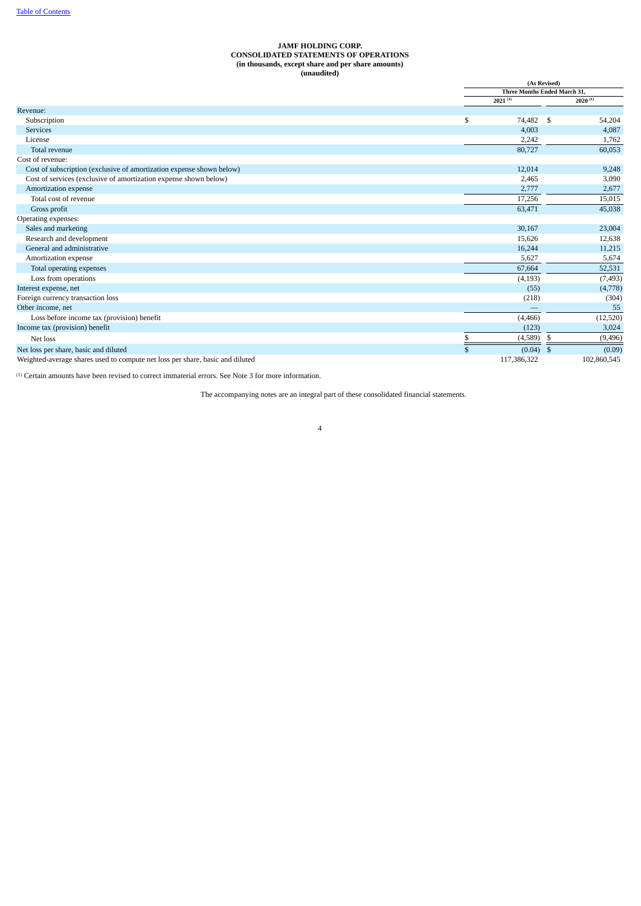## **JAMF HOLDING CORP. CONSOLIDATED STATEMENTS OF OPERATIONS (in thousands, except share and per share amounts) (unaudited)**

|                                                                               |               | (As Revised)                        |      |              |
|-------------------------------------------------------------------------------|---------------|-------------------------------------|------|--------------|
|                                                                               |               | <b>Three Months Ended March 31.</b> |      |              |
|                                                                               |               | $2021^{(1)}$                        |      | $2020^{(1)}$ |
| Revenue:                                                                      |               |                                     |      |              |
| Subscription                                                                  | \$            | 74,482                              | - \$ | 54,204       |
| <b>Services</b>                                                               |               | 4.003                               |      | 4,087        |
| License                                                                       |               | 2,242                               |      | 1,762        |
| Total revenue                                                                 |               | 80,727                              |      | 60,053       |
| Cost of revenue:                                                              |               |                                     |      |              |
| Cost of subscription (exclusive of amortization expense shown below)          |               | 12,014                              |      | 9,248        |
| Cost of services (exclusive of amortization expense shown below)              |               | 2,465                               |      | 3,090        |
| Amortization expense                                                          |               | 2,777                               |      | 2,677        |
| Total cost of revenue                                                         |               | 17,256                              |      | 15,015       |
| Gross profit                                                                  |               | 63,471                              |      | 45,038       |
| Operating expenses:                                                           |               |                                     |      |              |
| Sales and marketing                                                           |               | 30,167                              |      | 23,004       |
| Research and development                                                      |               | 15,626                              |      | 12,638       |
| General and administrative                                                    |               | 16,244                              |      | 11,215       |
| Amortization expense                                                          |               | 5,627                               |      | 5,674        |
| Total operating expenses                                                      |               | 67,664                              |      | 52,531       |
| Loss from operations                                                          |               | (4, 193)                            |      | (7, 493)     |
| Interest expense, net                                                         |               | (55)                                |      | (4,778)      |
| Foreign currency transaction loss                                             |               | (218)                               |      | (304)        |
| Other income, net                                                             |               |                                     |      | 55           |
| Loss before income tax (provision) benefit                                    |               | (4, 466)                            |      | (12, 520)    |
| Income tax (provision) benefit                                                |               | (123)                               |      | 3,024        |
| Net loss                                                                      | \$            | (4,589)                             | \$   | (9, 496)     |
| Net loss per share, basic and diluted                                         | $\mathcal{S}$ | (0.04)                              | - \$ | (0.09)       |
| Weighted-average shares used to compute net loss per share, basic and diluted |               | 117,386,322                         |      | 102,860,545  |

<span id="page-80-0"></span> $<sup>(1)</sup>$  Certain amounts have been revised to correct immaterial errors. See Note 3 for more information.</sup>

The accompanying notes are an integral part of these consolidated financial statements.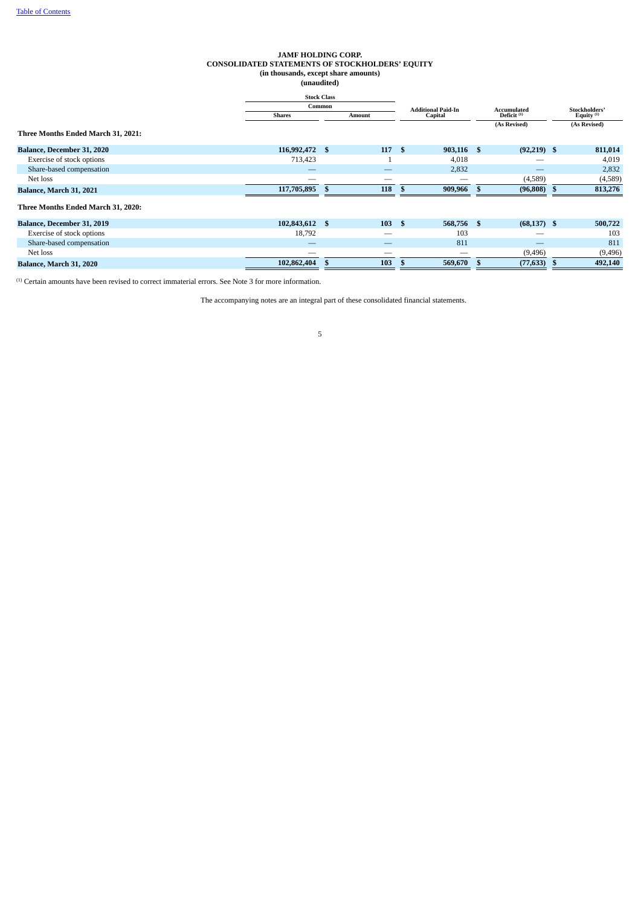## **JAMF HOLDING CORP. CONSOLIDATED STATEMENTS OF STOCKHOLDERS' EQUITY (in thousands, except share amounts) (unaudited)**

| wwaywee |  |  |
|---------|--|--|
|         |  |  |

|                                    |                | <b>Stock Class</b> |        |                           |            |                    |                        |               |
|------------------------------------|----------------|--------------------|--------|---------------------------|------------|--------------------|------------------------|---------------|
|                                    |                | Common             |        | <b>Additional Paid-In</b> |            | <b>Accumulated</b> |                        | Stockholders' |
|                                    | <b>Shares</b>  |                    | Amount |                           | Capital    |                    | Deficit <sup>(1)</sup> | Equity $(1)$  |
| Three Months Ended March 31, 2021: |                |                    |        |                           |            |                    | (As Revised)           | (As Revised)  |
| <b>Balance, December 31, 2020</b>  | 116,992,472 \$ |                    | 117    | - \$                      | 903,116 \$ |                    | $(92,219)$ \$          | 811,014       |
| Exercise of stock options          | 713,423        |                    |        |                           | 4,018      |                    |                        | 4,019         |
| Share-based compensation           |                |                    | $-$    |                           | 2,832      |                    | —                      | 2,832         |
| Net loss                           |                |                    | __     |                           |            |                    | (4,589)                | (4,589)       |
| Balance, March 31, 2021            | 117,705,895    |                    | 118    |                           | 909,966    |                    | (96, 808)              | 813,276       |
| Three Months Ended March 31, 2020: |                |                    |        |                           |            |                    |                        |               |
| <b>Balance, December 31, 2019</b>  | 102,843,612    | -S                 | 103    | - \$                      | 568,756 \$ |                    | $(68,137)$ \$          | 500,722       |
| Exercise of stock options          | 18,792         |                    |        |                           | 103        |                    |                        | 103           |
| Share-based compensation           |                |                    |        |                           | 811        |                    |                        | 811           |
| Net loss                           |                |                    |        |                           |            |                    | (9, 496)               | (9, 496)      |
| Balance, March 31, 2020            | 102,862,404    |                    | 103    |                           | 569,670    |                    | (77, 633)              | 492,140       |

<span id="page-81-0"></span> $<sup>(1)</sup>$  Certain amounts have been revised to correct immaterial errors. See Note 3 for more information.</sup>

The accompanying notes are an integral part of these consolidated financial statements.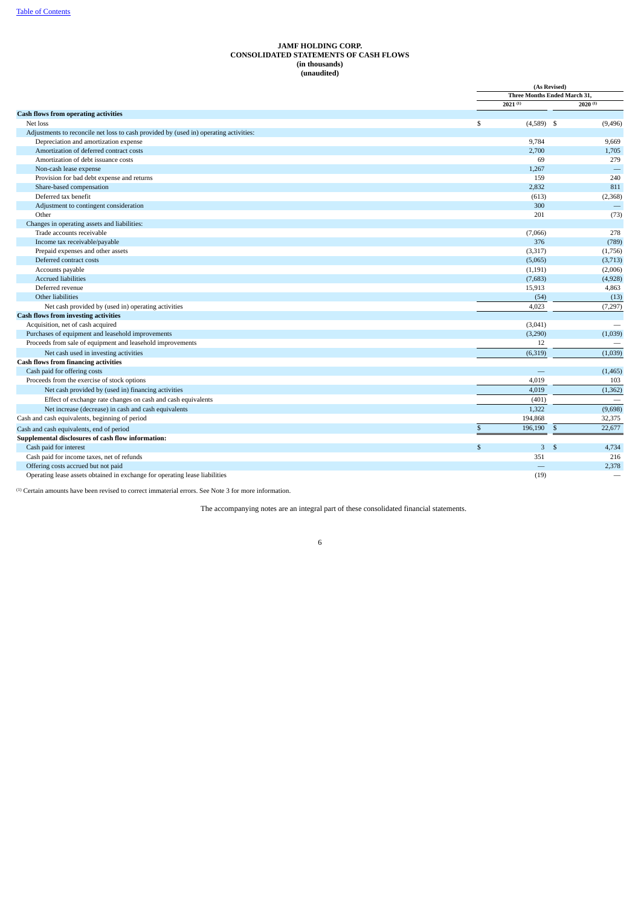## **JAMF HOLDING CORP. CONSOLIDATED STATEMENTS OF CASH FLOWS (in thousands) (unaudited)**

|                                                                                       |               | (As Revised)                 |  |  |
|---------------------------------------------------------------------------------------|---------------|------------------------------|--|--|
|                                                                                       |               | Three Months Ended March 31, |  |  |
|                                                                                       | $2021^{(1)}$  | $2020^{(1)}$                 |  |  |
| <b>Cash flows from operating activities</b>                                           |               |                              |  |  |
| Net loss                                                                              | \$            | $(4,589)$ \$<br>(9, 496)     |  |  |
| Adjustments to reconcile net loss to cash provided by (used in) operating activities: |               |                              |  |  |
| Depreciation and amortization expense                                                 | 9,784         | 9,669                        |  |  |
| Amortization of deferred contract costs                                               | 2,700         | 1,705                        |  |  |
| Amortization of debt issuance costs                                                   |               | 69<br>279                    |  |  |
| Non-cash lease expense                                                                | 1,267         |                              |  |  |
| Provision for bad debt expense and returns                                            |               | 240<br>159                   |  |  |
| Share-based compensation                                                              | 2.832         | 811                          |  |  |
| Deferred tax benefit                                                                  |               | (2,368)<br>(613)             |  |  |
| Adjustment to contingent consideration                                                |               | 300                          |  |  |
| Other                                                                                 |               | 201<br>(73)                  |  |  |
| Changes in operating assets and liabilities:                                          |               |                              |  |  |
| Trade accounts receivable                                                             | (7,066)       | 278                          |  |  |
| Income tax receivable/payable                                                         |               | (789)<br>376                 |  |  |
| Prepaid expenses and other assets                                                     | (3,317)       | (1,756)                      |  |  |
| Deferred contract costs                                                               | (5,065)       | (3,713)                      |  |  |
| Accounts payable                                                                      | (1, 191)      | (2,006)                      |  |  |
| Accrued liabilities                                                                   | (7,683)       | (4,928)                      |  |  |
| Deferred revenue                                                                      | 15,913        | 4,863                        |  |  |
| Other liabilities                                                                     |               | (54)<br>(13)                 |  |  |
| Net cash provided by (used in) operating activities                                   | 4,023         | (7, 297)                     |  |  |
| <b>Cash flows from investing activities</b>                                           |               |                              |  |  |
| Acquisition, net of cash acquired                                                     | (3,041)       |                              |  |  |
| Purchases of equipment and leasehold improvements                                     | (3,290)       | (1,039)                      |  |  |
| Proceeds from sale of equipment and leasehold improvements                            |               | 12                           |  |  |
| Net cash used in investing activities                                                 | (6, 319)      | (1,039)                      |  |  |
| <b>Cash flows from financing activities</b>                                           |               |                              |  |  |
| Cash paid for offering costs                                                          |               | (1, 465)                     |  |  |
| Proceeds from the exercise of stock options                                           | 4,019         | 103                          |  |  |
| Net cash provided by (used in) financing activities                                   | 4,019         | (1, 362)                     |  |  |
| Effect of exchange rate changes on cash and cash equivalents                          |               | (401)                        |  |  |
| Net increase (decrease) in cash and cash equivalents                                  | 1.322         | (9,698)                      |  |  |
| Cash and cash equivalents, beginning of period                                        | 194,868       | 32,375                       |  |  |
| Cash and cash equivalents, end of period                                              | 196,190<br>\$ | 22,677<br>$\mathfrak{S}$     |  |  |
| Supplemental disclosures of cash flow information:                                    |               |                              |  |  |
| Cash paid for interest                                                                | \$            | 3<br>$\mathfrak{s}$<br>4,734 |  |  |
| Cash paid for income taxes, net of refunds                                            |               | 351<br>216                   |  |  |
| Offering costs accrued but not paid                                                   |               | 2,378                        |  |  |
| Operating lease assets obtained in exchange for operating lease liabilities           |               | (19)                         |  |  |
|                                                                                       |               |                              |  |  |

<span id="page-82-0"></span> $<sup>(1)</sup>$  Certain amounts have been revised to correct immaterial errors. See Note 3 for more information.</sup>

The accompanying notes are an integral part of these consolidated financial statements.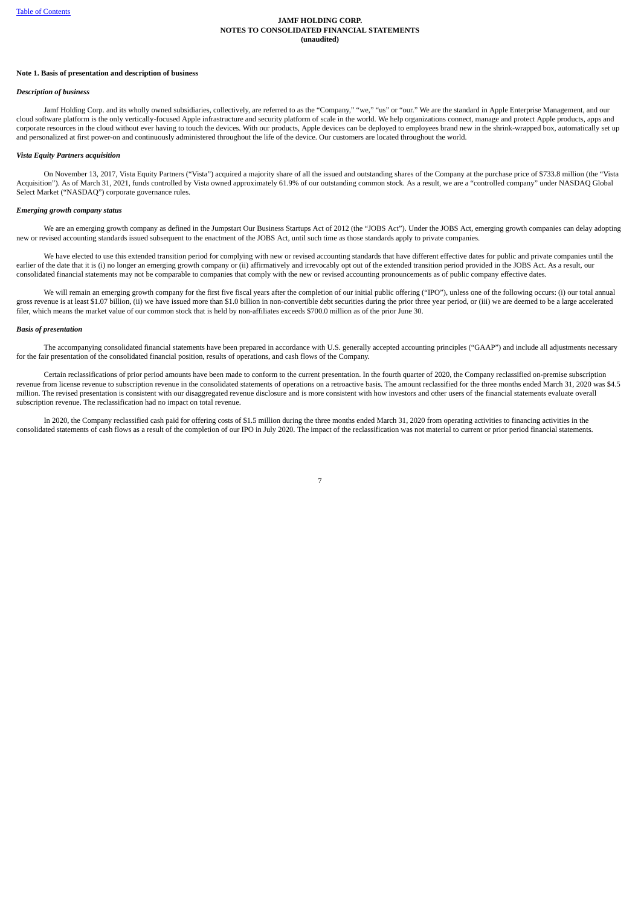#### **Note 1. Basis of presentation and description of business**

#### *Description of business*

Jamf Holding Corp. and its wholly owned subsidiaries, collectively, are referred to as the "Company," "we," "us" or "our." We are the standard in Apple Enterprise Management, and our cloud software platform is the only vertically-focused Apple infrastructure and security platform of scale in the world. We help organizations connect, manage and protect Apple products, apps and corporate resources in the cloud without ever having to touch the devices. With our products, Apple devices can be deployed to employees brand new in the shrink-wrapped box, automatically set up and personalized at first power-on and continuously administered throughout the life of the device. Our customers are located throughout the world.

#### *Vista Equity Partners acquisition*

On November 13, 2017, Vista Equity Partners ("Vista") acquired a majority share of all the issued and outstanding shares of the Company at the purchase price of \$733.8 million (the "Vista Acquisition"). As of March 31, 2021, funds controlled by Vista owned approximately 61.9% of our outstanding common stock. As a result, we are a "controlled company" under NASDAQ Global Select Market ("NASDAQ") corporate governance rules.

#### *Emerging growth company status*

We are an emerging growth company as defined in the Jumpstart Our Business Startups Act of 2012 (the "JOBS Act"). Under the JOBS Act, emerging growth companies can delay adopting new or revised accounting standards issued subsequent to the enactment of the JOBS Act, until such time as those standards apply to private companies.

We have elected to use this extended transition period for complying with new or revised accounting standards that have different effective dates for public and private companies until the earlier of the date that it is (i) no longer an emerging growth company or (ii) affirmatively and irrevocably opt out of the extended transition period provided in the JOBS Act. As a result, our consolidated financial statements may not be comparable to companies that comply with the new or revised accounting pronouncements as of public company effective dates.

We will remain an emerging growth company for the first five fiscal years after the completion of our initial public offering ("IPO"), unless one of the following occurs: (i) our total annual gross revenue is at least \$1.07 billion, (ii) we have issued more than \$1.0 billion in non-convertible debt securities during the prior three year period, or (iii) we are deemed to be a large accelerated filer, which means the market value of our common stock that is held by non-affiliates exceeds \$700.0 million as of the prior June 30.

#### *Basis of presentation*

The accompanying consolidated financial statements have been prepared in accordance with U.S. generally accepted accounting principles ("GAAP") and include all adjustments necessary for the fair presentation of the consolidated financial position, results of operations, and cash flows of the Company.

Certain reclassifications of prior period amounts have been made to conform to the current presentation. In the fourth quarter of 2020, the Company reclassified on-premise subscription revenue from license revenue to subscription revenue in the consolidated statements of operations on a retroactive basis. The amount reclassified for the three months ended March 31, 2020 was \$4.5 million. The revised presentation is consistent with our disaggregated revenue disclosure and is more consistent with how investors and other users of the financial statements evaluate overall subscription revenue. The reclassification had no impact on total revenue.

In 2020, the Company reclassified cash paid for offering costs of \$1.5 million during the three months ended March 31, 2020 from operating activities to financing activities in the consolidated statements of cash flows as a result of the completion of our IPO in July 2020. The impact of the reclassification was not material to current or prior period financial statements.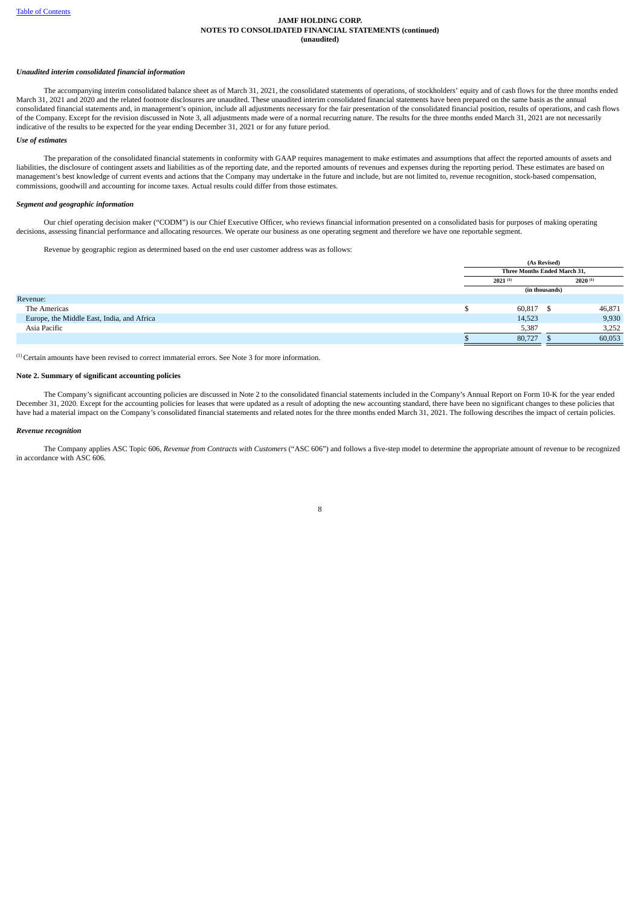## *Unaudited interim consolidated financial information*

The accompanying interim consolidated balance sheet as of March 31, 2021, the consolidated statements of operations, of stockholders' equity and of cash flows for the three months ended March 31, 2021 and 2020 and the related footnote disclosures are unaudited. These unaudited interim consolidated financial statements have been prepared on the same basis as the annual consolidated financial statements and, in management's opinion, include all adjustments necessary for the fair presentation of the consolidated financial position, results of operations, and cash flows of the Company. Except for the revision discussed in Note 3, all adjustments made were of a normal recurring nature. The results for the three months ended March 31, 2021 are not necessarily indicative of the results to be expected for the year ending December 31, 2021 or for any future period.

## *Use of estimates*

The preparation of the consolidated financial statements in conformity with GAAP requires management to make estimates and assumptions that affect the reported amounts of assets and liabilities, the disclosure of contingent assets and liabilities as of the reporting date, and the reported amounts of revenues and expenses during the reporting period. These estimates are based on management's best knowledge of current events and actions that the Company may undertake in the future and include, but are not limited to, revenue recognition, stock-based compensation, commissions, goodwill and accounting for income taxes. Actual results could differ from those estimates.

#### *Segment and geographic information*

Our chief operating decision maker ("CODM") is our Chief Executive Officer, who reviews financial information presented on a consolidated basis for purposes of making operating decisions, assessing financial performance and allocating resources. We operate our business as one operating segment and therefore we have one reportable segment.

Revenue by geographic region as determined based on the end user customer address was as follows:

|                                            |    | (As Revised)                 |  |         |  |
|--------------------------------------------|----|------------------------------|--|---------|--|
|                                            |    | Three Months Ended March 31, |  |         |  |
|                                            |    | $2021^{(1)}$                 |  | 2020(1) |  |
|                                            |    | (in thousands)               |  |         |  |
| Revenue:                                   |    |                              |  |         |  |
| The Americas                               | ۰D | 60,817 \$                    |  | 46,871  |  |
| Europe, the Middle East, India, and Africa |    | 14,523                       |  | 9,930   |  |
| Asia Pacific                               |    | 5,387                        |  | 3,252   |  |
|                                            |    | 80,727                       |  | 60,053  |  |
|                                            |    |                              |  |         |  |

 $<sup>(1)</sup>$  Certain amounts have been revised to correct immaterial errors. See Note 3 for more information.</sup>

## **Note 2. Summary of significant accounting policies**

The Company's significant accounting policies are discussed in Note 2 to the consolidated financial statements included in the Company's Annual Report on Form 10-K for the year ended December 31, 2020. Except for the accounting policies for leases that were updated as a result of adopting the new accounting standard, there have been no significant changes to these policies that have had a material impact on the Company's consolidated financial statements and related notes for the three months ended March 31, 2021. The following describes the impact of certain policies.

## *Revenue recognition*

The Company applies ASC Topic 606, *Revenue from Contracts with Customers* ("ASC 606") and follows a five-step model to determine the appropriate amount of revenue to be recognized in accordance with ASC 606.

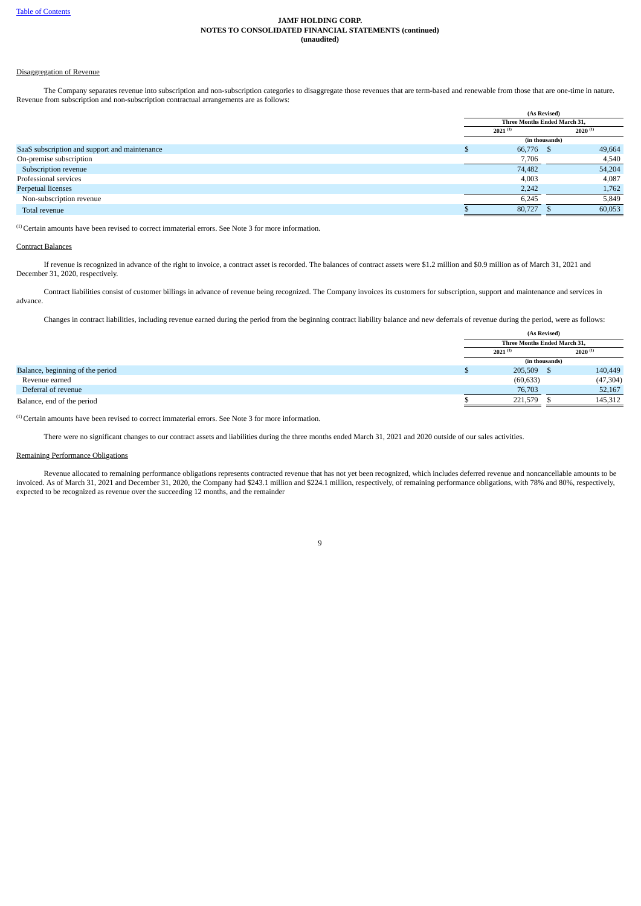## Disaggregation of Revenue

The Company separates revenue into subscription and non-subscription categories to disaggregate those revenues that are term-based and renewable from those that are one-time in nature. Revenue from subscription and non-subscription contractual arrangements are as follows:

|                                                                  | (As Revised)                 |              |  |
|------------------------------------------------------------------|------------------------------|--------------|--|
|                                                                  | Three Months Ended March 31, |              |  |
| $2021^{(1)}$                                                     |                              | $2020^{(1)}$ |  |
|                                                                  | (in thousands)               |              |  |
| SaaS subscription and support and maintenance<br>66,776 \$<br>.n |                              | 49,664       |  |
| On-premise subscription<br>7,706                                 |                              | 4,540        |  |
| Subscription revenue<br>74,482                                   |                              | 54,204       |  |
| Professional services<br>4,003                                   |                              | 4,087        |  |
| Perpetual licenses<br>2,242                                      |                              | 1,762        |  |
| Non-subscription revenue<br>6,245                                |                              | 5,849        |  |
| 80,727<br>Total revenue                                          |                              | 60,053       |  |

 $<sup>(1)</sup>$  Certain amounts have been revised to correct immaterial errors. See Note 3 for more information.</sup>

#### Contract Balances

If revenue is recognized in advance of the right to invoice, a contract asset is recorded. The balances of contract assets were \$1.2 million and \$0.9 million as of March 31, 2021 and December 31, 2020, respectively.

Contract liabilities consist of customer billings in advance of revenue being recognized. The Company invoices its customers for subscription, support and maintenance and services in advance.

Changes in contract liabilities, including revenue earned during the period from the beginning contract liability balance and new deferrals of revenue during the period, were as follows:

|                                  | (As Revised)                        |  |              |  |  |
|----------------------------------|-------------------------------------|--|--------------|--|--|
|                                  | <b>Three Months Ended March 31.</b> |  |              |  |  |
|                                  | $2021^{(1)}$                        |  | $2020^{(1)}$ |  |  |
|                                  | (in thousands)                      |  |              |  |  |
| Balance, beginning of the period | 205,509 \$                          |  | 140,449      |  |  |
| Revenue earned                   | (60, 633)                           |  | (47, 304)    |  |  |
| Deferral of revenue              | 76,703                              |  | 52,167       |  |  |
| Balance, end of the period       | 221,579                             |  | 145,312      |  |  |
|                                  |                                     |  |              |  |  |

 $<sup>(1)</sup>$  Certain amounts have been revised to correct immaterial errors. See Note 3 for more information.</sup>

There were no significant changes to our contract assets and liabilities during the three months ended March 31, 2021 and 2020 outside of our sales activities.

## Remaining Performance Obligations

Revenue allocated to remaining performance obligations represents contracted revenue that has not yet been recognized, which includes deferred revenue and noncancellable amounts to be invoiced. As of March 31, 2021 and December 31, 2020, the Company had \$243.1 million and \$224.1 million, respectively, of remaining performance obligations, with 78% and 80%, respectively, expected to be recognized as revenue over the succeeding 12 months, and the remainder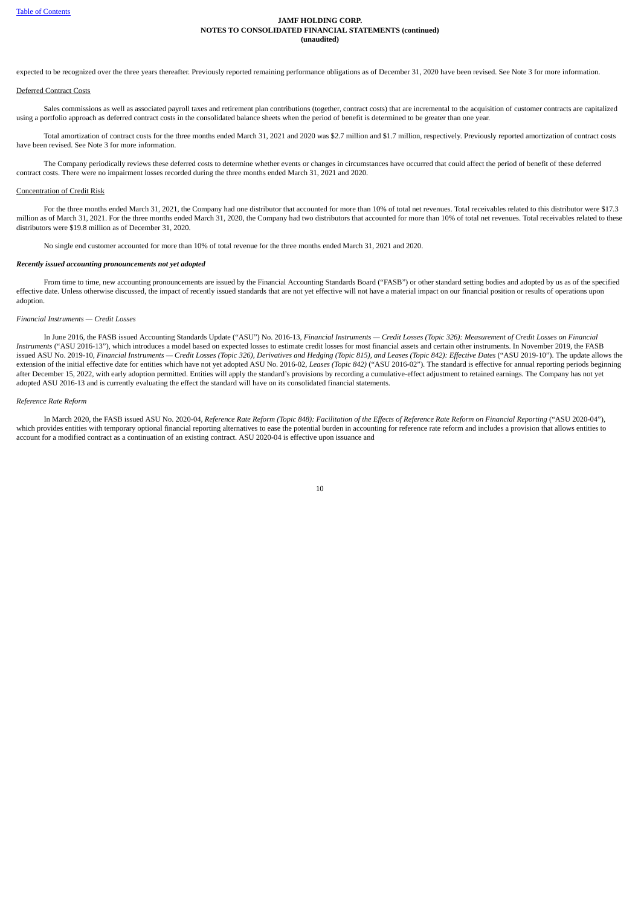expected to be recognized over the three years thereafter. Previously reported remaining performance obligations as of December 31, 2020 have been revised. See Note 3 for more information.

### Deferred Contract Costs

Sales commissions as well as associated payroll taxes and retirement plan contributions (together, contract costs) that are incremental to the acquisition of customer contracts are capitalized using a portfolio approach as deferred contract costs in the consolidated balance sheets when the period of benefit is determined to be greater than one year.

Total amortization of contract costs for the three months ended March 31, 2021 and 2020 was \$2.7 million and \$1.7 million, respectively. Previously reported amortization of contract costs have been revised. See Note 3 for more information.

The Company periodically reviews these deferred costs to determine whether events or changes in circumstances have occurred that could affect the period of benefit of these deferred contract costs. There were no impairment losses recorded during the three months ended March 31, 2021 and 2020.

## Concentration of Credit Risk

For the three months ended March 31, 2021, the Company had one distributor that accounted for more than 10% of total net revenues. Total receivables related to this distributor were \$17.3 million as of March 31, 2021. For the three months ended March 31, 2020, the Company had two distributors that accounted for more than 10% of total net revenues. Total receivables related to these distributors were \$19.8 million as of December 31, 2020.

No single end customer accounted for more than 10% of total revenue for the three months ended March 31, 2021 and 2020.

## *Recently issued accounting pronouncements not yet adopted*

From time to time, new accounting pronouncements are issued by the Financial Accounting Standards Board ("FASB") or other standard setting bodies and adopted by us as of the specified effective date. Unless otherwise discussed, the impact of recently issued standards that are not yet effective will not have a material impact on our financial position or results of operations upon adoption.

#### *Financial Instruments — Credit Losses*

In June 2016, the FASB issued Accounting Standards Update ("ASU") No. 2016-13, Financial Instruments - Credit Losses (Topic 326): Measurement of Credit Losses on Financial *Instruments* ("ASU 2016-13"), which introduces a model based on expected losses to estimate credit losses for most financial assets and certain other instruments. In November 2019, the FASB issued ASU No. 2019-10, Financial Instruments - Credit Losses (Topic 326), Derivatives and Hedging (Topic 815), and Leases (Topic 842): Effective Dates ("ASU 2019-10"). The update allows the extension of the initial effective date for entities which have not yet adopted ASU No. 2016-02, *Leases (Topic 842)* ("ASU 2016-02"). The standard is effective for annual reporting periods beginning after December 15, 2022, with early adoption permitted. Entities will apply the standard's provisions by recording a cumulative-effect adjustment to retained earnings. The Company has not yet adopted ASU 2016-13 and is currently evaluating the effect the standard will have on its consolidated financial statements.

## *Reference Rate Reform*

In March 2020, the FASB issued ASU No. 2020-04, Reference Rate Reform (Topic 848): Facilitation of the Effects of Reference Rate Reform on Financial Reporting ("ASU 2020-04"), which provides entities with temporary optional financial reporting alternatives to ease the potential burden in accounting for reference rate reform and includes a provision that allows entities to account for a modified contract as a continuation of an existing contract. ASU 2020-04 is effective upon issuance and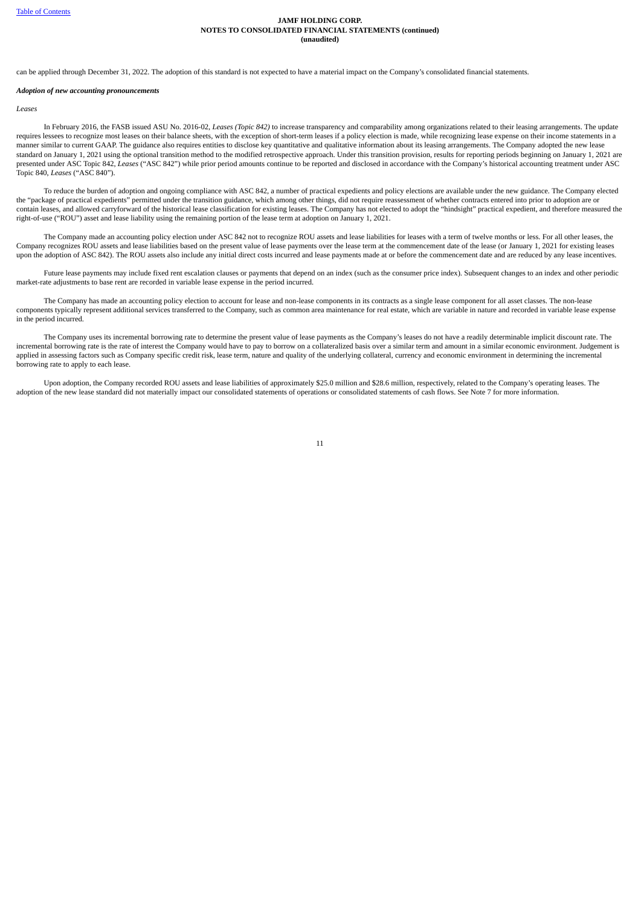can be applied through December 31, 2022. The adoption of this standard is not expected to have a material impact on the Company's consolidated financial statements.

### *Adoption of new accounting pronouncements*

#### *Leases*

In February 2016, the FASB issued ASU No. 2016-02, *Leases (Topic 842)* to increase transparency and comparability among organizations related to their leasing arrangements. The update requires lessees to recognize most leases on their balance sheets, with the exception of short-term leases if a policy election is made, while recognizing lease expense on their income statements in a manner similar to current GAAP. The guidance also requires entities to disclose key quantitative and qualitative information about its leasing arrangements. The Company adopted the new lease standard on January 1, 2021 using the optional transition method to the modified retrospective approach. Under this transition provision, results for reporting periods beginning on January 1, 2021 are presented under ASC Topic 842, *Leases* ("ASC 842") while prior period amounts continue to be reported and disclosed in accordance with the Company's historical accounting treatment under ASC Topic 840, *Leases* ("ASC 840").

To reduce the burden of adoption and ongoing compliance with ASC 842, a number of practical expedients and policy elections are available under the new guidance. The Company elected the "package of practical expedients" permitted under the transition guidance, which among other things, did not require reassessment of whether contracts entered into prior to adoption are or contain leases, and allowed carryforward of the historical lease classification for existing leases. The Company has not elected to adopt the "hindsight" practical expedient, and therefore measured the right-of-use ("ROU") asset and lease liability using the remaining portion of the lease term at adoption on January 1, 2021.

The Company made an accounting policy election under ASC 842 not to recognize ROU assets and lease liabilities for leases with a term of twelve months or less. For all other leases, the Company recognizes ROU assets and lease liabilities based on the present value of lease payments over the lease term at the commencement date of the lease (or January 1, 2021 for existing leases upon the adoption of ASC 842). The ROU assets also include any initial direct costs incurred and lease payments made at or before the commencement date and are reduced by any lease incentives.

Future lease payments may include fixed rent escalation clauses or payments that depend on an index (such as the consumer price index). Subsequent changes to an index and other periodic market-rate adjustments to base rent are recorded in variable lease expense in the period incurred.

The Company has made an accounting policy election to account for lease and non-lease components in its contracts as a single lease component for all asset classes. The non-lease components typically represent additional services transferred to the Company, such as common area maintenance for real estate, which are variable in nature and recorded in variable lease expense in the period incurred.

The Company uses its incremental borrowing rate to determine the present value of lease payments as the Company's leases do not have a readily determinable implicit discount rate. The incremental borrowing rate is the rate of interest the Company would have to pay to borrow on a collateralized basis over a similar term and amount in a similar economic environment. Judgement is applied in assessing factors such as Company specific credit risk, lease term, nature and quality of the underlying collateral, currency and economic environment in determining the incremental borrowing rate to apply to each lease.

Upon adoption, the Company recorded ROU assets and lease liabilities of approximately \$25.0 million and \$28.6 million, respectively, related to the Company's operating leases. The adoption of the new lease standard did not materially impact our consolidated statements of operations or consolidated statements of cash flows. See Note 7 for more information.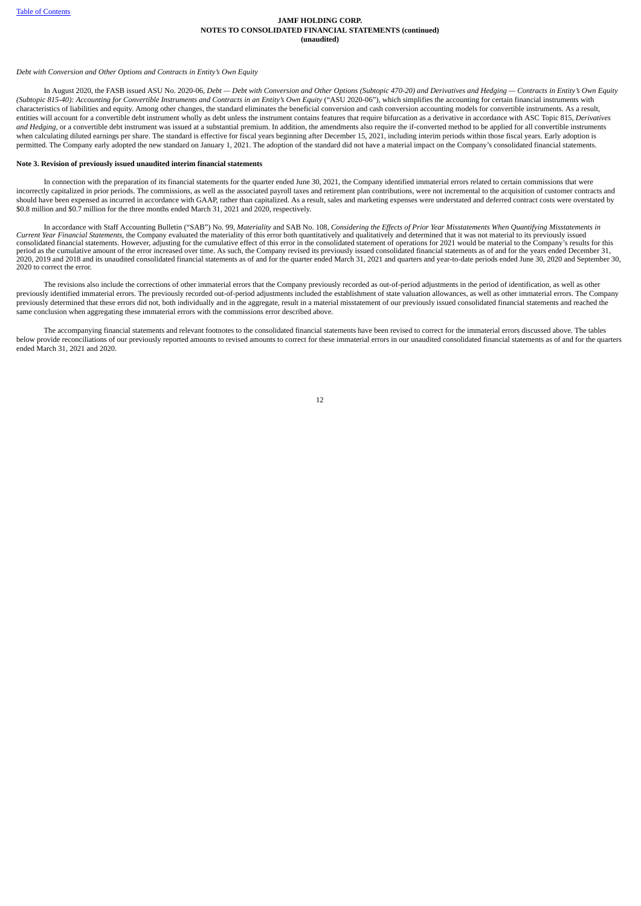*Debt with Conversion and Other Options and Contracts in Entity's Own Equity*

In August 2020, the FASB issued ASU No. 2020-06, Debt - Debt with Conversion and Other Options (Subtopic 470-20) and Derivatives and Hedging - Contracts in Entity's Own Equity (Subtopic 815-40): Accounting for Convertible Instruments and Contracts in an Entity's Own Equity ("ASU 2020-06"), which simplifies the accounting for certain financial instruments with characteristics of liabilities and equity. Among other changes, the standard eliminates the beneficial conversion and cash conversion accounting models for convertible instruments. As a result, entities will account for a convertible debt instrument wholly as debt unless the instrument contains features that require bifurcation as a derivative in accordance with ASC Topic 815, *Derivatives and Hedging,* or a convertible debt instrument was issued at a substantial premium. In addition, the amendments also require the if-converted method to be applied for all convertible instruments when calculating diluted earnings per share. The standard is effective for fiscal years beginning after December 15, 2021, including interim periods within those fiscal years. Early adoption is permitted. The Company early adopted the new standard on January 1, 2021. The adoption of the standard did not have a material impact on the Company's consolidated financial statements.

## **Note 3. Revision of previously issued unaudited interim financial statements**

In connection with the preparation of its financial statements for the quarter ended June 30, 2021, the Company identified immaterial errors related to certain commissions that were incorrectly capitalized in prior periods. The commissions, as well as the associated payroll taxes and retirement plan contributions, were not incremental to the acquisition of customer contracts and should have been expensed as incurred in accordance with GAAP, rather than capitalized. As a result, sales and marketing expenses were understated and deferred contract costs were overstated by \$0.8 million and \$0.7 million for the three months ended March 31, 2021 and 2020, respectively.

In accordance with Staff Accounting Bulletin ("SAB") No. 99, *Materiality* and SAB No. 108, *Considering the Effects of Prior Year Misstatements When Quantifying Misstatements in*<br>Current Year Financial Statements, the Com 2020, 2019 and 2018 and its unaudited consolidated financial statements as of and for the quarter ended March 31, 2021 and quarters and year-to-date periods ended June 30, 2020 and September 30, 2020 to correct the error.

The revisions also include the corrections of other immaterial errors that the Company previously recorded as out-of-period adjustments in the period of identification, as well as other previously identified immaterial errors. The previously recorded out-of-period adjustments included the establishment of state valuation allowances, as well as other immaterial errors. The Company previously determined that these errors did not, both individually and in the aggregate, result in a material misstatement of our previously issued consolidated financial statements and reached the same conclusion when aggregating these immaterial errors with the commissions error described above.

The accompanying financial statements and relevant footnotes to the consolidated financial statements have been revised to correct for the immaterial errors discussed above. The tables below provide reconciliations of our previously reported amounts to revised amounts to correct for these immaterial errors in our unaudited consolidated financial statements as of and for the quarters ended March 31, 2021 and 2020.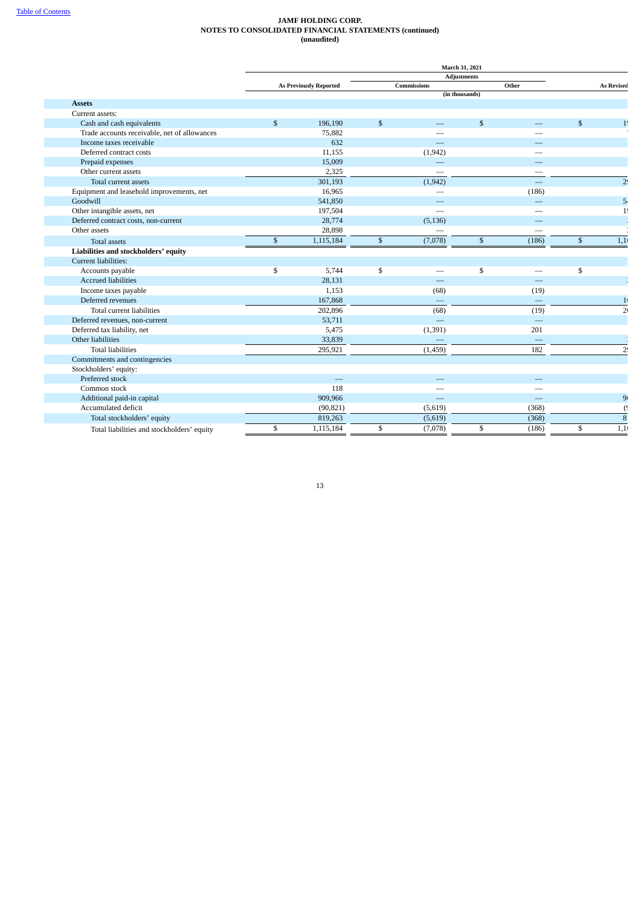|                                              |                               |                                                   | March 31, 2021           |                |       |                   |
|----------------------------------------------|-------------------------------|---------------------------------------------------|--------------------------|----------------|-------|-------------------|
|                                              | <b>As Previously Reported</b> | <b>Adjustments</b><br><b>Commissions</b><br>Other |                          |                |       | <b>As Revised</b> |
|                                              |                               |                                                   |                          | (in thousands) |       |                   |
| <b>Assets</b>                                |                               |                                                   |                          |                |       |                   |
| Current assets:                              |                               |                                                   |                          |                |       |                   |
| Cash and cash equivalents                    | \$<br>196,190                 | \$                                                |                          | $\mathbb{S}$   |       | \$<br>1!          |
| Trade accounts receivable, net of allowances | 75,882                        |                                                   |                          |                |       |                   |
| Income taxes receivable                      | 632                           |                                                   |                          |                |       |                   |
| Deferred contract costs                      | 11,155                        |                                                   | (1,942)                  |                |       |                   |
| Prepaid expenses                             | 15,009                        |                                                   |                          |                |       |                   |
| Other current assets                         | 2,325                         |                                                   |                          |                |       |                   |
| Total current assets                         | 301,193                       |                                                   | (1,942)                  |                |       | 2!                |
| Equipment and leasehold improvements, net    | 16,965                        |                                                   |                          |                | (186) |                   |
| Goodwill                                     | 541,850                       |                                                   |                          |                |       | 5.                |
| Other intangible assets, net                 | 197,504                       |                                                   |                          |                |       | 1!                |
| Deferred contract costs, non-current         | 28,774                        |                                                   | (5, 136)                 |                |       |                   |
| Other assets                                 | 28,898                        |                                                   |                          |                |       |                   |
| <b>Total assets</b>                          | \$<br>1,115,184               | \$                                                | (7,078)                  | \$             | (186) | \$<br>1,1(        |
| Liabilities and stockholders' equity         |                               |                                                   |                          |                |       |                   |
| Current liabilities:                         |                               |                                                   |                          |                |       |                   |
| Accounts payable                             | \$<br>5,744                   | \$                                                | $\overline{\phantom{0}}$ | \$             |       | \$                |
| <b>Accrued liabilities</b>                   | 28,131                        |                                                   |                          |                |       |                   |
| Income taxes payable                         | 1,153                         |                                                   | (68)                     |                | (19)  |                   |
| Deferred revenues                            | 167,868                       |                                                   |                          |                |       | 1 <sub>1</sub>    |
| Total current liabilities                    | 202,896                       |                                                   | (68)                     |                | (19)  | 2 <sub>1</sub>    |
| Deferred revenues, non-current               | 53,711                        |                                                   | $\overline{\phantom{0}}$ |                |       |                   |
| Deferred tax liability, net                  | 5,475                         |                                                   | (1, 391)                 |                | 201   |                   |
| Other liabilities                            | 33,839                        |                                                   |                          |                |       |                   |
| <b>Total liabilities</b>                     | 295,921                       |                                                   | (1, 459)                 |                | 182   | 2!                |
| Commitments and contingencies                |                               |                                                   |                          |                |       |                   |
| Stockholders' equity:                        |                               |                                                   |                          |                |       |                   |
| Preferred stock                              |                               |                                                   |                          |                |       |                   |
| Common stock                                 | 118                           |                                                   |                          |                |       |                   |
| Additional paid-in capital                   | 909,966                       |                                                   | -                        |                |       | 9 <sub>0</sub>    |
| Accumulated deficit                          | (90, 821)                     |                                                   | (5,619)                  |                | (368) | (                 |
| Total stockholders' equity                   | 819,263                       |                                                   | (5,619)                  |                | (368) | 8 <sup>1</sup>    |
| Total liabilities and stockholders' equity   | \$<br>1,115,184               | \$                                                | (7,078)                  | \$             | (186) | \$<br>1.1(        |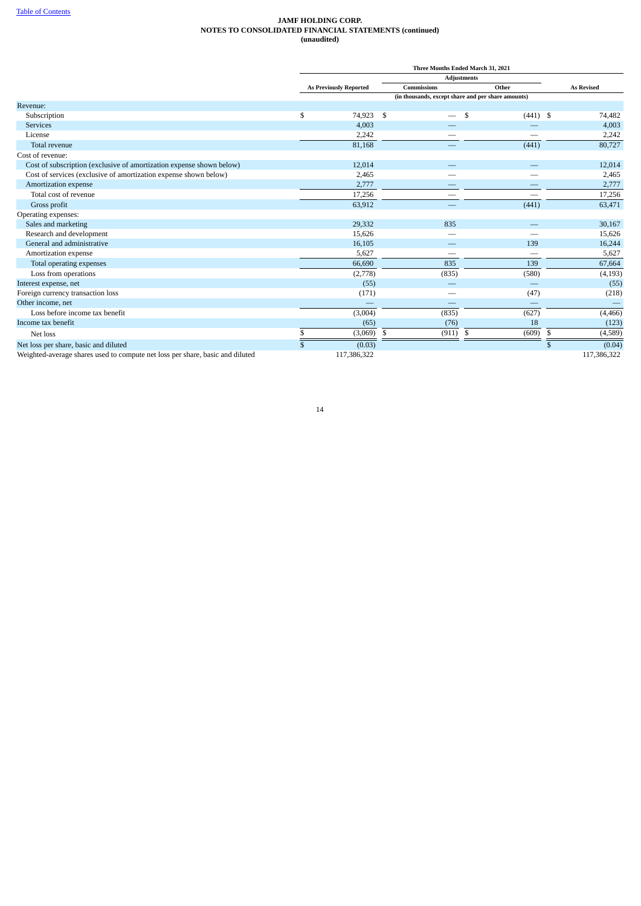|                                                                               | Three Months Ended March 31, 2021 |                               |                    |                                                    |                   |  |  |  |  |
|-------------------------------------------------------------------------------|-----------------------------------|-------------------------------|--------------------|----------------------------------------------------|-------------------|--|--|--|--|
|                                                                               |                                   |                               |                    | <b>Adjustments</b>                                 |                   |  |  |  |  |
|                                                                               |                                   | <b>As Previously Reported</b> | <b>Commissions</b> | Other                                              | <b>As Revised</b> |  |  |  |  |
|                                                                               |                                   |                               |                    | (in thousands, except share and per share amounts) |                   |  |  |  |  |
| Revenue:                                                                      |                                   |                               |                    |                                                    |                   |  |  |  |  |
| Subscription                                                                  | \$                                | 74,923                        | \$                 | \$<br>$(441)$ \$                                   | 74,482            |  |  |  |  |
| <b>Services</b>                                                               |                                   | 4,003                         |                    |                                                    | 4,003             |  |  |  |  |
| License                                                                       |                                   | 2,242                         |                    |                                                    | 2,242             |  |  |  |  |
| Total revenue                                                                 |                                   | 81,168                        |                    | (441)                                              | 80,727            |  |  |  |  |
| Cost of revenue:                                                              |                                   |                               |                    |                                                    |                   |  |  |  |  |
| Cost of subscription (exclusive of amortization expense shown below)          |                                   | 12,014                        |                    |                                                    | 12,014            |  |  |  |  |
| Cost of services (exclusive of amortization expense shown below)              |                                   | 2,465                         |                    |                                                    | 2,465             |  |  |  |  |
| Amortization expense                                                          |                                   | 2,777                         |                    |                                                    | 2,777             |  |  |  |  |
| Total cost of revenue                                                         |                                   | 17,256                        |                    |                                                    | 17,256            |  |  |  |  |
| Gross profit                                                                  |                                   | 63,912                        |                    | (441)                                              | 63,471            |  |  |  |  |
| Operating expenses:                                                           |                                   |                               |                    |                                                    |                   |  |  |  |  |
| Sales and marketing                                                           |                                   | 29,332                        | 835                |                                                    | 30,167            |  |  |  |  |
| Research and development                                                      |                                   | 15,626                        |                    |                                                    | 15,626            |  |  |  |  |
| General and administrative                                                    |                                   | 16,105                        |                    | 139                                                | 16,244            |  |  |  |  |
| Amortization expense                                                          |                                   | 5,627                         |                    |                                                    | 5,627             |  |  |  |  |
| Total operating expenses                                                      |                                   | 66,690                        | 835                | 139                                                | 67,664            |  |  |  |  |
| Loss from operations                                                          |                                   | (2,778)                       | (835)              | (580)                                              | (4, 193)          |  |  |  |  |
| Interest expense, net                                                         |                                   | (55)                          |                    |                                                    | (55)              |  |  |  |  |
| Foreign currency transaction loss                                             |                                   | (171)                         | --                 | (47)                                               | (218)             |  |  |  |  |
| Other income, net                                                             |                                   |                               |                    |                                                    |                   |  |  |  |  |
| Loss before income tax benefit                                                |                                   | (3,004)                       | (835)              | (627)                                              | (4, 466)          |  |  |  |  |
| Income tax benefit                                                            |                                   | (65)                          | (76)               | 18                                                 | (123)             |  |  |  |  |
| Net loss                                                                      |                                   | (3,069)                       | \$<br>(911)        | <sup>\$</sup><br>(609)                             | -\$<br>(4,589)    |  |  |  |  |
| Net loss per share, basic and diluted                                         |                                   | (0.03)                        |                    |                                                    | \$<br>(0.04)      |  |  |  |  |
| Weighted-average shares used to compute net loss per share, basic and diluted |                                   | 117,386,322                   |                    |                                                    | 117,386,322       |  |  |  |  |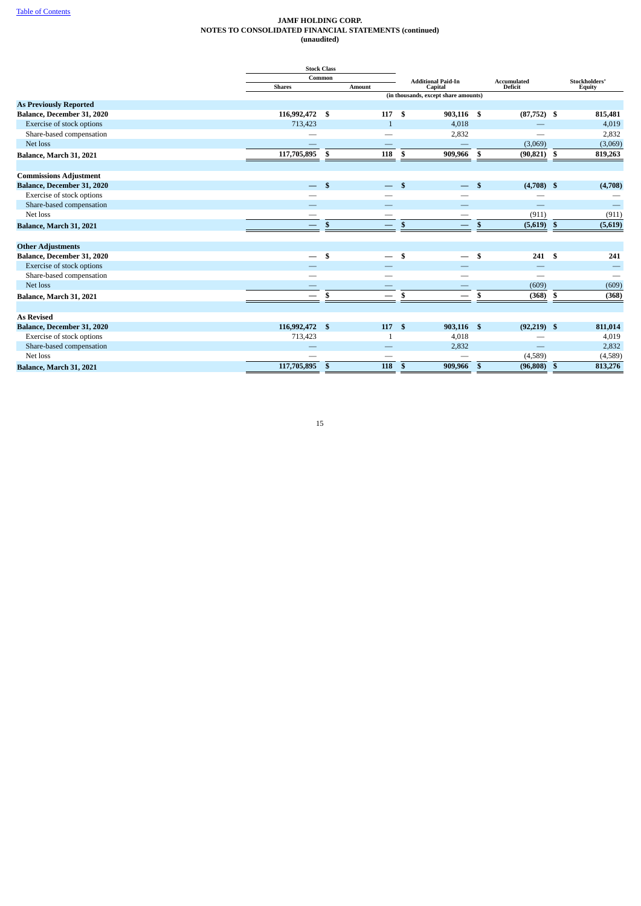|                               | <b>Stock Class</b> |              |                          |              |                                      |              |                    |               |               |  |
|-------------------------------|--------------------|--------------|--------------------------|--------------|--------------------------------------|--------------|--------------------|---------------|---------------|--|
|                               | Common             |              |                          |              | <b>Additional Paid-In</b>            |              | <b>Accumulated</b> |               | Stockholders' |  |
|                               | <b>Shares</b>      |              | <b>Amount</b>            |              | Capital                              |              | Deficit            |               | Equity        |  |
|                               |                    |              |                          |              | (in thousands, except share amounts) |              |                    |               |               |  |
| <b>As Previously Reported</b> |                    |              |                          |              |                                      |              |                    |               |               |  |
| Balance, December 31, 2020    | 116,992,472        | \$           | 117                      | \$           | 903,116 \$                           |              | $(87,752)$ \$      |               | 815,481       |  |
| Exercise of stock options     | 713,423            |              |                          |              | 4,018                                |              |                    |               | 4,019         |  |
| Share-based compensation      |                    |              | $\overline{\phantom{a}}$ |              | 2,832                                |              |                    |               | 2,832         |  |
| Net loss                      |                    |              |                          |              |                                      |              | (3,069)            |               | (3,069)       |  |
| Balance, March 31, 2021       | 117,705,895        | \$           | 118                      | \$           | 909,966                              | \$           | $(90, 821)$ \$     |               | 819,263       |  |
|                               |                    |              |                          |              |                                      |              |                    |               |               |  |
| <b>Commissions Adjustment</b> |                    |              |                          |              |                                      |              |                    |               |               |  |
| Balance, December 31, 2020    |                    | <b>S</b>     |                          | $\mathbf{s}$ | $\overline{\phantom{a}}$             | $\mathbf{s}$ | $(4,708)$ \$       |               | (4,708)       |  |
| Exercise of stock options     |                    |              |                          |              |                                      |              |                    |               |               |  |
| Share-based compensation      |                    |              |                          |              |                                      |              |                    |               |               |  |
| Net loss                      |                    |              |                          |              |                                      |              | (911)              |               | (911)         |  |
| Balance, March 31, 2021       | —                  | \$           | —                        | \$           | $\overline{\phantom{0}}$             | £.           | $(5,619)$ \$       |               | (5,619)       |  |
|                               |                    |              |                          |              |                                      |              |                    |               |               |  |
| <b>Other Adjustments</b>      |                    |              |                          |              |                                      |              |                    |               |               |  |
| Balance, December 31, 2020    |                    | \$           |                          | \$           |                                      | \$           | 241S               |               | 241           |  |
| Exercise of stock options     |                    |              |                          |              |                                      |              |                    |               |               |  |
| Share-based compensation      |                    |              |                          |              |                                      |              |                    |               |               |  |
| Net loss                      |                    |              |                          |              |                                      |              | (609)              |               | (609)         |  |
| Balance, March 31, 2021       |                    | $\mathbf{s}$ |                          | \$           |                                      | \$           | (368)              | <sup>\$</sup> | (368)         |  |
|                               |                    |              |                          |              |                                      |              |                    |               |               |  |
| <b>As Revised</b>             |                    |              |                          |              |                                      |              |                    |               |               |  |
| Balance, December 31, 2020    | 116,992,472        | \$           | 117                      | $\mathbf{s}$ | 903,116 \$                           |              | $(92,219)$ \$      |               | 811,014       |  |
| Exercise of stock options     | 713,423            |              |                          |              | 4,018                                |              |                    |               | 4,019         |  |
| Share-based compensation      |                    |              |                          |              | 2,832                                |              |                    |               | 2,832         |  |
| Net loss                      |                    |              |                          |              |                                      |              | (4,589)            |               | (4,589)       |  |
| Balance, March 31, 2021       | 117,705,895        | \$           | 118                      | $\mathbf{s}$ | 909,966                              | $\mathbf{s}$ | (96, 808)          | $\mathbf{s}$  | 813,276       |  |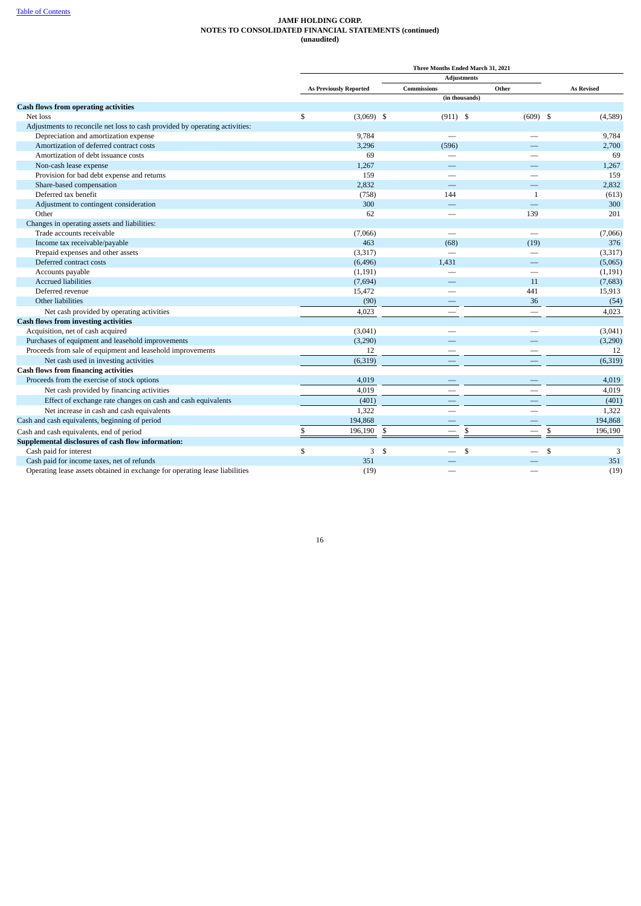|                                                                             | Three Months Ended March 31, 2021 |                               |               |                          |                |            |                   |
|-----------------------------------------------------------------------------|-----------------------------------|-------------------------------|---------------|--------------------------|----------------|------------|-------------------|
|                                                                             |                                   |                               |               | <b>Adjustments</b>       |                |            |                   |
|                                                                             |                                   | <b>As Previously Reported</b> |               | <b>Commissions</b>       |                | Other      | <b>As Revised</b> |
|                                                                             |                                   |                               |               |                          | (in thousands) |            |                   |
| <b>Cash flows from operating activities</b>                                 |                                   |                               |               |                          |                |            |                   |
| Net loss                                                                    | \$                                | $(3,069)$ \$                  |               | $(911)$ \$               |                | $(609)$ \$ | (4,589)           |
| Adjustments to reconcile net loss to cash provided by operating activities: |                                   |                               |               |                          |                |            |                   |
| Depreciation and amortization expense                                       |                                   | 9,784                         |               |                          |                |            | 9,784             |
| Amortization of deferred contract costs                                     |                                   | 3,296                         |               | (596)                    |                |            | 2,700             |
| Amortization of debt issuance costs                                         |                                   | 69                            |               | $\overline{\phantom{0}}$ |                |            | 69                |
| Non-cash lease expense                                                      |                                   | 1,267                         |               |                          |                |            | 1,267             |
| Provision for bad debt expense and returns                                  |                                   | 159                           |               |                          |                |            | 159               |
| Share-based compensation                                                    |                                   | 2,832                         |               |                          |                |            | 2,832             |
| Deferred tax benefit                                                        |                                   | (758)                         |               | 144                      |                | 1          | (613)             |
| Adjustment to contingent consideration                                      |                                   | 300                           |               |                          |                |            | 300               |
| Other                                                                       |                                   | 62                            |               |                          |                | 139        | 201               |
| Changes in operating assets and liabilities:                                |                                   |                               |               |                          |                |            |                   |
| Trade accounts receivable                                                   |                                   | (7,066)                       |               |                          |                |            | (7,066)           |
| Income tax receivable/payable                                               |                                   | 463                           |               | (68)                     |                | (19)       | 376               |
| Prepaid expenses and other assets                                           |                                   | (3,317)                       |               |                          |                |            | (3,317)           |
| Deferred contract costs                                                     |                                   | (6, 496)                      |               | 1.431                    |                |            | (5,065)           |
| Accounts payable                                                            |                                   | (1, 191)                      |               |                          |                |            | (1, 191)          |
| <b>Accrued liabilities</b>                                                  |                                   | (7,694)                       |               |                          |                | 11         | (7,683)           |
| Deferred revenue                                                            |                                   | 15,472                        |               |                          |                | 441        | 15,913            |
| Other liabilities                                                           |                                   | (90)                          |               |                          |                | 36         | (54)              |
| Net cash provided by operating activities                                   |                                   | 4,023                         |               |                          |                |            | 4,023             |
| <b>Cash flows from investing activities</b>                                 |                                   |                               |               |                          |                |            |                   |
| Acquisition, net of cash acquired                                           |                                   | (3,041)                       |               |                          |                |            | (3,041)           |
| Purchases of equipment and leasehold improvements                           |                                   | (3,290)                       |               |                          |                |            | (3,290)           |
| Proceeds from sale of equipment and leasehold improvements                  |                                   | 12                            |               |                          |                |            | 12                |
| Net cash used in investing activities                                       |                                   | (6, 319)                      |               | $\qquad \qquad$          |                |            | (6, 319)          |
| <b>Cash flows from financing activities</b>                                 |                                   |                               |               |                          |                |            |                   |
| Proceeds from the exercise of stock options                                 |                                   | 4,019                         |               |                          |                |            | 4,019             |
| Net cash provided by financing activities                                   |                                   | 4,019                         |               | $\overline{\phantom{m}}$ |                |            | 4,019             |
| Effect of exchange rate changes on cash and cash equivalents                |                                   | (401)                         |               |                          |                |            | (401)             |
| Net increase in cash and cash equivalents                                   |                                   | 1,322                         |               |                          |                |            | 1,322             |
| Cash and cash equivalents, beginning of period                              |                                   | 194,868                       |               |                          |                |            | 194,868           |
|                                                                             |                                   |                               |               |                          |                |            |                   |
| Cash and cash equivalents, end of period                                    | $\mathcal{S}$                     | 196.190                       | \$            | $\overline{\phantom{0}}$ | \$             |            | \$<br>196,190     |
| Supplemental disclosures of cash flow information:                          |                                   |                               |               |                          |                |            |                   |
| Cash paid for interest                                                      | \$                                | 3                             | <sup>\$</sup> |                          | \$             |            | \$<br>3           |
| Cash paid for income taxes, net of refunds                                  |                                   | 351                           |               |                          |                |            | 351               |
| Operating lease assets obtained in exchange for operating lease liabilities |                                   | (19)                          |               |                          |                |            | (19)              |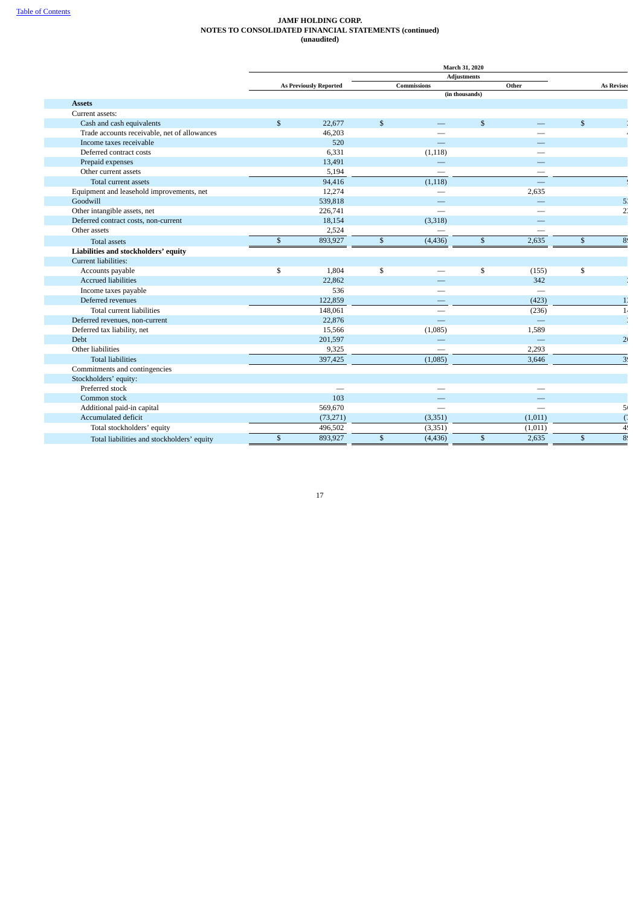|                                              | March 31, 2020 |                               |                                      |                          |                    |                                                                                                                                                                                                                                |              |                |  |
|----------------------------------------------|----------------|-------------------------------|--------------------------------------|--------------------------|--------------------|--------------------------------------------------------------------------------------------------------------------------------------------------------------------------------------------------------------------------------|--------------|----------------|--|
|                                              |                |                               |                                      |                          | <b>Adjustments</b> |                                                                                                                                                                                                                                |              | As Reviseo     |  |
|                                              |                | <b>As Previously Reported</b> | <b>Commissions</b><br>(in thousands) |                          |                    | Other                                                                                                                                                                                                                          |              |                |  |
| <b>Assets</b>                                |                |                               |                                      |                          |                    |                                                                                                                                                                                                                                |              |                |  |
| Current assets:                              |                |                               |                                      |                          |                    |                                                                                                                                                                                                                                |              |                |  |
| Cash and cash equivalents                    | $\mathbb{S}$   | 22,677                        | \$                                   |                          | $\mathbf{s}$       |                                                                                                                                                                                                                                | \$           |                |  |
| Trade accounts receivable, net of allowances |                | 46,203                        |                                      |                          |                    |                                                                                                                                                                                                                                |              |                |  |
| Income taxes receivable                      |                | 520                           |                                      | ш.                       |                    |                                                                                                                                                                                                                                |              |                |  |
| Deferred contract costs                      |                | 6,331                         |                                      | (1, 118)                 |                    |                                                                                                                                                                                                                                |              |                |  |
| Prepaid expenses                             |                | 13,491                        |                                      |                          |                    |                                                                                                                                                                                                                                |              |                |  |
| Other current assets                         |                | 5,194                         |                                      |                          |                    |                                                                                                                                                                                                                                |              |                |  |
| Total current assets                         |                | 94,416                        |                                      | (1, 118)                 |                    |                                                                                                                                                                                                                                |              |                |  |
| Equipment and leasehold improvements, net    |                | 12,274                        |                                      |                          |                    | 2,635                                                                                                                                                                                                                          |              |                |  |
| Goodwill                                     |                | 539,818                       |                                      |                          |                    | e and the state of the state of the state of the state of the state of the state of the state of the state of the state of the state of the state of the state of the state of the state of the state of the state of the stat |              | 5.             |  |
| Other intangible assets, net                 |                | 226,741                       |                                      |                          |                    |                                                                                                                                                                                                                                |              | 2:             |  |
| Deferred contract costs, non-current         |                | 18,154                        |                                      | (3,318)                  |                    |                                                                                                                                                                                                                                |              |                |  |
| Other assets                                 |                | 2,524                         |                                      |                          |                    |                                                                                                                                                                                                                                |              |                |  |
| <b>Total assets</b>                          | $\mathcal{S}$  | 893,927                       | $\mathbb{S}$                         | (4, 436)                 | $\mathbb{S}$       | 2,635                                                                                                                                                                                                                          | $\mathbb{S}$ | 8 <sup>1</sup> |  |
| Liabilities and stockholders' equity         |                |                               |                                      |                          |                    |                                                                                                                                                                                                                                |              |                |  |
| Current liabilities:                         |                |                               |                                      |                          |                    |                                                                                                                                                                                                                                |              |                |  |
| Accounts payable                             | \$             | 1,804                         | \$                                   |                          | \$                 | (155)                                                                                                                                                                                                                          | \$           |                |  |
| <b>Accrued liabilities</b>                   |                | 22,862                        |                                      |                          |                    | 342                                                                                                                                                                                                                            |              |                |  |
| Income taxes payable                         |                | 536                           |                                      |                          |                    |                                                                                                                                                                                                                                |              |                |  |
| Deferred revenues                            |                | 122,859                       |                                      |                          |                    | (423)                                                                                                                                                                                                                          |              | $\mathbf{1}$   |  |
| Total current liabilities                    |                | 148,061                       |                                      |                          |                    | (236)                                                                                                                                                                                                                          |              | 1.             |  |
| Deferred revenues, non-current               |                | 22,876                        |                                      |                          |                    |                                                                                                                                                                                                                                |              |                |  |
| Deferred tax liability, net                  |                | 15,566                        |                                      | (1,085)                  |                    | 1,589                                                                                                                                                                                                                          |              |                |  |
| Debt                                         |                | 201,597                       |                                      |                          |                    |                                                                                                                                                                                                                                |              | 2 <sub>0</sub> |  |
| Other liabilities                            |                | 9,325                         |                                      | $\overline{\phantom{0}}$ |                    | 2,293                                                                                                                                                                                                                          |              |                |  |
| <b>Total liabilities</b>                     |                | 397,425                       |                                      | (1,085)                  |                    | 3,646                                                                                                                                                                                                                          |              | 3 <sup>1</sup> |  |
| Commitments and contingencies                |                |                               |                                      |                          |                    |                                                                                                                                                                                                                                |              |                |  |
| Stockholders' equity:                        |                |                               |                                      |                          |                    |                                                                                                                                                                                                                                |              |                |  |
| Preferred stock                              |                |                               |                                      | $\overline{\phantom{a}}$ |                    |                                                                                                                                                                                                                                |              |                |  |
| Common stock                                 |                | 103                           |                                      |                          |                    |                                                                                                                                                                                                                                |              |                |  |
| Additional paid-in capital                   |                | 569,670                       |                                      | $\overline{\phantom{0}}$ |                    |                                                                                                                                                                                                                                |              | 5              |  |
| Accumulated deficit                          |                | (73, 271)                     |                                      | (3, 351)                 |                    | (1,011)                                                                                                                                                                                                                        |              | $\overline{C}$ |  |
| Total stockholders' equity                   |                | 496,502                       |                                      | (3, 351)                 |                    | (1,011)                                                                                                                                                                                                                        |              | 4 <sup>t</sup> |  |
| Total liabilities and stockholders' equity   | $\mathbb{S}$   | 893,927                       | \$                                   | (4, 436)                 | $\mathbb{S}$       | 2,635                                                                                                                                                                                                                          | \$           | 8 <sup>1</sup> |  |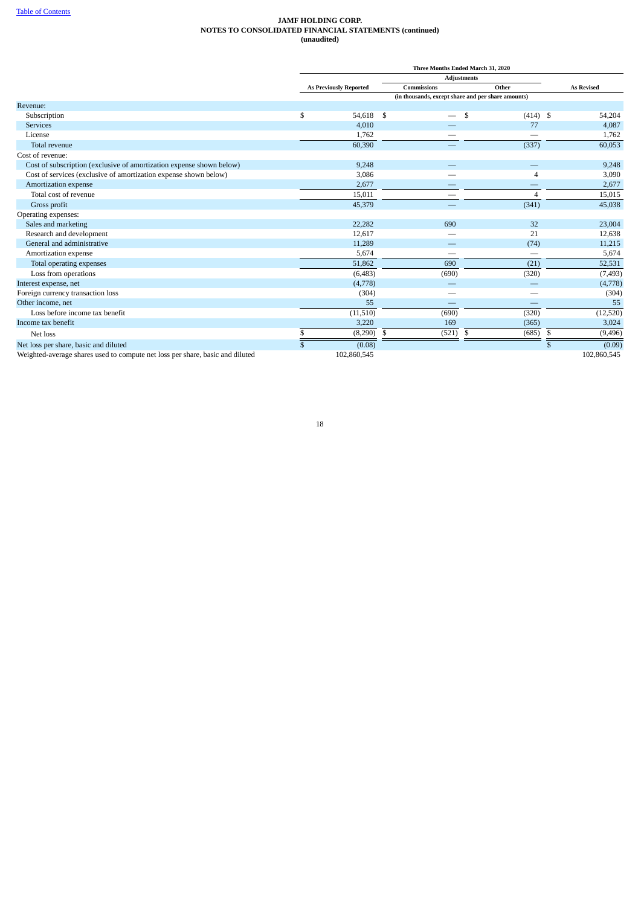|                                                                               | Three Months Ended March 31, 2020 |                               |                    |                                                    |     |                   |  |
|-------------------------------------------------------------------------------|-----------------------------------|-------------------------------|--------------------|----------------------------------------------------|-----|-------------------|--|
|                                                                               |                                   |                               |                    | <b>Adjustments</b>                                 |     |                   |  |
|                                                                               |                                   | <b>As Previously Reported</b> | <b>Commissions</b> | Other                                              |     | <b>As Revised</b> |  |
|                                                                               |                                   |                               |                    | (in thousands, except share and per share amounts) |     |                   |  |
| Revenue:                                                                      |                                   |                               |                    |                                                    |     |                   |  |
| Subscription                                                                  | \$                                | 54,618                        | \$                 | \$<br>$(414)$ \$                                   |     | 54,204            |  |
| <b>Services</b>                                                               |                                   | 4,010                         |                    | 77                                                 |     | 4,087             |  |
| License                                                                       |                                   | 1,762                         |                    |                                                    |     | 1,762             |  |
| Total revenue                                                                 |                                   | 60,390                        |                    | (337)                                              |     | 60,053            |  |
| Cost of revenue:                                                              |                                   |                               |                    |                                                    |     |                   |  |
| Cost of subscription (exclusive of amortization expense shown below)          |                                   | 9,248                         |                    |                                                    |     | 9,248             |  |
| Cost of services (exclusive of amortization expense shown below)              |                                   | 3,086                         |                    | 4                                                  |     | 3,090             |  |
| Amortization expense                                                          |                                   | 2,677                         |                    |                                                    |     | 2,677             |  |
| Total cost of revenue                                                         |                                   | 15,011                        |                    | $\Delta$                                           |     | 15,015            |  |
| Gross profit                                                                  |                                   | 45,379                        |                    | (341)                                              |     | 45,038            |  |
| Operating expenses:                                                           |                                   |                               |                    |                                                    |     |                   |  |
| Sales and marketing                                                           |                                   | 22,282                        | 690                | 32                                                 |     | 23,004            |  |
| Research and development                                                      |                                   | 12,617                        |                    | 21                                                 |     | 12,638            |  |
| General and administrative                                                    |                                   | 11,289                        |                    | (74)                                               |     | 11,215            |  |
| Amortization expense                                                          |                                   | 5,674                         |                    |                                                    |     | 5,674             |  |
| Total operating expenses                                                      |                                   | 51,862                        | 690                | (21)                                               |     | 52,531            |  |
| Loss from operations                                                          |                                   | (6, 483)                      | (690)              | (320)                                              |     | (7, 493)          |  |
| Interest expense, net                                                         |                                   | (4,778)                       |                    |                                                    |     | (4,778)           |  |
| Foreign currency transaction loss                                             |                                   | (304)                         |                    |                                                    |     | (304)             |  |
| Other income, net                                                             |                                   | 55                            |                    |                                                    |     | 55                |  |
| Loss before income tax benefit                                                |                                   | (11, 510)                     | (690)              | (320)                                              |     | (12,520)          |  |
| Income tax benefit                                                            |                                   | 3,220                         | 169                | (365)                                              |     | 3,024             |  |
| Net loss                                                                      |                                   | (8,290)                       | (521)<br>-S        | \$<br>(685)                                        | -\$ | (9, 496)          |  |
| Net loss per share, basic and diluted                                         |                                   | (0.08)                        |                    |                                                    |     | (0.09)            |  |
| Weighted-average shares used to compute net loss per share, basic and diluted |                                   | 102,860,545                   |                    |                                                    |     | 102,860,545       |  |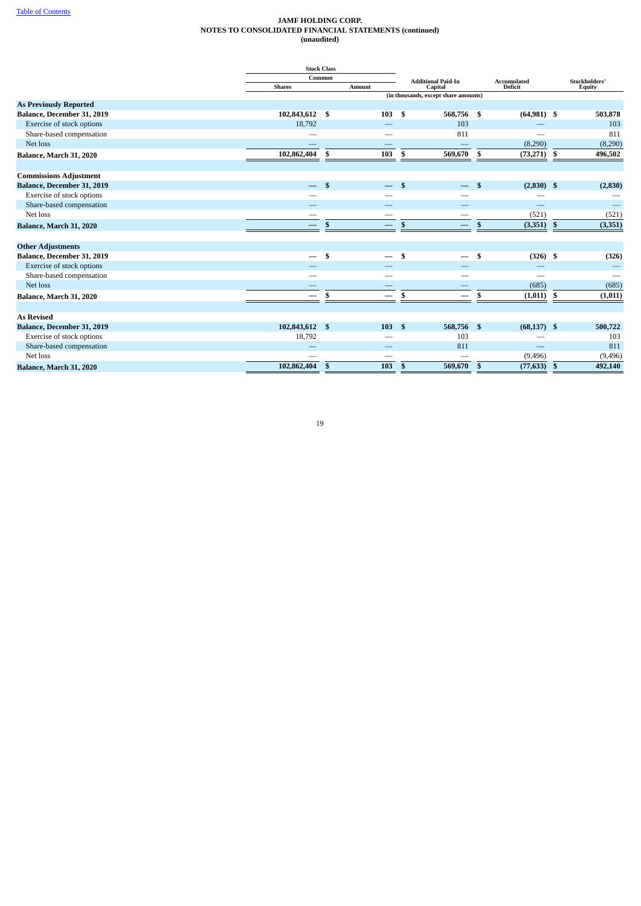|                          |                                                            |                             |                                                    | <b>Additional Paid-In</b> |                               | Accumulated                                                      |                                  | Stockholders'                                                                                                  |
|--------------------------|------------------------------------------------------------|-----------------------------|----------------------------------------------------|---------------------------|-------------------------------|------------------------------------------------------------------|----------------------------------|----------------------------------------------------------------------------------------------------------------|
|                          |                                                            |                             |                                                    |                           |                               |                                                                  |                                  | Equity                                                                                                         |
|                          |                                                            |                             |                                                    |                           |                               |                                                                  |                                  |                                                                                                                |
|                          |                                                            | 103                         |                                                    |                           |                               |                                                                  |                                  | 503,878                                                                                                        |
| 18,792                   |                                                            |                             |                                                    | 103                       |                               |                                                                  |                                  | 103                                                                                                            |
|                          |                                                            |                             |                                                    | 811                       |                               |                                                                  |                                  | 811                                                                                                            |
|                          |                                                            |                             |                                                    |                           |                               | (8,290)                                                          |                                  | (8,290)                                                                                                        |
|                          | \$                                                         | 103                         | \$                                                 |                           | \$                            |                                                                  |                                  | 496,502                                                                                                        |
|                          |                                                            |                             |                                                    |                           |                               |                                                                  |                                  |                                                                                                                |
|                          |                                                            |                             |                                                    |                           |                               |                                                                  |                                  |                                                                                                                |
| $\overline{\phantom{0}}$ | <b>S</b>                                                   |                             | $\mathbf{s}$                                       |                           | - \$                          |                                                                  |                                  | (2, 830)                                                                                                       |
|                          |                                                            |                             |                                                    |                           |                               |                                                                  |                                  |                                                                                                                |
|                          |                                                            |                             |                                                    |                           |                               |                                                                  |                                  |                                                                                                                |
|                          |                                                            |                             |                                                    |                           |                               | (521)                                                            |                                  | (521)                                                                                                          |
| —                        | \$                                                         | -                           | \$                                                 | —                         | $\mathbf{s}$                  |                                                                  |                                  | (3, 351)                                                                                                       |
|                          |                                                            |                             |                                                    |                           |                               |                                                                  |                                  |                                                                                                                |
|                          |                                                            |                             |                                                    |                           |                               |                                                                  |                                  |                                                                                                                |
|                          | \$                                                         |                             | \$                                                 |                           | \$                            |                                                                  |                                  | (326)                                                                                                          |
|                          |                                                            |                             |                                                    |                           |                               |                                                                  |                                  | -                                                                                                              |
|                          |                                                            |                             |                                                    |                           |                               |                                                                  |                                  |                                                                                                                |
|                          |                                                            |                             |                                                    |                           |                               | (685)                                                            |                                  | (685)                                                                                                          |
| $\overline{\phantom{0}}$ | \$                                                         |                             | \$                                                 | —                         | £.                            |                                                                  |                                  | (1, 011)                                                                                                       |
|                          |                                                            |                             |                                                    |                           |                               |                                                                  |                                  |                                                                                                                |
|                          |                                                            |                             |                                                    |                           |                               |                                                                  |                                  |                                                                                                                |
|                          | \$                                                         | 103                         | $\mathbf{s}$                                       |                           |                               |                                                                  |                                  | 500,722                                                                                                        |
| 18,792                   |                                                            |                             |                                                    | 103                       |                               |                                                                  |                                  | 103                                                                                                            |
|                          |                                                            |                             |                                                    | 811                       |                               | $\overline{\phantom{0}}$                                         |                                  | 811                                                                                                            |
|                          |                                                            |                             |                                                    |                           |                               |                                                                  |                                  | (9, 496)                                                                                                       |
|                          | \$                                                         |                             | \$                                                 |                           | \$                            |                                                                  | \$                               | 492,140                                                                                                        |
|                          | <b>Shares</b><br>102,843,612<br>102,862,404<br>102,862,404 | Common<br>\$<br>102,843,612 | (unaudited)<br><b>Stock Class</b><br>Amount<br>103 | \$                        | Capital<br>569,670<br>569,670 | (in thousands, except share amounts)<br>568,756 \$<br>568,756 \$ | Deficit<br>(9, 496)<br>(77, 633) | $(64,981)$ \$<br>$(73,271)$ \$<br>$(2,830)$ \$<br>$(3,351)$ \$<br>$(326)$ \$<br>$(1,011)$ \$<br>$(68, 137)$ \$ |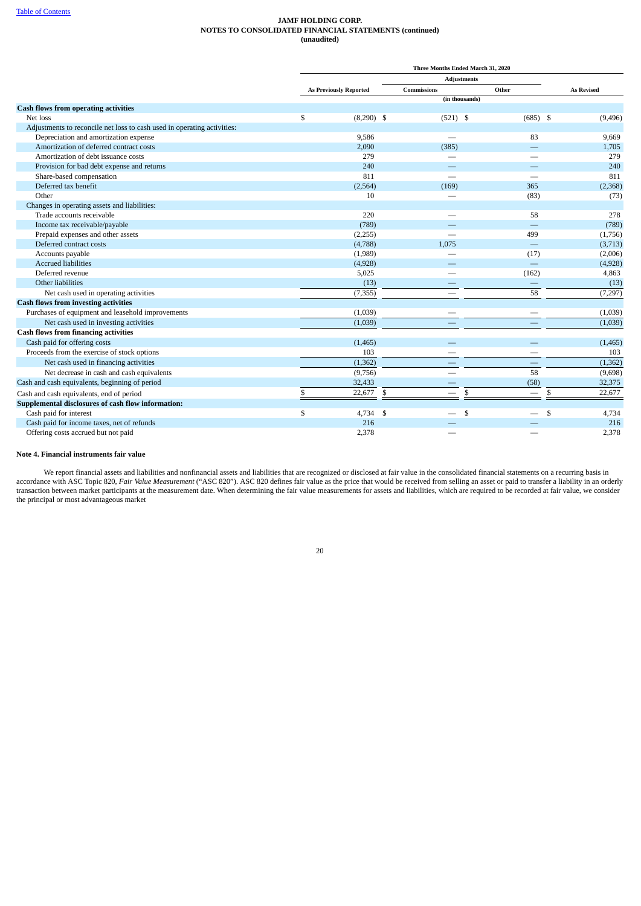| <b>Adjustments</b><br><b>Commissions</b><br>Other<br><b>As Revised</b><br><b>As Previously Reported</b><br>(in thousands)<br><b>Cash flows from operating activities</b><br>\$<br>$(8,290)$ \$<br>$(521)$ \$<br>$(685)$ \$<br>(9, 496)<br>Net loss<br>Adjustments to reconcile net loss to cash used in operating activities:<br>Depreciation and amortization expense<br>9,586<br>83<br>9,669<br>Amortization of deferred contract costs<br>2,090<br>(385)<br>1,705<br>Amortization of debt issuance costs<br>279<br>279<br>240<br>240<br>Provision for bad debt expense and returns<br>811<br>Share-based compensation<br>811<br>Deferred tax benefit<br>(2, 564)<br>(169)<br>365<br>(2,368)<br>Other<br>10<br>(83)<br>(73)<br>Changes in operating assets and liabilities:<br>Trade accounts receivable<br>220<br>58<br>278<br>(789)<br>(789)<br>Income tax receivable/payable<br>Prepaid expenses and other assets<br>499<br>(2,255)<br>(1,756)<br>Deferred contract costs<br>(4,788)<br>1.075<br>(3,713)<br>Accounts payable<br>(1,989)<br>(17)<br>(2,006)<br><b>Accrued liabilities</b><br>(4,928)<br>(4,928)<br>Deferred revenue<br>5,025<br>4,863<br>(162)<br>Other liabilities<br>(13)<br>(13)<br>Net cash used in operating activities<br>(7, 355)<br>58<br>(7,297)<br><b>Cash flows from investing activities</b><br>Purchases of equipment and leasehold improvements<br>(1,039)<br>(1,039)<br>Net cash used in investing activities<br>(1,039)<br>(1,039)<br><b>Cash flows from financing activities</b><br>Cash paid for offering costs<br>(1, 465)<br>(1, 465)<br>Proceeds from the exercise of stock options<br>103<br>103<br>Net cash used in financing activities<br>(1, 362)<br>(1, 362)<br>58<br>(9,698)<br>Net decrease in cash and cash equivalents<br>(9,756)<br>Cash and cash equivalents, beginning of period<br>(58)<br>32,375<br>32,433<br>22,677<br>22,677<br>\$<br>\$<br>\$<br>Cash and cash equivalents, end of period<br>Supplemental disclosures of cash flow information:<br>Cash paid for interest<br>4,734<br>\$<br><sup>\$</sup><br>4,734<br>\$<br>-S<br>Cash paid for income taxes, net of refunds<br>216<br>216 |                                     | Three Months Ended March 31, 2020 |       |  |  |  |  |       |
|-------------------------------------------------------------------------------------------------------------------------------------------------------------------------------------------------------------------------------------------------------------------------------------------------------------------------------------------------------------------------------------------------------------------------------------------------------------------------------------------------------------------------------------------------------------------------------------------------------------------------------------------------------------------------------------------------------------------------------------------------------------------------------------------------------------------------------------------------------------------------------------------------------------------------------------------------------------------------------------------------------------------------------------------------------------------------------------------------------------------------------------------------------------------------------------------------------------------------------------------------------------------------------------------------------------------------------------------------------------------------------------------------------------------------------------------------------------------------------------------------------------------------------------------------------------------------------------------------------------------------------------------------------------------------------------------------------------------------------------------------------------------------------------------------------------------------------------------------------------------------------------------------------------------------------------------------------------------------------------------------------------------------------------------------------------------------------------------------------------------------------------------------------|-------------------------------------|-----------------------------------|-------|--|--|--|--|-------|
|                                                                                                                                                                                                                                                                                                                                                                                                                                                                                                                                                                                                                                                                                                                                                                                                                                                                                                                                                                                                                                                                                                                                                                                                                                                                                                                                                                                                                                                                                                                                                                                                                                                                                                                                                                                                                                                                                                                                                                                                                                                                                                                                                       |                                     |                                   |       |  |  |  |  |       |
|                                                                                                                                                                                                                                                                                                                                                                                                                                                                                                                                                                                                                                                                                                                                                                                                                                                                                                                                                                                                                                                                                                                                                                                                                                                                                                                                                                                                                                                                                                                                                                                                                                                                                                                                                                                                                                                                                                                                                                                                                                                                                                                                                       |                                     |                                   |       |  |  |  |  |       |
|                                                                                                                                                                                                                                                                                                                                                                                                                                                                                                                                                                                                                                                                                                                                                                                                                                                                                                                                                                                                                                                                                                                                                                                                                                                                                                                                                                                                                                                                                                                                                                                                                                                                                                                                                                                                                                                                                                                                                                                                                                                                                                                                                       |                                     |                                   |       |  |  |  |  |       |
|                                                                                                                                                                                                                                                                                                                                                                                                                                                                                                                                                                                                                                                                                                                                                                                                                                                                                                                                                                                                                                                                                                                                                                                                                                                                                                                                                                                                                                                                                                                                                                                                                                                                                                                                                                                                                                                                                                                                                                                                                                                                                                                                                       |                                     |                                   |       |  |  |  |  |       |
|                                                                                                                                                                                                                                                                                                                                                                                                                                                                                                                                                                                                                                                                                                                                                                                                                                                                                                                                                                                                                                                                                                                                                                                                                                                                                                                                                                                                                                                                                                                                                                                                                                                                                                                                                                                                                                                                                                                                                                                                                                                                                                                                                       |                                     |                                   |       |  |  |  |  |       |
|                                                                                                                                                                                                                                                                                                                                                                                                                                                                                                                                                                                                                                                                                                                                                                                                                                                                                                                                                                                                                                                                                                                                                                                                                                                                                                                                                                                                                                                                                                                                                                                                                                                                                                                                                                                                                                                                                                                                                                                                                                                                                                                                                       |                                     |                                   |       |  |  |  |  |       |
|                                                                                                                                                                                                                                                                                                                                                                                                                                                                                                                                                                                                                                                                                                                                                                                                                                                                                                                                                                                                                                                                                                                                                                                                                                                                                                                                                                                                                                                                                                                                                                                                                                                                                                                                                                                                                                                                                                                                                                                                                                                                                                                                                       |                                     |                                   |       |  |  |  |  |       |
|                                                                                                                                                                                                                                                                                                                                                                                                                                                                                                                                                                                                                                                                                                                                                                                                                                                                                                                                                                                                                                                                                                                                                                                                                                                                                                                                                                                                                                                                                                                                                                                                                                                                                                                                                                                                                                                                                                                                                                                                                                                                                                                                                       |                                     |                                   |       |  |  |  |  |       |
|                                                                                                                                                                                                                                                                                                                                                                                                                                                                                                                                                                                                                                                                                                                                                                                                                                                                                                                                                                                                                                                                                                                                                                                                                                                                                                                                                                                                                                                                                                                                                                                                                                                                                                                                                                                                                                                                                                                                                                                                                                                                                                                                                       |                                     |                                   |       |  |  |  |  |       |
|                                                                                                                                                                                                                                                                                                                                                                                                                                                                                                                                                                                                                                                                                                                                                                                                                                                                                                                                                                                                                                                                                                                                                                                                                                                                                                                                                                                                                                                                                                                                                                                                                                                                                                                                                                                                                                                                                                                                                                                                                                                                                                                                                       |                                     |                                   |       |  |  |  |  |       |
|                                                                                                                                                                                                                                                                                                                                                                                                                                                                                                                                                                                                                                                                                                                                                                                                                                                                                                                                                                                                                                                                                                                                                                                                                                                                                                                                                                                                                                                                                                                                                                                                                                                                                                                                                                                                                                                                                                                                                                                                                                                                                                                                                       |                                     |                                   |       |  |  |  |  |       |
|                                                                                                                                                                                                                                                                                                                                                                                                                                                                                                                                                                                                                                                                                                                                                                                                                                                                                                                                                                                                                                                                                                                                                                                                                                                                                                                                                                                                                                                                                                                                                                                                                                                                                                                                                                                                                                                                                                                                                                                                                                                                                                                                                       |                                     |                                   |       |  |  |  |  |       |
|                                                                                                                                                                                                                                                                                                                                                                                                                                                                                                                                                                                                                                                                                                                                                                                                                                                                                                                                                                                                                                                                                                                                                                                                                                                                                                                                                                                                                                                                                                                                                                                                                                                                                                                                                                                                                                                                                                                                                                                                                                                                                                                                                       |                                     |                                   |       |  |  |  |  |       |
|                                                                                                                                                                                                                                                                                                                                                                                                                                                                                                                                                                                                                                                                                                                                                                                                                                                                                                                                                                                                                                                                                                                                                                                                                                                                                                                                                                                                                                                                                                                                                                                                                                                                                                                                                                                                                                                                                                                                                                                                                                                                                                                                                       |                                     |                                   |       |  |  |  |  |       |
|                                                                                                                                                                                                                                                                                                                                                                                                                                                                                                                                                                                                                                                                                                                                                                                                                                                                                                                                                                                                                                                                                                                                                                                                                                                                                                                                                                                                                                                                                                                                                                                                                                                                                                                                                                                                                                                                                                                                                                                                                                                                                                                                                       |                                     |                                   |       |  |  |  |  |       |
|                                                                                                                                                                                                                                                                                                                                                                                                                                                                                                                                                                                                                                                                                                                                                                                                                                                                                                                                                                                                                                                                                                                                                                                                                                                                                                                                                                                                                                                                                                                                                                                                                                                                                                                                                                                                                                                                                                                                                                                                                                                                                                                                                       |                                     |                                   |       |  |  |  |  |       |
|                                                                                                                                                                                                                                                                                                                                                                                                                                                                                                                                                                                                                                                                                                                                                                                                                                                                                                                                                                                                                                                                                                                                                                                                                                                                                                                                                                                                                                                                                                                                                                                                                                                                                                                                                                                                                                                                                                                                                                                                                                                                                                                                                       |                                     |                                   |       |  |  |  |  |       |
|                                                                                                                                                                                                                                                                                                                                                                                                                                                                                                                                                                                                                                                                                                                                                                                                                                                                                                                                                                                                                                                                                                                                                                                                                                                                                                                                                                                                                                                                                                                                                                                                                                                                                                                                                                                                                                                                                                                                                                                                                                                                                                                                                       |                                     |                                   |       |  |  |  |  |       |
|                                                                                                                                                                                                                                                                                                                                                                                                                                                                                                                                                                                                                                                                                                                                                                                                                                                                                                                                                                                                                                                                                                                                                                                                                                                                                                                                                                                                                                                                                                                                                                                                                                                                                                                                                                                                                                                                                                                                                                                                                                                                                                                                                       |                                     |                                   |       |  |  |  |  |       |
|                                                                                                                                                                                                                                                                                                                                                                                                                                                                                                                                                                                                                                                                                                                                                                                                                                                                                                                                                                                                                                                                                                                                                                                                                                                                                                                                                                                                                                                                                                                                                                                                                                                                                                                                                                                                                                                                                                                                                                                                                                                                                                                                                       |                                     |                                   |       |  |  |  |  |       |
|                                                                                                                                                                                                                                                                                                                                                                                                                                                                                                                                                                                                                                                                                                                                                                                                                                                                                                                                                                                                                                                                                                                                                                                                                                                                                                                                                                                                                                                                                                                                                                                                                                                                                                                                                                                                                                                                                                                                                                                                                                                                                                                                                       |                                     |                                   |       |  |  |  |  |       |
|                                                                                                                                                                                                                                                                                                                                                                                                                                                                                                                                                                                                                                                                                                                                                                                                                                                                                                                                                                                                                                                                                                                                                                                                                                                                                                                                                                                                                                                                                                                                                                                                                                                                                                                                                                                                                                                                                                                                                                                                                                                                                                                                                       |                                     |                                   |       |  |  |  |  |       |
|                                                                                                                                                                                                                                                                                                                                                                                                                                                                                                                                                                                                                                                                                                                                                                                                                                                                                                                                                                                                                                                                                                                                                                                                                                                                                                                                                                                                                                                                                                                                                                                                                                                                                                                                                                                                                                                                                                                                                                                                                                                                                                                                                       |                                     |                                   |       |  |  |  |  |       |
|                                                                                                                                                                                                                                                                                                                                                                                                                                                                                                                                                                                                                                                                                                                                                                                                                                                                                                                                                                                                                                                                                                                                                                                                                                                                                                                                                                                                                                                                                                                                                                                                                                                                                                                                                                                                                                                                                                                                                                                                                                                                                                                                                       |                                     |                                   |       |  |  |  |  |       |
|                                                                                                                                                                                                                                                                                                                                                                                                                                                                                                                                                                                                                                                                                                                                                                                                                                                                                                                                                                                                                                                                                                                                                                                                                                                                                                                                                                                                                                                                                                                                                                                                                                                                                                                                                                                                                                                                                                                                                                                                                                                                                                                                                       |                                     |                                   |       |  |  |  |  |       |
|                                                                                                                                                                                                                                                                                                                                                                                                                                                                                                                                                                                                                                                                                                                                                                                                                                                                                                                                                                                                                                                                                                                                                                                                                                                                                                                                                                                                                                                                                                                                                                                                                                                                                                                                                                                                                                                                                                                                                                                                                                                                                                                                                       |                                     |                                   |       |  |  |  |  |       |
|                                                                                                                                                                                                                                                                                                                                                                                                                                                                                                                                                                                                                                                                                                                                                                                                                                                                                                                                                                                                                                                                                                                                                                                                                                                                                                                                                                                                                                                                                                                                                                                                                                                                                                                                                                                                                                                                                                                                                                                                                                                                                                                                                       |                                     |                                   |       |  |  |  |  |       |
|                                                                                                                                                                                                                                                                                                                                                                                                                                                                                                                                                                                                                                                                                                                                                                                                                                                                                                                                                                                                                                                                                                                                                                                                                                                                                                                                                                                                                                                                                                                                                                                                                                                                                                                                                                                                                                                                                                                                                                                                                                                                                                                                                       |                                     |                                   |       |  |  |  |  |       |
|                                                                                                                                                                                                                                                                                                                                                                                                                                                                                                                                                                                                                                                                                                                                                                                                                                                                                                                                                                                                                                                                                                                                                                                                                                                                                                                                                                                                                                                                                                                                                                                                                                                                                                                                                                                                                                                                                                                                                                                                                                                                                                                                                       |                                     |                                   |       |  |  |  |  |       |
|                                                                                                                                                                                                                                                                                                                                                                                                                                                                                                                                                                                                                                                                                                                                                                                                                                                                                                                                                                                                                                                                                                                                                                                                                                                                                                                                                                                                                                                                                                                                                                                                                                                                                                                                                                                                                                                                                                                                                                                                                                                                                                                                                       |                                     |                                   |       |  |  |  |  |       |
|                                                                                                                                                                                                                                                                                                                                                                                                                                                                                                                                                                                                                                                                                                                                                                                                                                                                                                                                                                                                                                                                                                                                                                                                                                                                                                                                                                                                                                                                                                                                                                                                                                                                                                                                                                                                                                                                                                                                                                                                                                                                                                                                                       |                                     |                                   |       |  |  |  |  |       |
|                                                                                                                                                                                                                                                                                                                                                                                                                                                                                                                                                                                                                                                                                                                                                                                                                                                                                                                                                                                                                                                                                                                                                                                                                                                                                                                                                                                                                                                                                                                                                                                                                                                                                                                                                                                                                                                                                                                                                                                                                                                                                                                                                       |                                     |                                   |       |  |  |  |  |       |
|                                                                                                                                                                                                                                                                                                                                                                                                                                                                                                                                                                                                                                                                                                                                                                                                                                                                                                                                                                                                                                                                                                                                                                                                                                                                                                                                                                                                                                                                                                                                                                                                                                                                                                                                                                                                                                                                                                                                                                                                                                                                                                                                                       |                                     |                                   |       |  |  |  |  |       |
|                                                                                                                                                                                                                                                                                                                                                                                                                                                                                                                                                                                                                                                                                                                                                                                                                                                                                                                                                                                                                                                                                                                                                                                                                                                                                                                                                                                                                                                                                                                                                                                                                                                                                                                                                                                                                                                                                                                                                                                                                                                                                                                                                       |                                     |                                   |       |  |  |  |  |       |
|                                                                                                                                                                                                                                                                                                                                                                                                                                                                                                                                                                                                                                                                                                                                                                                                                                                                                                                                                                                                                                                                                                                                                                                                                                                                                                                                                                                                                                                                                                                                                                                                                                                                                                                                                                                                                                                                                                                                                                                                                                                                                                                                                       |                                     |                                   |       |  |  |  |  |       |
|                                                                                                                                                                                                                                                                                                                                                                                                                                                                                                                                                                                                                                                                                                                                                                                                                                                                                                                                                                                                                                                                                                                                                                                                                                                                                                                                                                                                                                                                                                                                                                                                                                                                                                                                                                                                                                                                                                                                                                                                                                                                                                                                                       |                                     |                                   |       |  |  |  |  |       |
|                                                                                                                                                                                                                                                                                                                                                                                                                                                                                                                                                                                                                                                                                                                                                                                                                                                                                                                                                                                                                                                                                                                                                                                                                                                                                                                                                                                                                                                                                                                                                                                                                                                                                                                                                                                                                                                                                                                                                                                                                                                                                                                                                       | Offering costs accrued but not paid |                                   | 2,378 |  |  |  |  | 2,378 |

## **Note 4. Financial instruments fair value**

We report financial assets and liabilities and nonfinancial assets and liabilities that are recognized or disclosed at fair value in the consolidated financial statements on a recurring basis in accordance with ASC Topic 820, *Fair Value Measurement* ("ASC 820"). ASC 820 defines fair value as the price that would be received from selling an asset or paid to transfer a liability in an orderly transaction between market participants at the measurement date. When determining the fair value measurements for assets and liabilities, which are required to be recorded at fair value, we consider the principal or most advantageous market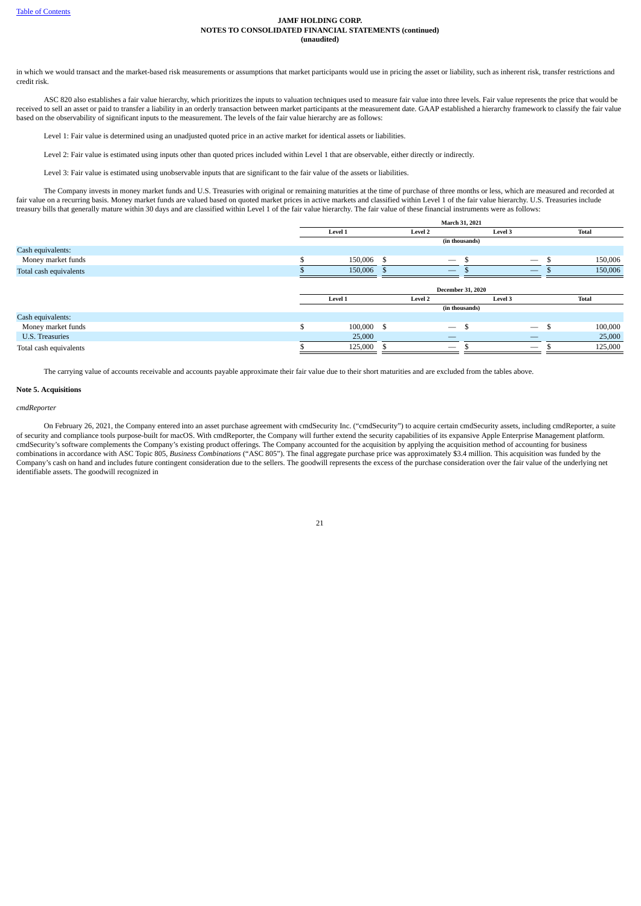in which we would transact and the market-based risk measurements or assumptions that market participants would use in pricing the asset or liability, such as inherent risk, transfer restrictions and credit risk.

ASC 820 also establishes a fair value hierarchy, which prioritizes the inputs to valuation techniques used to measure fair value into three levels. Fair value represents the price that would be received to sell an asset or paid to transfer a liability in an orderly transaction between market participants at the measurement date. GAAP established a hierarchy framework to classify the fair value based on the observability of significant inputs to the measurement. The levels of the fair value hierarchy are as follows:

Level 1: Fair value is determined using an unadjusted quoted price in an active market for identical assets or liabilities.

Level 2: Fair value is estimated using inputs other than quoted prices included within Level 1 that are observable, either directly or indirectly.

Level 3: Fair value is estimated using unobservable inputs that are significant to the fair value of the assets or liabilities.

The Company invests in money market funds and U.S. Treasuries with original or remaining maturities at the time of purchase of three months or less, which are measured and recorded at fair value on a recurring basis. Money market funds are valued based on quoted market prices in active markets and classified within Level 1 of the fair value hierarchy. U.S. Treasuries include treasury bills that generally mature within 30 days and are classified within Level 1 of the fair value hierarchy. The fair value of these financial instruments were as follows:

|    | Level 1 |    | Level 2                        |                | Level 3                                                                        |     | Total        |
|----|---------|----|--------------------------------|----------------|--------------------------------------------------------------------------------|-----|--------------|
|    |         |    |                                |                |                                                                                |     |              |
|    |         |    |                                |                |                                                                                |     |              |
|    | 150,006 | \$ | $\overline{\phantom{m}}$       | \$.            | $\overline{\phantom{m}}$                                                       | Эħ  | 150,006      |
|    | 150,006 |    | $\qquad \qquad \longleftarrow$ |                | $\frac{1}{2}$                                                                  |     | 150,006      |
|    |         |    |                                |                |                                                                                |     |              |
|    |         |    |                                |                |                                                                                |     |              |
|    | Level 1 |    | Level 2                        |                | Level 3                                                                        |     | <b>Total</b> |
|    |         |    |                                |                |                                                                                |     |              |
|    |         |    |                                |                |                                                                                |     |              |
| \$ |         |    | $\overline{\phantom{m}}$       | $\mathfrak{S}$ | $\overline{\phantom{0}}$                                                       | -\$ | 100,000      |
|    | 25,000  |    |                                |                |                                                                                |     | 25,000       |
|    | 125,000 |    | $\overline{\phantom{m}}$       |                | $\overline{\phantom{a}}$                                                       |     | 125,000      |
|    |         |    | 100,000 \$                     |                | March 31, 2021<br>(in thousands)<br><b>December 31, 2020</b><br>(in thousands) |     |              |

The carrying value of accounts receivable and accounts payable approximate their fair value due to their short maturities and are excluded from the tables above.

#### **Note 5. Acquisitions**

*cmdReporter*

On February 26, 2021, the Company entered into an asset purchase agreement with cmdSecurity Inc. ("cmdSecurity") to acquire certain cmdSecurity assets, including cmdReporter, a suite of security and compliance tools purpose-built for macOS. With cmdReporter, the Company will further extend the security capabilities of its expansive Apple Enterprise Management platform. cmdSecurity's software complements the Company's existing product offerings. The Company accounted for the acquisition by applying the acquisition method of accounting for business combinations in accordance with ASC Topic 805, *Business Combinations* ("ASC 805"). The final aggregate purchase price was approximately \$3.4 million. This acquisition was funded by the Company's cash on hand and includes future contingent consideration due to the sellers. The goodwill represents the excess of the purchase consideration over the fair value of the underlying net identifiable assets. The goodwill recognized in

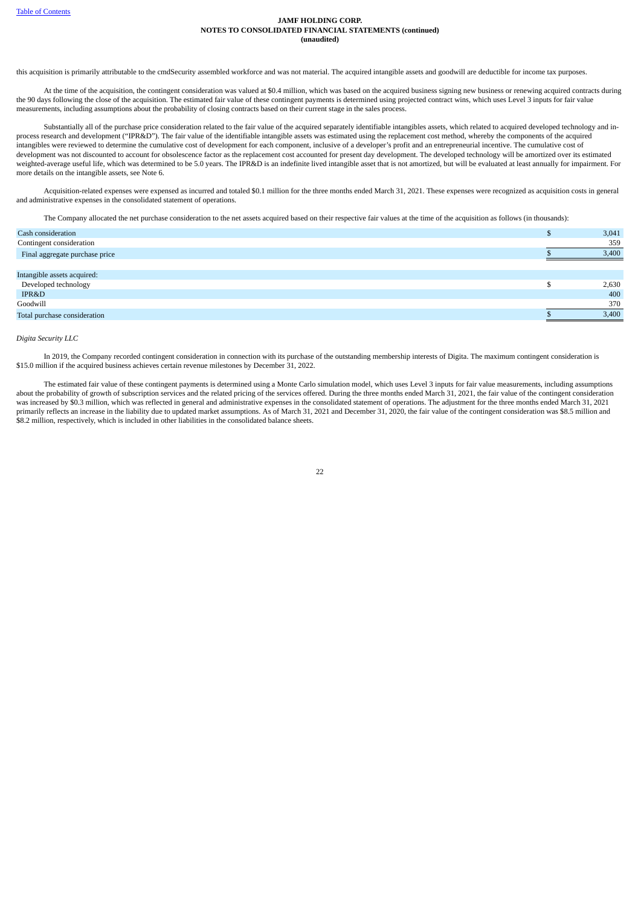this acquisition is primarily attributable to the cmdSecurity assembled workforce and was not material. The acquired intangible assets and goodwill are deductible for income tax purposes.

At the time of the acquisition, the contingent consideration was valued at \$0.4 million, which was based on the acquired business signing new business or renewing acquired contracts during the 90 days following the close of the acquisition. The estimated fair value of these contingent payments is determined using projected contract wins, which uses Level 3 inputs for fair value measurements, including assumptions about the probability of closing contracts based on their current stage in the sales process.

Substantially all of the purchase price consideration related to the fair value of the acquired separately identifiable intangibles assets, which related to acquired developed technology and inprocess research and development ("IPR&D"). The fair value of the identifiable intangible assets was estimated using the replacement cost method, whereby the components of the acquired intangibles were reviewed to determine the cumulative cost of development for each component, inclusive of a developer's profit and an entrepreneurial incentive. The cumulative cost of development was not discounted to account for obsolescence factor as the replacement cost accounted for present day development. The developed technology will be amortized over its estimated weighted-average useful life, which was determined to be 5.0 years. The IPR&D is an indefinite lived intangible asset that is not amortized, but will be evaluated at least annually for impairment. For more details on the intangible assets, see Note 6.

Acquisition-related expenses were expensed as incurred and totaled \$0.1 million for the three months ended March 31, 2021. These expenses were recognized as acquisition costs in general and administrative expenses in the consolidated statement of operations.

The Company allocated the net purchase consideration to the net assets acquired based on their respective fair values at the time of the acquisition as follows (in thousands):

| Cash consideration             | 3,041 |
|--------------------------------|-------|
| Contingent consideration       | 359   |
| Final aggregate purchase price | 3.400 |
|                                |       |
| Intangible assets acquired:    |       |
| Developed technology           | 2,630 |
| IPR&D                          | 400   |
| Goodwill                       | 370   |
| Total purchase consideration   | 3,400 |
|                                |       |

## *Digita Security LLC*

In 2019, the Company recorded contingent consideration in connection with its purchase of the outstanding membership interests of Digita. The maximum contingent consideration is \$15.0 million if the acquired business achieves certain revenue milestones by December 31, 2022.

The estimated fair value of these contingent payments is determined using a Monte Carlo simulation model, which uses Level 3 inputs for fair value measurements, including assumptions about the probability of growth of subscription services and the related pricing of the services offered. During the three months ended March 31, 2021, the fair value of the contingent consideration was increased by \$0.3 million, which was reflected in general and administrative expenses in the consolidated statement of operations. The adjustment for the three months ended March 31, 2021 primarily reflects an increase in the liability due to updated market assumptions. As of March 31, 2021 and December 31, 2020, the fair value of the contingent consideration was \$8.5 million and \$8.2 million, respectively, which is included in other liabilities in the consolidated balance sheets.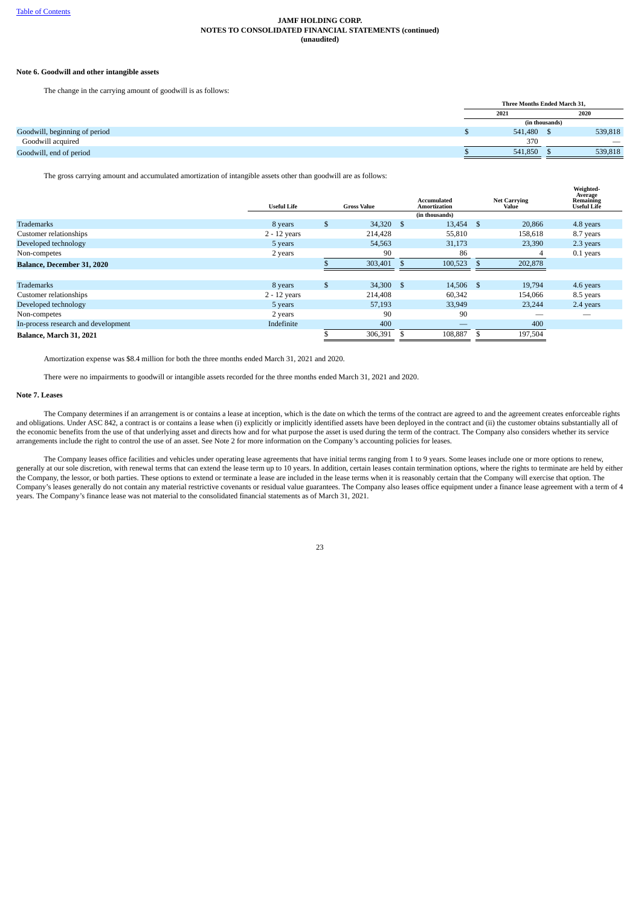## **Note 6. Goodwill and other intangible assets**

The change in the carrying amount of goodwill is as follows:

|                               |         | Three Months Ended March 31, |
|-------------------------------|---------|------------------------------|
|                               | 2021    | 2020                         |
|                               |         | (in thousands)               |
| Goodwill, beginning of period | 541.480 | 539,818                      |
| Goodwill acquired             | 370     | $\overline{\phantom{a}}$     |
| Goodwill, end of period       | 541,850 | 539,818                      |

**Weighted‑ Average Remaining Useful Life**

The gross carrying amount and accumulated amortization of intangible assets other than goodwill are as follows:

|                                     | <b>Useful Life</b> |    | <b>Gross Value</b> |      | <b>Accumulated</b><br><b>Amortization</b> | <b>Net Carrying</b><br>Value | Average<br>Remaining<br><b>Useful Life</b> |
|-------------------------------------|--------------------|----|--------------------|------|-------------------------------------------|------------------------------|--------------------------------------------|
|                                     |                    |    |                    |      | (in thousands)                            |                              |                                            |
| <b>Trademarks</b>                   | 8 years            | P. | 34,320             | - \$ | 13,454 \$                                 | 20,866                       | 4.8 years                                  |
| Customer relationships              | $2 - 12$ years     |    | 214,428            |      | 55,810                                    | 158,618                      | 8.7 years                                  |
| Developed technology                | 5 years            |    | 54,563             |      | 31,173                                    | 23,390                       | 2.3 years                                  |
| Non-competes                        | 2 years            |    | 90                 |      | 86                                        |                              | $0.1$ years                                |
| <b>Balance, December 31, 2020</b>   |                    |    | 303,401            |      | 100,523                                   | 202,878                      |                                            |
|                                     |                    |    |                    |      |                                           |                              |                                            |
| <b>Trademarks</b>                   | 8 years            | \$ | 34,300 \$          |      | 14,506 \$                                 | 19,794                       | 4.6 years                                  |
| Customer relationships              | $2 - 12$ years     |    | 214,408            |      | 60,342                                    | 154,066                      | 8.5 years                                  |
| Developed technology                | 5 years            |    | 57,193             |      | 33,949                                    | 23,244                       | 2.4 years                                  |
| Non-competes                        | 2 years            |    | 90                 |      | 90                                        |                              |                                            |
| In-process research and development | Indefinite         |    | 400                |      |                                           | 400                          |                                            |
| Balance, March 31, 2021             |                    |    | 306,391            |      | 108,887                                   | 197,504                      |                                            |

Amortization expense was \$8.4 million for both the three months ended March 31, 2021 and 2020.

There were no impairments to goodwill or intangible assets recorded for the three months ended March 31, 2021 and 2020.

## **Note 7. Leases**

The Company determines if an arrangement is or contains a lease at inception, which is the date on which the terms of the contract are agreed to and the agreement creates enforceable rights and obligations. Under ASC 842, a contract is or contains a lease when (i) explicitly or implicitly identified assets have been deployed in the contract and (ii) the customer obtains substantially all of the economic benefits from the use of that underlying asset and directs how and for what purpose the asset is used during the term of the contract. The Company also considers whether its service arrangements include the right to control the use of an asset. See Note 2 for more information on the Company's accounting policies for leases.

The Company leases office facilities and vehicles under operating lease agreements that have initial terms ranging from 1 to 9 years. Some leases include one or more options to renew, generally at our sole discretion, with renewal terms that can extend the lease term up to 10 years. In addition, certain leases contain termination options, where the rights to terminate are held by either the Company, the lessor, or both parties. These options to extend or terminate a lease are included in the lease terms when it is reasonably certain that the Company will exercise that option. The company will exercise tha Company's leases generally do not contain any material restrictive covenants or residual value guarantees. The Company also leases office equipment under a finance lease agreement with a term of 4 years. The Company's finance lease was not material to the consolidated financial statements as of March 31, 2021.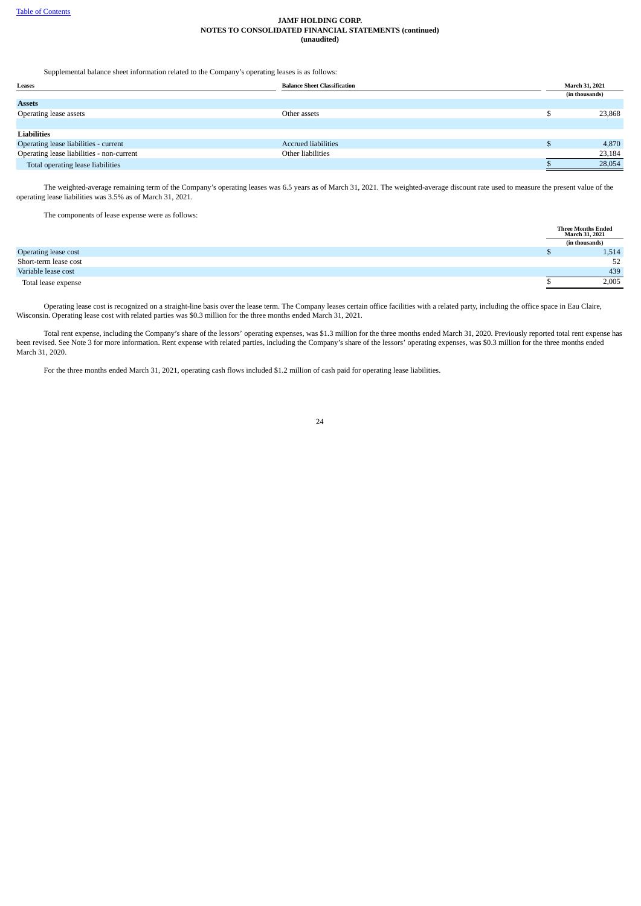Supplemental balance sheet information related to the Company's operating leases is as follows:

| Leases                                    | <b>Balance Sheet Classification</b> | March 31, 2021 |
|-------------------------------------------|-------------------------------------|----------------|
|                                           |                                     | (in thousands) |
| <b>Assets</b>                             |                                     |                |
| Operating lease assets                    | Other assets                        | 23,868         |
|                                           |                                     |                |
| Liabilities                               |                                     |                |
| Operating lease liabilities - current     | Accrued liabilities                 | 4,870          |
| Operating lease liabilities - non-current | Other liabilities                   | 23,184         |
| Total operating lease liabilities         |                                     | 28,054         |

The weighted-average remaining term of the Company's operating leases was 6.5 years as of March 31, 2021. The weighted-average discount rate used to measure the present value of the operating lease liabilities was 3.5% as of March 31, 2021.

The components of lease expense were as follows:

|                       | <b>Three Months Ended</b><br>March 31, 2021 |
|-----------------------|---------------------------------------------|
|                       | (in thousands)                              |
| Operating lease cost  | 1,514                                       |
| Short-term lease cost | 52                                          |
| Variable lease cost   | 439                                         |
| Total lease expense   | 2,005                                       |

Operating lease cost is recognized on a straight-line basis over the lease term. The Company leases certain office facilities with a related party, including the office space in Eau Claire, Wisconsin. Operating lease cost with related parties was \$0.3 million for the three months ended March 31, 2021.

Total rent expense, including the Company's share of the lessors' operating expenses, was \$1.3 million for the three months ended March 31, 2020. Previously reported total rent expense has been revised. See Note 3 for more information. Rent expense with related parties, including the Company's share of the lessors' operating expenses, was \$0.3 million for the three months ended March 31, 2020.

For the three months ended March 31, 2021, operating cash flows included \$1.2 million of cash paid for operating lease liabilities.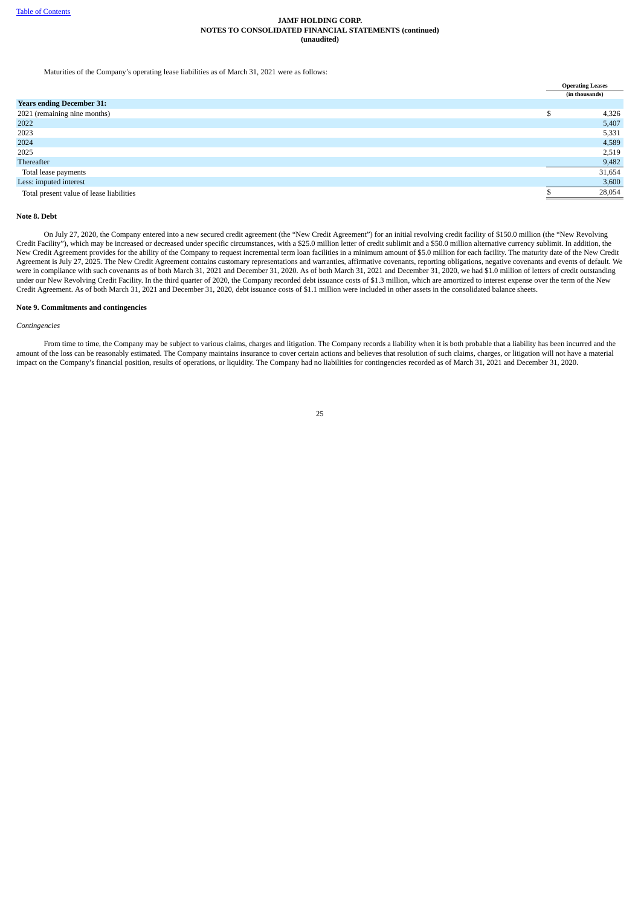Maturities of the Company's operating lease liabilities as of March 31, 2021 were as follows:

| (in thousands)                           |        |
|------------------------------------------|--------|
|                                          |        |
| <b>Years ending December 31:</b>         |        |
| 2021 (remaining nine months)             | 4,326  |
| 2022                                     | 5,407  |
| 2023                                     | 5,331  |
| 2024                                     | 4,589  |
| 2025                                     | 2,519  |
| Thereafter                               | 9,482  |
| Total lease payments                     | 31,654 |
| Less: imputed interest                   | 3,600  |
| Total present value of lease liabilities | 28,054 |

## **Note 8. Debt**

On July 27, 2020, the Company entered into a new secured credit agreement (the "New Credit Agreement") for an initial revolving credit facility of \$150.0 million (the "New Revolving Credit Facility"), which may be increased or decreased under specific circumstances, with a \$25.0 million letter of credit sublimit and a \$50.0 million alternative currency sublimit. In addition, the New Credit Agreement provides for the ability of the Company to request incremental term loan facilities in a minimum amount of \$5.0 million for each facility. The maturity date of the New Credit Agreement is July 27, 2025. The New Credit Agreement contains customary representations and warranties, affirmative covenants, reporting obligations, negative covenants and events of default. We were in compliance with such covenants as of both March 31, 2021 and December 31, 2020. As of both March 31, 2021 and December 31, 2020, we had \$1.0 million of letters of credit outstanding under our New Revolving Credit Facility. In the third quarter of 2020, the Company recorded debt issuance costs of \$1.3 million, which are amortized to interest expense over the term of the New Credit Agreement. As of both March 31, 2021 and December 31, 2020, debt issuance costs of \$1.1 million were included in other assets in the consolidated balance sheets.

#### **Note 9. Commitments and contingencies**

### *Contingencies*

From time to time, the Company may be subject to various claims, charges and litigation. The Company records a liability when it is both probable that a liability has been incurred and the amount of the loss can be reasonably estimated. The Company maintains insurance to cover certain actions and believes that resolution of such claims, charges, or litigation will not have a material impact on the Company's financial position, results of operations, or liquidity. The Company had no liabilities for contingencies recorded as of March 31, 2021 and December 31, 2020.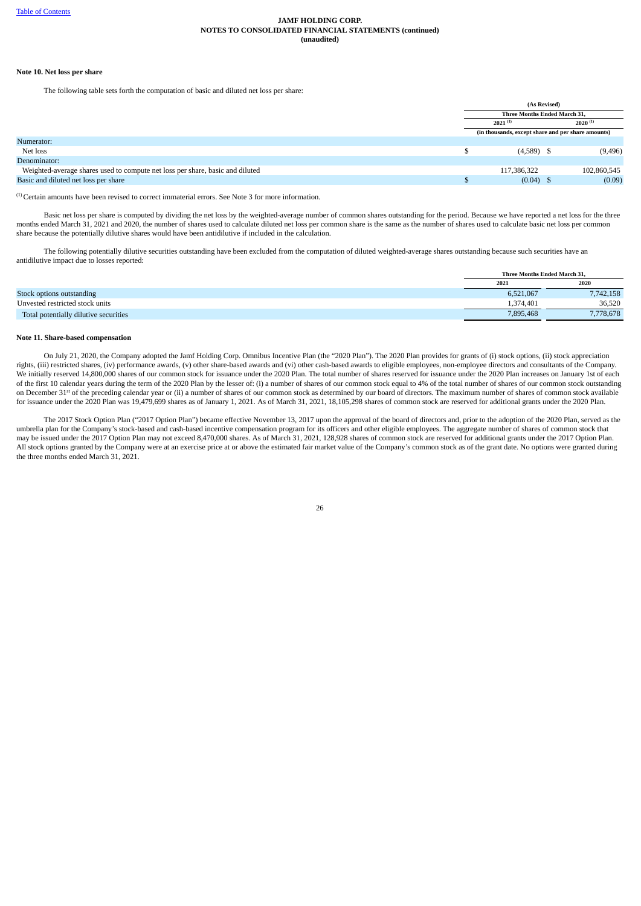## **Note 10. Net loss per share**

The following table sets forth the computation of basic and diluted net loss per share:

|                                                                               | (As Revised)                 |                                                    |  |  |
|-------------------------------------------------------------------------------|------------------------------|----------------------------------------------------|--|--|
|                                                                               | Three Months Ended March 31. |                                                    |  |  |
|                                                                               | $2020^{(1)}$<br>$2021^{(1)}$ |                                                    |  |  |
|                                                                               |                              | (in thousands, except share and per share amounts) |  |  |
| Numerator:                                                                    |                              |                                                    |  |  |
| Net loss                                                                      | $(4,589)$ \$                 | (9, 496)                                           |  |  |
| Denominator:                                                                  |                              |                                                    |  |  |
| Weighted-average shares used to compute net loss per share, basic and diluted | 117,386,322                  | 102,860,545                                        |  |  |
| Basic and diluted net loss per share                                          | $(0.04)$ \$                  | (0.09)                                             |  |  |
|                                                                               |                              |                                                    |  |  |

 $<sup>(1)</sup>$  Certain amounts have been revised to correct immaterial errors. See Note 3 for more information.</sup>

Basic net loss per share is computed by dividing the net loss by the weighted-average number of common shares outstanding for the period. Because we have reported a net loss for the three months ended March 31, 2021 and 2020, the number of shares used to calculate diluted net loss per common share is the same as the number of shares used to calculate basic net loss per common share because the potentially dilutive shares would have been antidilutive if included in the calculation.

The following potentially dilutive securities outstanding have been excluded from the computation of diluted weighted-average shares outstanding because such securities have an antidilutive impact due to losses reported:

|                                       | Three Months Ended March 31. |           |  |
|---------------------------------------|------------------------------|-----------|--|
|                                       | 2021                         | 2020      |  |
| Stock options outstanding             | 6,521,067                    | 7,742,158 |  |
| Unvested restricted stock units       | 1.374.401                    | 36.520    |  |
| Total potentially dilutive securities | 7.895.468                    | 7.778.678 |  |

## **Note 11. Share-based compensation**

On July 21, 2020, the Company adopted the Jamf Holding Corp. Omnibus Incentive Plan (the "2020 Plan"). The 2020 Plan provides for grants of (i) stock options, (ii) stock appreciation rights, (iii) restricted shares, (iv) performance awards, (v) other share-based awards and (vi) other cash-based awards to eligible employees, non-employee directors and consultants of the Company. We initially reserved 14,800,000 shares of our common stock for issuance under the 2020 Plan. The total number of shares reserved for issuance under the 2020 Plan increases on January 1st of each of the first 10 calendar years during the term of the 2020 Plan by the lesser of: (i) a number of shares of our common stock equal to 4% of the total number of shares of our common stock outstanding on December 31<sup>st</sup> of the preceding calendar year or (ii) a number of shares of our common stock as determined by our board of directors. The maximum number of shares of common stock available for issuance under the 2020 Plan was 19,479,699 shares as of January 1, 2021. As of March 31, 2021, 18,105,298 shares of common stock are reserved for additional grants under the 2020 Plan.

The 2017 Stock Option Plan ("2017 Option Plan") became effective November 13, 2017 upon the approval of the board of directors and, prior to the adoption of the 2020 Plan, served as the umbrella plan for the Company's stock-based and cash-based incentive compensation program for its officers and other eligible employees. The aggregate number of shares of common stock that may be issued under the 2017 Option Plan may not exceed 8,470,000 shares. As of March 31, 2021, 128,928 shares of common stock are reserved for additional grants under the 2017 Option Plan. All stock options granted by the Company were at an exercise price at or above the estimated fair market value of the Company's common stock as of the grant date. No options were granted during the three months ended March 31, 2021.

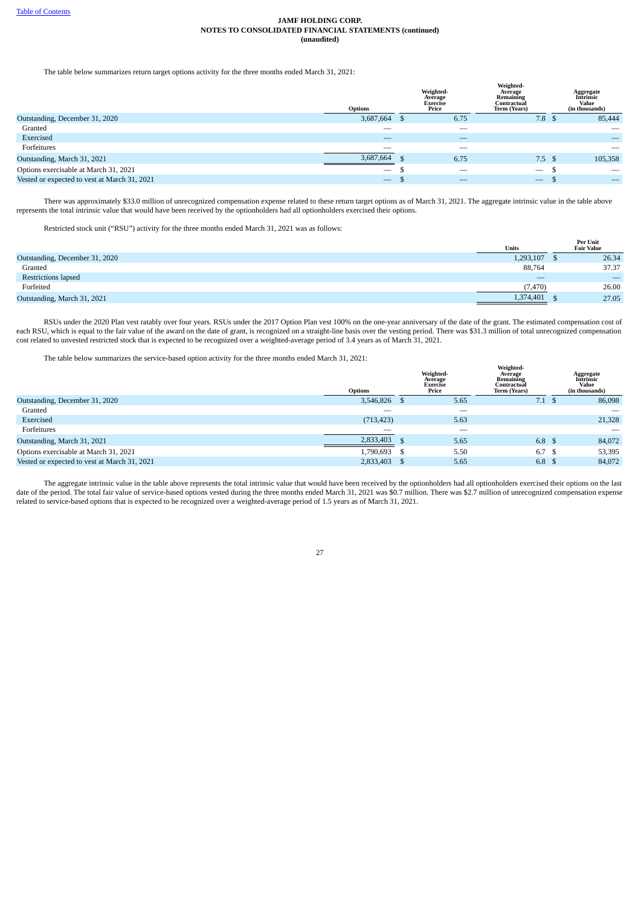The table below summarizes return target options activity for the three months ended March 31, 2021:

|                                              | <b>Options</b>                  | Weighted-<br>Average<br>Exercise<br>Price | Weighted-<br>Average<br>Remaining<br>Contractual<br>Term (Years) | Aggregate<br>Intrinsic<br>Value<br>(in thousands) |
|----------------------------------------------|---------------------------------|-------------------------------------------|------------------------------------------------------------------|---------------------------------------------------|
| Outstanding, December 31, 2020               | 3,687,664                       | 6.75<br>N.                                | 7.8 <sup>5</sup>                                                 | 85,444                                            |
| Granted                                      |                                 | $\sim$                                    |                                                                  |                                                   |
| Exercised                                    | --                              | $\overline{\phantom{a}}$                  |                                                                  | --                                                |
| Forfeitures                                  | __                              | $\overline{\phantom{a}}$                  |                                                                  | __                                                |
| Outstanding, March 31, 2021                  | 3,687,664                       | 6.75                                      | 7.5 <sup>5</sup>                                                 | 105,358                                           |
| Options exercisable at March 31, 2021        | $\hspace{0.1mm}-\hspace{0.1mm}$ | $\sim$                                    | $\overline{\phantom{m}}$                                         | --                                                |
| Vested or expected to vest at March 31, 2021 | $\overline{\phantom{m}}$        |                                           | $\overline{\phantom{m}}$                                         | --                                                |

There was approximately \$33.0 million of unrecognized compensation expense related to these return target options as of March 31, 2021. The aggregate intrinsic value in the table above represents the total intrinsic value that would have been received by the optionholders had all optionholders exercised their options.

Restricted stock unit ("RSU") activity for the three months ended March 31, 2021 was as follows:

|                                | <b>Units</b> | <b>Per Unit</b><br><b>Fair Value</b> |
|--------------------------------|--------------|--------------------------------------|
| Outstanding, December 31, 2020 | 1,293,107    | 26.34                                |
| Granted                        | 88,764       | 37.37                                |
| Restrictions lapsed            | __           |                                      |
| Forfeited                      | (7.470)      | 26.00                                |
| Outstanding, March 31, 2021    | 1,374,401    | 27.05                                |

RSUs under the 2020 Plan vest ratably over four years. RSUs under the 2017 Option Plan vest 100% on the one-year anniversary of the date of the grant. The estimated compensation cost of each RSU, which is equal to the fair value of the award on the date of grant, is recognized on a straight-line basis over the vesting period. There was \$31.3 million of total unrecognized compensation cost related to unvested restricted stock that is expected to be recognized over a weighted-average period of 3.4 years as of March 31, 2021.

The table below summarizes the service-based option activity for the three months ended March 31, 2021:

|                                              | <b>Options</b> |    | Weighted-<br>Average<br>Exercise<br>Price | Weighted-<br>Average<br>Remaining<br>Contractual<br>Term (Years) | Aggregate<br>Intrinsic<br>Value<br>(in thousands) |
|----------------------------------------------|----------------|----|-------------------------------------------|------------------------------------------------------------------|---------------------------------------------------|
| Outstanding, December 31, 2020               | 3,546,826      | -5 | 5.65                                      | 7.1                                                              | 86,098                                            |
| Granted                                      |                |    | $\overline{\phantom{a}}$                  |                                                                  |                                                   |
| Exercised                                    | (713, 423)     |    | 5.63                                      |                                                                  | 21,328                                            |
| Forfeitures                                  |                |    |                                           |                                                                  |                                                   |
| Outstanding, March 31, 2021                  | 2,833,403      |    | 5.65                                      | 6.8 \$                                                           | 84,072                                            |
| Options exercisable at March 31, 2021        | 1,790,693      |    | 5.50                                      | 6.7 \$                                                           | 53,395                                            |
| Vested or expected to vest at March 31, 2021 | 2,833,403      |    | 5.65                                      | 6.8 <sup>5</sup>                                                 | 84,072                                            |

The aggregate intrinsic value in the table above represents the total intrinsic value that would have been received by the optionholders had all optionholders exercised their options on the last date of the period. The total fair value of service-based options vested during the three months ended March 31, 2021 was \$0.7 million. There was \$2.7 million of unrecognized compensation expense related to service-based options that is expected to be recognized over a weighted-average period of 1.5 years as of March 31, 2021.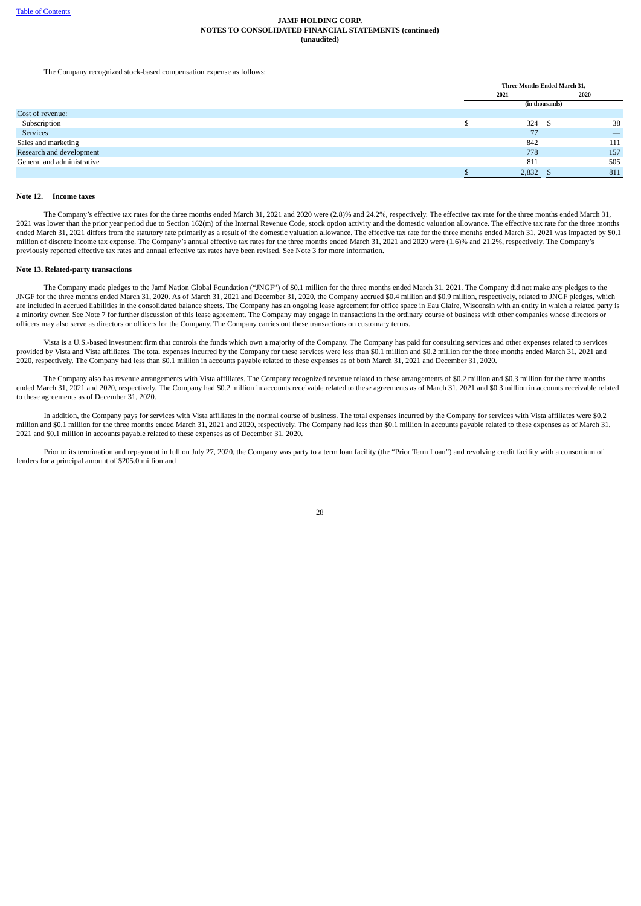The Company recognized stock-based compensation expense as follows:

| Three Months Ended March 31, |                |  |
|------------------------------|----------------|--|
| 2021                         | 2020           |  |
|                              |                |  |
|                              |                |  |
| 324                          | 38<br>- 5      |  |
| 77                           |                |  |
| 842                          | 111            |  |
| 778                          | 157            |  |
| 811                          | 505            |  |
| 2,832                        | 811            |  |
|                              | (in thousands) |  |

## **Note 12. Income taxes**

The Company's effective tax rates for the three months ended March 31, 2021 and 2020 were (2.8)% and 24.2%, respectively. The effective tax rate for the three months ended March 31, 2021 was lower than the prior year period due to Section 162(m) of the Internal Revenue Code, stock option activity and the domestic valuation allowance. The effective tax rate for the three months ended March 31, 2021 differs from the statutory rate primarily as a result of the domestic valuation allowance. The effective tax rate for the three months ended March 31, 2021 was impacted by \$0.1 million of discrete income tax expense. The Company's annual effective tax rates for the three months ended March 31, 2021 and 2020 were (1.6)% and 21.2%, respectively. The Company's previously reported effective tax rates and annual effective tax rates have been revised. See Note 3 for more information.

#### **Note 13. Related-party transactions**

The Company made pledges to the Jamf Nation Global Foundation ("JNGF") of \$0.1 million for the three months ended March 31, 2021. The Company did not make any pledges to the JNGF for the three months ended March 31, 2020. As of March 31, 2021 and December 31, 2020, the Company accrued \$0.4 million and \$0.9 million, respectively, related to JNGF pledges, which are included in accrued liabilities in the consolidated balance sheets. The Company has an ongoing lease agreement for office space in Eau Claire, Wisconsin with an entity in which a related party is a minority owner. See Note 7 for further discussion of this lease agreement. The Company may engage in transactions in the ordinary course of business with other companies whose directors or officers may also serve as directors or officers for the Company. The Company carries out these transactions on customary terms.

Vista is a U.S.-based investment firm that controls the funds which own a majority of the Company. The Company has paid for consulting services and other expenses related to services provided by Vista and Vista affiliates. The total expenses incurred by the Company for these services were less than \$0.1 million and \$0.2 million for the three months ended March 31, 2021 and 2020, respectively. The Company had less than \$0.1 million in accounts payable related to these expenses as of both March 31, 2021 and December 31, 2020.

The Company also has revenue arrangements with Vista affiliates. The Company recognized revenue related to these arrangements of \$0.2 million and \$0.3 million for the three months ended March 31, 2021 and 2020, respectively. The Company had \$0.2 million in accounts receivable related to these agreements as of March 31, 2021 and \$0.3 million in accounts receivable related to these agreements as of December 31, 2020.

In addition, the Company pays for services with Vista affiliates in the normal course of business. The total expenses incurred by the Company for services with Vista affiliates were \$0.2 million and \$0.1 million for the three months ended March 31, 2021 and 2020, respectively. The Company had less than \$0.1 million in accounts payable related to these expenses as of March 31, 2021 and \$0.1 million in accounts payable related to these expenses as of December 31, 2020.

Prior to its termination and repayment in full on July 27, 2020, the Company was party to a term loan facility (the "Prior Term Loan") and revolving credit facility with a consortium of lenders for a principal amount of \$205.0 million and

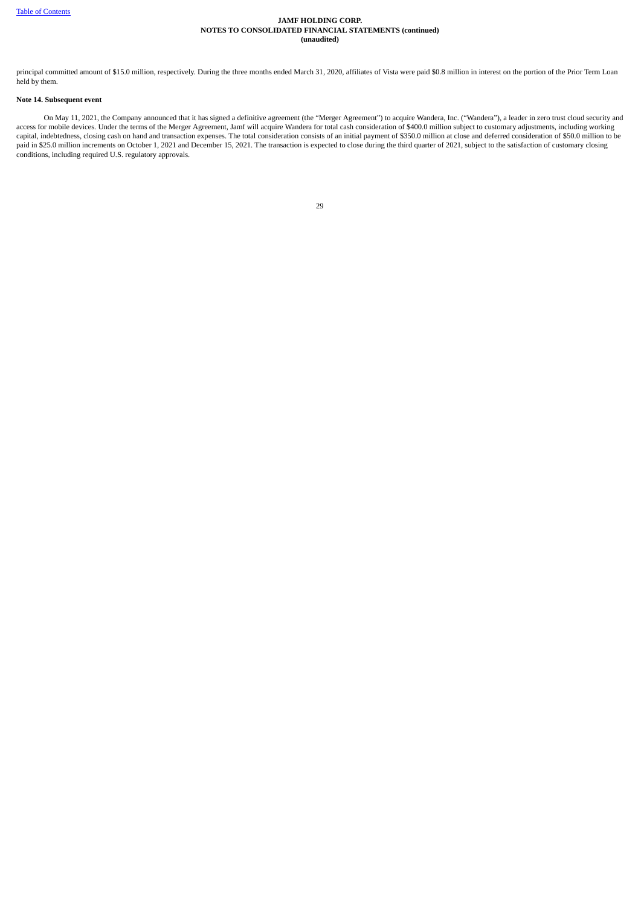principal committed amount of \$15.0 million, respectively. During the three months ended March 31, 2020, affiliates of Vista were paid \$0.8 million in interest on the portion of the Prior Term Loan held by them.

# **Note 14. Subsequent event**

<span id="page-105-0"></span>On May 11, 2021, the Company announced that it has signed a definitive agreement (the "Merger Agreement") to acquire Wandera, Inc. ("Wandera"), a leader in zero trust cloud security and access for mobile devices. Under the terms of the Merger Agreement, Jamf will acquire Wandera for total cash consideration of \$400.0 million subject to customary adjustments, including working capital, indebtedness, closing cash on hand and transaction expenses. The total consideration consists of an initial payment of \$350.0 million at close and deferred consideration of \$50.0 million to be paid in \$25.0 million increments on October 1, 2021 and December 15, 2021. The transaction is expected to close during the third quarter of 2021, subject to the satisfaction of customary closing conditions, including required U.S. regulatory approvals.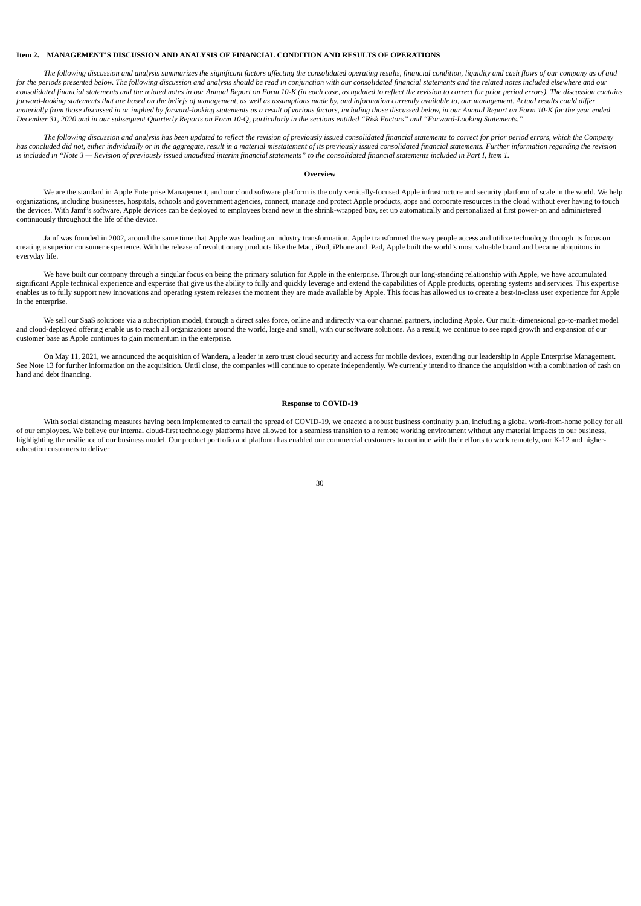## **Item 2. MANAGEMENT'S DISCUSSION AND ANALYSIS OF FINANCIAL CONDITION AND RESULTS OF OPERATIONS**

The following discussion and analysis summarizes the significant factors affecting the consolidated operating results, financial condition, liquidity and cash flows of our company as of and for the periods presented below. The following discussion and analysis should be read in conjunction with our consolidated financial statements and the related notes included elsewhere and our consolidated financial statements and the related notes in our Annual Report on Form 10-K (in each case, as updated to reflect the revision to correct for prior period errors). The discussion contains forward-looking statements that are based on the beliefs of management, as well as assumptions made by, and information currently available to, our management. Actual results could differ materially from those discussed in or implied by forward-looking statements as a result of various factors, including those discussed below, in our Annual Report on Form 10-K for the year ended December 31, 2020 and in our subsequent Quarterly Reports on Form 10-Q, particularly in the sections entitled "Risk Factors" and "Forward-Looking Statements."

The following discussion and analysis has been updated to reflect the revision of previously issued consolidated financial statements to correct for prior period errors, which the Company has concluded did not, either individually or in the aggregate, result in a material misstatement of its previously issued consolidated financial statements. Further information regarding the revision is included in "Note 3 - Revision of previously issued unaudited interim financial statements" to the consolidated financial statements included in Part I, Item 1.

## **Overview**

We are the standard in Apple Enterprise Management, and our cloud software platform is the only vertically-focused Apple infrastructure and security platform of scale in the world. We help organizations, including businesses, hospitals, schools and government agencies, connect, manage and protect Apple products, apps and corporate resources in the cloud without ever having to touch the devices. With Jamf's software, Apple devices can be deployed to employees brand new in the shrink-wrapped box, set up automatically and personalized at first power-on and administered continuously throughout the life of the device.

Jamf was founded in 2002, around the same time that Apple was leading an industry transformation. Apple transformed the way people access and utilize technology through its focus on creating a superior consumer experience. With the release of revolutionary products like the Mac, iPod, iPhone and iPad, Apple built the world's most valuable brand and became ubiquitous in everyday life.

We have built our company through a singular focus on being the primary solution for Apple in the enterprise. Through our long-standing relationship with Apple, we have accumulated significant Apple technical experience and expertise that give us the ability to fully and quickly leverage and extend the capabilities of Apple products, operating systems and services. This expertise enables us to fully support new innovations and operating system releases the moment they are made available by Apple. This focus has allowed us to create a best-in-class user experience for Apple in the enterprise.

We sell our SaaS solutions via a subscription model, through a direct sales force, online and indirectly via our channel partners, including Apple. Our multi-dimensional go-to-market model and cloud-deployed offering enable us to reach all organizations around the world, large and small, with our software solutions. As a result, we continue to see rapid growth and expansion of our customer base as Apple continues to gain momentum in the enterprise.

On May 11, 2021, we announced the acquisition of Wandera, a leader in zero trust cloud security and access for mobile devices, extending our leadership in Apple Enterprise Management. See Note 13 for further information on the acquisition. Until close, the companies will continue to operate independently. We currently intend to finance the acquisition with a combination of cash on hand and debt financing.

#### **Response to COVID-19**

With social distancing measures having been implemented to curtail the spread of COVID-19, we enacted a robust business continuity plan, including a global work-from-home policy for all of our employees. We believe our internal cloud-first technology platforms have allowed for a seamless transition to a remote working environment without any material impacts to our business, highlighting the resilience of our business model. Our product portfolio and platform has enabled our commercial customers to continue with their efforts to work remotely, our K-12 and highereducation customers to deliver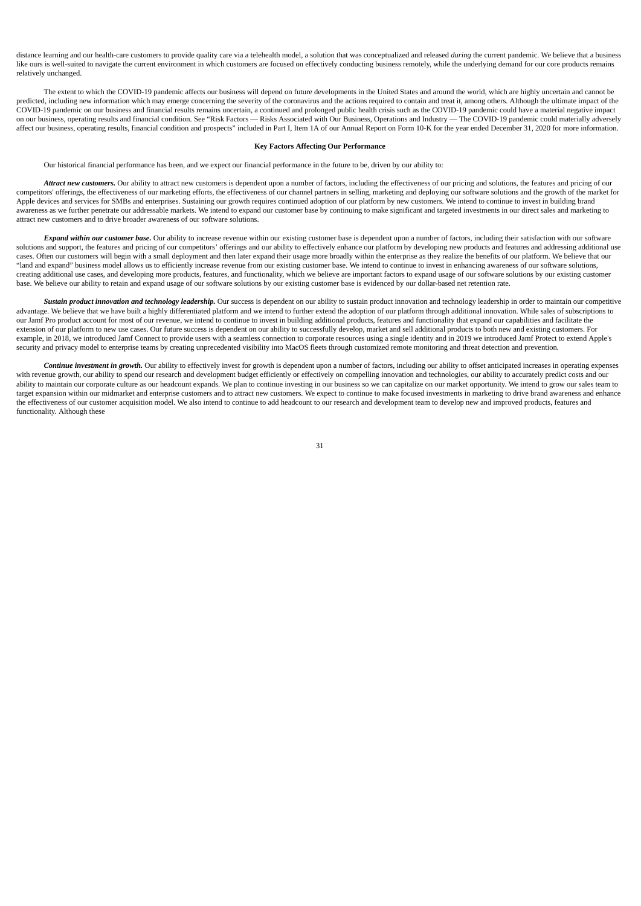distance learning and our health-care customers to provide quality care via a telehealth model, a solution that was conceptualized and released *during* the current pandemic. We believe that a business like ours is well-suited to navigate the current environment in which customers are focused on effectively conducting business remotely, while the underlying demand for our core products remains relatively unchanged.

The extent to which the COVID-19 pandemic affects our business will depend on future developments in the United States and around the world, which are highly uncertain and cannot be predicted, including new information which may emerge concerning the severity of the coronavirus and the actions required to contain and treat it, among others. Although the ultimate impact of the COVID-19 pandemic on our business and financial results remains uncertain, a continued and prolonged public health crisis such as the COVID-19 pandemic could have a material negative impact on our business, operating results and financial condition. See "Risk Factors — Risks Associated with Our Business, Operations and Industry — The COVID-19 pandemic could materially adversely affect our business, operating results, financial condition and prospects" included in Part I, Item 1A of our Annual Report on Form 10-K for the year ended December 31, 2020 for more information.

## **Key Factors Affecting Our Performance**

Our historical financial performance has been, and we expect our financial performance in the future to be, driven by our ability to:

Attract new customers. Our ability to attract new customers is dependent upon a number of factors, including the effectiveness of our pricing and solutions, the features and pricing of our competitors' offerings, the effectiveness of our marketing efforts, the effectiveness of our channel partners in selling, marketing and deploying our software solutions and the growth of the market for Apple devices and services for SMBs and enterprises. Sustaining our growth requires continued adoption of our platform by new customers. We intend to continue to invest in building brand awareness as we further penetrate our addressable markets. We intend to expand our customer base by continuing to make significant and targeted investments in our direct sales and marketing to attract new customers and to drive broader awareness of our software solutions.

*Expand within our customer base.* Our ability to increase revenue within our existing customer base is dependent upon a number of factors, including their satisfaction with our software solutions and support, the features and pricing of our competitors' offerings and our ability to effectively enhance our platform by developing new products and features and addressing additional use cases. Often our customers will begin with a small deployment and then later expand their usage more broadly within the enterprise as they realize the benefits of our platform. We believe that our "land and expand" business model allows us to efficiently increase revenue from our existing customer base. We intend to continue to invest in enhancing awareness of our software solutions, creating additional use cases, and developing more products, features, and functionality, which we believe are important factors to expand usage of our software solutions by our existing customer base. We believe our ability to retain and expand usage of our software solutions by our existing customer base is evidenced by our dollar-based net retention rate.

Sustain product innovation and technology leadership. Our success is dependent on our ability to sustain product innovation and technology leadership in order to maintain our competitive advantage. We believe that we have built a highly differentiated platform and we intend to further extend the adoption of our platform through additional innovation. While sales of subscriptions to our Jamf Pro product account for most of our revenue, we intend to continue to invest in building additional products, features and functionality that expand our capabilities and facilitate the extension of our platform to new use cases. Our future success is dependent on our ability to successfully develop, market and sell additional products to both new and existing customers. For example, in 2018, we introduced Jamf Connect to provide users with a seamless connection to corporate resources using a single identity and in 2019 we introduced Jamf Protect to extend Apple's security and privacy model to enterprise teams by creating unprecedented visibility into MacOS fleets through customized remote monitoring and threat detection and prevention.

*Continue investment in growth.* Our ability to effectively invest for growth is dependent upon a number of factors, including our ability to offset anticipated increases in operating expenses with revenue growth, our ability to spend our research and development budget efficiently or effectively on compelling innovation and technologies, our ability to accurately predict costs and our ability to maintain our corporate culture as our headcount expands. We plan to continue investing in our business so we can capitalize on our market opportunity. We intend to grow our sales team to target expansion within our midmarket and enterprise customers and to attract new customers. We expect to continue to make focused investments in marketing to drive brand awareness and enhance the effectiveness of our customer acquisition model. We also intend to continue to add headcount to our research and development team to develop new and improved products, features and functionality. Although these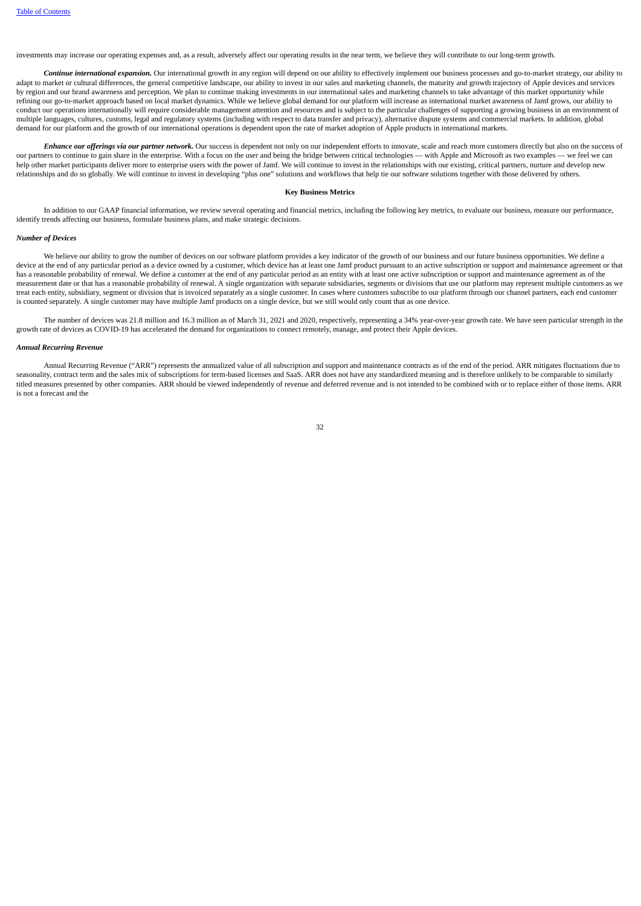investments may increase our operating expenses and, as a result, adversely affect our operating results in the near term, we believe they will contribute to our long-term growth.

*Continue international expansion.* Our international growth in any region will depend on our ability to effectively implement our business processes and go-to-market strategy, our ability to adapt to market or cultural differences, the general competitive landscape, our ability to invest in our sales and marketing channels, the maturity and growth trajectory of Apple devices and services by region and our brand awareness and perception. We plan to continue making investments in our international sales and marketing channels to take advantage of this market opportunity while refining our go-to-market approach based on local market dynamics. While we believe global demand for our platform will increase as international market awareness of Jamf grows, our ability to conduct our operations internationally will require considerable management attention and resources and is subject to the particular challenges of supporting a growing business in an environment of multiple languages, cultures, customs, legal and regulatory systems (including with respect to data transfer and privacy), alternative dispute systems and commercial markets. In addition, global demand for our platform and the growth of our international operations is dependent upon the rate of market adoption of Apple products in international markets.

Enhance our offerings via our partner network. Our success is dependent not only on our independent efforts to innovate, scale and reach more customers directly but also on the success of our partners to continue to gain share in the enterprise. With a focus on the user and being the bridge between critical technologies — with Apple and Microsoft as two examples — we feel we can help other market participants deliver more to enterprise users with the power of Jamf. We will continue to invest in the relationships with our existing, critical partners, nurture and develop new relationships and do so globally. We will continue to invest in developing "plus one" solutions and workflows that help tie our software solutions together with those delivered by others.

## **Key Business Metrics**

In addition to our GAAP financial information, we review several operating and financial metrics, including the following key metrics, to evaluate our business, measure our performance, identify trends affecting our business, formulate business plans, and make strategic decisions.

#### *Number of Devices*

We believe our ability to grow the number of devices on our software platform provides a key indicator of the growth of our business and our future business opportunities. We define a device at the end of any particular period as a device owned by a customer, which device has at least one Jamf product pursuant to an active subscription or support and maintenance agreement or that has a reasonable probability of renewal. We define a customer at the end of any particular period as an entity with at least one active subscription or support and maintenance agreement as of the measurement date or that has a reasonable probability of renewal. A single organization with separate subsidiaries, segments or divisions that use our platform may represent multiple customers as we treat each entity, subsidiary, segment or division that is invoiced separately as a single customer. In cases where customers subscribe to our platform through our channel partners, each end customer is counted separately. A single customer may have multiple Jamf products on a single device, but we still would only count that as one device.

The number of devices was 21.8 million and 16.3 million as of March 31, 2021 and 2020, respectively, representing a 34% year-over-year growth rate. We have seen particular strength in the growth rate of devices as COVID-19 has accelerated the demand for organizations to connect remotely, manage, and protect their Apple devices.

# *Annual Recurring Revenue*

Annual Recurring Revenue ("ARR") represents the annualized value of all subscription and support and maintenance contracts as of the end of the period. ARR mitigates fluctuations due to seasonality, contract term and the sales mix of subscriptions for term-based licenses and SaaS. ARR does not have any standardized meaning and is therefore unlikely to be comparable to similarly titled measures presented by other companies. ARR should be viewed independently of revenue and deferred revenue and is not intended to be combined with or to replace either of those items. ARR is not a forecast and the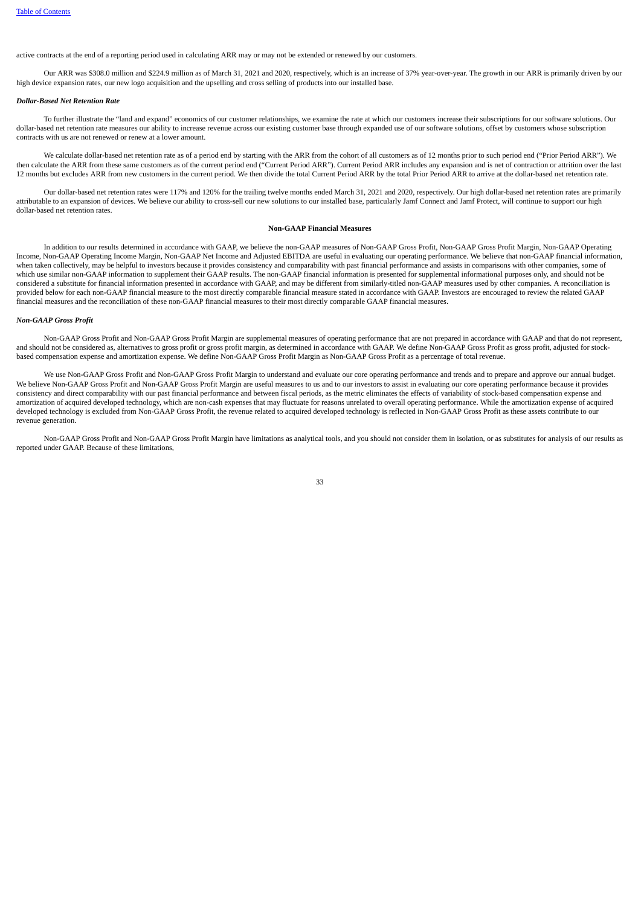active contracts at the end of a reporting period used in calculating ARR may or may not be extended or renewed by our customers.

Our ARR was \$308.0 million and \$224.9 million as of March 31, 2021 and 2020, respectively, which is an increase of 37% year-over-year. The growth in our ARR is primarily driven by our high device expansion rates, our new logo acquisition and the upselling and cross selling of products into our installed base.

## *Dollar-Based Net Retention Rate*

To further illustrate the "land and expand" economics of our customer relationships, we examine the rate at which our customers increase their subscriptions for our software solutions. Our dollar-based net retention rate measures our ability to increase revenue across our existing customer base through expanded use of our software solutions, offset by customers whose subscription contracts with us are not renewed or renew at a lower amount.

We calculate dollar-based net retention rate as of a period end by starting with the ARR from the cohort of all customers as of 12 months prior to such period end ("Prior Period ARR"). We then calculate the ARR from these same customers as of the current period end ("Current Period ARR"). Current Period ARR includes any expansion and is net of contraction or attrition over the last 12 months but excludes ARR from new customers in the current period. We then divide the total Current Period ARR by the total Prior Period ARR to arrive at the dollar-based net retention rate.

Our dollar-based net retention rates were 117% and 120% for the trailing twelve months ended March 31, 2021 and 2020, respectively. Our high dollar-based net retention rates are primarily attributable to an expansion of devices. We believe our ability to cross-sell our new solutions to our installed base, particularly Jamf Connect and Jamf Protect, will continue to support our high dollar-based net retention rates.

## **Non-GAAP Financial Measures**

In addition to our results determined in accordance with GAAP, we believe the non-GAAP measures of Non-GAAP Gross Profit, Non-GAAP Gross Profit Margin, Non-GAAP Operating Income, Non-GAAP Operating Income Margin, Non-GAAP Net Income and Adjusted EBITDA are useful in evaluating our operating performance. We believe that non-GAAP financial information, when taken collectively, may be helpful to investors because it provides consistency and comparability with past financial performance and assists in comparisons with other companies, some of which use similar non-GAAP information to supplement their GAAP results. The non-GAAP financial information is presented for supplemental informational purposes only, and should not be considered a substitute for financial information presented in accordance with GAAP, and may be different from similarly-titled non-GAAP measures used by other companies. A reconciliation is provided below for each non-GAAP financial measure to the most directly comparable financial measure stated in accordance with GAAP. Investors are encouraged to review the related GAAP financial measures and the reconciliation of these non-GAAP financial measures to their most directly comparable GAAP financial measures.

### *Non-GAAP Gross Profit*

Non-GAAP Gross Profit and Non-GAAP Gross Profit Margin are supplemental measures of operating performance that are not prepared in accordance with GAAP and that do not represent, and should not be considered as, alternatives to gross profit or gross profit margin, as determined in accordance with GAAP. We define Non-GAAP Gross Profit as gross profit, adjusted for stockbased compensation expense and amortization expense. We define Non-GAAP Gross Profit Margin as Non-GAAP Gross Profit as a percentage of total revenue.

We use Non-GAAP Gross Profit and Non-GAAP Gross Profit Margin to understand and evaluate our core operating performance and trends and to prepare and approve our annual budget. We believe Non-GAAP Gross Profit and Non-GAAP Gross Profit Margin are useful measures to us and to our investors to assist in evaluating our core operating performance because it provides consistency and direct comparability with our past financial performance and between fiscal periods, as the metric eliminates the effects of variability of stock-based compensation expense and amortization of acquired developed technology, which are non-cash expenses that may fluctuate for reasons unrelated to overall operating performance. While the amortization expense of acquired developed technology is excluded from Non-GAAP Gross Profit, the revenue related to acquired developed technology is reflected in Non-GAAP Gross Profit as these assets contribute to our revenue generation.

Non-GAAP Gross Profit and Non-GAAP Gross Profit Margin have limitations as analytical tools, and you should not consider them in isolation, or as substitutes for analysis of our results as reported under GAAP. Because of these limitations,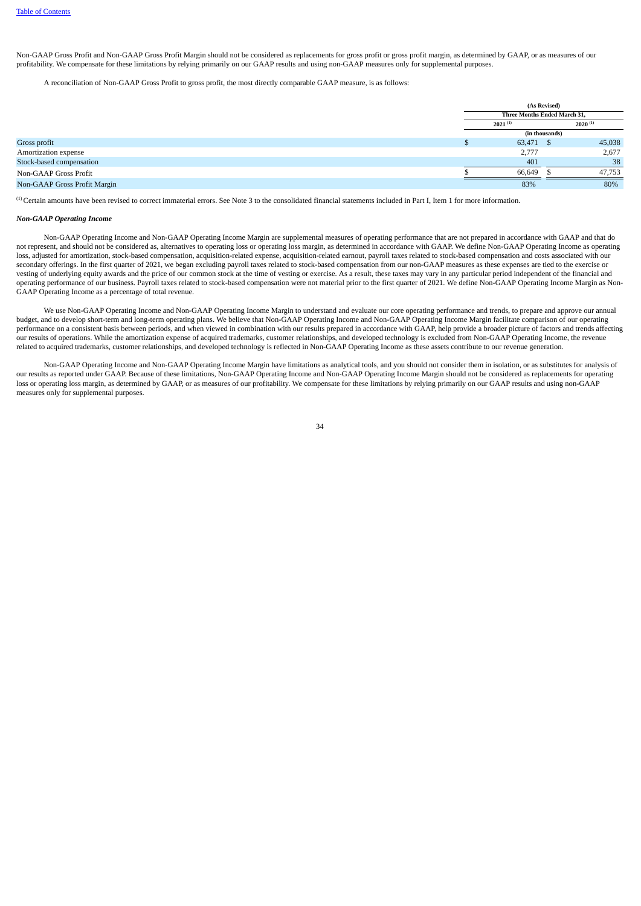Non-GAAP Gross Profit and Non-GAAP Gross Profit Margin should not be considered as replacements for gross profit or gross profit margin, as determined by GAAP, or as measures of our profitability. We compensate for these limitations by relying primarily on our GAAP results and using non-GAAP measures only for supplemental purposes.

A reconciliation of Non-GAAP Gross Profit to gross profit, the most directly comparable GAAP measure, is as follows:

|                              | (As Revised)                 |                |              |  |
|------------------------------|------------------------------|----------------|--------------|--|
|                              | Three Months Ended March 31, |                |              |  |
|                              | $2021^{(1)}$                 |                | $2020^{(1)}$ |  |
|                              |                              | (in thousands) |              |  |
| Gross profit                 | 63,471 \$                    |                | 45,038       |  |
| Amortization expense         | 2,777                        |                | 2,677        |  |
| Stock-based compensation     | 401                          |                | 38           |  |
| Non-GAAP Gross Profit        | 66.649                       |                | 47,753       |  |
| Non-GAAP Gross Profit Margin | 83%                          |                | 80%          |  |

 $^{(1)}$  Certain amounts have been revised to correct immaterial errors. See Note 3 to the consolidated financial statements included in Part I, Item 1 for more information.

#### *Non-GAAP Operating Income*

Non-GAAP Operating Income and Non-GAAP Operating Income Margin are supplemental measures of operating performance that are not prepared in accordance with GAAP and that do not represent, and should not be considered as, alternatives to operating loss or operating loss margin, as determined in accordance with GAAP. We define Non-GAAP Operating Income as operating loss, adjusted for amortization, stock-based compensation, acquisition-related expense, acquisition-related earnout, payroll taxes related to stock-based compensation and costs associated with our secondary offerings. In the first quarter of 2021, we began excluding payroll taxes related to stock-based compensation from our non-GAAP measures as these expenses are tied to the exercise or vesting of underlying equity awards and the price of our common stock at the time of vesting or exercise. As a result, these taxes may vary in any particular period independent of the financial and operating performance of our business. Payroll taxes related to stock-based compensation were not material prior to the first quarter of 2021. We define Non-GAAP Operating Income Margin as Non-GAAP Operating Income as a percentage of total revenue.

We use Non-GAAP Operating Income and Non-GAAP Operating Income Margin to understand and evaluate our core operating performance and trends, to prepare and approve our annual budget, and to develop short-term and long-term operating plans. We believe that Non-GAAP Operating Income and Non-GAAP Operating Income Margin facilitate comparison of our operating performance on a consistent basis between periods, and when viewed in combination with our results prepared in accordance with GAAP, help provide a broader picture of factors and trends affecting our results of operations. While the amortization expense of acquired trademarks, customer relationships, and developed technology is excluded from Non-GAAP Operating Income, the revenue related to acquired trademarks, customer relationships, and developed technology is reflected in Non-GAAP Operating Income as these assets contribute to our revenue generation.

Non-GAAP Operating Income and Non-GAAP Operating Income Margin have limitations as analytical tools, and you should not consider them in isolation, or as substitutes for analysis of our results as reported under GAAP. Because of these limitations, Non-GAAP Operating Income and Non-GAAP Operating Income Margin should not be considered as replacements for operating loss or operating loss margin, as determined by GAAP, or as measures of our profitability. We compensate for these limitations by relying primarily on our GAAP results and using non-GAAP measures only for supplemental purposes.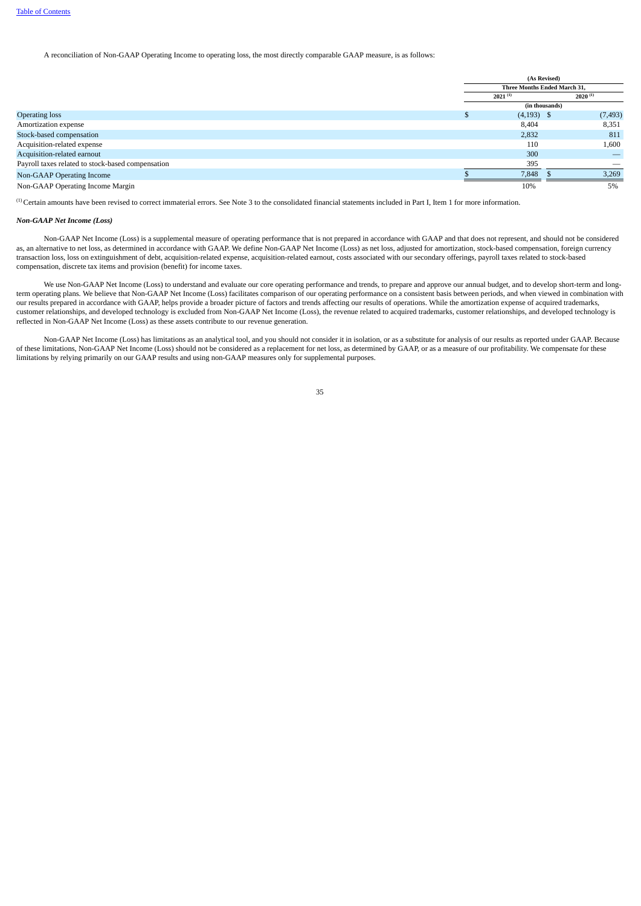A reconciliation of Non-GAAP Operating Income to operating loss, the most directly comparable GAAP measure, is as follows:

|                                                   |  | (As Revised)<br>Three Months Ended March 31. |  |                   |  |
|---------------------------------------------------|--|----------------------------------------------|--|-------------------|--|
|                                                   |  |                                              |  |                   |  |
|                                                   |  | $2021^{(1)}$                                 |  | $2020^{(1)}$      |  |
|                                                   |  | (in thousands)                               |  |                   |  |
| <b>Operating loss</b>                             |  | $(4,193)$ \$                                 |  | (7, 493)          |  |
| Amortization expense                              |  | 8,404                                        |  | 8,351             |  |
| Stock-based compensation                          |  | 2,832                                        |  | 811               |  |
| Acquisition-related expense                       |  | 110                                          |  | 1,600             |  |
| Acquisition-related earnout                       |  | 300                                          |  | $\hspace{0.05cm}$ |  |
| Payroll taxes related to stock-based compensation |  | 395                                          |  |                   |  |
| <b>Non-GAAP Operating Income</b>                  |  | 7,848                                        |  | 3,269             |  |
| Non-GAAP Operating Income Margin                  |  | 10%                                          |  | 5%                |  |

 $\alpha^{(1)}$  Certain amounts have been revised to correct immaterial errors. See Note 3 to the consolidated financial statements included in Part I, Item 1 for more information.

## *Non-GAAP Net Income (Loss)*

Non-GAAP Net Income (Loss) is a supplemental measure of operating performance that is not prepared in accordance with GAAP and that does not represent, and should not be considered as, an alternative to net loss, as determined in accordance with GAAP. We define Non-GAAP Net Income (Loss) as net loss, adjusted for amortization, stock-based compensation, foreign currency transaction loss, loss on extinguishment of debt, acquisition-related expense, acquisition-related earnout, costs associated with our secondary offerings, payroll taxes related to stock-based compensation, discrete tax items and provision (benefit) for income taxes.

We use Non-GAAP Net Income (Loss) to understand and evaluate our core operating performance and trends, to prepare and approve our annual budget, and to develop short-term and longterm operating plans. We believe that Non-GAAP Net Income (Loss) facilitates comparison of our operating performance on a consistent basis between periods, and when viewed in combination with our results prepared in accordance with GAAP, helps provide a broader picture of factors and trends affecting our results of operations. While the amortization expense of acquired trademarks, customer relationships, and developed technology is excluded from Non-GAAP Net Income (Loss), the revenue related to acquired trademarks, customer relationships, and developed technology is reflected in Non-GAAP Net Income (Loss) as these assets contribute to our revenue generation.

Non-GAAP Net Income (Loss) has limitations as an analytical tool, and you should not consider it in isolation, or as a substitute for analysis of our results as reported under GAAP. Because of these limitations, Non-GAAP Net Income (Loss) should not be considered as a replacement for net loss, as determined by GAAP, or as a measure of our profitability. We compensate for these limitations by relying primarily on our GAAP results and using non-GAAP measures only for supplemental purposes.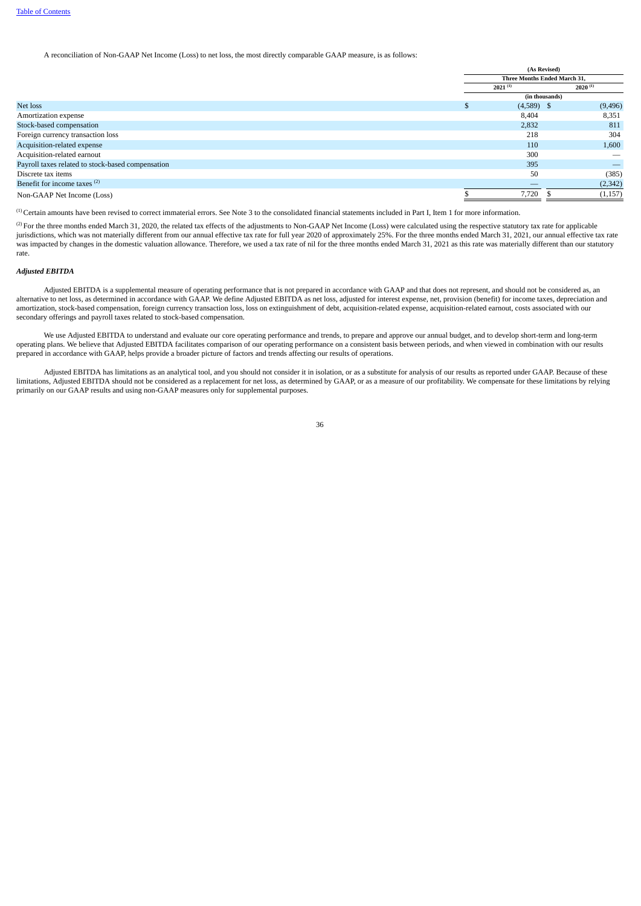A reconciliation of Non-GAAP Net Income (Loss) to net loss, the most directly comparable GAAP measure, is as follows:

|                                                   | (As Revised)                 |                |  |              |
|---------------------------------------------------|------------------------------|----------------|--|--------------|
|                                                   | Three Months Ended March 31, |                |  |              |
|                                                   | $2021^{(1)}$                 |                |  | $2020^{(1)}$ |
|                                                   |                              | (in thousands) |  |              |
| Net loss                                          |                              | $(4,589)$ \$   |  | (9,496)      |
| Amortization expense                              |                              | 8,404          |  | 8,351        |
| Stock-based compensation                          |                              | 2,832          |  | 811          |
| Foreign currency transaction loss                 |                              | 218            |  | 304          |
| Acquisition-related expense                       |                              | 110            |  | 1,600        |
| Acquisition-related earnout                       |                              | 300            |  |              |
| Payroll taxes related to stock-based compensation |                              | 395            |  | $-$          |
| Discrete tax items                                |                              | 50             |  | (385)        |
| Benefit for income taxes <sup>(2)</sup>           |                              | --             |  | (2, 342)     |
| Non-GAAP Net Income (Loss)                        |                              | 7,720          |  | (1, 157)     |

 $^{(1)}$  Certain amounts have been revised to correct immaterial errors. See Note 3 to the consolidated financial statements included in Part I, Item 1 for more information.

( $^{(2)}$  For the three months ended March 31, 2020, the related tax effects of the adjustments to Non-GAAP Net Income (Loss) were calculated using the respective statutory tax rate for applicable jurisdictions, which was not materially different from our annual effective tax rate for full year 2020 of approximately 25%. For the three months ended March 31, 2021, our annual effective tax rate was impacted by changes in the domestic valuation allowance. Therefore, we used a tax rate of nil for the three months ended March 31, 2021 as this rate was materially different than our statutory rate.

# *Adjusted EBITDA*

Adjusted EBITDA is a supplemental measure of operating performance that is not prepared in accordance with GAAP and that does not represent, and should not be considered as, an alternative to net loss, as determined in accordance with GAAP. We define Adjusted EBITDA as net loss, adjusted for interest expense, net, provision (benefit) for income taxes, depreciation and amortization, stock-based compensation, foreign currency transaction loss, loss on extinguishment of debt, acquisition-related expense, acquisition-related earnout, costs associated with our secondary offerings and payroll taxes related to stock-based compensation.

We use Adjusted EBITDA to understand and evaluate our core operating performance and trends, to prepare and approve our annual budget, and to develop short-term and long-term operating plans. We believe that Adjusted EBITDA facilitates comparison of our operating performance on a consistent basis between periods, and when viewed in combination with our results prepared in accordance with GAAP, helps provide a broader picture of factors and trends affecting our results of operations.

Adjusted EBITDA has limitations as an analytical tool, and you should not consider it in isolation, or as a substitute for analysis of our results as reported under GAAP. Because of these limitations, Adjusted EBITDA should not be considered as a replacement for net loss, as determined by GAAP, or as a measure of our profitability. We compensate for these limitations by relying primarily on our GAAP results and using non-GAAP measures only for supplemental purposes.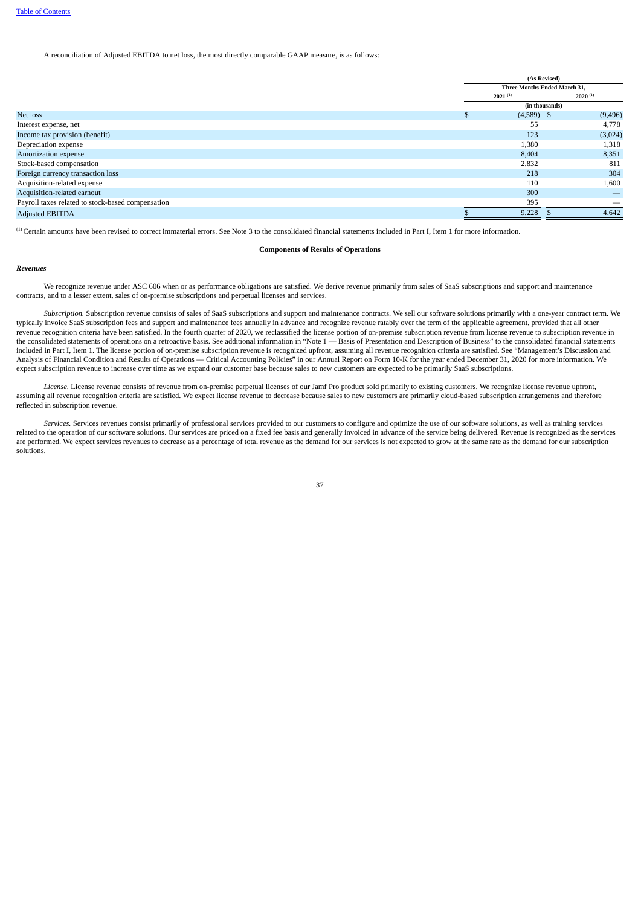A reconciliation of Adjusted EBITDA to net loss, the most directly comparable GAAP measure, is as follows:

|                                                   | (As Revised)                 |                |  |              |
|---------------------------------------------------|------------------------------|----------------|--|--------------|
|                                                   | Three Months Ended March 31. |                |  |              |
|                                                   | $2021^{(1)}$                 |                |  | $2020^{(1)}$ |
|                                                   |                              | (in thousands) |  |              |
| Net loss                                          |                              | $(4,589)$ \$   |  | (9,496)      |
| Interest expense, net                             |                              | 55             |  | 4,778        |
| Income tax provision (benefit)                    |                              | 123            |  | (3,024)      |
| Depreciation expense                              |                              | 1,380          |  | 1,318        |
| Amortization expense                              |                              | 8,404          |  | 8,351        |
| Stock-based compensation                          |                              | 2,832          |  | 811          |
| Foreign currency transaction loss                 |                              | 218            |  | 304          |
| Acquisition-related expense                       |                              | 110            |  | 1,600        |
| Acquisition-related earnout                       |                              | 300            |  | -            |
| Payroll taxes related to stock-based compensation |                              | 395            |  | --           |
| <b>Adjusted EBITDA</b>                            |                              | 9,228          |  | 4,642        |

 $\alpha^{(1)}$  Certain amounts have been revised to correct immaterial errors. See Note 3 to the consolidated financial statements included in Part I, Item 1 for more information.

### **Components of Results of Operations**

## *Revenues*

We recognize revenue under ASC 606 when or as performance obligations are satisfied. We derive revenue primarily from sales of SaaS subscriptions and support and maintenance contracts, and to a lesser extent, sales of on-premise subscriptions and perpetual licenses and services.

*Subscription.* Subscription revenue consists of sales of SaaS subscriptions and support and maintenance contracts. We sell our software solutions primarily with a one-year contract term. We typically invoice SaaS subscription fees and support and maintenance fees annually in advance and recognize revenue ratably over the term of the applicable agreement, provided that all other revenue recognition criteria have been satisfied. In the fourth quarter of 2020, we reclassified the license portion of on-premise subscription revenue from license revenue to subscription revenue in the consolidated statements of operations on a retroactive basis. See additional information in "Note 1 — Basis of Presentation and Description of Business" to the consolidated financial statements included in Part I, Item 1. The license portion of on-premise subscription revenue is recognized upfront, assuming all revenue recognition criteria are satisfied. See "Management's Discussion and Analysis of Financial Condition and Results of Operations — Critical Accounting Policies" in our Annual Report on Form 10-K for the year ended December 31, 2020 for more information. We expect subscription revenue to increase over time as we expand our customer base because sales to new customers are expected to be primarily SaaS subscriptions.

*License.* License revenue consists of revenue from on-premise perpetual licenses of our Jamf Pro product sold primarily to existing customers. We recognize license revenue upfront, assuming all revenue recognition criteria are satisfied. We expect license revenue to decrease because sales to new customers are primarily cloud-based subscription arrangements and therefore reflected in subscription revenue.

*Services.* Services revenues consist primarily of professional services provided to our customers to configure and optimize the use of our software solutions, as well as training services related to the operation of our software solutions. Our services are priced on a fixed fee basis and generally invoiced in advance of the service being delivered. Revenue is recognized as the services are performed. We expect services revenues to decrease as a percentage of total revenue as the demand for our services is not expected to grow at the same rate as the demand for our subscription solutions.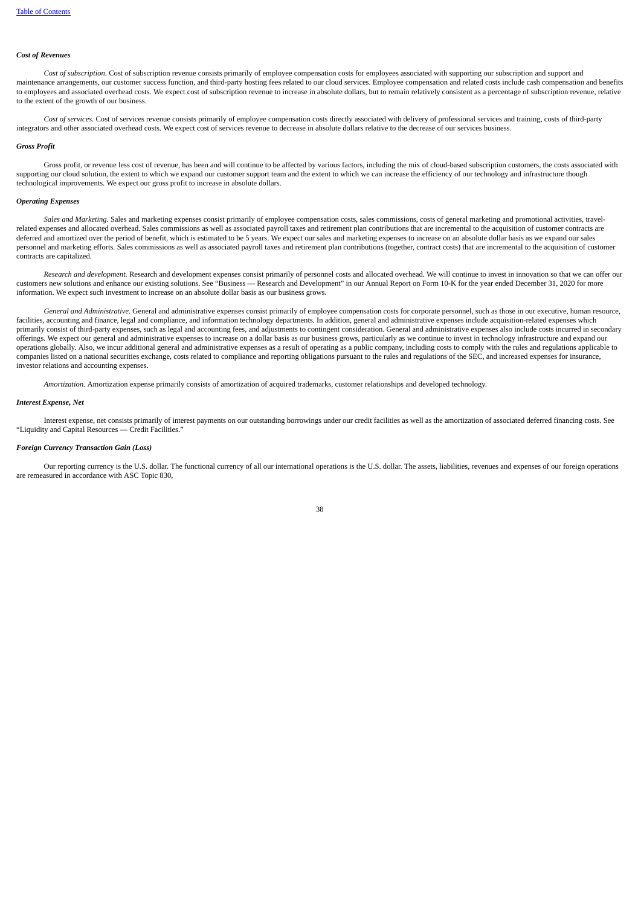## *Cost of Revenues*

*Cost of subscription.* Cost of subscription revenue consists primarily of employee compensation costs for employees associated with supporting our subscription and support and maintenance arrangements, our customer success function, and third-party hosting fees related to our cloud services. Employee compensation and related costs include cash compensation and benefits to employees and associated overhead costs. We expect cost of subscription revenue to increase in absolute dollars, but to remain relatively consistent as a percentage of subscription revenue, relative to the extent of the growth of our business.

*Cost of services.* Cost of services revenue consists primarily of employee compensation costs directly associated with delivery of professional services and training, costs of third-party integrators and other associated overhead costs. We expect cost of services revenue to decrease in absolute dollars relative to the decrease of our services business.

#### *Gross Profit*

Gross profit, or revenue less cost of revenue, has been and will continue to be affected by various factors, including the mix of cloud-based subscription customers, the costs associated with supporting our cloud solution, the extent to which we expand our customer support team and the extent to which we can increase the efficiency of our technology and infrastructure though technological improvements. We expect our gross profit to increase in absolute dollars.

## *Operating Expenses*

*Sales and Marketing.* Sales and marketing expenses consist primarily of employee compensation costs, sales commissions, costs of general marketing and promotional activities, travelrelated expenses and allocated overhead. Sales commissions as well as associated payroll taxes and retirement plan contributions that are incremental to the acquisition of customer contracts are deferred and amortized over the period of benefit, which is estimated to be 5 years. We expect our sales and marketing expenses to increase on an absolute dollar basis as we expand our sales personnel and marketing efforts. Sales commissions as well as associated payroll taxes and retirement plan contributions (together, contract costs) that are incremental to the acquisition of customer contracts are capitalized.

*Research and development.* Research and development expenses consist primarily of personnel costs and allocated overhead. We will continue to invest in innovation so that we can offer our customers new solutions and enhance our existing solutions. See "Business — Research and Development" in our Annual Report on Form 10-K for the year ended December 31, 2020 for more information. We expect such investment to increase on an absolute dollar basis as our business grows.

*General and Administrative.* General and administrative expenses consist primarily of employee compensation costs for corporate personnel, such as those in our executive, human resource, facilities, accounting and finance, legal and compliance, and information technology departments. In addition, general and administrative expenses include acquisition-related expenses which primarily consist of third-party expenses, such as legal and accounting fees, and adjustments to contingent consideration. General and administrative expenses also include costs incurred in secondary offerings. We expect our general and administrative expenses to increase on a dollar basis as our business grows, particularly as we continue to invest in technology infrastructure and expand our operations globally. Also, we incur additional general and administrative expenses as a result of operating as a public company, including costs to comply with the rules and regulations applicable to companies listed on a national securities exchange, costs related to compliance and reporting obligations pursuant to the rules and regulations of the SEC, and increased expenses for insurance, investor relations and accounting expenses.

*Amortization.* Amortization expense primarily consists of amortization of acquired trademarks, customer relationships and developed technology.

#### *Interest Expense, Net*

Interest expense, net consists primarily of interest payments on our outstanding borrowings under our credit facilities as well as the amortization of associated deferred financing costs. See "Liquidity and Capital Resources — Credit Facilities."

### *Foreign Currency Transaction Gain (Loss)*

Our reporting currency is the U.S. dollar. The functional currency of all our international operations is the U.S. dollar. The assets, liabilities, revenues and expenses of our foreign operations are remeasured in accordance with ASC Topic 830,

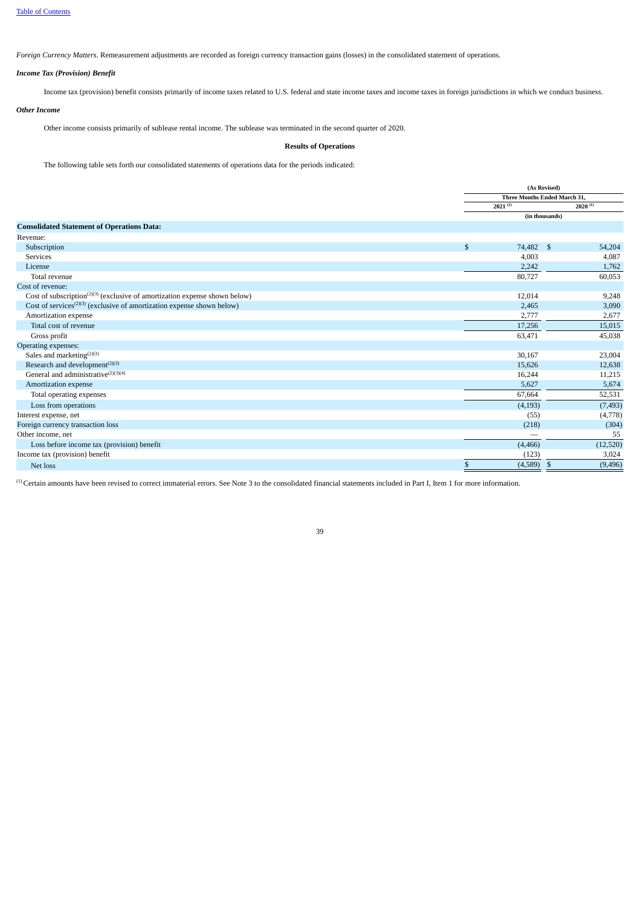*Foreign Currency Matters*. Remeasurement adjustments are recorded as foreign currency transaction gains (losses) in the consolidated statement of operations.

# *Income Tax (Provision) Benefit*

Income tax (provision) benefit consists primarily of income taxes related to U.S. federal and state income taxes and income taxes in foreign jurisdictions in which we conduct business.

# *Other Income*

Other income consists primarily of sublease rental income. The sublease was terminated in the second quarter of 2020.

# **Results of Operations**

The following table sets forth our consolidated statements of operations data for the periods indicated:

|                                                                                                     |              | (As Revised)                 |      |              |  |
|-----------------------------------------------------------------------------------------------------|--------------|------------------------------|------|--------------|--|
|                                                                                                     |              | Three Months Ended March 31, |      |              |  |
|                                                                                                     |              | $2021^{(1)}$                 |      | $2020^{(1)}$ |  |
|                                                                                                     |              | (in thousands)               |      |              |  |
| <b>Consolidated Statement of Operations Data:</b>                                                   |              |                              |      |              |  |
| Revenue:                                                                                            |              |                              |      |              |  |
| Subscription                                                                                        | $\mathbb{S}$ | 74,482                       | - \$ | 54,204       |  |
| <b>Services</b>                                                                                     |              | 4,003                        |      | 4,087        |  |
| License                                                                                             |              | 2,242                        |      | 1,762        |  |
| Total revenue                                                                                       |              | 80,727                       |      | 60,053       |  |
| Cost of revenue:                                                                                    |              |                              |      |              |  |
| Cost of subscription <sup><math>(2)(3)</math></sup> (exclusive of amortization expense shown below) |              | 12,014                       |      | 9,248        |  |
| Cost of services <sup><math>(2)(3)</math></sup> (exclusive of amortization expense shown below)     |              | 2,465                        |      | 3,090        |  |
| Amortization expense                                                                                |              | 2,777                        |      | 2,677        |  |
| Total cost of revenue                                                                               |              | 17,256                       |      | 15,015       |  |
| Gross profit                                                                                        |              | 63,471                       |      | 45,038       |  |
| Operating expenses:                                                                                 |              |                              |      |              |  |
| Sales and marketing $(2)(3)$                                                                        |              | 30,167                       |      | 23,004       |  |
| Research and development <sup><math>(2)(3)</math></sup>                                             |              | 15,626                       |      | 12,638       |  |
| General and administrative <sup><math>(2)(3)(4)</math></sup>                                        |              | 16,244                       |      | 11,215       |  |
| Amortization expense                                                                                |              | 5,627                        |      | 5,674        |  |
| Total operating expenses                                                                            |              | 67,664                       |      | 52,531       |  |
| Loss from operations                                                                                |              | (4, 193)                     |      | (7, 493)     |  |
| Interest expense, net                                                                               |              | (55)                         |      | (4,778)      |  |
| Foreign currency transaction loss                                                                   |              | (218)                        |      | (304)        |  |
| Other income, net                                                                                   |              |                              |      | 55           |  |
| Loss before income tax (provision) benefit                                                          |              | (4, 466)                     |      | (12,520)     |  |
| Income tax (provision) benefit                                                                      |              | (123)                        |      | 3,024        |  |
| Net loss                                                                                            | \$           | (4,589)                      | - \$ | (9, 496)     |  |

 $\frac{(1)}{2}$  Certain amounts have been revised to correct immaterial errors. See Note 3 to the consolidated financial statements included in Part I, Item 1 for more information.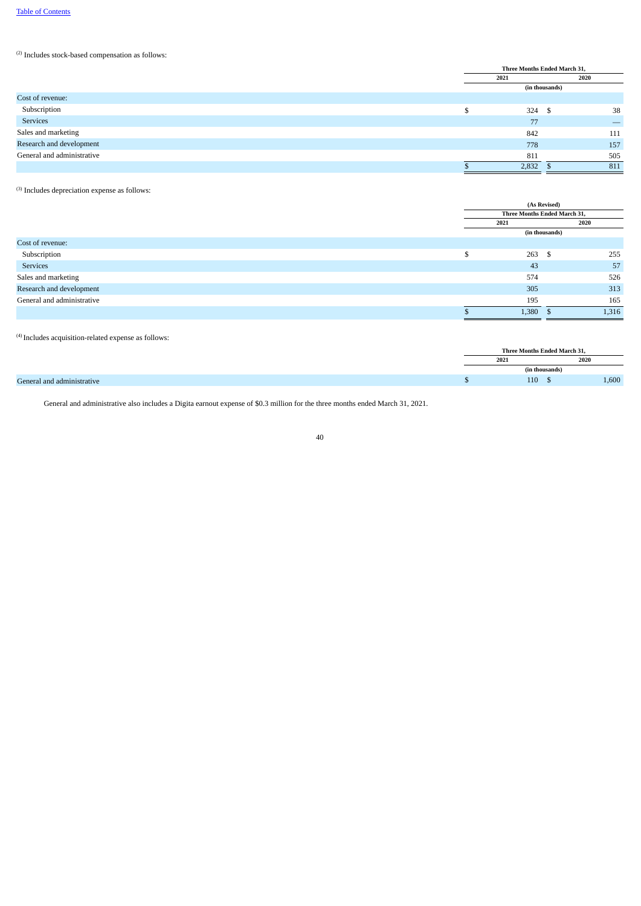#### $(2)$  Includes stock-based compensation as follows:

|                            | Three Months Ended March 31, |                          |  |  |
|----------------------------|------------------------------|--------------------------|--|--|
|                            | 2021                         | 2020                     |  |  |
|                            | (in thousands)               |                          |  |  |
| Cost of revenue:           |                              |                          |  |  |
| Subscription               | 324                          | 38<br>S                  |  |  |
| Services                   | 77                           | $\overline{\phantom{a}}$ |  |  |
| Sales and marketing        | 842                          | 111                      |  |  |
| Research and development   | 778                          | 157                      |  |  |
| General and administrative | 811                          | 505                      |  |  |
|                            | 2,832                        | 811                      |  |  |
|                            |                              |                          |  |  |

#### (3) Includes depreciation expense as follows:

|                            | (As Revised)                 |                |       |  |
|----------------------------|------------------------------|----------------|-------|--|
|                            | Three Months Ended March 31, |                |       |  |
|                            | 2021                         |                | 2020  |  |
|                            |                              | (in thousands) |       |  |
| Cost of revenue:           |                              |                |       |  |
| Subscription               | \$<br>263                    | - \$           | 255   |  |
| Services                   | 43                           |                | 57    |  |
| Sales and marketing        | 574                          |                | 526   |  |
| Research and development   | 305                          |                | 313   |  |
| General and administrative | 195                          |                | 165   |  |
|                            | 1,380                        |                | 1,316 |  |
|                            |                              |                |       |  |

 $(4)$  Includes acquisition-related expense as follows:

|  | Three Months Ended March 31, |       |
|--|------------------------------|-------|
|  | 2021                         | 2020  |
|  | (in thousands)               |       |
|  | 110                          | 1,600 |
|  |                              |       |

General and administrative also includes a Digita earnout expense of \$0.3 million for the three months ended March 31, 2021.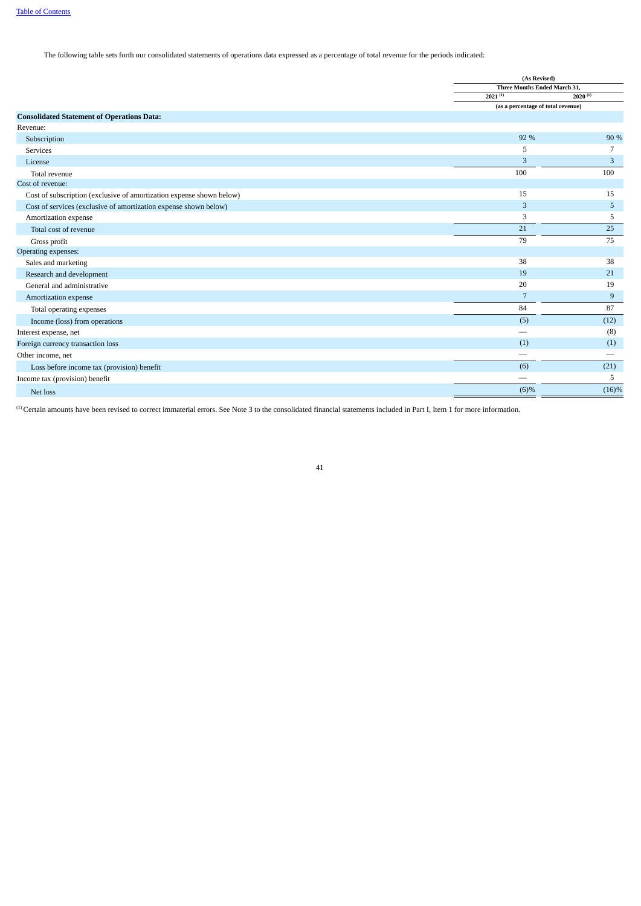The following table sets forth our consolidated statements of operations data expressed as a percentage of total revenue for the periods indicated:

|                                                                      | (As Revised)                       |                  |
|----------------------------------------------------------------------|------------------------------------|------------------|
|                                                                      | Three Months Ended March 31,       |                  |
|                                                                      | $2021^{(1)}$                       | $2020^{(1)}$     |
|                                                                      | (as a percentage of total revenue) |                  |
| <b>Consolidated Statement of Operations Data:</b>                    |                                    |                  |
| Revenue:                                                             |                                    |                  |
| Subscription                                                         | 92 %                               | 90 %             |
| <b>Services</b>                                                      | 5                                  | 7                |
| License                                                              | 3                                  | 3                |
| Total revenue                                                        | 100                                | 100              |
| Cost of revenue:                                                     |                                    |                  |
| Cost of subscription (exclusive of amortization expense shown below) | 15                                 | 15               |
| Cost of services (exclusive of amortization expense shown below)     | $\mathbf{3}$                       | 5                |
| Amortization expense                                                 | 3                                  | 5                |
| Total cost of revenue                                                | 21                                 | 25               |
| Gross profit                                                         | 79                                 | 75               |
| Operating expenses:                                                  |                                    |                  |
| Sales and marketing                                                  | 38                                 | 38               |
| Research and development                                             | 19                                 | 21               |
| General and administrative                                           | 20                                 | 19               |
| Amortization expense                                                 | $\overline{7}$                     | $\boldsymbol{9}$ |
| Total operating expenses                                             | 84                                 | 87               |
| Income (loss) from operations                                        | (5)                                | (12)             |
| Interest expense, net                                                | --                                 | (8)              |
| Foreign currency transaction loss                                    | (1)                                | (1)              |
| Other income, net                                                    |                                    |                  |
| Loss before income tax (provision) benefit                           | (6)                                | (21)             |
| Income tax (provision) benefit                                       |                                    | 5                |
| Net loss                                                             | $(6)$ %                            | (16)%            |

 $^{(1)}$  Certain amounts have been revised to correct immaterial errors. See Note 3 to the consolidated financial statements included in Part I, Item 1 for more information.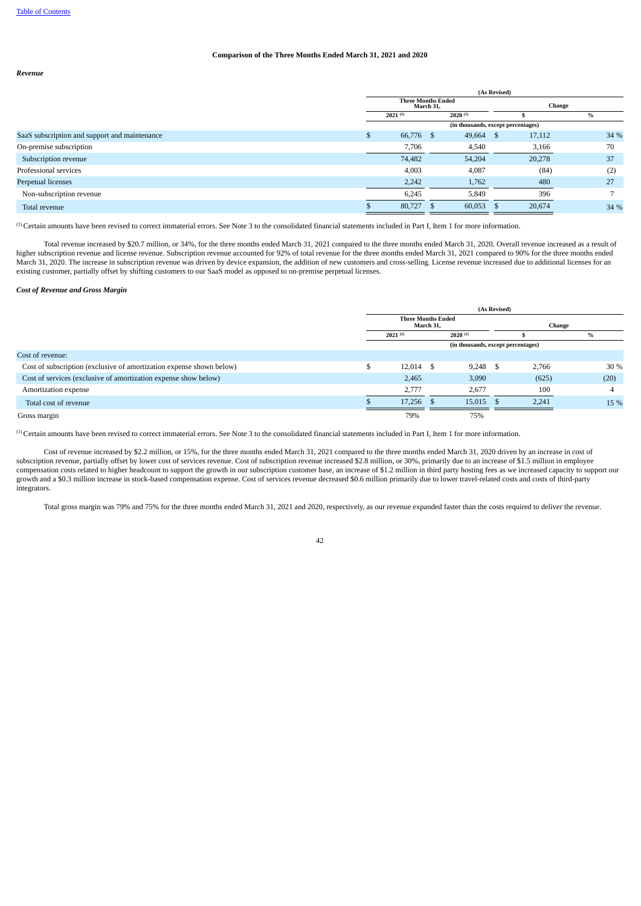# **Comparison of the Three Months Ended March 31, 2021 and 2020**

#### *Revenue*

|                                               |   | (As Revised)                           |              |                                    |        |  |  |
|-----------------------------------------------|---|----------------------------------------|--------------|------------------------------------|--------|--|--|
|                                               |   | <b>Three Months Ended</b><br>March 31, |              |                                    | Change |  |  |
|                                               |   | $2021^{(1)}$                           | $2020^{(1)}$ |                                    | $\%$   |  |  |
|                                               |   |                                        |              | (in thousands, except percentages) |        |  |  |
| SaaS subscription and support and maintenance | D | 66,776 \$                              | 49,664 \$    | 17,112                             | 34 %   |  |  |
| On-premise subscription                       |   | 7,706                                  | 4,540        | 3,166                              | 70     |  |  |
| Subscription revenue                          |   | 74,482                                 | 54,204       | 20,278                             | 37     |  |  |
| Professional services                         |   | 4,003                                  | 4,087        | (84)                               | (2)    |  |  |
| Perpetual licenses                            |   | 2,242                                  | 1,762        | 480                                | 27     |  |  |
| Non-subscription revenue                      |   | 6,245                                  | 5,849        | 396                                |        |  |  |
| Total revenue                                 |   | 80,727                                 | 60,053       | 20,674                             | 34 %   |  |  |

 $(1)$  Certain amounts have been revised to correct immaterial errors. See Note 3 to the consolidated financial statements included in Part I, Item 1 for more information.

Total revenue increased by \$20.7 million, or 34%, for the three months ended March 31, 2021 compared to the three months ended March 31, 2020. Overall revenue increased as a result of higher subscription revenue and license revenue. Subscription revenue accounted for 92% of total revenue for the three months ended March 31, 2021 compared to 90% for the three months ended March 31, 2020. The increase in subscription revenue was driven by device expansion, the addition of new customers and cross-selling. License revenue increased due to additional licenses for an existing customer, partially offset by shifting customers to our SaaS model as opposed to on-premise perpetual licenses.

# *Cost of Revenue and Gross Margin*

|                                                                      | (As Revised)                           |  |                                    |        |       |      |
|----------------------------------------------------------------------|----------------------------------------|--|------------------------------------|--------|-------|------|
|                                                                      | <b>Three Months Ended</b><br>March 31, |  |                                    | Change |       |      |
|                                                                      | $2021^{(1)}$                           |  | $2020^{(1)}$                       |        |       | %    |
|                                                                      |                                        |  | (in thousands, except percentages) |        |       |      |
| Cost of revenue:                                                     |                                        |  |                                    |        |       |      |
| Cost of subscription (exclusive of amortization expense shown below) | $12,014$ \$                            |  | $9,248$ \$                         |        | 2,766 | 30 % |
| Cost of services (exclusive of amortization expense show below)      | 2,465                                  |  | 3,090                              |        | (625) | (20) |
| Amortization expense                                                 | 2.777                                  |  | 2,677                              |        | 100   | 4    |
| Total cost of revenue                                                | 17,256 \$                              |  | 15,015 \$                          |        | 2,241 | 15 % |
| Gross margin                                                         | 79%                                    |  | 75%                                |        |       |      |

 $\alpha^{(1)}$  Certain amounts have been revised to correct immaterial errors. See Note 3 to the consolidated financial statements included in Part I, Item 1 for more information.

Cost of revenue increased by \$2.2 million, or 15%, for the three months ended March 31, 2021 compared to the three months ended March 31, 2020 driven by an increase in cost of subscription revenue, partially offset by lower cost of services revenue. Cost of subscription revenue increased \$2.8 million, or 30%, primarily due to an increase of \$1.5 million in employee compensation costs related to higher headcount to support the growth in our subscription customer base, an increase of \$1.2 million in third party hosting fees as we increased capacity to support our growth and a \$0.3 million increase in stock-based compensation expense. Cost of services revenue decreased \$0.6 million primarily due to lower travel-related costs and costs of third-party integrators.

Total gross margin was 79% and 75% for the three months ended March 31, 2021 and 2020, respectively, as our revenue expanded faster than the costs required to deliver the revenue.

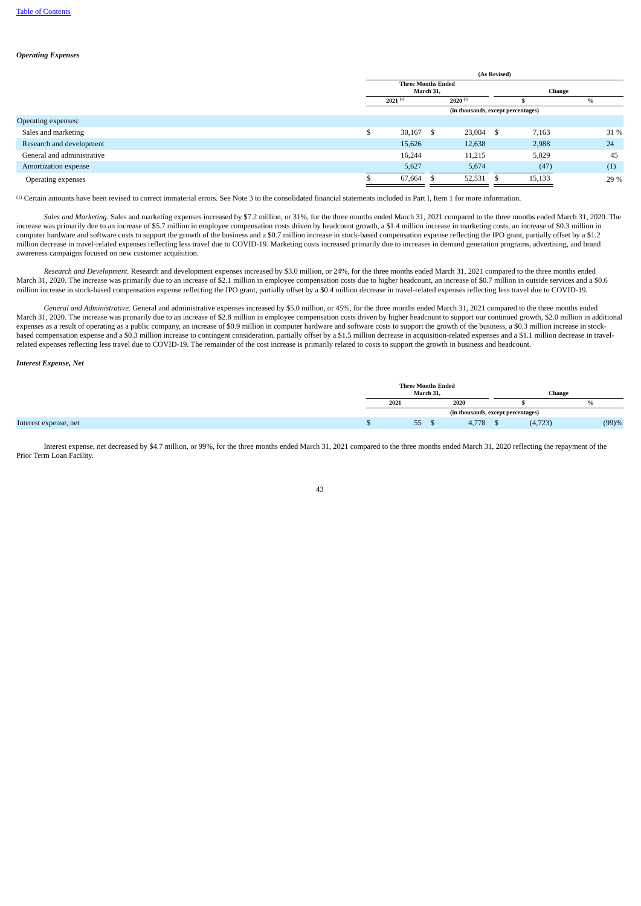## *Operating Expenses*

|                            | (As Revised)                           |              |        |      |  |
|----------------------------|----------------------------------------|--------------|--------|------|--|
|                            | <b>Three Months Ended</b><br>March 31, |              | Change |      |  |
|                            | $2021^{(1)}$                           | $2020^{(1)}$ |        | %    |  |
|                            | (in thousands, except percentages)     |              |        |      |  |
| Operating expenses:        |                                        |              |        |      |  |
| Sales and marketing        | 30,167                                 | $23,004$ \$  | 7,163  | 31 % |  |
| Research and development   | 15,626                                 | 12,638       | 2,988  | 24   |  |
| General and administrative | 16,244                                 | 11,215       | 5,029  | 45   |  |
| Amortization expense       | 5,627                                  | 5,674        | (47)   | (1)  |  |
| Operating expenses         | 67,664                                 | 52,531       | 15,133 | 29 % |  |

 $\left( 0 \right)$  Certain amounts have been revised to correct immaterial errors. See Note 3 to the consolidated financial statements included in Part I, Item 1 for more information.

Sales and Marketing. Sales and marketing expenses increased by \$7.2 million, or 31%, for the three months ended March 31, 2021 compared to the three months ended March 31, 2020. The increase was primarily due to an increase of \$5.7 million in employee compensation costs driven by headcount growth, a \$1.4 million increase in marketing costs, an increase of \$0.3 million in computer hardware and software costs to support the growth of the business and a \$0.7 million increase in stock-based compensation expense reflecting the IPO grant, partially offset by a \$1.2 million decrease in travel-related expenses reflecting less travel due to COVID-19. Marketing costs increased primarily due to increases in demand generation programs, advertising, and brand awareness campaigns focused on new customer acquisition.

*Research and Development.* Research and development expenses increased by \$3.0 million, or 24%, for the three months ended March 31, 2021 compared to the three months ended March 31, 2020. The increase was primarily due to an increase of \$2.1 million in employee compensation costs due to higher headcount, an increase of \$0.7 million in outside services and a \$0.6 million increase in stock-based compensation expense reflecting the IPO grant, partially offset by a \$0.4 million decrease in travel-related expenses reflecting less travel due to COVID-19.

*General and Administrative.* General and administrative expenses increased by \$5.0 million, or 45%, for the three months ended March 31, 2021 compared to the three months ended March 31, 2020. The increase was primarily due to an increase of \$2.8 million in employee compensation costs driven by higher headcount to support our continued growth, \$2.0 million in additional expenses as a result of operating as a public company, an increase of \$0.9 million in computer hardware and software costs to support the growth of the business, a \$0.3 million increase in stockbased compensation expense and a \$0.3 million increase to contingent consideration, partially offset by a \$1.5 million decrease in acquisition-related expenses and a \$1.1 million decrease in travelrelated expenses reflecting less travel due to COVID-19. The remainder of the cost increase is primarily related to costs to support the growth in business and headcount.

*Interest Expense, Net*

|  | <b>Three Months Ended</b><br>March 31, |       |          | Change |  |
|--|----------------------------------------|-------|----------|--------|--|
|  | 2021                                   | 2020  |          | $\%$   |  |
|  | (in thousands, except percentages)     |       |          |        |  |
|  | 55                                     | 4,778 | (4, 723) | (99)%  |  |

Interest expense, net decreased by \$4.7 million, or 99%, for the three months ended March 31, 2021 compared to the three months ended March 31, 2020 reflecting the repayment of the Prior Term Loan Facility.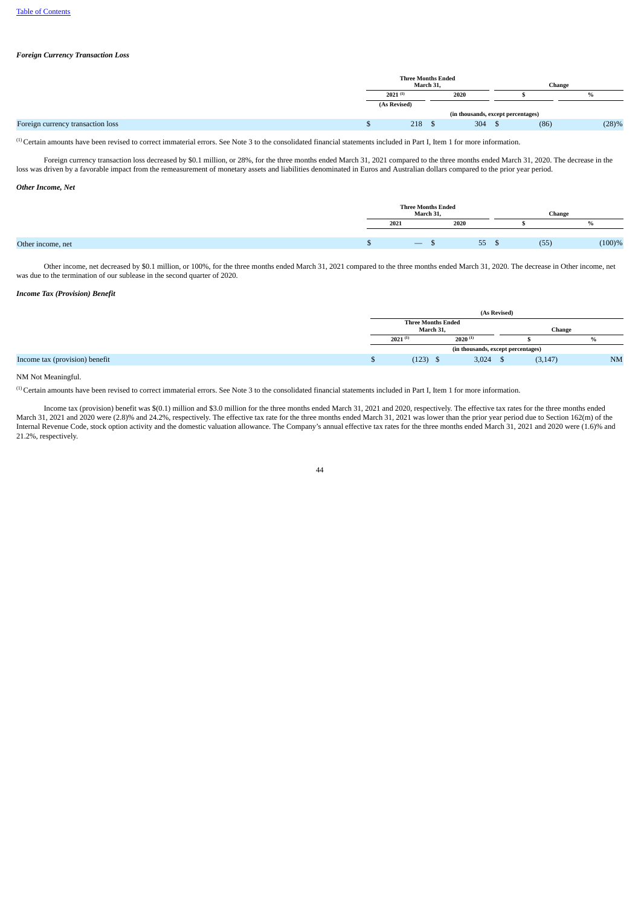# *Foreign Currency Transaction Loss*

|                                   | <b>Three Months Ended</b><br>March 31, |      | Change |       |  |
|-----------------------------------|----------------------------------------|------|--------|-------|--|
|                                   | $2021^{(1)}$                           | 2020 |        | %     |  |
|                                   | (As Revised)                           |      |        |       |  |
|                                   | (in thousands, except percentages)     |      |        |       |  |
| Foreign currency transaction loss | 218                                    | 304  | (86)   | (28)% |  |

 $\alpha^{(1)}$  Certain amounts have been revised to correct immaterial errors. See Note 3 to the consolidated financial statements included in Part I, Item 1 for more information.

Foreign currency transaction loss decreased by \$0.1 million, or 28%, for the three months ended March 31, 2021 compared to the three months ended March 31, 2020. The decrease in the loss was driven by a favorable impact from the remeasurement of monetary assets and liabilities denominated in Euros and Australian dollars compared to the prior year period.

## *Other Income, Net*

|  | <b>Three Months Ended</b><br>March 31, |      | Change |                         |  |
|--|----------------------------------------|------|--------|-------------------------|--|
|  | 2021                                   | 2020 |        | $\mathbf{O}_\mathbf{O}$ |  |
|  | $\sim$                                 | - ככ | (55)   | (100)%                  |  |
|  |                                        |      |        |                         |  |

Other income, net decreased by \$0.1 million, or 100%, for the three months ended March 31, 2021 compared to the three months ended March 31, 2020. The decrease in Other income, net was due to the termination of our sublease in the second quarter of 2020.

# *Income Tax (Provision) Benefit*

|                                | (As Revised)                           |              |              |  |          |              |
|--------------------------------|----------------------------------------|--------------|--------------|--|----------|--------------|
|                                | <b>Three Months Ended</b><br>March 31, |              | Change       |  |          |              |
|                                |                                        | $2021^{(1)}$ | $2020^{(1)}$ |  |          | $\mathbf{O}$ |
|                                | (in thousands, except percentages)     |              |              |  |          |              |
| Income tax (provision) benefit |                                        | $(123)$ \$   | 3,024        |  | (3, 147) | NM           |

# NM Not Meaningful.

 $^{(1)}$  Certain amounts have been revised to correct immaterial errors. See Note 3 to the consolidated financial statements included in Part I, Item 1 for more information.

Income tax (provision) benefit was \$(0.1) million and \$3.0 million for the three months ended March 31, 2021 and 2020, respectively. The effective tax rates for the three months ended March 31, 2021 and 2020 were (2.8)% and 24.2%, respectively. The effective tax rate for the three months ended March 31, 2021 was lower than the prior year period due to Section 162(m) of the Internal Revenue Code, stock option activity and the domestic valuation allowance. The Company's annual effective tax rates for the three months ended March 31, 2021 and 2020 were (1.6)% and 21.2%, respectively.

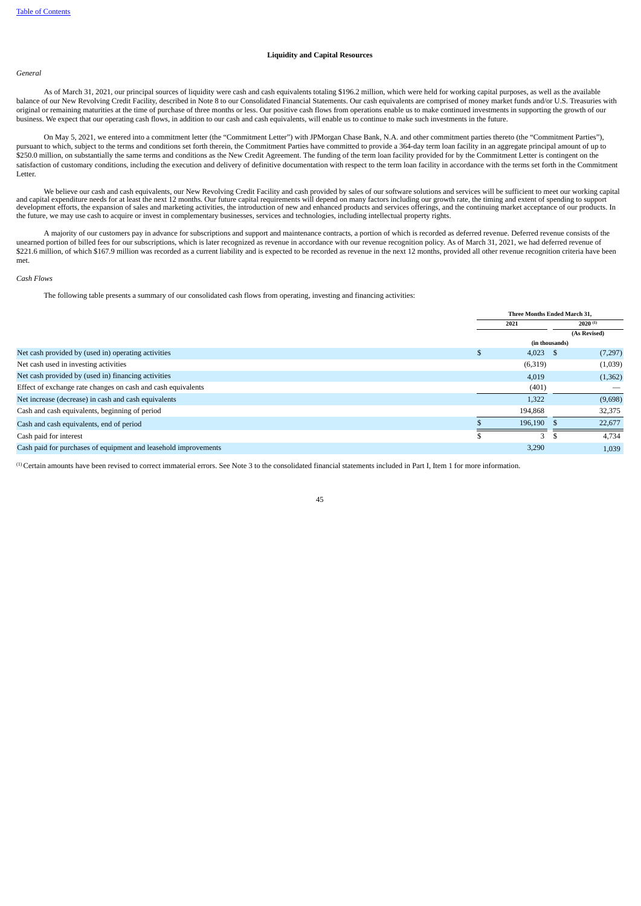# **Liquidity and Capital Resources**

# *General*

As of March 31, 2021, our principal sources of liquidity were cash and cash equivalents totaling \$196.2 million, which were held for working capital purposes, as well as the available balance of our New Revolving Credit Facility, described in Note 8 to our Consolidated Financial Statements. Our cash equivalents are comprised of money market funds and/or U.S. Treasuries with original or remaining maturities at the time of purchase of three months or less. Our positive cash flows from operations enable us to make continued investments in supporting the growth of our business. We expect that our operating cash flows, in addition to our cash and cash equivalents, will enable us to continue to make such investments in the future.

On May 5, 2021, we entered into a commitment letter (the "Commitment Letter") with JPMorgan Chase Bank, N.A. and other commitment parties thereto (the "Commitment Parties"), pursuant to which, subject to the terms and conditions set forth therein, the Commitment Parties have committed to provide a 364-day term loan facility in an aggregate principal amount of up to \$250.0 million, on substantially the same terms and conditions as the New Credit Agreement. The funding of the term loan facility provided for by the Commitment Letter is contingent on the satisfaction of customary conditions, including the execution and delivery of definitive documentation with respect to the term loan facility in accordance with the terms set forth in the Commitment Letter.

We believe our cash and cash equivalents, our New Revolving Credit Facility and cash provided by sales of our software solutions and services will be sufficient to meet our working capital equitel and capital requirements development efforts, the expansion of sales and marketing activities, the introduction of new and enhanced products and services offerings, and the continuing market acceptance of our products. In<br>the future, we may use ca

A majority of our customers pay in advance for subscriptions and support and maintenance contracts, a portion of which is recorded as deferred revenue. Deferred revenue consists of the unearned portion of billed fees for our subscriptions, which is later recognized as revenue in accordance with our revenue recognition policy. As of March 31, 2021, we had deferred revenue of \$221.6 million, of which \$167.9 million was recorded as a current liability and is expected to be recorded as revenue in the next 12 months, provided all other revenue recognition criteria have been met.

# *Cash Flows*

The following table presents a summary of our consolidated cash flows from operating, investing and financing activities:

|                                                                 |      | Three Months Ended March 31. |              |  |
|-----------------------------------------------------------------|------|------------------------------|--------------|--|
|                                                                 | 2021 |                              | $2020^{(1)}$ |  |
|                                                                 |      |                              | (As Revised) |  |
|                                                                 |      | (in thousands)               |              |  |
| Net cash provided by (used in) operating activities             | -\$  | $4,023$ \$                   | (7,297)      |  |
| Net cash used in investing activities                           |      | (6,319)                      | (1,039)      |  |
| Net cash provided by (used in) financing activities             |      | 4,019                        | (1,362)      |  |
| Effect of exchange rate changes on cash and cash equivalents    |      | (401)                        |              |  |
| Net increase (decrease) in cash and cash equivalents            |      | 1,322                        | (9,698)      |  |
| Cash and cash equivalents, beginning of period                  |      | 194,868                      | 32,375       |  |
| Cash and cash equivalents, end of period                        |      | 196,190                      | 22,677       |  |
| Cash paid for interest                                          |      | 3<br>- 55                    | 4,734        |  |
| Cash paid for purchases of equipment and leasehold improvements |      | 3,290                        | 1,039        |  |

 $\alpha^{(1)}$  Certain amounts have been revised to correct immaterial errors. See Note 3 to the consolidated financial statements included in Part I, Item 1 for more information.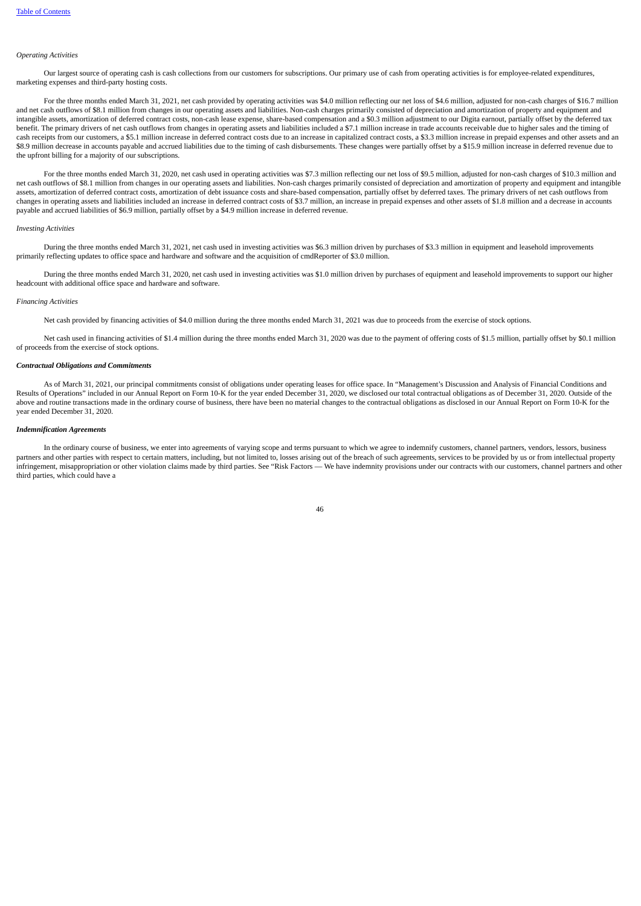#### *Operating Activities*

Our largest source of operating cash is cash collections from our customers for subscriptions. Our primary use of cash from operating activities is for employee-related expenditures, marketing expenses and third-party hosting costs.

For the three months ended March 31, 2021, net cash provided by operating activities was \$4.0 million reflecting our net loss of \$4.6 million, adjusted for non-cash charges of \$16.7 million and net cash outflows of \$8.1 million from changes in our operating assets and liabilities. Non-cash charges primarily consisted of depreciation and amortization of property and equipment and intangible assets, amortization of deferred contract costs, non-cash lease expense, share-based compensation and a \$0.3 million adjustment to our Digita earnout, partially offset by the deferred tax benefit. The primary drivers of net cash outflows from changes in operating assets and liabilities included a \$7.1 million increase in trade accounts receivable due to higher sales and the timing of cash receipts from our customers, a \$5.1 million increase in deferred contract costs due to an increase in capitalized contract costs, a \$3.3 million increase in prepaid expenses and other assets and an \$8.9 million decrease in accounts payable and accrued liabilities due to the timing of cash disbursements. These changes were partially offset by a \$15.9 million increase in deferred revenue due to the upfront billing for a majority of our subscriptions.

For the three months ended March 31, 2020, net cash used in operating activities was \$7.3 million reflecting our net loss of \$9.5 million, adjusted for non-cash charges of \$10.3 million and net cash outflows of \$8.1 million from changes in our operating assets and liabilities. Non-cash charges primarily consisted of depreciation and amortization of property and equipment and intangible assets, amortization of deferred contract costs, amortization of debt issuance costs and share-based compensation, partially offset by deferred taxes. The primary drivers of net cash outflows from changes in operating assets and liabilities included an increase in deferred contract costs of \$3.7 million, an increase in prepaid expenses and other assets of \$1.8 million and a decrease in accounts payable and accrued liabilities of \$6.9 million, partially offset by a \$4.9 million increase in deferred revenue.

#### *Investing Activities*

During the three months ended March 31, 2021, net cash used in investing activities was \$6.3 million driven by purchases of \$3.3 million in equipment and leasehold improvements primarily reflecting updates to office space and hardware and software and the acquisition of cmdReporter of \$3.0 million.

During the three months ended March 31, 2020, net cash used in investing activities was \$1.0 million driven by purchases of equipment and leasehold improvements to support our higher headcount with additional office space and hardware and software.

### *Financing Activities*

Net cash provided by financing activities of \$4.0 million during the three months ended March 31, 2021 was due to proceeds from the exercise of stock options.

Net cash used in financing activities of \$1.4 million during the three months ended March 31, 2020 was due to the payment of offering costs of \$1.5 million, partially offset by \$0.1 million of proceeds from the exercise of stock options.

#### *Contractual Obligations and Commitments*

As of March 31, 2021, our principal commitments consist of obligations under operating leases for office space. In "Management's Discussion and Analysis of Financial Conditions and Results of Operations" included in our Annual Report on Form 10-K for the year ended December 31, 2020, we disclosed our total contractual obligations as of December 31, 2020. Outside of the above and routine transactions made in the ordinary course of business, there have been no material changes to the contractual obligations as disclosed in our Annual Report on Form 10-K for the year ended December 31, 2020.

## *Indemnification Agreements*

In the ordinary course of business, we enter into agreements of varying scope and terms pursuant to which we agree to indemnify customers, channel partners, vendors, lessors, business partners and other parties with respect to certain matters, including, but not limited to, losses arising out of the breach of such agreements, services to be provided by us or from intellectual property .<br>infringement, misappropriation or other violation claims made by third parties. See "Risk Factors — We have indemnity provisions under our contracts with our customers, channel partners and other third parties, which could have a